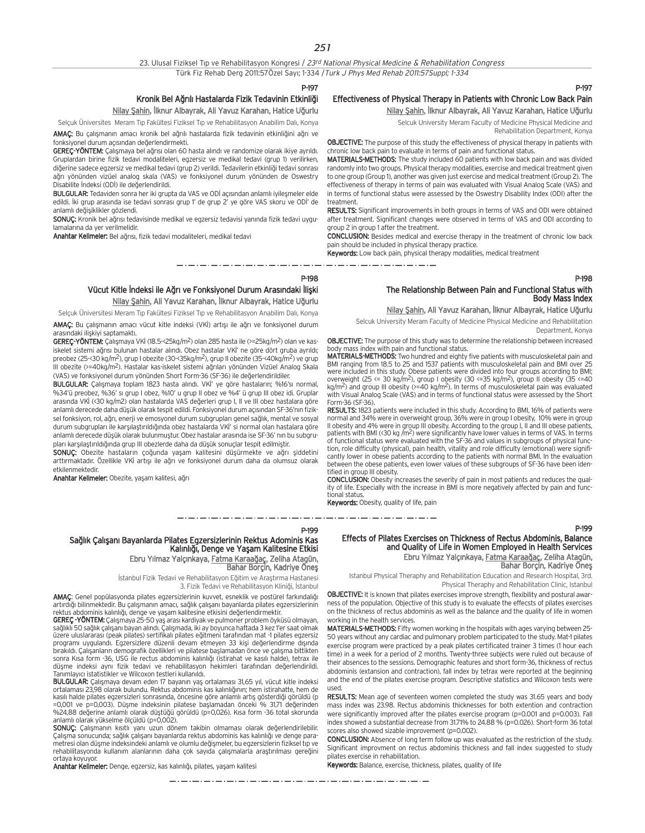#### 23. Ulusal Fiziksel Tip ve Rehabilitasyon Kongresi / 23rd National Physical Medicine & Rehabilitation Congress

Türk Fiz Rehab Derg 2011:57Özel Sayı; 1-334 / Turk J Phys Med Rehab 2011:57Suppl; 1-334

P-197

## Kronik Bel Ağrılı Hastalarda Fizik Tedavinin Etkinliği

#### Nilay Şahin, İlknur Albayrak, Ali Yavuz Karahan, Hatice Uğurlu

Selçuk Üniversites Meram Tıp Fakültesi Fiziksel Tıp ve Rehabilitasyon Anabilim Dalı, Konya

AMAC: Bu çalışmanın amacı kronik bel ağrılı hastalarda fizik tedavinin etkinliğini ağrı ve fonksiyonel durum acısından değerlendirmekti.

GEREC-YÖNTEM: Calismaya bel ağrısı olan 60 hasta alındı ve randomize olarak ikiye ayrıldı. Gruplardan birine fizik tedavi modaliteleri, egzersiz ve medikal tedavi (grup 1) verilirken, diğerine sadece egzersiz ve medikal tedavi (grup 2) verildi. Tedavilerin etkinliği tedavi sonrası ağrı yönünden vizüel analog skala (VAS) ve fonksiyonel durum yönünden de Oswestry Disabilite İndeksi (ODİ) ile değerlendirildi.

BULGULAR: Tedaviden sonra her iki grupta da VAS ve ODİ açısından anlamlı iyileşmeler elde edildi. İki grup arasında ise tedavi sonrası grup 1' de grup 2' ye göre VAS skoru ve ODİ' de anlamlı değişiklikler gözlendi.

SONUÇ: Kronik bel ağrısı tedavisinde medikal ve egzersiz tedavisi yanında fizik tedavi uygulamalarına da yer verilmelidir.

Anahtar Kelimeler: Bel a¤r›s›, fizik tedavi modaliteleri, medikal tedavi

### Effectiveness of Physical Therapy in Patients with Chronic Low Back Pain Nilay Şahin, İlknur Albayrak, Ali Yavuz Karahan, Hatice Uğurlu

Selcuk University Meram Faculty of Medicine Physical Medicine and Rehabilitation Department, Konya

OBJECTIVE: The purpose of this study the effectiveness of physical therapy in patients with

chronic low back pain to evaluate in terms of pain and functional status. MATERIALS-METHODS: The study included 60 patients with low back pain and was divided randomly into two groups. Physical therapy modalities, exercise and medical treatment given to one group (Group 1), another was given just exercise and medical treatment (Group 2). The effectiveness of therapy in terms of pain was evaluated with Visual Analog Scale (VAS) and in terms of functional status were assessed by the Oswestry Disability Index (ODI) after the

treatment. RESULTS: Significant improvements in both groups in terms of VAS and ODI were obtained after treatment. Significant changes were observed in terms of VAS and ODI according to group 2 in group 1 after the treatment.

CONCLUSION: Besides medical and exercise therapy in the treatment of chronic low back pain should be included in physical therapy practice.

Keywords: Low back pain, physical therapy modalities, medical treatment

P-198

#### Vücut Kitle İndeksi ile Ağrı ve Fonksiyonel Durum Arasındaki İlişki Nilay Şahin, Ali Yavuz Karahan, İlknur Albayrak, Hatice Uğurlu

Selçuk Üniversitesi Meram Tıp Fakültesi Fiziksel Tıp ve Rehabilitasyon Anabilim Dalı, Konya

AMAÇ: Bu çalışmanın amacı vücut kitle indeksi (VKİ) artışı ile ağrı ve fonksiyonel durum arasındaki ilişkiyi saptamaktı.

 $GERE$ <sup>-</sup>YÖNTEM: Çalışmaya VKİ (18.5-<25kg/m<sup>2</sup>) olan 285 hasta ile (>=25kg/m<sup>2</sup>) olan ve kasiskelet sistemi ağrısı bulunan hastalar alındı. Obez hastalar VKİ' ne göre dört gruba ayrıldı; preobez (25-<30 kg/m2), grup I obezite (30-<35kg/m2), grup II obezite (35-<40kg/m2) ve grup III obezite (>=40kg/m<sup>2</sup>). Hastalar kas-iskelet sistemi ağrıları yönünden Vizüel Analog Skala (VAS) ve fonksiyonel durum yönünden Short Form-36 (SF-36) ile değerlendirildiler.

BULGULAR: Çalışmaya toplam 1823 hasta alındı. VKİ' ye göre hastaların; %16'sı normal, %34'ü preobez, %36' sı grup I obez, %10' u grup II obez ve %4' ü grup III obez idi. Gruplar arasında VKİ (<30 kg/m2) olan hastalarda VAS değerleri grup I, II ve III obez hastalara göre anlamlı derecede daha düşük olarak tespit edildi. Fonksiyonel durum açısından SF-36'nın fiziksel fonksiyon, rol, ağrı, enerji ve emosyonel durum subgrupları genel sağlık, mental ve sosyal durum subgrupları ile karşılaştırıldığında obez hastalarda VKİ' si normal olan hastalara göre anlamlı derecede düşük olarak bulunmuştur. Obez hastalar arasında ise SF-36' nın bu subgrupları karşılaştırıldığında grup III obezlerde daha da düşük sonuçlar tespit edilmiştir.

SONUÇ: Obezite hastaların çoğunda yaşam kalitesini düşürmekte ve ağrı şiddetini arttırmaktadır. Özellikle VKİ artışı ile ağrı ve fonksiyonel durum daha da olumsuz olarak etkilenmektedir.

Anahtar Kelimeler: Obezite, yaşam kalitesi, ağrı

## The Relationship Between Pain and Functional Status with Body Mass Index

Nilay Şahin, Ali Yavuz Karahan, İlknur Albayrak, Hatice Uğurlu

Selcuk University Meram Faculty of Medicine Physical Medicine and Rehabilitation Department, Konya

OBJECTIVE: The purpose of this study was to determine the relationship between increased body mass index with pain and functional status.

MATERIALS-METHODS: Two hundred and eighty five patients with musculoskeletal pain and BMI ranging from 18.5 to 25 and 1537 patients with musculoskeletal pain and BMI over 25 were included in this study. Obese patients were divided into four groups according to BMI; overweight (25 <= 30 kg/m2), group I obesity (30 <=35 kg/m2), group II obesity (35 <=40 kg/m2) and group III obesity (>=40 kg/m2). In terms of musculoskeletal pain was evaluated with Visual Analog Scale (VAS) and in terms of functional status were assessed by the Short Form-36 (SF-36).

RESULTS: 1823 patients were included in this study. According to BMI, 16% of patients were normal and 34% were in overweight group, 36% were in group I obesity, 10% were in group II obesity and 4% were in group III obesity. According to the group I, II and III obese patients, patients with BMI (<30 kg /m<sup>2</sup>) were significantly have lower values in terms of VAS. In terms of functional status were evaluated with the SF-36 and values in subgroups of physical function, role difficulty (physical), pain health, vitality and role difficulty (emotional) were significantly lower in obese patients according to the patients with normal BMI. In the evaluation between the obese patients, even lower values of these subgroups of SF-36 have been identified in group III obesity.

CONCLUSION: Obesity increases the severity of pain in most patients and reduces the quality of life. Especially with the increase in BMI is more negatively affected by pain and functional status.

Keywords: Obesity, quality of life, pain 

#### P-199

#### Effects of Pilates Exercises on Thickness of Rectus Abdominis, Balance and Quality of Life in Women Employed in Health Services Ebru Yılmaz Yalçınkaya, Fatma Karaağaç, Zeliha Atagün, Bahar Borçin, Kadriye Öneş

Istanbul Physical Theraphy and Rehabilitation Education and Research Hospital, 3rd. Physical Theraphy and Rehabilitation Clinic, Istanbul

OBJECTIVE: It is known that pilates exercises improve strength, flexibility and postural awarness of the population. Objective of this study is to evaluate the effecsts of pilates exercises on the thickness of rectus abdominis as well as the balance and the quality of life in women working in the health services.

MATERIALS-METHODS: Fifty women working in the hospitals with ages varying between 25- 50 years without any cardiac and pulmonary problem participated to the study. Mat-1 pilates exercise program were practiced by a peak pilates certificated trainer 3 times (1 hour each time) in a week for a period of 2 months. Twenty-three subjects were ruled out because of their absences to the sessions. Demographic features and short form-36, thickness of rectus abdominis (extansion and contraction), fall index by tetrax were reported at the beginning and the end of the pilates exercise program. Descriptive statistics and Wilcoxon tests were used.

RESULTS: Mean age of seventeen women completed the study was 31.65 years and body mass index was 23.98. Rectus abdominis thicknesses for both extention and contraction were significantly improved after the pilates exercise program (p=0.001 and p=0.003). Fall index showed a substantial decrease from 31.71% to 24.88 % (p=0.026). Short-form 36 total scores also showed sizable improvement (p=0.002).

CONCLUSION: Absence of long term follow up was evaluated as the restriction of the study. Significant improvment on rectus abdominis thickness and fall index suggested to study pilates exercise in rehabilitation.

Keywords: Balance, exercise, thickness, pilates, quality of life

#### Sağlık Çalışanı Bayanlarda Pilates Egzersizlerinin Rektus Adominis Kas Kalınlığı, Denge ve Yaşam Kalitesine Etkisi Ebru Yılmaz Yalçınkaya, Fatma Karaağaç, Zeliha Atagün, Bahar Borçin, Kadriye Öneş

İstanbul Fizik Tedavi ve Rehabilitasyon Eğitim ve Araştırma Hastanesi 3. Fizik Tedavi ve Rehabilitasyon Kliniği, İstanbul

AMAÇ: Genel popülasyonda pilates egzersizlerinin kuvvet, esneklik ve postürel farkındalığı artırdığı bilinmektedir. Bu çalışmanın amacı, sağlık çalışanı bayanlarda pilates egzersizlerinin rektus abdominis kalınlığı, denge ve yaşam kalitesine etkisini değerlendirmektir.<br>**GEREÇ -YÖNTEM:** Çalışmaya 25-50 yaş arası kardiyak ve pulmoner problem öyküsü olmayan,

sağlıklı 50 sağlık çalışanı bayan alındı. Çalışmada, iki ay boyunca haftada 3 kez 1'er saat olmak üzere uluslararas› (peak pilates) sertifikal› pilates e¤itmeni taraf›ndan mat -1 pilates egzersiz programı uygulandı. Egzersizlere düzenli devam etmeyen 33 kişi değerlendirme dışında bırakıldı. Çalışanların demografik özellikleri ve pilatese başlamadan önce ve çalışma bittikten<br>sonra Kısa form -36, USG ile rectus abdominis kalınlığı (istirahat ve kasılı halde), tetrax ile düşme indeksi aynı fizik tedavi ve rehabilitasyon hekimleri tarafından değerlendirildi. Tanımlayıcı istatistikler ve Wilcoxon testleri kullanıldı.

BULGULAR: Çalışmaya devam eden 17 bayanın yaş ortalaması 31,65 yıl, vücut kitle indeksi ortalaması 23,98 olarak bulundu. Rektus abdominis kas kalınlığının; hem istirahatte, hem de kasılı halde pilates egzersizleri sonrasında, öncesine göre anlamlı artış gösterdiği görüldü (p =0,001 ve p=0,003). Düflme indeksinin pilatese bafllamadan önceki % 31,71 de¤erinden %24,88 değerine anlamlı olarak düştüğü görüldü (p=0,026). Kısa form -36 total skorunda anlamlı olarak yükselme ölçüldü (p=0,002).

SONUC: Calismanın kısıtlı yanı uzun dönem takibin olmaması olarak değerlendirilebilir. Çalışma sonucunda; sağlık çalışanı bayanlarda rektus abdominis kas kalınlığı ve denge parametresi olan düşme indeksindeki anlamlı ve olumlu değişmeler, bu egzersizlerin fiziksel tıp ve rehabilitasyonda kullanım alanlarının daha çok sayıda çalışmalarla araştırılması gereğini ortaya koyuyor.

Anahtar Kelimeler: Denge, egzersiz, kas kalınlığı, pilates, yaşam kalitesi

متروم متناول متناول متناول والمتناول متناول متناول متناول متناول متناول متناول متناول متناول متناول متناول متناول متناولات

P-199

P-197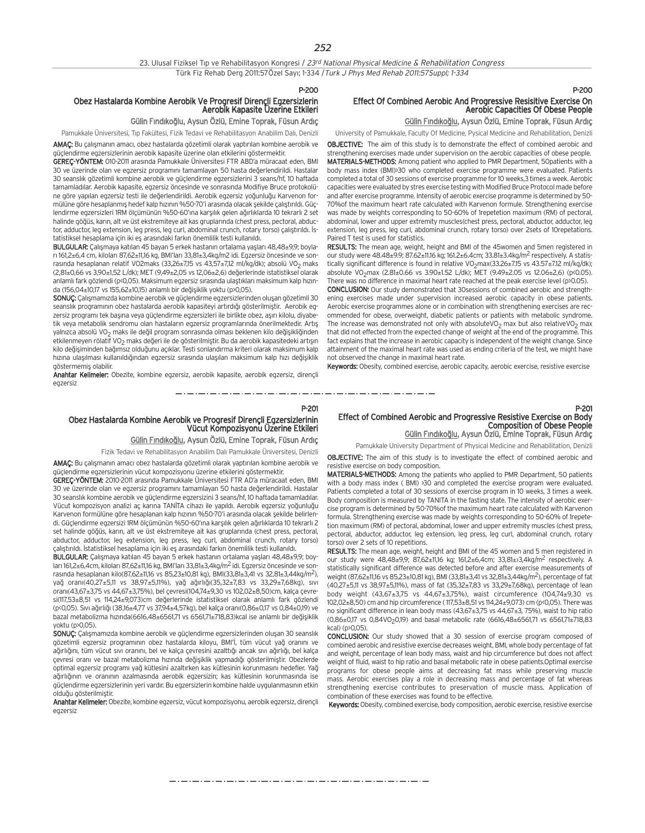#### P-200

## Obez Hastalarda Kombine Aerobik Ve Progresif Dirençli Egzersizlerin

AMAC: Bu çalışmanın amacı, obez hastalarda gözetimli olarak yaptırılan kombine aerobik ve güçlendirme egzersizlerinin aerobik kapasite üzerine olan etkilerini göstermektir.

GEREC-YÖNTEM: 010-2011 arasında Pamukkale Üniversitesi FTR ABD'a müracaat eden, BMI 30 ve üzerinde olan ve egzersiz programını tamamlayan 50 hasta değerlendirildi. Hastalar 30 seanslık gözetimli kombine aerobik ve güçlendirme egzersizlerini 3 seans/hf, 10 haftada tamamladılar. Aerobik kapasite, egzersiz öncesinde ve sonrasında Modifiye Bruce protokolüne göre vapılan egzersiz testi ile değerlendirildi. Aerobik egzersiz yoğunluğu Karvenon formülüne göre hesaplanmış hedef kalp hızının %50-70'i arasında olacak şekilde çalıştırıldı. Güçlendirme egzersizleri 1RM ölçümünün %50-60'ına karşılık gelen ağırlıklarda 10 tekrarlı 2 set halinde göğüs, karın, alt ve üst ekstremiteye ait kas gruplarında (chest press, pectoral, abductor, adductor, leg extension, leg press, leg curl, abdominal crunch, rotary torso) çalıştırıldı. İs-

BULGULAR: Çalışmaya katılan 45 bayan 5 erkek hastanın ortalama yaşları 48,48±9,9; boyla-

SONUC: Calismamizda kombine aerobik ve güclendirme egzersizlerinden olusan gözetimli 30 seanslık programının obez hastalarda aerobik kapasiteyi artırdığı gösterilmiştir. Aerobik egzersiz programı tek başına yeya güçlendirme egzersizleri ile birlikte obez, aşırı kilolu, diyabekilo değişiminden bağımsız olduğunu açıklar. Testi sonlandırma kriteri olarak maksimum kalp hızına ulaşılması kullanıldığından egzersiz sırasında ulaşılan maksimum kalp hızı değişiklik göstermemiş olabilir.

Anahtar Kelimeler: Obezite, kombine egzersiz, aerobik kapasite, aerobik egzersiz, dirençli

Paired T test is used for statistics.

not observed the change in maximal heart rate.

#### P-201 Effect of Combined Aerobic and Progressive Resistive Exercise on Body Composition of Obese People Gülin Fındıkoğlu, Aysun Özlü, Emine Toprak, Füsun Ardıç

Keywords: Obesity, combined exercise, aerobic capacity, aerobic exercise, resistive exercise

Effect Of Combined Aerobic And Progressive Resisitive Exercise On

OBJECTIVE: The aim of this study is to demonstrate the effect of combined aerobic and strengthening exercises made under supervision on the aerobic capacities of obese people. MATERIALS-METHODS: Among patient who applied to PMR Department, 50patients with a body mass index (BMI)>30 who completed exercise programme were evaluated. Patients completed a total of 30 sessions of exercise programme for 10 weeks,3 times a week. Aerobic capacities were evaluated by stres exercise testing with Modified Bruce Protocol made before and after exercise programme. Intensity of aerobic exercise programme is determined by 50- 70%of the maximum heart rate calculated with Karvenon formule. Strengthening exercise was made by weights corresponding to 50-60% of 1repetetion maximum (RM) of pectoral, abdominal, lower and upper extremity muscles(chest press, pectoral, abductor, adductor, leg extension, leg press, leg curl, abdominal crunch, rotary torso) over 2sets of 10repetations.

RESULTS: The mean age, weight, height and BMI of the 45women and 5men registered in our study were 48.48±9.9; 87.62±11.16 kg; 161.2±6.4cm; 33.81±3.4kg/m2 respectively. A statistically significant difference is found in relative VO<sub>2</sub>max(33.26±7.15 vs 43.57±7.12 ml/kg/dk); absolute VO<sub>2</sub>max (2.81±0.66 vs 3.90±1.52 L/dk); MET (9.49±2.05 vs 12.06±2,6) (p<0.05). There was no difference in maximal heart rate reached at the peak exercise level (p>0.05). CONCLUSION: Our study demonstrated that 30sessions of combined aerobic and strengthening exercises made under supervision increased aerobic capacity in obese patients. Aerobic exercise programmes alone or in combination with strengthening exercises are recommended for obese, overweight, diabetic patients or patients with metabolic syndrome. The increase was demonstrated not only with absoluteVO<sub>2</sub> max but also relativeVO<sub>2</sub> max that did not effected from the expected change of weight at the end of the programme. This fact explains that the increase in aerobic capacity is independent of the weight change. Since attainment of the maximal heart rate was used as ending criteria of the test, we might have

Gülin Fındıkoğlu, Aysun Özlü, Emine Toprak, Füsun Ardıç

Aerobic Capacities Of Obese People

Pamukkale University Department of Physical Medicine and Rehabilitation, Denizli OBJECTIVE: The aim of this study is to investigate the effect of combined aerobic and resistive exercise on body composition.

MATERIALS-METHODS: Among the patients who applied to PMR Department, 50 patients with a body mass index ( BMI) >30 and completed the exercise program were evaluated. Patients completed a total of 30 sessions of exercise program in 10 weeks, 3 times a week. Body composition is measured by TANITA in the fasting state. The intensity of aerobic exercise program is determined by 50-70%of the maximum heart rate calculated with Karvenon formula. Strengthening exercise was made by weights corresponding to 50-60% of 1repetetion maximum (RM) of pectoral, abdominal, lower and upper extremity muscles (chest press, pectoral, abductor, adductor, leg extension, leg press, leg curl, abdominal crunch, rotary torso) over 2 sets of 10 repetitions.

RESULTS: The mean age, weight, height and BMI of the 45 women and 5 men registered in our study were 48,48±9,9; 87,62±11,16 kg; 161,2±6,4cm; 33,81±±3,4kg/m2 respectively. A statistically significant difference was detected before and after exercise measurements of weight (87,62±11,16 vs 85,23±10,81 kg), BMI (33,81±3,41 vs 32,81±3,44kg/m<sup>2</sup>), percentage of fat (40,27±5,11 vs 38,97±5,11%), mass of fat (35,32±7,83 vs 33,29±7,68kg), percentage of lean body weight (43,67±3,75 vs 44,67±3,75%), waist circumference (104,74±9,30 vs 102,02±8,50) cm and hip circumference ( 117,53±8,51 vs 114,24±9,073) cm (p<0,05). There was no significant difference in lean body mass (43,67±3,75 vs 44,67±3, 75%), waist to hip ratio  $(0,86\pm0.17 \text{ vs } 0.84\sqrt{0.20}$ , and basal metabolic rate  $(6616,48\pm6561,71 \text{ vs } 6561,71\pm718,83)$  $kcal$ (p>0,05)

CONCLUSION: Our study showed that a 30 session of exercise program composed of combined aerobic and resistive exercise decreases weight, BMI, whole body percentage of fat and weight, percentage of lean body mass, waist and hip circumference but does not affect weight of fluid, waist to hip ratio and basal metabolic rate in obese patients.Optimal exercise programs for obese people aims at decreasing fat mass while preserving muscle mass. Aerobic exercises play a role in decreasing mass and percentage of fat whereas strengthening exercise contributes to preservation of muscle mass. Application of combination of these exercises was found to be effective.

Keywords: Obesity, combined exercise, body composition, aerobic exercise, resistive exercise

P-200

#### Aerobik Kapasite Üzerine Etkileri Gülin Fındıkoğlu, Aysun Özlü, Emine Toprak, Füsun Ardıç Pamukkale Üniversitesi, Tıp Fakültesi, Fizik Tedavi ve Rehabilitasyon Anabilim Dalı, Denizli University of Pamukkale, Faculty Of Medicine, Pysical Medicine and Rehabilitation, Denizli

tatistiksel hesaplama için iki eş arasındaki farkın önemlilik testi kullanıldı.

rı 161,2±6,4 cm, kiloları 87,62±11,16 kg, BMI'ları 33,81±3,4kg/m2 idi. Egzersiz öncesinde ve sonras›nda hesaplanan relatif VO2maks (33,26±7,15 vs 43,57±7,12 ml/kg/dk); absolü VO2 maks (2,81±0,66 vs 3,90±1,52 L/dk); MET (9,49±2,05 vs 12,06±2,6) de¤erlerinde istatistiksel olarak anlamlı fark gözlendi (p<0,05). Maksimum egzersiz sırasında ulaştıkları maksimum kalp hızında (156,04±10,17 vs 155,62±10,15) anlamlı bir değişiklik yoktu (p>0,05).

tik veya metabolik sendromu olan hastaların egzersiz programlarında önerilmektedir. Artış yalnızca absolü VO<sub>2</sub> maks ile değil program sonrasında olması beklenen kilo değişikliğinden etkilenmeyen rölatif VO<sub>2</sub> maks değeri ile de gösterilmiştir. Bu da aerobik kapasitedeki artışın

egzersiz

P-201

### Obez Hastalarda Kombine Aerobik ve Progresif Dirençli Egzersizlerinin Vücut Kompozisyonu Üzerine Etkileri

Gülin Fındıkoğlu, Aysun Özlü, Emine Toprak, Füsun Ardıç

Fizik Tedavi ve Rehabilitasyon Anabilim Dalı Pamukkale Üniversitesi, Denizli

AMAÇ: Bu çalışmanın amacı obez hastalarda gözetimli olarak yaptırılan kombine aerobik ve güçlendirme egzersizlerinin vücut kompozisyonu üzerine etkilerini göstermektir.

GEREÇ-YÖNTEM: 2010-2011 arasında Pamukkale Üniversitesi FTR AD'a müracaat eden, BMI 30 ve üzerinde olan ve egzersiz programını tamamlayan 50 hasta değerlendirildi. Hastalar 30 seanslık kombine aerobik ve güclendirme egzersizini 3 seans/hf, 10 haftada tamamladılar. Vücut kompozisyon analizi aç karına TANİTA cihazı ile yapıldı. Aerobik egzersiz yoğunluğu Karvenon formülüne göre hesaplanan kalp hızının %50-70'i arasında olacak sekilde belirlendi. Güclendirme egzersizi 1RM ölçümünün %50-60'ına karşılık gelen ağırlıklarda 10 tekrarlı 2 set halinde göğüs, karın, alt ve üst ekstremiteye ait kas gruplarında (chest press, pectoral, abductor, adductor, leg extension, leg press, leg curl, abdominal crunch, rotary torso) çalıştırıldı. İstatistiksel hesaplama için iki eş arasındaki farkın önemlilik testi kullanıldı.

BULGULAR: Çalışmaya katılan 45 bayan 5 erkek hastanın ortalama yaşları 48,48±9,9; boyları 161,2±6,4cm, kiloları 87,62±11,16 kg, BMI'ları 33,81±3,4kg/m<sup>2</sup> idi. Egzersiz öncesinde ve sonras›nda hesaplanan kilo(87,62±11,16 vs 85,23±10,81 kg), BMI(33,81±3,41 vs 32,81±3,44kg/m2), yağ oranı(40,27±5,11 vs 38,97±5,11%), yağ ağırlığı(35,32±7,83 vs 33,29±7,68kg), sıvı oran›(43,67±3,75 vs 44,67±3,75%), bel çevresi(104,74±9,30 vs 102,02±8,50)cm, kalça çevresi(117,53±8,51 vs 114,24±9,073)cm değerlerinde istatistiksel olarak anlamlı fark gözlendi (p<0,05). Sıvı ağırlığı (38,16±4,77 vs 37,94±4,57kg), bel kalça oranı(0,86±0,17 vs 0,84±0,19) ve bazal metabolizma hızında(6616,48±6561,71 vs 6561,71±718,83)kcal ise anlamlı bir değişiklik yoktu (p>0,05).

SONUÇ: Çalışmamızda kombine aerobik ve güçlendirme egzersizlerinden oluşan 30 seanslık gözetimli egzersiz programının obez hastalarda kiloyu. BMI'İ, tüm yücut yağ oranını ve ağırlığını, tüm vücut sıvı oranını, bel ve kalça çevresini azalttığı ancak sıvı ağırlığı, bel kalça çevresi oranı ve bazal metabolizma hızında değişiklik yapmadığı gösterilmiştir. Obezlerde optimal egzersiz programı yağ kütlesini azaltırken kas kütlesinin korunmasını hedefler. Yağ ağırlığının ve oranının azalmasında aerobik egzersizin; kas kütlesinin korunmasında ise güçlendirme egzersizlerinin yeri vardır. Bu egzersizlerin kombine halde uygulanmasının etkin olduğu gösterilmiştir.

Anahtar Kelimeler: Obezite, kombine egzersiz, vücut kompozisyonu, aerobik egzersiz, dirençli egzersiz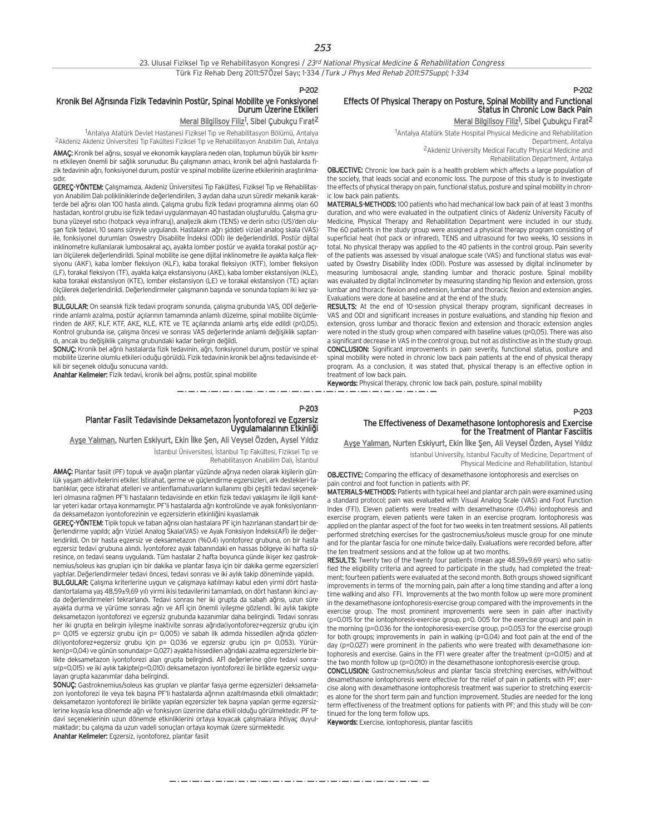#### 23. Ulusal Fiziksel Tıp ve Rehabilitasyon Kongresi / 23rd National Physical Medicine & Rehabilitation Congress Türk Fiz Rehab Derg 2011:57Özel Sayı; 1-334 / Turk J Phys Med Rehab 2011:57Suppl; 1-334

#### P-202

#### Kronik Bel Ağrısında Fizik Tedavinin Postür, Spinal Mobilite ve Fonksiyonel Durum Üzerine Etkileri

#### <u>Meral Bilgilisoy Filiz</u><sup>1</sup>, Sibel Çubukçu Fırat<sup>2</sup>

<sup>1</sup>Antalya Atatürk Devlet Hastanesi Fiziksel Tıp ve Rehabilitasyon Bölümü, Antalya <sup>2</sup>Akdeniz Akdeniz Üniversitesi Tıp Fakültesi Fiziksel Tıp ve Rehabilitasyon Anabilim Dalı, Antalya

AMAC: Kronik bel ağrısı, sosyal ve ekonomik kayıplara neden olan, toplumun büyük bir kısmını etkileyen önemli bir sağlık sorunudur. Bu çalışmanın amacı, kronik bel ağrılı hastalarda fizik tedavinin ağrı, fonksiyonel durum, postür ve spinal mobilite üzerine etkilerinin araştırılmasıdır.

GEREC-YÖNTEM: Calismamıza, Akdeniz Üniversitesi Tın Fakültesi, Fiziksel Tın ve Rehabilitasyon Anabilim Dalı polikliniklerinde değerlendirilen. 3 avdan daha uzun süredir mekanik karakterde bel ağrısı olan 100 hasta alındı. Çalışma grubu fizik tedavi programına alınmış olan 60 hastadan, kontrol grubu ise fizik tedavi uygulanmayan 40 hastadan oluşturuldu. Çalışma grubuna yüzeyel ısıtıcı (hotpack veya infraruj), analjezik akım (TENS) ve derin ısıtıcı (US)'den oluşan fizik tedavi, 10 seans süreyle uygulandı. Hastaların ağrı şiddeti vizüel analog skala (VAS) ile, fonksiyonel durumları Oswestry Disabilite İndeksi (ODİ) ile değerlendirildi. Postür dijital inklinometre kullanılarak lumbosakral açı, ayakta lomber postür ve ayakta torakal postür açıları ölçülerek değerlendirildi. Spinal mobilite ise gene dijital inklinometre ile ayakta kalça fleksiyonu (AKF), kaba lomber fleksiyon (KLF), kaba torakal fleksiyon (KTF), lomber fleksiyon (LF), torakal fleksiyon (TF), ayakta kalça ekstansiyonu (AKE), kaba lomber ekstansiyon (KLE), kaba torakal ekstansiyon (KTE), lomber ekstansiyon (LE) ve torakal ekstansiyon (TE) açıları ölçülerek değerlendirildi. Değerlendirmeler çalışmanın başında ve sonunda toplam iki kez yapildi.

BULGULAR: On seanslık fizik tedavi programı sonunda, çalışma grubunda VAS, ODİ değerlerinde anlamlı azalma, postür açılarının tamamında anlamlı düzelme, spinal mobilite ölçümlerinden de AKF, KLF, KTF, AKE, KLE, KTE ve TE acılarında anlamlı artıs elde edildi (p<0.05). Kontrol grubunda ise, çalışma öncesi ve sonrası VAS değerlerinde anlamlı değişiklik saptandı, ancak bu değişiklik çalışma grubundaki kadar belirgin değildi.

SONUÇ: Kronik bel ağrılı hastalarda fizik tedavinin, ağrı, fonksiyonel durum, postür ve spinal mobilite üzerine olumlu etkileri oduğu görüldü. Fizik tedavinin kronik bel ağrısı tedavisinde etkili bir seçenek olduğu sonucuna varıldı.

Anahtar Kelimeler: Fizik tedavi, kronik bel ağrısı, postür, spinal mobilite

#### P-203

#### Plantar Fasiit Tedavisinde Deksametazon İyontoforezi ve Egzersiz Uygulamalarının Etkinliği

Ayşe Yalıman, Nurten Eskiyurt, Ekin İlke Şen, Ali Veysel Özden, Aysel Yıldız

İstanbul Üniversitesi, İstanbul Tıp Fakültesi, Fiziksel Tıp ve Rehabilitasyon Anabilim Dalı, İstanbul

\_\_\_\_\_\_\_\_\_\_\_\_\_\_\_\_\_\_\_\_\_\_\_\_\_\_\_\_\_

AMAÇ: Plantar fasiit (PF) topuk ve ayağın plantar yüzünde ağrıya neden olarak kişilerin günlük yaşam aktivitelerini etkiler. İstirahat, germe ve güçlendirme egzersizleri, ark destekleri-tabanlıklar, gece istirahat atelleri ve antienflamatuvarların kullanımı gibi çeşitli tedavi seçenekleri olmasına rağmen PF'li hastaların tedavisinde en etkin fizik tedavi yaklaşımı ile ilgili kanıtlar yeteri kadar ortaya konmamıştır. PF'li hastalarda ağrı kontrolünde ve ayak fonksiyonlarında deksametazon iyontoforezinin ve egzersizlerin etkinliğini kıyaslamak

GEREC-YÖNTEM: Tipik topuk ve taban ağrısı olan hastalara PF için hazırlanan standart bir değerlendirme yapıldı; ağrı Vizüel Analog Skala(VAS) ve Ayak Fonksiyon İndeksi(AFİ) ile değerlendirildi. On bir hasta egzersiz ve deksametazon (%0.4) iyontoforez grubuna, on bir hasta egzersiz tedavi grubuna alındı. İyontoforez ayak tabanındaki en hassas bölgeye iki hafta süresince, on tedavi seansı uygulandı. Tüm hastalar 2 hafta boyunca günde ikişer kez gastroknemius/soleus kas grupları için bir dakika ve plantar fasya için bir dakika germe egzersizleri yaptılar. Değerlendirmeler tedavi öncesi, tedavi sonrası ve iki aylık takip döneminde yapıldı.

BULGULAR: Çalışma kriterlerine uygun ve çalışmaya katılmayı kabul eden yirmi dört hastadan(ortalama yaş 48,59±9,69 yıl) yirmi ikisi tedavilerini tamamladı, on dört hastanın ikinci ayda değerlendirmeleri tekrarlandı. Tedavi sonrası her iki grupta da sabah ağrısı, uzun süre ayakta durma ve yürüme sonrası ağrı ve AFİ için önemli iyileşme gözlendi. İki aylık takipte deksametazon iyontoforezi ve egzersiz grubunda kazanımlar daha belirgindi. Tedavi sonrası her iki grupta en belirgin iyilesme inaktivite sonrası ağrıda(iyontoforez+egzersiz grubu için p= 0,015 ve egzersiz grubu için p= 0,005) ve sabah ilk adımda hissedilen ağrıda gözlendi(iyontoforez+egzersiz grubu için p= 0,036 ve egzersiz grubu için p= 0,053). Yürürken(p=0,04) ve günün sonunda(p= 0,027) ayakta hissedilen ağrıdaki azalma egzersizlerle birlikte deksametazon iyontoforezi alan grupta belirgindi. AFİ değerlerine göre tedavi sonrası(p=0,015) ve iki aylık takipte(p=0,010) deksametazon iyontoforezi ile birlikte egzersiz uygulayan grupta kazanımlar daha belirgindi.

SONUÇ: Gastroknemius/soleus kas grupları ve plantar fasya germe egzersizleri deksametazon iyontoforezi ile veya tek başına PF'li hastalarda ağrının azaltılmasında etkili olmaktadır; deksametazon iyontoforezi ile birlikte yapılan egzersizler tek başına yapılan germe egzersizlerine kıyasla kısa dönemde ağrı ve fonksiyon üzerine daha etkili olduğu görülmektedir. PF tedavi seçeneklerinin uzun dönemde etkinliklerini ortaya koyacak çalışmalara ihtiyaç duyulmaktadır; bu çalışma da uzun vadeli sonuçları ortaya koymak üzere sürmektedir. Anahtar Kelimeler: Egzersiz, iyontoforez, plantar fasiit

#### P-202

## Effects Of Physical Therapy on Posture, Spinal Mobility and Functional Status in Chronic Low Back Pain

Meral Bilgilisoy Filiz<sup>1</sup>, Sibel Çubukçu Fırat<sup>2</sup>

1 Antalya Atatürk State Hospital Physical Medicine and Rehabilitation Department, Antalya 2Akdeniz University Medical Faculty Physical Medicine and Rehabilitation Department, Antalya

OBJECTIVE: Chronic low back pain is a health problem which affects a large population of the society, that leads social and economic loss. The purpose of this study is to investigate the effects of physical therapy on pain, functional status, posture and spinal mobility in chronic low back pain patients.

MATERIALS-METHODS: 100 patients who had mechanical low back pain of at least 3 months duration, and who were evaluated in the outpatient clinics of Akdeniz University Faculty of Medicine, Physical Therapy and Rehabilitation Department were included in our study. The 60 patients in the study group were assigned a physical therapy program consisting of superficial heat (hot pack or infrared), TENS and ultrasound for two weeks, 10 sessions in total. No physical therapy was applied to the 40 patients in the control group. Pain severity of the patients was assessed by visual analogue scale (VAS) and functional status was evaluated by Oswstry Disability Index (ODI). Posture was assessed by digital inclinometer by measuring lumbosacral angle, standing lumbar and thoracic posture. Spinal mobility was evaluated by digital inclinometer by measuring standing hip flexion and extension, gross lumbar and thoracic flexion and extension, lumbar and thoracic flexion and extension angles. Evaluations were done at baseline and at the end of the study.

RESULTS: At the end of 10-session physical therapy program, significant decreases in VAS and ODI and significant increases in posture evaluations, and standing hip flexion and extension, gross lumbar and thoracic flexion and extension and thoracic extension angles were noted in the study group when compared with baseline values (p<0,05). There was also a significant decrease in VAS in the control group, but not as distinctive as in the study group. CONCLUSION: Significant improvements in pain severity, functional status, posture and spinal mobility were noted in chronic low back pain patients at the end of physical therapy program. As a conclusion, it was stated that, physical therapy is an effective option in treatment of low back pain.

Keywords: Physical therapy, chronic low back pain, posture, spinal mobility

## P-203 The Effectiveness of Dexamethasone Iontophoresis and Exercise for the Treatment of Plantar Fasciitis

Ayşe Yalıman, Nurten Eskiyurt, Ekin İlke Şen, Ali Veysel Özden, Aysel Yıldız

Istanbul University, Istanbul Faculty of Medicine, Department of Physical Medicine and Rehabilitation, Istanbul

OBJECTIVE: Comparing the efficacy of dexamethasone iontophoresis and exercises on pain control and foot function in patients with PF.

MATERIALS-METHODS: Patients with typical heel and plantar arch pain were examined using a standard protocol; pain was evaluated with Visual Analog Scale (VAS) and Foot Function Index (FFI). Eleven patients were treated with dexamethasone (0.4%) iontophoresis and exercise program, eleven patients were taken in an exercise program. Iontophoresis was applied on the plantar aspect of the foot for two weeks in ten treatment sessions. All patients performed stretching exercises for the gastrocnemius/soleus muscle group for one minute and for the plantar fascia for one minute twice-daily. Evaluations were recorded before, after the ten treatment sessions and at the follow up at two months.

RESULTS: Twenty two of the twenty four patients (mean age 48.59±9.69 years) who satisfied the eligibility criteria and agreed to participate in the study, had completed the treatment; fourteen patients were evaluated at the second month. Both groups showed significant improvements in terms of the morning pain, pain after a long time standing and after a long time walking and also FFI. Improvements at the two month follow up were more prominent in the dexamethasone iontophoresis-exercise group compared with the improvements in the exercise group. The most prominent improvements were seen in pain after inactivity (p=0.015 for the iontophoresis-exercise group, p=0. 005 for the exercise group) and pain in the morning (p=0.036 for the iontophoresis-exercise group, p=0.053 for the exercise group) for both groups; improvements in pain in walking (p=0.04) and foot pain at the end of the day (p=0.027) were prominent in the patients who were treated with dexamethasone iontophoresis and exercise. Gains in the FFI were greater after the treatment (p=0.015) and at the two month follow up (p=0.010) in the dexamethasone iontophoresis-exercise group.

CONCLUSION: Gastrocnemius/soleus and plantar fascia stretching exercises, with/without dexamethasone iontophoresis were effective for the relief of pain in patients with PF; exercise along with dexamethasone iontophoresis treatment was superior to stretching exercises alone for the short term pain and function improvement. Studies are needed for the long term effectiveness of the treatment options for patients with PF; and this study will be continued for the long term follow ups.

Keywords: Exercise, iontophoresis, plantar fasciitis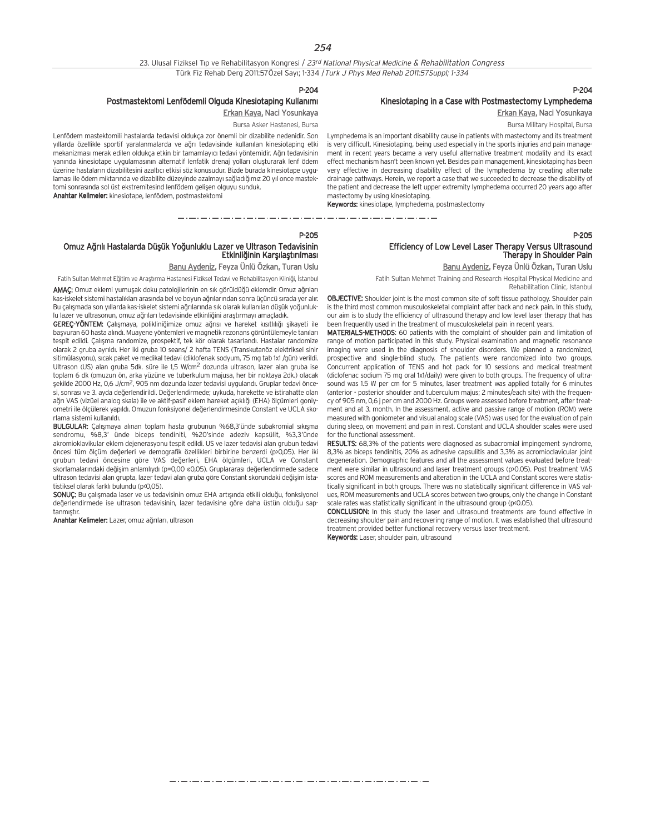23. Ulusal Fiziksel Tıp ve Rehabilitasyon Kongresi / 23rd National Physical Medicine & Rehabilitation Congress Türk Fiz Rehab Derg 2011:57Özel Sayı; 1-334 / Turk J Phys Med Rehab 2011:57Suppl; 1-334

P-204

## Postmastektomi Lenfödemli Olguda Kinesiotaping Kullanımı

Erkan Kaya, Naci Yosunkaya Bursa Asker Hastanesi, Bursa

Lenfödem mastektomili hastalarda tedavisi oldukça zor önemli bir dizabilite nedenidir. Son yıllarda özellikle sportif yaralanmalarda ve ağrı tedavisinde kullanılan kinesiotaping etki mekanizmas› merak edilen oldukça etkin bir tamamlay›c› tedavi yöntemidir. A¤r› tedavisinin yanında kinesiotape uygulamasının alternatif lenfatik drenaj yolları oluşturarak lenf ödem izerine hastaların dizabilitesini azaltıcı etkisi söz konusudur. Bizde burada kinesiotape uygulaması ile ödem miktarında ve dizabilite düzeyinde azalmayı sağladığımız 20 yıl once mastektomi sonrasında sol üst ekstremitesind lenfödem gelisen olguyu sunduk. Anahtar Kelimeler: kinesiotape, lenfödem, postmastektomi

## Kinesiotaping in a Case with Postmastectomy Lymphedema Erkan Kaya, Naci Yosunkaya

Bursa Military Hospital, Bursa

P-204

P-205

Lymphedema is an important disability cause in patients with mastectomy and its treatment is very difficult. Kinesiotaping, being used especially in the sports injuries and pain management in recent years became a very useful alternative treatment modality and its exact effect mechanism hasn't been known yet. Besides pain management, kinesiotaping has been very effective in decreasing disability effect of the lymphedema by creating alternate drainage pathways. Herein, we report a case that we succeeded to decrease the disability of the patient and decrease the left upper extremity lymphedema occurred 20 years ago after mastectomy by using kinesiotaping.

Keywords: kinesiotape, lymphedema, postmastectomy

#### 

#### P-205

### Omuz Ağrılı Hastalarda Düşük Yoğunluklu Lazer ve Ultrason Tedavisinin Etkinliğinin Karsılaştırılması

Banu Aydeniz, Feyza Ünlü Özkan, Turan Uslu

Fatih Sultan Mehmet Eğitim ve Araştırma Hastanesi Fiziksel Tedavi ve Rehabilitasyon Kliniği, İstanbul

AMAÇ: Omuz eklemi yumuşak doku patolojilerinin en sık görüldüğü eklemdir. Omuz ağrıları kas-iskelet sistemi hastalıkları arasında bel ve boyun ağrılarından sonra üçüncü sırada yer alır. Bu çalışmada son yıllarda kas-iskelet sistemi ağrılarında sık olarak kullanılan düşük yoğunluklu lazer ve ultrasonun, omuz ağrıları tedavisinde etkinliğini araştırmayı amaçladık.

GEREÇ-YÖNTEM: Çalışmaya, polikliniğimize omuz ağrısı ve hareket kısıtlılığı şikayeti ile başvuran 60 hasta alındı. Muayene yöntemleri ve magnetik rezonans görüntülemeyle tanıları tespit edildi. Çalışma randomize, prospektif, tek kör olarak tasarlandı. Hastalar randomize olarak 2 gruba ayrıldı. Her iki gruba 10 seans/ 2 hafta TENS (Transkutanöz elektriksel sinir sitimülasyonu), sıcak paket ve medikal tedavi (diklofenak sodyum, 75 mg tab 1x1 /gün) verildi. Ultrason (US) alan gruba 5dk. süre ile 1,5 W/cm2 dozunda ultrason, lazer alan gruba ise toplam 6 dk (omuzun ön, arka yüzüne ve tuberkulum majusa, her bir noktaya 2dk.) olacak sekilde 2000 Hz, 0,6 J/cm<sup>2</sup>, 905 nm dozunda lazer tedavisi uygulandı. Gruplar tedavi öncesi, sonrası ve 3. ayda değerlendirildi. Değerlendirmede: uykuda, harekette ve istirahatte olan ağrı VAS (vizüel analog skala) ile ve aktif-pasif eklem hareket açıklığı (EHA) ölçümleri goniyometri ile ölçülerek yapıldı. Omuzun fonksiyonel değerlendirmesinde Constant ve UCLA skorlama sistemi kullanıldı.

BULGULAR: Çalışmaya alınan toplam hasta grubunun %68,3'ünde subakromial sıkışma sendromu, %8,3' ünde biceps tendiniti, %20'sinde adeziv kapsülit, %3,3'ünde akromioklavikular eklem dejenerasyonu tespit edildi. US ve lazer tedavisi alan grubun tedavi öncesi tüm ölçüm değerleri ve demografik özellikleri birbirine benzerdi (p>0,05). Her iki grubun tedavi öncesine göre VAS değerleri, EHA ölçümleri, UCLA ve Constant skorlamalarındaki değişim anlamlıydı (p=0,00 «0,05). Gruplararası değerlendirmede sadece ultrason tedavisi alan grupta, lazer tedavi alan gruba göre Constant skorundaki değişim istatistiksel olarak farklı bulundu (p<0,05).

SONUÇ: Bu çalışmada laser ve us tedavisinin omuz EHA artışında etkili olduğu, fonksiyonel değerlendirmede ise ultrason tedavisinin, lazer tedavisine göre daha üstün olduğu saptanmistir.

Anahtar Kelimeler: Lazer, omuz ağrıları, ultrason

## Efficiency of Low Level Laser Therapy Versus Ultrasound Therapy in Shoulder Pain

Banu Aydeniz, Feyza Ünlü Özkan, Turan Uslu

Fatih Sultan Mehmet Training and Research Hospital Physical Medicine and Rehabilitation Clinic, Istanbul

OBJECTIVE: Shoulder joint is the most common site of soft tissue pathology. Shoulder pain is the third most common musculoskeletal complaint after back and neck pain. In this study, our aim is to study the efficiency of ultrasound therapy and low level laser therapy that has been frequently used in the treatment of musculoskeletal pain in recent years.

MATERIALS-METHODS: 60 patients with the complaint of shoulder pain and limitation of range of motion participated in this study. Physical examination and magnetic resonance imaging were used in the diagnosis of shoulder disorders. We planned a randomized, prospective and single-blind study. The patients were randomized into two groups. Concurrent application of TENS and hot pack for 10 sessions and medical treatment (diclofenac sodium 75 mg oral 1x1/daily) were given to both groups. The frequency of ultrasound was 1.5 W per cm for 5 minutes, laser treatment was applied totally for 6 minutes (anterior - posterior shoulder and tuberculum majus; 2 minutes/each site) with the frequency of 905 nm, 0,6 j per cm and 2000 Hz. Groups were assessed before treatment, after treatment and at 3. month. In the assessment, active and passive range of motion (ROM) were measured with goniometer and visual analog scale (VAS) was used for the evaluation of pain during sleep, on movement and pain in rest. Constant and UCLA shoulder scales were used for the functional assessment.

RESULTS: 68,3% of the patients were diagnosed as subacromial impingement syndrome, 8,3% as biceps tendinitis, 20% as adhesive capsulitis and 3,3% as acromioclavicular joint degeneration. Demographic features and all the assessment values evaluated before treatment were similar in ultrasound and laser treatment groups (p>0.05). Post treatment VAS scores and ROM measurements and alteration in the UCLA and Constant scores were statistically significant in both groups. There was no statistically significant difference in VAS values, ROM measurements and UCLA scores between two groups, only the change in Constant scale rates was statistically significant in the ultrasound group (p<0.05).

CONCLUSION: In this study the laser and ultrasound treatments are found effective in decreasing shoulder pain and recovering range of motion. It was established that ultrasound treatment provided better functional recovery versus laser treatment. Keywords: Laser, shoulder pain, ultrasound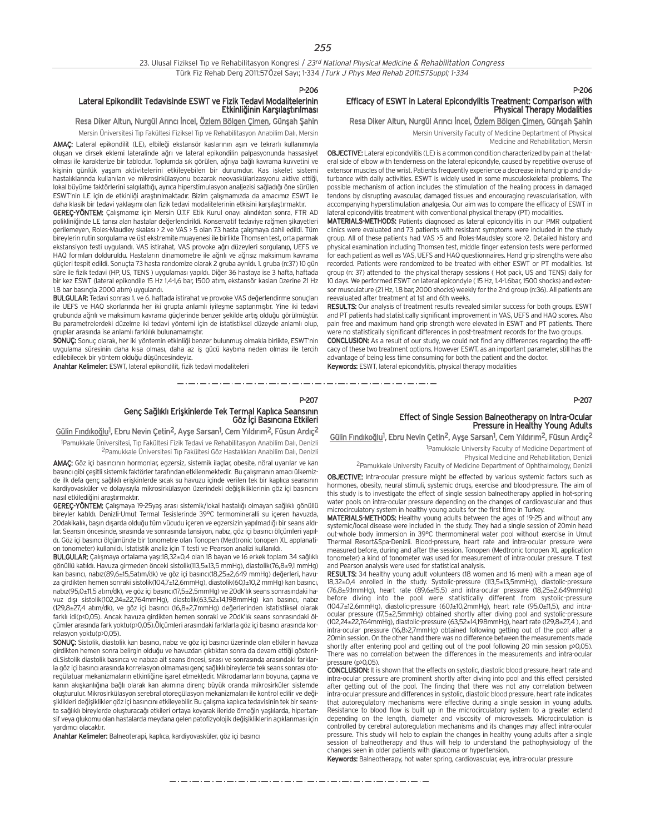P-207

#### Lateral Epikondilit Tedavisinde ESWT ve Fizik Tedavi Modalitelerinin Etkinliğinin Karşılaştırılması

#### Resa Diker Altun, Nurgül Arıncı İncel, Özlem Bölgen Çimen, Günşah Şahin

Mersin Üniversitesi Tıp Fakültesi Fiziksel Tıp ve Rehabilitasyon Anabilim Dalı, Mersin

AMAC: Lateral epikondilit (LE), elbileği ekstansör kaslarının aşırı ve tekrarlı kullanımıyla olusan ve dirsek eklemi lateralinde ağrı ve lateral epikondilin palpasyonunda hassasiyet olması ile karakterize bir tablodur. Toplumda sık görülen, ağrıya bağlı kavrama kuvvetini ve kişinin günlük yaşam aktivitelerini etkileyebilen bir durumdur. Kas iskelet sistemi hastalıklarında kullanılan ve mikrosirkülasyonu bozarak neovaskülarizasyonu aktive ettiği, lokal büyüme faktörlerini salgılattığı, ayrıca hiperstimulasyon analjezisi sağladığı öne sürülen ESWT'nin LE için de etkinliği araştırılmaktadır. Bizim çalışmamızda da amacımız ESWT ile daha klasik bir tedavi yaklaşımı olan fizik tedavi modalitelerinin etkisini karşılaştırmaktır.

GEREÇ-YÖNTEM: Çalışmamız için Mersin Ü.T.F Etik Kurul onayı alındıktan sonra, FTR AD polikliniğinde LE tanısı alan hastalar değerlendirildi. Konservatif tedaviye rağmen şikayetleri gerilemeyen, Roles-Maudley skalası > 2 ve VAS > 5 olan 73 hasta çalışmaya dahil edildi. Tüm bireylerin rutin sorgulama ve üst ekstremite muayenesi ile birlikte Thomsen test, orta parmak ekstansiyon testi uygulandı. VAS istirahat, VAS provoke ağrı düzeyleri sorgulanıp, UEFS ve HAQ formları dolduruldu. Hastaların dinamometre ile ağrılı ve ağrısız maksimum kavrama güçleri tespit edildi. Sonuçta 73 hasta randomize olarak 2 gruba ayrıldı. 1. gruba (n:37) 10 gün süre ile fizik tedavi (HP, US, TENS ) uygulaması yapıldı. Diğer 36 hastaya ise 3 hafta, haftada bir kez ESWT (lateral epikondile 15 Hz 1,4-1,6 bar, 1500 atim, ekstansör kasları üzerine 21 Hz 1.8 bar basıncla 2000 atım) uygulandı.

BULGULAR: Tedavi sonrası 1. ve 6. haftada istirahat ve provoke VAS değerlendirme sonuçları ile UEFS ve HAQ skorlarında her iki grupta anlamlı iyileşme saptanmıştır. Yine iki tedavi grubunda ağrılı ve maksimum kavrama güclerinde benzer sekilde artıs olduğu görülmüştür. Bu parametrelerdeki düzelme iki tedavi yöntemi için de istatistiksel düzeyde anlamlı olup, gruplar arasında ise anlamlı farklılık bulunamamıştır.

SONUÇ: Sonuç olarak, her iki yöntemin etkinliği benzer bulunmuş olmakla birlikte, ESWT'nin uygulama süresinin daha kısa olması, daha az iş gücü kaybına neden olması ile tercih edilebilecek bir yöntem olduğu düşüncesindeyiz.

Anahtar Kelimeler: ESWT, lateral epikondilit, fizik tedavi modaliteleri

#### P-206 Efficacy of ESWT in Lateral Epicondylitis Treatment: Comparison with Physical Therapy Modalities

Resa Diker Altun, Nurgül Arıncı İncel, Özlem Bölgen Çimen, Günşah Şahin

Mersin University Faculty of Medicine Deptartment of Physical Medicine and Rehabilitation, Mersin

OBJECTIVE: Lateral epicondylitis (LE) is a common condition characterized by pain at the lat-

eral side of elbow with tenderness on the lateral epicondyle, caused by repetitive overuse of extensor muscles of the wrist. Patients frequently experience a decrease in hand grip and disturbance with daily activities. ESWT is widely used in some musculoskeletal problems. The possible mechanism of action includes the stimulation of the healing process in damaged tendons by disrupting avascular, damaged tissues and encouraging revascularisation, with accompanying hyperstimulation analgesia. Our aim was to compare the efficacy of ESWT in lateral epicondylitis treatment with conventional physical therapy (PT) modalities.

MATERIALS-METHODS: Patients diagnosed as lateral epicondylitis in our PMR outpatient clinics were evaluated and 73 patients with resistant symptoms were included in the study group. All of these patients had VAS >5 and Roles-Maudsley score >2. Detailed history and physical examination including Thomsen test, middle finger extension tests were performed for each patient as well as VAS, UEFS and HAQ questionnaires. Hand grip strengths were also recorded. Patients were randomized to be treated with either ESWT or PT modalities. 1st group (n: 37) attended to the physical therapy sessions ( Hot pack, US and TENS) daily for 10 days. We performed ESWT on lateral epicondyle ( 15 Hz, 1.4-1.6bar, 1500 shocks) and extensor musculature (21 Hz, 1.8 bar, 2000 shocks) weekly for the 2nd group (n:36). All patients are reevaluated after treatment at 1st and 6th weeks.

RESULTS: Our analysis of treatment results revealed similar success for both groups. ESWT and PT patients had statistically significant improvement in VAS, UEFS and HAQ scores. Also pain free and maximum hand grip strength were elevated in ESWT and PT patients. There were no statistically significant differences in post-treatment records for the two groups.

CONCLUSION: As a result of our study, we could not find any differences regarding the efficacy of these two treatment options. However ESWT, as an important parameter, still has the advantage of being less time consuming for both the patient and the doctor. Keywords: ESWT, lateral epicondylitis, physical therapy modalities

#### P-207

## Genç Sağlıklı Erişkinlerde Tek Termal Kaplıca Seansının<br>Göz İçi Basıncına Etkileri

## Gülin Fındıkoğlu<sup>1</sup>, Ebru Nevin Çetin<sup>2</sup>, Ayşe Sarsan<sup>1</sup>, Cem Yıldırım<sup>2</sup>, Füsun Ardıç<sup>2</sup>

<sup>1</sup>Pamukkale Üniversitesi, Tıp Fakültesi Fizik Tedavi ve Rehabilitasyon Anabilim Dalı, Denizli <sup>2</sup>Pamukkale Üniversitesi Tıp Fakültesi Göz Hastalıkları Anabilim Dalı, Denizli

AMAÇ: Göz içi basıncının hormonlar, egzersiz, sistemik ilaçlar, obesite, nöral uyarılar ve kan basıncı gibi çeşitli sistemik faktörler tarafından etkilenmektedir. Bu çalışmanın amacı ülkemizde ilk defa genç sağlıklı erişkinlerde sıcak su havuzu içinde verilen tek bir kaplıca seansının kardiyovasküler ve dolayısıyla mikrosirkülasyon üzerindeki değişikliklerinin göz içi basıncını nasıl etkilediğini araştırmaktır.

GEREÇ-YÖNTEM: Çalışmaya 19-25yaş arası sistemik/lokal hastalığı olmayan sağlıklı gönüllü bireyler katıldı. Denizli-Umut Termal Tesislerinde 39°C termomineralli su içeren havuzda, 20dakikalık, başın dışarda olduğu tüm vücudu içeren ve egzersizin yapılmadığı bir seans aldılar. Seansın öncesinde, sırasında ve sonrasında tansiyon, nabız, göz içi basıncı ölçümleri yapıldı. Göz içi basıncı ölçümünde bir tonometre olan Tonopen (Medtronic tonopen XL applanation tonometer) kullanıldı. İstatistik analiz için T testi ve Pearson analizi kullanıldı.

BULGULAR: Çalışmaya ortalama yaşı:18,32±0,4 olan 18 bayan ve 16 erkek toplam 34 sağlıklı gönüllü katıldı. Havuza girmeden önceki sistolik(113,5±13,5 mmHg), diastolik(76,8±9,1 mmHg) kan basıncı, nabız(89,6±15,5atım/dk) ve göz içi basıncı(18,25±2,649 mmHg) değerleri, havuza girdikten hemen sonraki sistolik(104,7±12,6mmHg), diastolik(60,1±10,2 mmHg) kan basıncı, nabız(95,0±11,5 atım/dk), ve göz içi basıncı(17,5±2,5mmHg) ve 20dk'lık seans sonrasındaki havuz dışı sistolik(102,24±22,764mmHg), diastolik(63,52±14,198mmHg) kan basıncı, nabız (129,8±27,4 atım/dk), ve göz içi basıncı (16,8±2,7mmHg) değerlerinden istatistiksel olarak farklı idi(p<0,05). Ancak havuza girdikten hemen sonraki ve 20dk'lık seans sonrasındaki ölçümler arasında fark yoktu(p>0,05).Ölçümleri arasındaki farklarla göz içi basıncı arasında korrelasyon yoktu(p>0,05).

SONUC: Sistolik, diastolik kan basıncı, nabız ve göz içi basıncı üzerinde olan etkilerin havuza girdikten hemen sonra belirgin olduğu ve havuzdan çıktıktan sonra da devam ettiği gösterildi.Sistolik diastolik basınca ve nabıza ait seans öncesi, sırası ve sonrasında arasındaki farklarla göz içi basıncı arasında korrelasyon olmaması genç sağlıklı bireylerde tek seans sonrası otoregülatuar mekanizmaların etkinliğine işaret etmektedir. Mikrodamarların boyuna, çapına ve kanın akışkanlığına bağlı olarak kan akımına direnç büyük oranda mikrosirküler sistemde oluşturulur. Mikrosirkülasyon serebral otoregülasyon mekanizmaları ile kontrol edilir ve değişiklikleri değişiklikler göz içi basıncını etkileyebilir. Bu çalışma kaplıca tedavisinin tek bir seansta sağlıklı bireylerde olusturacağı etkileri ortaya koyarak ileride örneğin yaşlılarda, hipertansif veya glukomu olan hastalarda meydana gelen patofizyolojik değişikliklerin açıklanması için vardımcı olacaktır.

Anahtar Kelimeler: Balneoterapi, kaplıca, kardiyovasküler, göz içi basıncı

#### Effect of Single Session Balneotherapy on Intra-Ocular Pressure in Healthy Young Adults

Gülin Fındıkoğlu<sup>1</sup>, Ebru Nevin Çetin<sup>2</sup>, Ayşe Sarsan<sup>1</sup>, Cem Yıldırım<sup>2</sup>, Füsun Ardıç<sup>2</sup>

1 Pamukkale University Faculty of Medicine Department of Physical Medicine and Rehabilitation, Denizli

2Pamukkale University Faculty of Medicine Department of Ophthalmology, Denizli

OBJECTIVE: Intra-ocular pressure might be effected by various systemic factors such as hormones, obesity, neural stimuli, systemic drugs, exercise and blood-pressure. The aim of this study is to investigate the effect of single session balneotherapy applied in hot-spring water pools on intra-ocular pressure depending on the changes of cardiovascular and thus microcirculatory system in healthy young adults for the first time in Turkey.

MATERIALS-METHODS: Healthy young adults between the ages of 19-25 and without any systemic/local disease were included in the study. They had a single session of 20min head out-whole body immersion in 39°C thermomineral water pool without exercise in Umut Thermal Resort&Spa-Denizli. Blood-pressure, heart rate and intra-ocular pressure were measured before, during and after the session. Tonopen (Medtronic tonopen XL application tonometer) a kind of tonometer was used for measurement of intra-ocular pressure. T test and Pearson analysis were used for statistical analysis.

RESULTS: 34 healthy young adult volunteers (18 women and 16 men) with a mean age of 18,32±0,4 enrolled in the study. Systolic-pressure (113,5±13,5mmHg), diastolic-pressure (76,8±9,1mmHg), heart rate (89,6±15,5) and intra-ocular pressure (18,25±2,649mmHg) before diving into the pool were statistically different from systolic-pressure (104,7±12,6mmHg), diastolic-pressure (60,1±10,2mmHg), heart rate (95,0±11,5), and intraocular pressure (17,5±2,5mmHg) obtained shortly after diving pool and systolic-pressure (102,24±22,764mmHg), diastolic-pressure (63,52±14,198mmHg), heart rate (129,8±27,4 ), and intra-ocular pressure (16,8>2,7mmHg) obtained following getting out of the pool after a 20min session. On the other hand there was no difference between the measurements made shortly after entering pool and getting out of the pool following 20 min session p>0,05). There was no correlation between the differences in the measurements and intra-ocular pressure (p>0,05).

CONCLUSION: It is shown that the effects on systolic, diastolic blood pressure, heart rate and intra-ocular pressure are prominent shortly after diving into pool and this effect persisted after getting out of the pool. The finding that there was not any correlation between intra-ocular pressure and differences in systolic, diastolic blood pressure, heart rate indicates that autoregulatory mechanisms were effective during a single session in young adults. Resistance to blood flow is built up in the microcirculatory system to a greater extend depending on the length, diameter and viscosity of microvessels. Microcirculation is controlled by cerebral autoregulation mechanisms and its changes may affect intra-ocular pressure. This study will help to explain the changes in healthy young adults after a single session of balneotherapy and thus will help to understand the pathophysiology of the changes seen in older patients with glaucoma or hypertension.

Keywords: Balneotherapy, hot water spring, cardiovascular, eye, intra-ocular pressure

مترو متوارد متوارد متوارد متوارد متوارد متوارد متوارد متوارد متوارد متوارد متوارد متوارد متوارد متوارد متوارد متوارد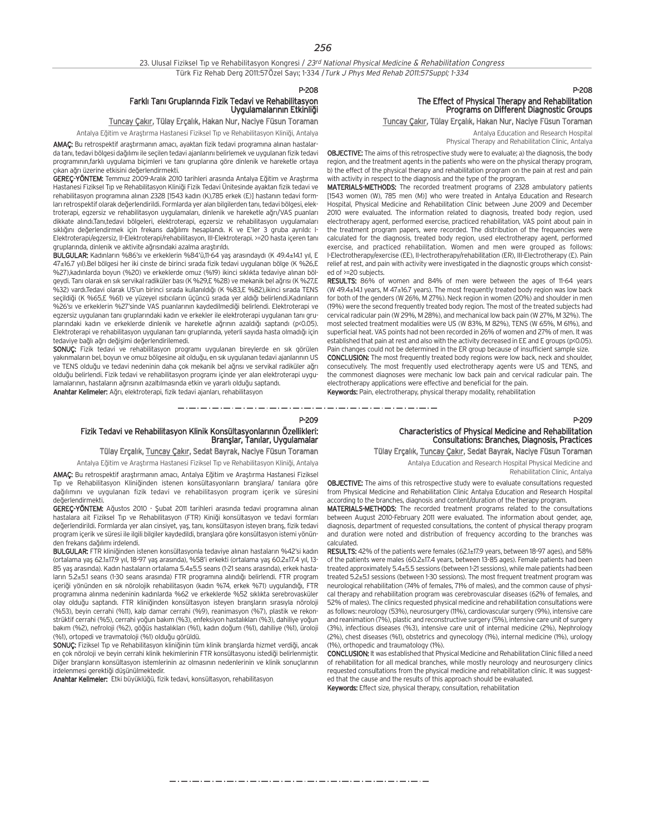P-208

## Farklı Tanı Gruplarında Fizik Tedavi ve Rehabilitasyon<br>Uygulamalarının Etkinliği

#### Tuncay Çakır, Tülay Erçalık, Hakan Nur, Naciye Füsun Toraman

Antalya Eğitim ve Araştırma Hastanesi Fiziksel Tıp ve Rehabilitasyon Kliniği, Antalya

AMAC: Bu retrospektif arastırmanın amacı, ayaktan fizik tedavi programına alınan hastalarda tanı, tedavi bölgesi dağılımı ile seçilen tedavi ajanlarını belirlemek ve uygulanan fizik tedavi programının,farklı uygulama biçimleri ve tanı gruplarına göre dinlenik ve hareketle ortaya çıkan ağrı üzerine etkisini değerlendirmekti.

GEREÇ-YÖNTEM: Temmuz 2009-Aralık 2010 tarihleri arasında Antalya Eğitim ve Araştırma Hastanesi Fiziksel T›p ve Rehabilitasyon Klini¤i Fizik Tedavi Ünitesinde ayaktan fizik tedavi ve rehabilitasyon programına alınan 2328 [1543 kadın (K),785 erkek (E)] hastanın tedavi formları retrospektif olarak değerlendirildi. Formlarda yer alan bilgilerden tanı, tedavi bölgesi, elektroterapi, egzersiz ve rehabilitasyon uygulamaları, dinlenik ve hareketle ağrı/VAS puanları dikkate alındı.Tanı,tedavi bölgeleri, elektroterapi, egzersiz ve rehabilitasyon uygulamaları sıklığını değerlendirmek için frekans dağılımı hesaplandı. K ve E'ler 3 gruba ayrıldı: I-Elektroterapi/egzersiz, II-Elektroterapi/rehabilitasyon, III-Elektroterapi. >=20 hasta içeren tan› gruplarında, dinlenik ve aktivite ağrısındaki azalma araştırıldı.

BULGULAR: Kadınların %86'sı ve erkeklerin %84'ü,11-64 yaş arasındaydı (K 49.4±14.1 yıl, E 47±16.7 yıl).Bel bölgesi her iki cinste de birinci sırada fizik tedavi uygulanan bölge (K %26,E %27), kadınlarda boyun (%20) ve erkeklerde omuz (%19) ikinci sıklıkta tedaviye alınan bölgeydi. Tanı olarak en sık servikal radiküler bası (K %29,E %28) ve mekanik bel ağrısı (K %27,E %32) vardı.Tedavi olarak US'un birinci sırada kullanıldığı (K %83,E %82),ikinci sırada TENS seçildiği (K %65,E %61) ve yüzeyel ısıtıcıların üçüncü sırada yer aldığı belirlendi.Kadınların %26'sı ve erkeklerin %27'sinde VAS puanlarının kaydedilmediği belirlendi. Elektroterapi ve egzersiz uygulanan tanı gruplarındaki kadın ve erkekler ile elektroterapi uygulanan tanı gruplarındaki kadın ve erkeklerde dinlenik ve hareketle ağrının azaldığı saptandı (p<0.05). Elektroterapi ve rehabilitasyon uygulanan tanı gruplarında, yeterli sayıda hasta olmadığı için tedaviye bağlı ağrı değişimi değerlendirilemedi.

SONUÇ: Fizik tedavi ve rehabilitasyon programı uygulanan bireylerde en sık görülen yakınmaların bel, boyun ve omuz bölgesine ait olduğu, en sık uygulanan tedavi ajanlarının US ve TENS olduğu ve tedavi nedeninin daha çok mekanik bel ağrısı ve servikal radiküler ağrı olduğu belirlendi. Fizik tedavi ve rehabilitasyon programı içinde yer alan elektroterapi uygulamalarının, hastaların ağrısının azaltılmasında etkin ve yararlı olduğu saptandı. Anahtar Kelimeler: Ağrı, elektroterapi, fizik tedavi ajanları, rehabilitasyon

The Effect of Physical Therapy and Rehabilitation Programs on Different Diagnostic Groups

Tuncay Çakır, Tülay Erçalık, Hakan Nur, Naciye Füsun Toraman

Antalya Education and Research Hospital Physical Therapy and Rehabilitation Clinic, Antalya

P-208

OBJECTIVE: The aims of this retrospective study were to evaluate; a) the diagnosis, the body region, and the treatment agents in the patients who were on the physical therapy program, b) the effect of the physical therapy and rehabilitation program on the pain at rest and pain with activity in respect to the diagnosis and the type of the program.

MATERIALS-METHODS: The recorded treatment programs of 2328 ambulatory patients [1543 women (W), 785 men (M)] who were treated in Antalya Education and Research Hospital, Physical Medicine and Rehabilitation Clinic between June 2009 and December 2010 were evaluated. The information related to diagnosis, treated body region, used electrotherapy agent, performed exercise, practiced rehabilitation, VAS point about pain in the treatment program papers, were recorded. The distribution of the frequencies were calculated for the diagnosis, treated body region, used electrotherapy agent, performed exercise, and practiced rehabilitation. Women and men were grouped as follows: I-Electrotherapy/exercise (EE), II-lectrotherapy/rehabilitation (ER), III-Electrotherapy (E). Pain relief at rest, and pain with activity were investigated in the diagnostic groups which consisted of >=20 subjects.

RESULTS: 86% of women and 84% of men were between the ages of 11-64 years (W 49.4±14.1 years, M 47±16.7 years). The most frequently treated body region was low back for both of the genders (W 26%, M 27%). Neck region in women (20%) and shoulder in men (19%) were the second frequently treated body region. The most of the treated subjects had cervical radicular pain (W 29%, M 28%), and mechanical low back pain (W 27%, M 32%). The most selected treatment modalities were US (W 83%, M 82%), TENS (W 65%, M 61%), and superficial heat. VAS points had not been recorded in 26% of women and 27% of men. It was established that pain at rest and also with the activity decreased in EE and E groups (p<0.05). Pain changes could not be determined in the ER group because of insufficient sample size.

CONCLUSION: The most frequently treated body regions were low back, neck and shoulder, consecutively. The most frequently used electrotherapy agents were US and TENS, and the commonest diagnoses were mechanic low back pain and cervical radicular pain. The electrotherapy applications were effective and beneficial for the pain. Keywords: Pain, electrotherapy, physical therapy modality, rehabilitation

P-209

## Fizik Tedavi ve Rehabilitasyon Klinik Konsültasyonlarının Özellikleri: Branşlar, Tanılar, Uygulamalar

#### Tülay Erçalık, Tuncay Çakır, Sedat Bayrak, Naciye Füsun Toraman

Antalya Eğitim ve Araştırma Hastanesi Fiziksel Tıp ve Rehabilitasyon Kliniği, Antalya AMAÇ: Bu retrospektif araştırmanın amacı, Antalya Eğitim ve Araştırma Hastanesi Fiziksel Tip ve Rehabilitasyon Kliniğinden istenen konsültasyonların branşlara/ tanılara göre dağılımını ve uygulanan fizik tedavi ve rehabilitasyon program içerik ve süresini de¤erlendirmekti.

GEREC-YÖNTEM: Ağustos 2010 - Subat 2011 tarihleri arasında tedavi programına alınan hastalara ait Fiziksel Tip ve Rehabilitasyon (FTR) Kiniği konsültasyon ve tedavi formları değerlendirildi. Formlarda yer alan cinsiyet, yaş, tanı, konsültasyon isteyen branş, fizik tedavi program içerik ve süresi ile ilgili bilgiler kaydedildi, branşlara göre konsültasyon istemi yönünden frekans dağılımı irdelendi.

BULGULAR: FTR kliniğinden istenen konsültasyonla tedaviye alınan hastaların %42'si kadın (ortalama yaş 62.1±17.9 yıl, 18-97 yaş arasında), %58'i erkekti (ortalama yaş 60.2±17.4 yıl, 13-85 yaş arasında). Kadın hastaların ortalama 5.4±5.5 seans (1-21 seans arasında), erkek hastaların 5.2±5.1 seans (1-30 seans arasında) FTR programına alındığı belirlendi. FTR program içeriği yönünden en sık nörolojik rehabilitasyon (kadın %74, erkek %71) uygulandığı, FTR programına alınma nedeninin kadınlarda %62 ve erkeklerde %52 sıklıkta serebrovasküler olay olduğu saptandı. FTR kliniğinden konsültasyon isteyen branşların sırasıyla nöroloji (%53), beyin cerrahi (%11), kalp damar cerrahi (%9), reanimasyon (%7), plastik ve rekonstrüktif cerrahi (%5), cerrahi yoğun bakım (%3), enfeksiyon hastalıkları (%3), dahiliye yoğun bakım (%2), nefroloji (%2), göğüs hastalıkları (%1), kadın doğum (%1), dahiliye (%1), üroloji (%1), ortopedi ve travmatoloji (%1) olduğu görüldü.

SONUÇ: Fiziksel Tıp ve Rehabilitasyon kliniğinin tüm klinik branşlarda hizmet verdiği, ancak en çok nöroloji ve beyin cerrahi klinik hekimlerinin FTR konsültasyonu istediği belirlenmiştir. Diğer bransların konsültasyon istemlerinin az olmasının nedenlerinin ve klinik sonuçlarının irdelenmesi gerektiği düşünülmektedir.

Anahtar Kelimeler: Etki büyüklüğü, fizik tedavi, konsültasyon, rehabilitasyon

## Characteristics of Physical Medicine and Rehabilitation Consultations: Branches, Diagnosis, Practices

Tülay Erçalık, Tuncay Çakır, Sedat Bayrak, Naciye Füsun Toraman

Antalya Education and Research Hospital Physical Medicine and

P-209

Rehabilitation Clinic, Antalya OBJECTIVE: The aims of this retrospective study were to evaluate consultations requested

from Physical Medicine and Rehabilitation Clinic Antalya Education and Research Hospital according to the branches, diagnosis and content/duration of the therapy program.

MATERIALS-METHODS: The recorded treatment programs related to the consultations between August 2010-February 2011 were evaluated. The information about gender, age, diagnosis, department of requested consultations, the content of physical therapy program and duration were noted and distribution of frequency according to the branches was calculated.

RESULTS: 42% of the patients were females (62.1±17.9 years, between 18-97 ages), and 58% of the patients were males (60.2±17.4 years, between 13-85 ages). Female patients had been treated approximately 5.4±5.5 sessions (between 1-21 sessions), while male patients had been treated 5.2±5.1 sessions (between 1-30 sessions). The most frequent treatment program was neurological rehabilitation (74% of females, 71% of males), and the common cause of physical therapy and rehabilitation program was cerebrovascular diseases (62% of females, and 52% of males). The clinics requested physical medicine and rehabilitation consultations were as follows: neurology (53%), neurosurgery (11%), cardiovascular surgery (9%), intensive care and reanimation (7%), plastic and reconstructive surgery (5%), intensive care unit of surgery (3%), infectious diseases (%3), intensive care unit of internal medicine (2%), Nephrology (2%), chest diseases (%1), obstetrics and gynecology (1%), internal medicine (1%), urology (1%), orthopedic and traumatology (1%).

CONCLUSION: It was established that Physical Medicine and Rehabilitation Clinic filled a need of rehabilitation for all medical branches, while mostly neurology and neurosurgery clinics requested consultations from the physical medicine and rehabilitation clinic. It was suggested that the cause and the results of this approach should be evaluated. Keywords: Effect size, physical therapy, consultation, rehabilitation

المستحق والمتحال المتناول المتناول المتناول المتناول المتناول المتناول المتناول المتناول المتناول المتناول المتناول المتناولات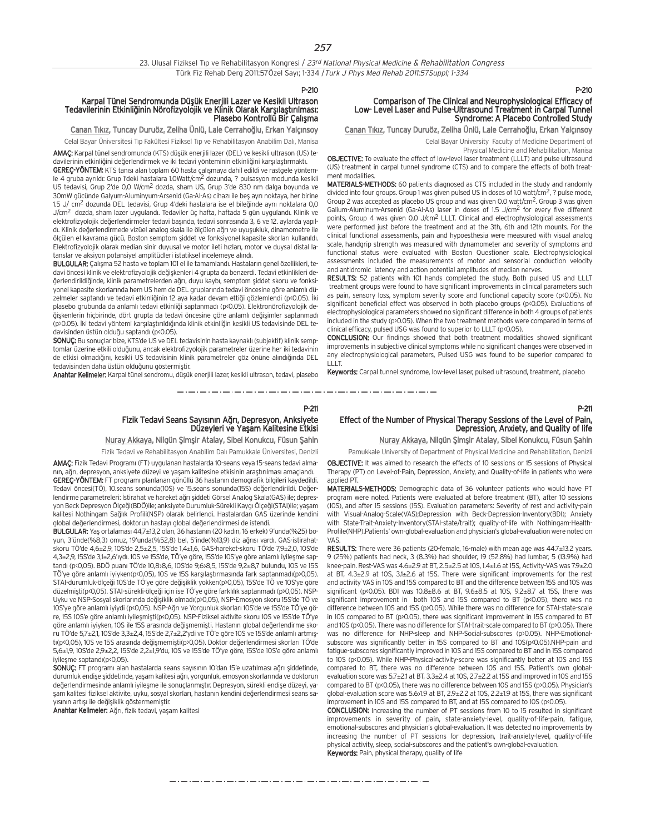#### Karpal Tünel Sendromunda Düşük Enerjili Lazer ve Kesikli Ultrason Tedavilerinin Etkinliğinin Nörofizyolojik ve Klinik Olarak Karşılaştırılması: Plasebo Kontrollü Bir Çalışma

Canan Tıkız, Tuncay Duruöz, Zeliha Ünlü, Lale Cerrahoğlu, Erkan Yalçınsoy Celal Bayar Üniversitesi Tıp Fakültesi Fiziksel Tıp ve Rehabilitasyon Anabilim Dalı, Manisa

AMAC: Karpal tünel sendromunda (KTS) düşük enerjili lazer (DEL) ve kesikli ultrason (US) te-

davilerinin etkinliğini değerlendirmek ve iki tedavi yönteminin etkinliğini karşılaştırmaktı. GEREC-YÖNTEM: KTS tanısı alan toplam 60 hasta çalışmaya dahil edildi ve rastgele yöntemle 4 gruba ayrıldı: Grup 1'deki hastalara 1.0Watt/cm<sup>2</sup> dozunda, ? pulsasyon modunda kesikli US tedavisi, Grup 2'de 0,0 W/cm2 dozda, sham US, Grup 3'de 830 nm dalga boyunda ve 30mW gücünde Galyum-Aluminyum-Arsenid (Ga-Al-As) cihazı ile beş ayrı noktaya, her birine  $1.5$  J/ cm<sup>2</sup> dozunda DEL tedavisi, Grup 4'deki hastalara ise el bileğinde aynı noktalara 0,0 J/cm<sup>2</sup> dozda, sham lazer uygulandı. Tedaviler üç hafta, haftada 5 gün uygulandı. Klinik ve elektrofizyolojik değerlendirmeler tedavi başında, tedavi sonrasında 3, 6 ve 12. aylarda yapıldı. Klinik değerlendirmede vizüel analog skala ile ölçülen ağrı ve uyuşukluk, dinamometre ile ölçülen el kavrama gücü, Boston semptom şiddet ve fonksiyonel kapasite skorları kullanıldı. Elektrofizyolojik olarak median sinir duyusal ve motor ileti hızları, motor ve duysal distal latanslar ve aksiyon potansiyel amplitüdleri istatiksel incelemeye alındı.

BULGULAR: Çalışma 52 hasta ve toplam 101 el ile tamamlandı. Hastaların genel özellikleri, tedavi öncesi klinik ve elektrofizyolojik değişkenleri 4 grupta da benzerdi. Tedavi etkinlikleri de-¤erlendirildi¤inde, klinik parametrelerden a¤r›, duyu kayb›, semptom fliddet skoru ve fonksiyonel kapasite skorlarında hem US hem de DEL gruplarında tedavi öncesine göre anlamlı düzelmeler saptandı ve tedavi etkinliğinin 12 aya kadar devam ettiği gözlemlendi (p<0.05). İki plasebo grubunda da anlamlı tedavi etkinliği saptanmadı (p<0.05). Elektronörofizyolojik de-¤iflkenlerin hiçbirinde, dört grupta da tedavi öncesine göre anlaml› de¤iflimler saptanmad› (p>0.05). İki tedavi yöntemi karsılastırıldığında klinik etkinliğin kesikli US tedavisinde DEL tedavisinden üstün olduğu saptandı (p<0.05).

SONUÇ: Bu sonuçlar bize, KTS'de US ve DEL tedavisinin hasta kaynaklı (subjektif) klinik semptomlar üzerine etkili olduğunu, ancak elektrofizyolojik parametreler üzerine her iki tedavinin de etkisi olmadığını, kesikli US tedavisinin klinik parametreler göz önüne alındığında DEL tedavisinden daha üstün olduğunu göstermiştir.

Anahtar Kelimeler: Karpal tünel sendromu, düşük enerjili lazer, kesikli ultrason, tedavi, plasebo

## P-211 Fizik Tedavi Seans Sayısının Ağrı, Depresyon, Anksiyete<br>Düzeyleri ve Yaşam Kalitesine Etkisi

Nuray Akkaya, Nilgün Şimşir Atalay, Sibel Konukcu, Füsun Şahin

Fizik Tedavi ve Rehabilitasyon Anabilim Dalı Pamukkale Üniversitesi, Denizli

AMAÇ: Fizik Tedavi Programı (FT) uygulanan hastalarda 10-seans veya 15-seans tedavi almanın, ağrı, depresyon, anksiyete düzeyi ve yaşam kalitesine etkisinin araştırılması amaçlandı. GEREÇ-YÖNTEM: FT programı planlanan gönüllü 36 hastanın demografik bilgileri kaydedildi. Tedavi öncesi(TÖ), 10.seans sonunda(10S) ve 15.seans sonunda(15S) değerlendirildi. Değerlendirme parametreleri: İstirahat ve hareket ağrı şiddeti Görsel Analog Skala(GAS) ile; depresyon Beck Depresyon Ölçeği(BDÖ)ile; anksiyete Durumluk-Sürekli Kaygı Ölçeği(STAI)ile; yaşam kalitesi Nothingam Sağlık Profili(NSP) olarak belirlendi. Hastalardan GAS üzerinde kendini global değerlendirmesi, doktorun hastayı global değerlendirmesi de istendi.

**BULGULAR:** Yas ortalaması  $44.7\pm13.2$  olan, 36 hastanın (20 kadın, 16 erkek) 9'unda(%25) boyun, 3'ünde(%8,3) omuz, 19'unda(%52,8) bel, 5'inde(%13,9) diz ağrısı vardı. GAS-istirahatskoru TÖ'de 4,6±2,9, 10S'de 2,5±2,5, 15S'de 1,4±1,6, GAS-hareket-skoru TÖ'de 7,9±2,0, 10S'de 4,3±2,9, 15S'de 3,1±2,6'ıydı. 10S ve 15S'de, TÖ'ye göre, 15S'de 10S'ye göre anlamlı iyileşme saptandı (p<0,05). BDÖ puanı TÖ'de 10,8>8,6, 10S'de 9,6>8,5, 15S'de 9,2±8,7 bulundu, 10S ve 15S TÖ'ye göre anlamlı iyiyken(p<0,05), 10S ve 15S karşılaştırmasında fark saptanmadı(p>0,05). STAI-durumluk-ölçeği 10S'de TÖ'ye göre değişiklik yokken(p>0,05), 15S'de TÖ ve 10S'ye göre düzelmişti(p<0,05). STAI-sürekli-ölçeği için ise TÖ'ye göre farklılık saptanmadı (p>0,05). NSP-Uyku ve NSP-Sosyal skorlarında değişiklik olmadı(p>0,05), NSP-Emosyon skoru 15S'de TÖ ve 10S'ye göre anlamlı iyiydi (p<0,05). NSP-Ağrı ve Yorgunluk skorları 10S'de ve 15S'de TÖ'ye göre, 15S 10S'e göre anlamlı iyileşmişti(p<0,05). NSP-Fiziksel aktivite skoru 10S ve 15S'de TÖ'ye göre anlamlı iyiyken, 10S ile 15S arasında değişmemişti. Hastanın global değerlendirme skoru TÖ'de 5,7 $\pm$ 2,1, 10S'de 3,3 $\pm$ 2,4, 15S'de 2,7 $\pm$ 2,2'ydi ve TÖ'e göre 10S ve 15S'de anlamlı artmıstı(p<0,05), 10S ve 15S arasında değismemişti(p>0,05). Doktor değerlendirmesi skorları TÖ'de 5,6±1,9, 10S'de 2,9±2,2, 15S'de 2,2±1,9'du, 10S ve 15S'de TÖ'ye göre, 15S'de 10S'e göre anlaml› ivilesme saptandı(p<0,05).

SONUÇ: FT programı alan hastalarda seans sayısının 10'dan 15'e uzatılması ağrı şiddetinde, durumluk endişe şiddetinde, yaşam kalitesi ağrı, yorgunluk, emosyon skorlarında ve doktorun değerlendirmesinde anlamlı iyileşme ile sonuçlanmıştır. Depresyon, sürekli endişe düzeyi, yaşam kalitesi fiziksel aktivite, uyku, sosyal skorları, hastanın kendini değerlendirmesi seans sayısının artışı ile değişiklik göstermemiştir.

Anahtar Kelimeler: Ağrı, fizik tedavi, yaşam kalitesi

#### P-210

## Comparison of The Clinical and Neurophysiological Efficacy of<br>Low- Level Laser and Pulse-Ultrasound Treatment in Carpal Tunnel Syndrome: A Placebo Controlled Study

Canan Tıkız, Tuncay Duruöz, Zeliha Ünlü, Lale Cerrahoğlu, Erkan Yalçınsoy

Celal Bayar University Faculty of Medicine Department of

Physical Medicine and Rehabilitation, Manisa

OBJECTIVE: To evaluate the effect of low-level laser treatment (LLLT) and pulse ultrasound (US) treatment in carpal tunnel syndrome (CTS) and to compare the effects of both treatment modalities.

MATERIALS-METHODS: 60 patients diagnosed as CTS included in the study and randomly divided into four groups. Group 1 was given pulsed US in doses of 1.0 watt/cm2, ? pulse mode, Group 2 was accepted as placebo US group and was given 0.0 watt/cm2. Group 3 was given Galium-Aluminum-Arsenid (Ga-Al-As) laser in doses of 1.5 J/cm<sup>2</sup> for every five different points, Group 4 was given 0.0 J/cm<sup>2</sup> LLLT. Clinical and electrophysiological assessments were performed just before the treatment and at the 3th, 6th and 12th mounts. For the clinical functional assessments, pain and hypoesthesia were measured with visual analog scale, handgrip strength was measured with dynamometer and severity of symptoms and functional status were evaluated with Boston Questioner scale. Electrophysiological assessments included the measurements of motor and sensorial conduction velocity and antidromic latency and action potential amplitudes of median nerves.

RESULTS: 52 patients with 101 hands completed the study. Both pulsed US and LLLT treatment groups were found to have significant improvements in clinical parameters such as pain, sensory loss, symptom severity score and functional capacity score (p<0.05). No significant beneficial effect was observed in both placebo groups (p<0.05). Evaluations of electrophysiological parameters showed no significant difference in both 4 groups of patients included in the study (p>0.05). When the two treatment methods were compared in terms of clinical efficacy, pulsed USG was found to superior to LLLT (p<0.05).

CONCLUSION: Our findings showed that both treatment modalities showed significant improvements in subjective clinical symptoms while no significant changes were observed in any electrophysiological parameters, Pulsed USG was found to be superior compared to LLLT

Keywords: Carpal tunnel syndrome, low-level laser, pulsed ultrasound, treatment, placebo

#### P-211 Effect of the Number of Physical Therapy Sessions of the Level of Pain, Depression, Anxiety, and Quality of life

Nuray Akkaya, Nilgün Şimşir Atalay, Sibel Konukcu, Füsun Şahin

Pamukkale University of Department of Physical Medicine and Rehabilitation, Denizli

OBJECTIVE: It was aimed to research the effects of 10 sessions or 15 sessions of Physical Therapy (PT) on Level-of-Pain, Depression, Anxiety, and Quality-of-life in patients who were applied PT.

MATERIALS-METHODS: Demographic data of 36 volunteer patients who would have PT program were noted. Patients were evaluated at before treatment (BT), after 10 sessions (10S), and after 15 sessions (15S). Evaluation parameters: Severity of rest and activity-pain with Visual-Analog-Scale(VAS);Depression with Beck-Depression-Inventory(BDI); Anxiety with State-Trait-Anxiety-Inventory(STAI-state/trait); quality-of-life with Nothingam-Health-Profile(NHP).Patients' own-global-evaluation and physician's global-evaluation were noted on VAS.

RESULTS: There were 36 patients (20-female, 16-male) with mean age was 44.7±13.2 years. 9 (25%) patients had neck, 3 (8.3%) had shoulder, 19 (52.8%) had lumbar, 5 (13.9%) had knee-pain. Rest-VAS was 4.6±2.9 at BT, 2.5±2.5 at 10S, 1.4±1.6 at 15S, Activity-VAS was 7.9±2.0 at BT, 4.3±2.9 at 10S, 3.1±2.6 at 15S. There were significant improvements for the rest and activity VAS in 10S and 15S compared to BT and the difference between 15S and 10S was significant (p<0.05). BDI was  $10.8\pm8.6$  at BT,  $9.6\pm8.5$  at 10S,  $9.2\pm8.7$  at 15S, there was significant improvement in both 10S and 15S compared to BT (p<0.05), there was no difference between 10S and 15S (p>0.05). While there was no difference for STAI-state-scale in 10S compared to BT (p>0.05), there was significant improvement in 15S compared to BT and 10S (p<0.05). There was no difference for STAI-trait-scale compared to BT (p>0.05). There was no difference for NHP-sleep and NHP-Social-subscores (p>0.05). NHP-Emotionalsubscore was significantly better in 15S compared to BT and 10S(p<0.05).NHP-pain and fatigue-subscores significantly improved in 10S and 15S compared to BT and in 15S compared to 10S (p<0.05). While NHP-Physical-activity-score was significantly better at 10S and 15S compared to BT, there was no difference between 10S and 15S. Patient's own globalevaluation score was  $5.7\pm2.1$  at BT,  $3.3\pm2.4$  at 10S,  $2.7\pm2.2$  at 15S and improved in 10S and 15S compared to BT (p<0.05), there was no difference between 10S and 15S (p>0.05). Physician's global-evaluation score was 5.6>1.9 at BT, 2.9±2.2 at 10S, 2.2±1.9 at 15S, there was significant improvement in 10S and 15S compared to BT, and at 15S compared to 10S (p<0.05).

CONCLUSION: Increasing the number of PT sessions from 10 to 15 resulted in significant improvements in severity of pain, state-anxiety-level, quality-of-life-pain, fatigue, emotional-subscores and physician's global-evaluation. It was detected no improvements by increasing the number of PT sessions for depression, trait-anxiety-level, quality-of-life physical activity, sleep, social-subscores and the patient's own-global-evaluation. Keywords: Pain, physical therapy, quality of life

مترو متناوبا متناوبا متناوبا متناوبا متناوبا متناوبا متناوبا متواومت والمترومين والمتاوين والمتاوين والموارد متواوين والمتواود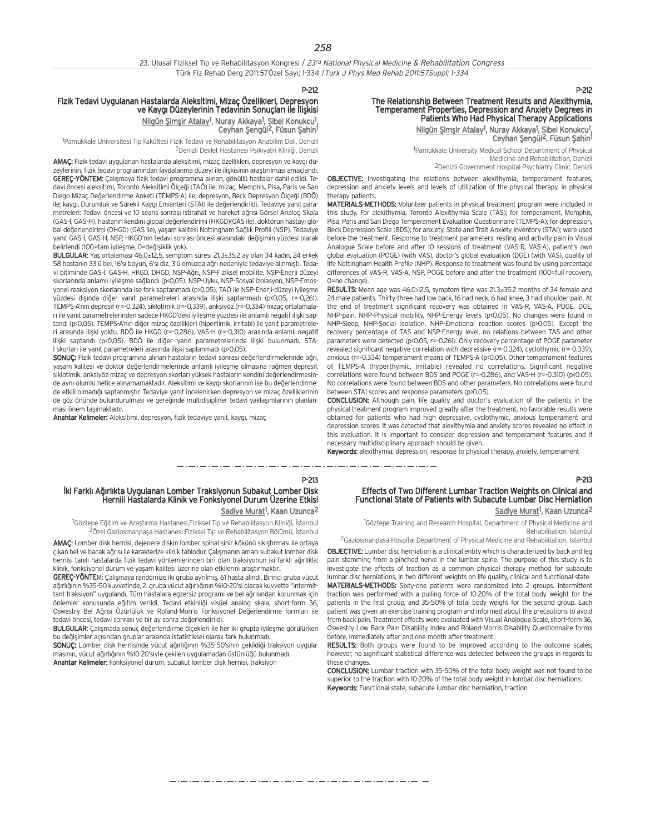#### P-212

#### Fizik Tedavi Uygulanan Hastalarda Aleksitimi, Mizaç Özellikleri, Depresyon ve Kaygı Düzeylerinin Tedavinin Sonuçları ile İlişkisi Nilgün Şimşir Atalay<sup>1</sup>, Nuray Akkaya<sup>1</sup>, Şibel Konukcu<sup>1</sup>, Ceyhan Şengül<sup>2</sup>, Füsun Şahin<sup>1</sup>

<sup>1</sup>Pamukkale Üniversitesi Tıp Fakültesi Fizik Tedavi ve Rehabilitasyon Anabilim Dalı, Denizli <sup>2</sup>Denizli Devlet Hastanesi Psikiyatri Kliniği, Denizli

AMAC: Fizik tedavi uygulanan hastalarda aleksitimi, mizaç özellikleri, depresyon ve kaygı düzeylerinin, fizik tedavi programından faydalanma düzeyi ile ilişkisinin arastırılması amaçlandı. GEREÇ-YÖNTEM: Çalışmaya fizik tedavi programına alınan, gönüllü hastalar dahil edildi. Tedavi öncesi aleksitimi, Toronto Aleksitimi Ölçeği (TAÖ) ile; mizaç, Memphis, Pisa, Paris ve San Diego Mizaç Değerlendirme Anketi (TEMPS-A) ile; depresyon, Beck Depresyon Ölçeği (BDÖ) ile; kaygı, Durumluk ve Sürekli Kaygı Envanteri (STAI) ile değerlendirildi. Tedaviye yanıt parametreleri: Tedavi öncesi ve 10 seans sonrası istirahat ve hareket ağrısı Görsel Analog Skala (GAS-İ, GAS-H), hastanın kendini global değerlendirimi (HKGD)(GAS ile), doktorun hastayı global değerlendirimi (DHGD) (GAS ile), yaşam kalitesi Nottingham Sağlık Profili (NSP). Tedaviye yanıt GAS-İ, GAS-H, NSP, HKGD'nin tedavi sonrası-öncesi arasındaki değişimin yüzdesi olarak belirlendi (100=tam iyileşme, 0=değişiklik yok).

BULGULAR: Yas ortalaması 46,0±12,5, semptom süresi 21,3±35,2 ay olan 34 kadın, 24 erkek 58 hastanın 33'ü bel, 16'sı boyun, 6'sı diz, 3'ü omuzda ağrı nedeniyle tedaviye alınmıştı. Tedavi bitiminde GAS-İ, GAS-H, HKGD, DHGD, NSP-Ağrı, NSP-Fiziksel mobilite, NSP-Enerji düzeyi skorlarında anlamlı iyilesme sağlandı (p<0,05). NSP-Uyku, NSP-Sosyal izolasyon, NSP-Emosyonel reaksiyon skorlarında ise fark saptanmadı (p>0,05). TAÖ ile NSP-Enerji-düzeyi iyileşme yüzdesi dışında diğer yanıt parametreleri arasında ilişki saptanmadı (p<0,05, r=-0,261). TEMPS-A'n›n depresif (r=-0,324), siklotimik (r=-0,339), anksiyöz (r=-0,334) mizaç ortalamaları ile yanıt parametrelerinden sadece HKGD'deki iyileşme yüzdesi ile anlamlı negatif ilişki saptandı (p<0,05). TEMPS-A'nın diğer mizaç özellikleri (hipertimik, irritabl) ile yanıt parametreleri arasında ilişki yoktu. BDÖ ile HKGD (r=-0,286), VAS-H (r=-0,310) arasında anlamlı negatif ilişki saptandı (p<0,05). BDÖ ile diğer yanıt parametrelerinde ilişki bulunmadı. STA-I skorları ile yanıt parametreleri arasında ilişki saptanmadı (p>0,05).

SONUÇ: Fizik tedavi programına alınan hastaların tedavi sonrası değerlendirmelerinde ağrı, yaşam kalitesi ve doktor değerlendirmelerinde anlamlı iyileşme olmasına rağmen depresif, siklotimik, anksiyöz mizaç ve depresyon skorları yüksek hastaların kendini değerlendirmesinde aynı olumlu netice alınamamaktadır. Aleksitimi ve kaygı skorlarının ise bu değerlendirmede etkili olmadığı saptanmıştır. Tedaviye yanıt incelenirken depresyon ve mizaç özelliklerinin de göz önünde bulundurulması ve gereğinde multidisipliner tedavi yaklaşımlarının planlanması önem tasımaktadır.

Anahtar Kelimeler: Aleksitimi, depresyon, fizik tedaviye yanıt, kaygı, mizaç

#### P-212

P-213

## The Relationship Between Treatment Results and Alexithymia, Temperament Properties, Depression and Anxiety Degrees in Patients Who Had Physical Therapy Applications

Nilgün Şimşir Atalay<sup>1</sup>, Nuray Akkaya<sup>1</sup>, Şibel Konukcu<sup>1</sup>, Ceyhan Şengül<sup>2</sup>, Füsun Şahin<sup>1</sup>

1 Pamukkale University Medical School Department of Physical Medicine and Rehabilitation, Denizli 2Denizli Government Hospital Psychiatry Clinic, Denizli

OBJECTIVE: Investigating the relations between alexithymia, temperament features, depression and anxiety levels and levels of utilization of the physical therapy, in physical therany nationts

MATERIALS-METHODS: Volunteer patients in physical treatment program were included in this study. For alexithymia, Toronto Alexithymia Scale (TAS); for temperament, Memphis, Pisa, Paris and San Diego Temperament Evaluation Questionnaire (TEMPS-A); for depression, Beck Depression Scale (BDS); for anxiety, State and Trait Anxiety Inventory (STAI); were used before the treatment. Response to treatment parameters: resting and activity pain in Visual Analogue Scale before and after 10 sessions of treatment (VAS-R, VAS-A), patient's own global evaluation (POGE) (with VAS), doctor's global evaluation (DGE) (with VAS), quality of life Nottingham Health Profile (NHP). Response to treatment was found by using percentage differences of VAS-R, VAS-A, NSP, POGE before and after the treatment (100=full recovery, 0=no change).

RESULTS: Mean age was 46.0>12.5, symptom time was 21.3±35.2 months of 34 female and 24 male patients. Thirty-three had low back, 16 had neck, 6 had knee, 3 had shoulder pain. At the end of treatment significant recovery was obtained in VAS-R, VAS-A, POGE, DGE, NHP-pain, NHP-Physical mobility, NHP-Energy levels (p<0.05). No changes were found in NHP-Sleep, NHP-Social isolation, NHP-Emotional reaction scores (p>0.05). Except the recovery percentage of TAS and NSP-Energy level, no relations between TAS and other parameters were detected (p<0.05, r=-0.261). Only recovery percentage of POGE parameter revealed significant negative correlation with depressive (r=-0.324), cyclothymic (r=-0.339), anxious (r=-0.334) temperament means of TEMPS-A (p<0.05). Other temperament features of TEMPS-A (hyperthymic, irritable) revealed no correlations. Significant negative correlations were found between BDS and POGE (r=-0.286), and VAS-H (r=-0.310) (p<0.05). No correlations were found between BDS and other parameters. No correlations were found between STAI scores and response parameters (p>0.05).

CONCLUSION: Although pain, life quality and doctor's evaluation of the patients in the physical treatment program improved greatly after the treatment, no favorable results were obtained for patients who had high depressive, cyclothymic, anxious temperament and depression scores. It was detected that alexithymia and anxiety scores revealed no effect in this evaluation. It is important to consider depression and temperament features and if necessary multidisciplinary approach should be given.

Keywords: alexithymia, depression, response to physical therapy, anxiety, temperament

#### P-213

#### İki Farklı Ağırlıkta Uygulanan Lomber Traksiyonun Subakut Lomber Disk Hernili Hastalarda Klinik ve Fonksiyonel Durum Üzerine Etkisi Sadiye Murat<sup>1</sup>, Kaan Uzunca<sup>2</sup>

<sup>1</sup>Göztepe Eğitim ve Araştırma Hastanesi,Fiziksel Tıp ve Rehabilitasyon Kliniği, İstanbul 2Özel Gaziosmanpaşa Hastanesi Fiziksel Tıp ve Rehabilitasyon Bölümü, İstanbul

AMAC: Lomber disk hernisi, dejenere diskin lomber spinal sinir kökünü sıkıstırması ile ortaya çıkan bel ve bacak ağrısı ile karakterize klinik tablodur. Çalışmanın amacı subakut lomber disk hernisi tanılı hastalarda fizik tedavi yöntemlerinden biri olan traksiyonun iki farklı ağırlıkla; klinik, fonksiyonel durum ve yaşam kalitesi üzerine olan etkilerini araştırmaktır.

**GEREC-YÖNTE**M: Calismaya randomize iki gruba ayrılmış, 61 hasta alındı. Birinci gruba yücut ağırlığının %35-50 kuvvetinde, 2. gruba vücut ağırlığının %10-20'si olacak kuvvette "intermittant traksiyon" uygulandı. Tüm hastalara egzersiz programı ve bel ağrısından korunmak için önlemler konusunda eğitim verildi. Tedavi etkinliği visüel analog skala, short-form 36, Oswestry Bel Ağrısı Özürlülük ve Roland-Morris Fonksiyonel Değerlendirme formları ile tedavi öncesi, tedavi sonrası ve bir av sonra değerlendirildi.

BULGULAR: Çalışmada sonuç değerlendirme ölçekleri ile her iki grupta iyileşme görülürken bu değişimler açısından gruplar arasında istatistiksel olarak fark bulunmadı.

SONUC: Lomber disk hernisinde vücut ağırlığının %35-50'sinin çekildiği traksiyon uygulamasının, vücut ağırlığının %10-20'siyle çekilen uygulamadan üstünlüğü bulunmadı.

Anahtar Kelimeler: Fonksiyonel durum, subakut lomber disk hernisi, traksiyon

#### Effects of Two Different Lumbar Traction Weights on Clinical and Functional State of Patients with Subacute Lumbar Disc Herniation Sadiye Murat<sup>1</sup>, Kaan Uzunca<sup>2</sup>

<sup>1</sup>Göztepe Training and Research Hospital, Department of Physical Medicine and Rehabilitation, Istanbul

2Gaziosmanpasa Hospital Department of Physical Medicine and Rehabilitation, Istanbul

OBJECTIVE: Lumbar disc herniation is a clinical entity which is characterized by back and leg pain stemming from a pinched nerve in the lumbar spine. The purpose of this study is to investigate the effects of traction as a common physical therapy method for subacute lumbar disc herniations, in two different weights on life quality, clinical and functional state. MATERIALS-METHODS: Sixty-one patients were randomized into 2 groups. Intermittent traction was performed with a pulling force of 10-20% of the total body weight for the patients in the first group, and 35-50% of total body weight for the second group. Each patient was given an exercise training program and informed about the precautions to avoid from back pain. Treatment effects were evaluated with Visual Analogue Scale, short-form 36, Oswestry Low Back Pain Disability Index and Roland-Morris Disability Questionnaire forms before, immediately after and one month after treatment.

RESULTS: Both groups were found to be improved according to the outcome scales; however, no significant statistical difference was detected between the groups in regards to these changes

CONCLUSION: Lumbar traction with 35-50% of the total body weight was not found to be superior to the traction with 10-20% of the total body weight in lumbar disc herniations. Keywords: Functional state, subacute lumbar disc herniation, traction

مترو متوارد متوارد متوارد متوارد متوارد متوارد متوارد متوارد متوارد متوارد متوارد متوارد متوارد متوارد متوارد متوارد متوارد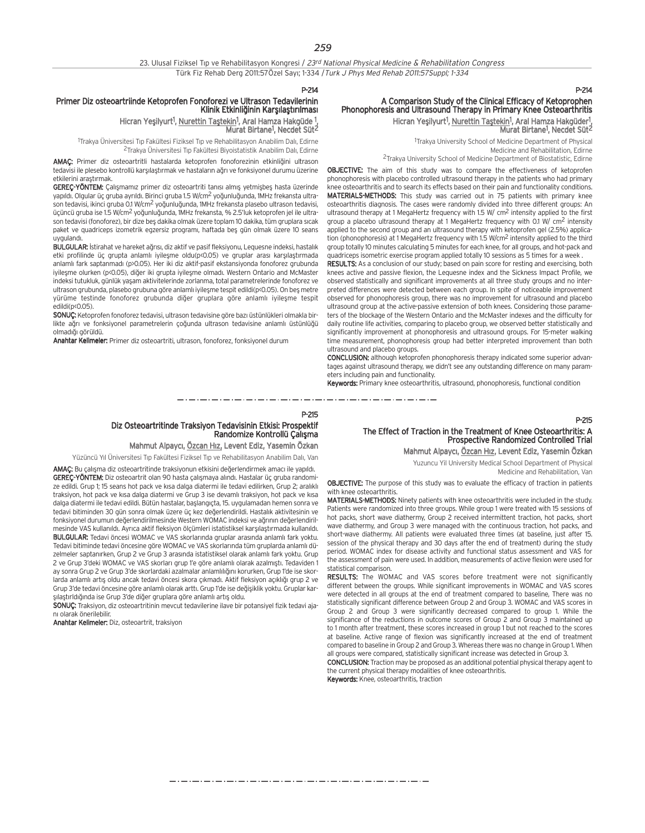P-214

#### Primer Diz osteoartriinde Ketoprofen Fonoforezi ve Ultrason Tedavilerinin Klinik Etkinliğinin Karşılaştırılması

Hicran Yeşilyurt<sup>1</sup>, <u>Nurettin Taştekin</u><sup>1</sup>, Aral Hamza Hakgüde <sup>1</sup>, Murat Birtane1 , Necdet Süt2

<sup>1</sup>Trakya Üniversitesi Tıp Fakültesi Fiziksel Tıp ve Rehabilitasyon Anabilim Dalı, Edirne <sup>2</sup>Trakya Üniversitesi Tıp Fakültesi Biyoistatistik Anabilim Dalı, Edirne

AMAC: Primer diz osteoartritli hastalarda ketoprofen fonoforezinin etkinliğini ultrason tedavisi ile plesebo kontrollü karsılastırmak ve hastaların ağrı ve fonksiyonel durumu üzerine etkilerini arastırmak.

GEREC-YÖNTEM: Calismamiz primer diz osteoartriti tanısı almış yetmişbes hasta üzerinde yapıldı. Olgular üç gruba ayrıldı. Birinci gruba 1.5 W/cm<sup>2</sup> yoğunluğunda, 1MHz frekansta ultrason tedavisi, ikinci gruba 0.1 W/cm<sup>2</sup> yoğunluğunda, 1MHz frekansta plasebo ultrason tedavisi, üçüncü gruba ise 1.5 W/cm<sup>2</sup> yoğunluğunda, 1MHz frekansta, % 2.5'luk ketoprofen jel ile ultrason tedavisi (fonoforez), bir dize beş dakika olmak üzere toplam 10 dakika, tüm gruplara sıcak paket ve quadriceps izometrik egzersiz programı, haftada beş gün olmak üzere 10 seans uvguland

BULGULAR: İstirahat ve hareket ağrısı, diz aktif ve pasif fleksiyonu, Lequesne indeksi, hastalık etki profilinde üç grupta anlamlı iyilesme oldu(p<0.05) ve gruplar arası karsılastırmada anlamlı fark saptanmadı (p>0.05). Her iki diz aktif-pasif ekstansiyonda fonoforez grubunda iyileşme olurken (p<0.05), diğer iki grupta iyileşme olmadı. Western Ontario and McMaster indeksi tutukluk, günlük yaşam aktivitelerinde zorlanma, total parametrelerinde fonoforez ve ultrason grubunda, plasebo grubuna göre anlamlı iyilesme tespit edildi(p<0.05). On bes metre yürüme testinde fonoforez grubunda diğer gruplara göre anlamlı iyilesme tespit  $P$ edildi(n $(0.05)$ 

SONUC: Ketoprofen fonoforez tedavisi, ultrason tedavisine göre bazı üstünlükleri olmakla birlikte ağrı ve fonksiyonel parametrelerin çoğunda ultrason tedavisine anlamlı üstünlüğü olmadığı görüldü.

Anahtar Kelimeler: Primer diz osteoartriti, ultrason, fonoforez, fonksiyonel durum

## P-214

#### A Comparison Study of the Clinical Efficacy of Ketoprophen Phonophoresis and Ultrasound Therapy in Primary Knee Osteoarthritis Hicran Yeşilyurt<sup>1</sup>, Nurettin Taştekin<sup>1</sup>, Aral Hamza Hakgüder<sup>1</sup>, Murat Birtane1 , Necdet Süt2

1 Trakya University School of Medicine Department of Physical Medicine and Rehabilitation, Edirne 2Trakya University School of Medicine Department of Biostatistic, Edirne

OBJECTIVE: The aim of this study was to compare the effectiveness of ketoprofen phonophoresis with placebo controlled ultrasound therapy in the patients who had primary knee osteoarthritis and to search its effects based on their pain and functionality conditions. MATERIALS-METHODS: This study was carried out in 75 patients with primary knee osteoarthritis diagnosis. The cases were randomly divided into three different groups: An ultrasound therapy at 1 MegaHertz frequency with 1.5 W/  $\text{cm}^2$  intensity applied to the first group a placebo ultrasound therapy at 1 MegaHertz frequency with 0.1 W/ cm2 intensity applied to the second group and an ultrasound therapy with ketoprofen gel (2.5%) application (phonophoresis) at 1 MegaHertz frequency with 1.5 W/cm<sup>2</sup> intensity applied to the third group totally 10 minutes calculating 5 minutes for each knee, for all groups, and hot-pack and quadriceps isometric exercise program applied totally 10 sessions as 5 times for a week .

RESULTS: As a conclusion of our study; based on pain score for resting and exercising, both knees active and passive flexion, the Lequesne index and the Sickness Impact Profile, we observed statistically and significant improvements at all three study groups and no interpreted differences were detected between each group. In spite of noticeable improvement observed for phonophoresis group, there was no improvement for ultrasound and placebo ultrasound group at the active-passive extension of both knees. Considering those parameters of the blockage of the Western Ontario and the McMaster indexes and the difficulty for daily routine life activities, comparing to placebo group, we observed better statistically and significantly improvement at phonophoresis and ultrasound groups. For 15-meter walking time measurement, phonophoresis group had better interpreted improvement than both ultrasound and placebo groups.

CONCLUSION: although ketoprofen phonophoresis therapy indicated some superior advantages against ultrasound therapy, we didn't see any outstanding difference on many parameters including pain and functionality.

Keywords: Primary knee osteoarthritis, ultrasound, phonophoresis, functional condition

#### P-215

## Diz Osteoartritinde Traksiyon Tedavisinin Etkisi: Prospektif<br>Randomize Kontrollü Çalışma

Mahmut Alpaycı, Özcan Hız, Levent Ediz, Yasemin Özkan

Yüzüncü Yıl Üniversitesi Tıp Fakültesi Fiziksel Tıp ve Rehabilitasyon Anabilim Dalı, Van

AMAÇ: Bu çalışma diz osteoartritinde traksiyonun etkisini değerlendirmek amacı ile yapıldı. GEREÇ-YÖNTEM: Diz osteoartrit olan 90 hasta çalışmaya alındı. Hastalar üç gruba randomize edildi. Grup 1; 15 seans hot pack ve kısa dalga diatermi ile tedavi edilirken, Grup 2; aralıklı traksiyon, hot pack ve kısa dalga diatermi ve Grup 3 ise devamlı traksiyon, hot pack ve kısa dalga diatermi ile tedavi edildi. Bütün hastalar, baslangıcta, 15. uygulamadan hemen sonra ve tedavi bitiminden 30 gün sonra olmak üzere üç kez değerlendirildi. Hastalık aktivitesinin ve fonksiyonel durumun değerlendirilmesinde Western WOMAC indeksi ve ağrının değerlendirilmesinde VAS kullanıldı. Ayrıca aktif fleksiyon ölçümleri istatistiksel karşılaştırmada kullanıldı. BULGULAR: Tedavi öncesi WOMAC ve VAS skorlarında gruplar arasında anlamlı fark yoktu. Tedavi bitiminde tedavi öncesine göre WOMAC ve VAS skorlarında tüm gruplarda anlamlı düzelmeler saptanırken, Grup 2 ve Grup 3 arasında istatistiksel olarak anlamlı fark yoktu. Grup 2 ve Grup 3'deki WOMAC ve VAS skorları grup 1'e göre anlamlı olarak azalmıştı. Tedaviden 1 ay sonra Grup 2 ve Grup 3'de skorlardaki azalmalar anlamlılığını korurken, Grup 1'de ise skorlarda anlamlı artış oldu ancak tedavi öncesi skora çıkmadı. Aktif fleksiyon açıklığı grup 2 ve Grup 3'de tedavi öncesine göre anlamlı olarak arttı. Grup 1'de ise değişiklik yoktu. Gruplar karşılaştırldığında ise Grup 3'de diğer gruplara göre anlamlı artış oldu.

SONUÇ: Traksiyon, diz osteoartritinin mevcut tedavilerine ilave bir potansiyel fizik tedavi ajan› olarak önerilebilir.

Anahtar Kelimeler: Diz, osteoartrit, traksiyon

#### P-215

#### The Effect of Traction in the Treatment of Knee Osteoarthritis: A Prospective Randomized Controlled Trial

Mahmut Alpaycı, Özcan Hız, Levent Ediz, Yasemin Özkan

Yuzuncu Yil University Medical School Department of Physical

Medicine and Rehabilitation, Van

OBJECTIVE: The purpose of this study was to evaluate the efficacy of traction in patients with knee osteoarthritis.

MATERIALS-METHODS: Ninety patients with knee osteoarthritis were included in the study. Patients were randomized into three groups. While group 1 were treated with 15 sessions of hot packs, short wave diathermy, Group 2 received intermittent traction, hot packs, short wave diathermy, and Group 3 were managed with the continuous traction, hot packs, and short-wave diathermy. All patients were evaluated three times (at baseline, just after 15. session of the physical therapy and 30 days after the end of treatment) during the study period. WOMAC index for disease activity and functional status assessment and VAS for the assessment of pain were used. In addition, measurements of active flexion were used for statistical comparison.

RESULTS: The WOMAC and VAS scores before treatment were not significantly different between the groups. While significant improvements in WOMAC and VAS scores were detected in all groups at the end of treatment compared to baseline, There was no statistically significant difference between Group 2 and Group 3. WOMAC and VAS scores in Group 2 and Group 3 were significantly decreased compared to group 1. While the significance of the reductions in outcome scores of Group 2 and Group 3 maintained up to 1 month after treatment, these scores increased in group 1 but not reached to the scores at baseline. Active range of flexion was significantly increased at the end of treatment compared to baseline in Group 2 and Group 3. Whereas there was no change in Group 1. When all groups were compared, statistically significant increase was detected in Group 3.

CONCLUSION: Traction may be proposed as an additional potential physical therapy agent to the current physical therapy modalities of knee osteoarthritis. Keywords: Knee, osteoarthritis, traction

مترو متوارد متوارد متوارد متوارد متوارد متوارد متوارد متوارد متوارد متوارد متوارد متوارد متوارد متوارد متوارد متوارد متوارد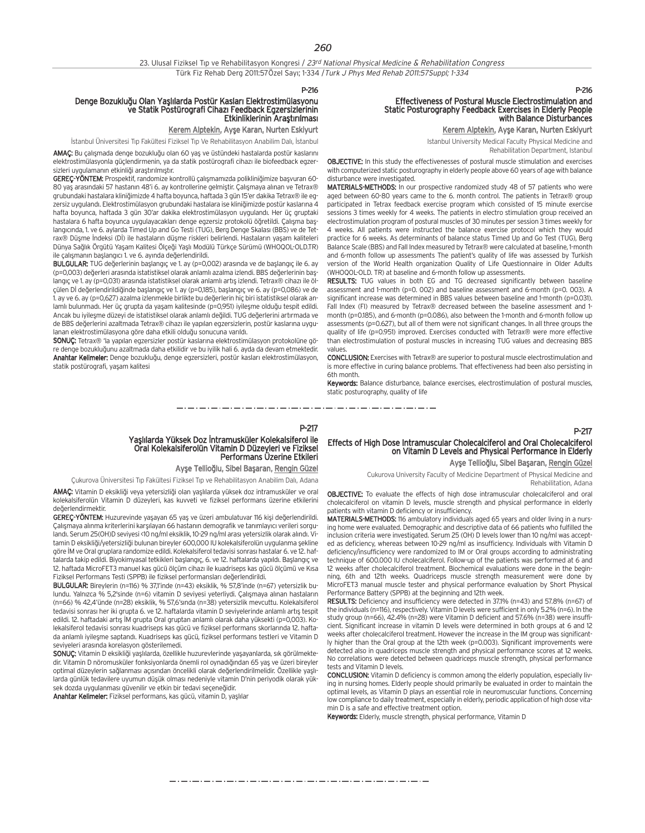# Denge Bozukluğu Olan Yaşlılarda Postür Kasları Elektrostimülasyonu<br>ve Statik Postürografi Cihazı Feedback Egzersizlerinin<br>Etkinliklerinin Araştırılması

#### Kerem Alptekin, Ayşe Karan, Nurten Eskiyurt

İstanbul Üniversitesi Tıp Fakültesi Fiziksel Tıp Ve Rehabilitasyon Anabilim Dalı, İstanbul

AMAC: Bu çalışmada denge bozukluğu olan 60 yaş ve üstündeki hastalarda postür kaslarını elektrostimülasyonla güçlendirmenin, ya da statik postürografi cihazı ile biofeedback egzersizleri uygulamanın etkinliği arastırılmıştır.

GEREC-YÖNTEM: Prospektif, randomize kontrollü çalışmamızda polikliniğimize başyuran 60-80 yas arasındaki 57 hastanın 48'i 6. ay kontrollerine gelmiştir. Çalışmaya alınan ve Tetrax® grubundaki hastalara klini¤imizde 4 hafta boyunca, haftada 3 gün 15'er dakika Tetrax® ile egzersiz uygulandı. Elektrostimülasyon grubundaki hastalara ise kliniğimizde postür kaslarına 4 hafta boyunca, haftada 3 gün 30'ar dakika elektrostimülasyon uygulandı. Her üç gruptaki hastalara 6 hafta boyunca uygulayacakları denge egzersiz protokolü öğretildi. Çalışma başlangıcında, 1. ve 6. aylarda Timed Up and Go Testi (TUG), Berg Denge Skalası (BBS) ve de Tetrax® Düşme İndeksi (Dİ) ile hastaların düşme riskleri belirlendi. Hastaların yaşam kaliteleri Dünya Sağlık Örgütü Yaşam Kalitesi Ölçeği Yaşlı Modülü Türkçe Sürümü (WHOQOL-OLD.TR) ile çalışmanın başlangıcı 1. ve 6. ayında değerlendirildi.

BULGULAR: TUG degerlerinin başlangıç ve 1. ay (p=0,002) arasında ve de başlangıç ile 6. ay (p=0,003) değerleri arasında istatistiksel olarak anlamlı azalma izlendi. BBS değerlerinin başlangıç ve 1. ay (p=0,031) arasında istatistiksel olarak anlamlı artıs izlendi. Tetrax® cihazı ile ölçülen Dİ değerlendirildiğinde başlangıç ve 1. ay (p=0,185), başlangıç ve 6. ay (p=0,086) ve de 1. ay ve 6. ay (p=0,627) azalma izlenmekle birlikte bu de¤erlerin hiç biri istatistiksel olarak anlamlı bulunmadı. Her üç grupta da yaşam kalitesinde (p=0,951) iyileşme olduğu tespit edildi. Ancak bu iyileşme düzeyi de istatistiksel olarak anlamlı değildi. TUG değerlerini artırmada ve de BBS değerlerini azaltmada Tetrax® cihazı ile yapılan egzersizlerin, postür kaslarına uygulanan elektrostimülasyona göre daha etkili olduğu sonucuna varıldı.

SONUÇ: Tetrax® 'la yapılan egzersizler postür kaslarına elektrostimülasyon protokolüne göre denge bozukluğunu azaltmada daha etkilidir ve bu iyilik hali 6. ayda da devam etmektedir. Anahtar Kelimeler: Denge bozukluğu, denge egzersizleri, postür kasları elektrostimülasyon, statik postürografi, yaşam kalitesi

# Effectiveness of Postural Muscle Electrostimulation and Static Posturography Feedback Exercises in Elderly People with Balance Disturbances

Kerem Alptekin, Ayşe Karan, Nurten Eskiyurt

Istanbul University Medical Faculty Physical Medicine and Rehabilitation Department, Istanbul

OBJECTIVE: In this study the effectivenesses of postural muscle stimulation and exercises with computerized static posturography in elderly people above 60 years of age with balance disturbance were investigated.

MATERIALS-METHODS: In our prospective randomized study 48 of 57 patients who were aged between 60-80 years came to the 6. month control. The patients in Tetrax® group participated in Tetrax feedback exercise program which consisted of 15 minute exercise sessions 3 times weekly for 4 weeks. The patients in electro stimulation group received an electrostimulation program of postural muscles of 30 minutes per session 3 times weekly for 4 weeks. All patients were instructed the balance exercise protocol which they would practice for 6 weeks. As determinants of balance status Timed Up and Go Test (TUG), Berg Balance Scale (BBS) and Fall Index measured by Tetrax® were calculated at baseline, 1-month and 6-month follow up assessments The patient's quality of life was assessed by Turkish version of the World Health organization Quality of Life Questionnaire in Older Adults (WHOQOL-OLD. TR) at baseline and 6-month follow up assessments.

RESULTS: TUG values in both EG and TG decreased significantly between baseline assessment and 1-month (p=0. 002) and baseline assessment and 6-month (p=0. 003). A significant increase was determined in BBS values between baseline and 1-month (p=0.031). Fall Index (FI) measured by Tetrax® decreased between the baseline assessment and 1 month (p=0.185), and 6-month (p=0.086), also between the 1-month and 6-month follow up assessments (p=0.627), but all of them were not significant changes. In all three groups the quality of life (p=0.951) improved. Exercises conducted with Tetrax® were more effective than electrostimulation of postural muscles in increasing TUG values and decreasing BBS values.

CONCLUSION: Exercises with Tetrax® are superior to postural muscle electrostimulation and is more effective in curing balance problems. That effectiveness had been also persisting in 6th month.

Keywords: Balance disturbance, balance exercises, electrostimulation of postural muscles, static posturography, quality of life

## P-217 Yaşlılarda Yüksek Doz İntramusküler Kolekalsiferol ile<br>Oral Kolekalsiferolün Vitamin D Düzeyleri ve Fiziksel<br>Performans Üzerine Etkileri

#### Ayşe Tellioğlu, Sibel Başaran, Rengin Güzel

Çukurova Üniversitesi Tıp Fakültesi Fiziksel Tıp ve Rehabilitasyon Anabilim Dalı, Adana AMAÇ: Vitamin D eksikliği veya yetersizliği olan yaşlılarda yüksek doz intramusküler ve oral kolekalsiferolün Vitamin D düzeyleri, kas kuvveti ve fiziksel performans üzerine etkilerini de¤erlendirmektir.

GEREÇ-YÖNTEM: Huzurevinde yaşayan 65 yaş ve üzeri ambulatuvar 116 kişi değerlendirildi. Çalışmaya alınma kriterlerini karşılayan 66 hastanın demografik ve tanımlayıcı verileri sorgulandı. Serum 25(OH)D seviyesi <10 ng/ml eksiklik, 10-29 ng/ml arası yetersizlik olarak alındı. Vitamin D eksikliği/yetersizliği bulunan bireyler 600,000 IU kolekalsiferolün uygulanma şekline göre İM ve Oral gruplara randomize edildi. Kolekalsiferol tedavisi sonrası hastalar 6. ve 12. haftalarda takip edildi. Biyokimyasal tetkikleri başlangıç, 6. ve 12. haftalarda yapıldı. Başlangıç ve 12. haftada MicroFET3 manuel kas gücü ölçüm cihazı ile kuadriseps kas gücü ölçümü ve Kısa Fiziksel Performans Testi (SPPB) ile fiziksel performansları değerlendirildi.

BULGULAR: Bireylerin (n=116) % 37,1'inde (n=43) eksiklik, % 57,8'inde (n=67) yetersizlik bulundu. Yalnızca % 5,2'sinde (n=6) vitamin D seviyesi yeterliydi. Çalışmaya alınan hastaların (n=66) % 42,4'ünde (n=28) eksiklik, % 57,6's›nda (n=38) yetersizlik mevcuttu. Kolekalsiferol tedavisi sonrası her iki grupta 6. ve 12. haftalarda vitamin D seviyelerinde anlamlı artış tespit edildi. 12. haftadaki artış İM grupta Oral gruptan anlamlı olarak daha yüksekti (p=0,003). Kolekalsiferol tedavisi sonrası kuadriseps kas gücü ve fiziksel performans skorlarında 12. haftada anlamlı iyileşme saptandı. Kuadriseps kas gücü, fiziksel performans testleri ve Vitamin D seviveleri arasında korelasyon gösterilemedi.

SONUÇ: Vitamin D eksikliği yaşlılarda, özellikle huzurevlerinde yaşayanlarda, sık görülmektedir. Vitamin D nöromusküler fonksiyonlarda önemli rol oynadığından 65 yaş ve üzeri bireyler optimal düzeylerin sağlanması açısından öncelikli olarak değerlendirilmelidir. Özellikle yaşlılarda günlük tedavilere uyumun düşük olması nedeniyle vitamin D'nin periyodik olarak yüksek dozda uygulanması güvenilir ve etkin bir tedavi seçeneğidir.

Anahtar Kelimeler: Fiziksel performans, kas gücü, vitamin D, yaşlılar

#### P-217

P-216

## Effects of High Dose Intramuscular Cholecalciferol and Oral Cholecalciferol on Vitamin D Levels and Physical Performance in Elderly

Ayşe Tellioğlu, Sibel Başaran, Rengin Güzel

Cukurova University Faculty of Medicine Department of Physical Medicine and Rehabilitation, Adana

OBJECTIVE: To evaluate the effects of high dose intramuscular cholecalciferol and oral cholecalciferol on vitamin D levels, muscle strength and physical performance in elderly patients with vitamin D deficiency or insufficiency.

MATERIALS-METHODS: 116 ambulatory individuals aged 65 years and older living in a nursing home were evaluated. Demographic and descriptive data of 66 patients who fulfilled the inclusion criteria were investigated. Serum 25 (OH) D levels lower than 10 ng/ml was accepted as deficiency, whereas between 10-29 ng/ml as insufficiency. Individuals with Vitamin D deficiency/insufficiency were randomized to IM or Oral groups according to administrating technique of 600.000 IU cholecalciferol. Follow-up of the patients was performed at 6 and 12 weeks after cholecalciferol treatment. Biochemical evaluations were done in the beginning, 6th and 12th weeks. Quadriceps muscle strength measurement were done by MicroFET3 manual muscle tester and physical performance evaluation by Short Physical Performance Battery (SPPB) at the beginning and 12th week.

RESULTS: Deficiency and insufficiency were detected in 37.1% (n=43) and 57.8% (n=67) of the individuals (n=116), respectively. Vitamin D levels were sufficient in only 5.2% (n=6). In the study group (n=66), 42.4% (n=28) were Vitamin D deficient and 57.6% (n=38) were insufficient. Significant increase in vitamin D levels were determined in both groups at 6 and 12 weeks after cholecalciferol treatment. However the increase in the IM group was significantly higher than the Oral group at the 12th week (p=0.003). Significant improvements were detected also in quadriceps muscle strength and physical performance scores at 12 weeks. No correlations were detected between quadriceps muscle strength, physical performance tests and Vitamin D levels.

CONCLUSION: Vitamin D deficiency is common among the elderly population, especially living in nursing homes. Elderly people should primarily be evaluated in order to maintain the optimal levels, as Vitamin D plays an essential role in neuromuscular functions. Concerning low compliance to daily treatment, especially in elderly, periodic application of high dose vitamin D is a safe and effective treatment option.

Keywords: Elderly, muscle strength, physical performance, Vitamin D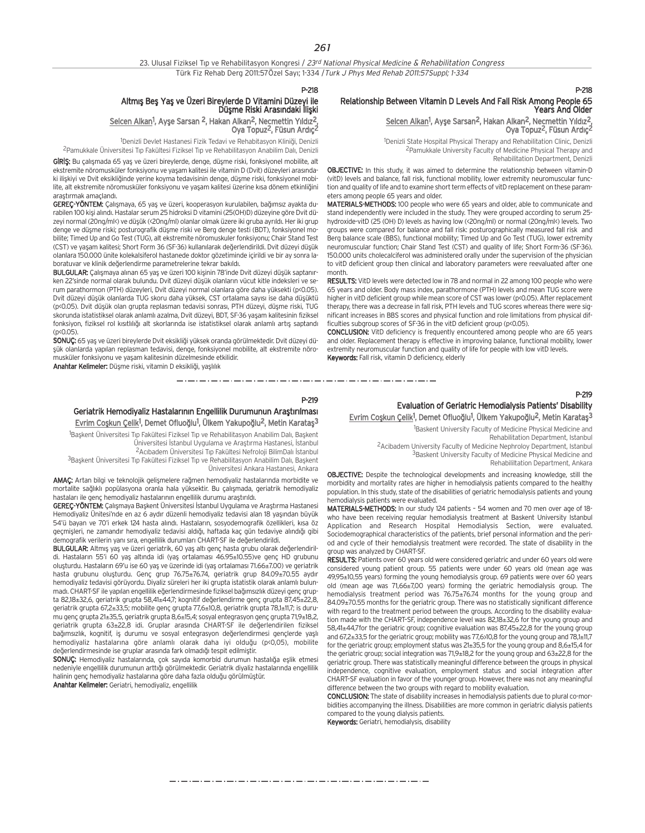| 23. Ulusal Fiziksel Tip ve Rehabilitasyon Kongresi / 23 <sup>rd</sup> National Physical Medicine & Rehabilitation Congress |
|----------------------------------------------------------------------------------------------------------------------------|
| Türk Fiz Rehab Derg 2011:57Özel Sayı; 1-334 / Turk J Phys Med Rehab 2011:57Suppl; 1-334                                    |

## Altmış Beş Yaş ve Üzeri Bireylerde D Vitamini Düzeyi ile<br>Düşme Riski Arasındaki İlişki

#### Selcen Alkan<sup>1</sup>, Ayşe Sarsan <sup>2</sup>, Hakan Alkan<sup>2</sup>, Necmettin Yıldız<sup>2</sup>, Oya Topuz<sup>2</sup>, Füsun Ardıc<sup>2</sup>

<sup>1</sup>Denizli Devlet Hastanesi Fizik Tedavi ve Rehabitasyon Kliniği, Denizli <sup>2</sup>Pamukkale Üniversitesi Tıp Fakültesi Fiziksel Tıp ve Rehabilitasyon Anabilim Dalı, Denizli

GIRIS: Bu çalışmada 65 yaş ve üzeri bireylerde, denge, düşme riski, fonksiyonel mobilite, alt ekstremite nöromusküler fonksiyonu ve yasam kalitesi ile vitamin D (Dvit) düzeyleri arasındaki iliskivi ve Dvit eksikliğinde yerine koyma tedavisinin denge, düşme riski, fonksiyonel mobilite, alt ekstremite nöromusküler fonksiyonu ve yaşam kalitesi üzerine kısa dönem etkinliğini arastırmak amaçlandı.

GEREÇ-YÖNTEM: Çalışmaya, 65 yaş ve üzeri, kooperasyon kurulabilen, bağımsız ayakta durabilen 100 kişi alındı. Hastalar serum 25 hidroksi D vitamini (25(OH)D) düzeyine göre Dvit düzeyi normal (20ng/ml<) ve düşük (<20ng/ml) olanlar olmak üzere iki gruba ayrıldı. Her iki grup denge ve düşme riski; posturografik düşme riski ve Berg denge testi (BDT), fonksiyonel mobilite; Timed Up and Go Test (TUG), alt ekstremite nöromuskuler fonksiyonu; Chair Stand Test (CST) ve yaşam kalitesi; Short Form 36 (SF-36) kullanılarak değerlendirildi. Dvit düzeyi düşük olanlara 150.000 ünite kolekalsiferol hastanede doktor gözetiminde içirildi ve bir ay sonra laboratuvar ve klinik değerlendirme parametrelerine tekrar bakıldı.

BULGULAR: Çalışmaya alınan 65 yaş ve üzeri 100 kişinin 78'inde Dvit düzeyi düşük saptanırken 22'sinde normal olarak bulundu. Dvit düzeyi düşük olanların yücut kitle indeksleri ve serum parathormon (PTH) düzeyleri, Dvit düzeyi normal olanlara göre daha yüksekti (p<0.05). Dvit düzeyi düşük olanlarda TUG skoru daha yüksek, CST ortalama sayısı ise daha düşüktü (p<0.05). Dvit düşük olan grupta replasman tedavisi sonrası, PTH düzeyi, düşme riski, TUG skorunda istatistiksel olarak anlamlı azalma, Dvit düzeyi, BDT, SF-36 yasam kalitesinin fiziksel fonksiyon, fiziksel rol kısıtlılığı alt skorlarında ise istatistiksel olarak anlamlı artıs saptandı  $(n \times 0.05)$ 

SONUÇ: 65 yaş ve üzeri bireylerde Dvit eksikliği yüksek oranda görülmektedir. Dvit düzeyi düşük olanlarda yapılan replasman tedavisi, denge, fonksiyonel mobilite, alt ekstremite nöromusküler fonksiyonu ve yaşam kalitesinin düzelmesinde etkilidir.

Anahtar Kelimeler: Düşme riski, vitamin D eksikliği, yaşlılık

#### P-219

## Geriatrik Hemodiyaliz Hastalarının Engellilik Durumunun Arastırılması Evrim Coşkun Çelik<sup>1</sup>, Demet Ofluoğlu<sup>1</sup>, Ülkem Yakupoğlu<sup>2</sup>, Metin Karataş<sup>3</sup>

<sup>1</sup>Başkent Üniversitesi Tıp Fakültesi Fiziksel Tıp ve Rehabilitasyon Anabilim Dalı, Başkent Üniversitesi İstanbul Uygulama ve Araştırma Hastanesi, İstanbul <sup>2</sup> Acıbadem Üniversitesi Tıp Fakültesi Nefroloji BilimDalı İstanbul

3Başkent Üniversitesi Tıp Fakültesi Fiziksel Tıp ve Rehabilitasyon Anabilim Dalı, Başkent Üniversitesi Ankara Hastanesi, Ankara

AMAÇ: Artan bilgi ve teknolojik gelişmelere rağmen hemodiyaliz hastalarında morbidite ve mortalite sağlıklı popülasyona oranla hala yüksektir. Bu çalışmada, geriatrik hemodiyaliz hastaları ile genç hemodiyaliz hastalarının engellilik durumu araştırıldı.

GEREÇ-YÖNTEM: Çalışmaya Başkent Üniversitesi İstanbul Uygulama ve Araştırma Hastanesi Hemodiyaliz Ünitesi'nde en az 6 aydır düzenli hemodiyaliz tedavisi alan 18 yaşından büyük 54'ü bayan ve 70'i erkek 124 hasta alındı. Hastaların, sosyodemografik özellikleri, kısa öz geçmişleri, ne zamandır hemodiyaliz tedavisi aldığı, haftada kaç gün tedaviye alındığı gibi demografik verilerin vanı sıra, engellilik durumları CHART-SF ile değerlendirildi.

BULGULAR: Altmış yaş ve üzeri geriatrik, 60 yaş altı genç hasta grubu olarak değerlendirildi. Hastaların 55'i 60 yaş altında idi (yaş ortalaması 46.95±10.55)ve genç HD grubunu oluşturdu. Hastaların 69'u ise 60 yaş ve üzerinde idi (yaş ortalaması 71.66±7.00) ve geriatrik hasta grubunu oluşturdu. Genç grup 76.75±76.74, geriatrik grup 84.09±70.55 aydır hemodiyaliz tedavisi görüyordu. Diyaliz süreleri her iki grupta istatistik olarak anlamlı bulunmadı. CHART-SF ile yapılan engellilik eğerlendirmesinde fiziksel bağımsızlık düzeyi genç grupta 82,18±32,6, geriatrik grupta 58,41±44,7; kognitif değerlendirme genç grupta 87,45±22,8, geriatrik grupta 67,2±33,5; mobilite genç grupta 77,6±10,8, geriatrik grupta 78,1±11,7; is durumu genç grupta 21±35,5, geriatrik grupta 8,6±15,4; sosyal entegrasyon genç grupta 71,9±18,2, geriatrik grupta 63±22,8 idi. Gruplar arasında CHART-SF ile değerlendirilen fiziksel bağımsızlık, kognitif, iş durumu ve sosyal entegrasyon değerlendirmesi gençlerde yaşlı hemodivaliz hastalarına göre anlamlı olarak daha iyi olduğu (p<0,05), mobilite değerlendirmesinde ise gruplar arasında fark olmadığı tespit edilmiştir.

SONUÇ: Hemodiyaliz hastalarında, çok sayıda komorbid durumun hastalığa eşlik etmesi nedeniyle engellilik durumunun arttığı görülmektedir. Geriatrik diyaliz hastalarında engellilik halinin genç hemodiyaliz hastalarına göre daha fazla olduğu görülmüştür.

Anahtar Kelimeler: Geriatri, hemodiyaliz, engellilik

#### P-218

#### Relationship Between Vitamin D Levels And Fall Risk Among People 65 Years And Older

#### Selcen Alkan<sup>1</sup>, Ayşe Sarsan<sup>2</sup>, Hakan Alkan<sup>2</sup>, Necmettin Yıldız<sup>2</sup>, Oya Topuz<sup>2</sup>, Füsun Ardıc<sup>2</sup>

<sup>1</sup>Denizli State Hospital Physical Therapy and Rehabilitation Clinic, Denizli 2Pamukkale University Faculty of Medicine Physical Therapy and Rehabilitation Department, Denizli

OBJECTIVE: In this study, it was aimed to determine the relationship between vitamin-D (vitD) levels and balance, fall risk, functional mobility, lower extremity neuromuscular function and quality of life and to examine short term effects of vitD replacement on these parameters among people 65 years and older.

MATERIALS-METHODS: 100 people who were 65 years and older, able to communicate and stand independently were included in the study. They were grouped according to serum 25 hydroxide-vitD (25 (OH) D) levels as having low (<20ng/ml) or normal (20ng/ml<) levels. Two groups were compared for balance and fall risk: posturographically measured fall risk and Berg balance scale (BBS), functional mobility; Timed Up and Go Test (TUG), lower extremity neuromuscular function; Chair Stand Test (CST) and quality of life; Short Form-36 (SF-36). 150.000 units cholecalciferol was administered orally under the supervision of the physician to vitD deficient group then clinical and laboratory parameters were reevaluated after one month.

RESULTS: VitD levels were detected low in 78 and normal in 22 among 100 people who were 65 years and older. Body mass index, parathormone (PTH) levels and mean TUG score were higher in vitD deficient group while mean score of CST was lower (p<0.05). After replacement therapy, there was a decrease in fall risk, PTH levels and TUG scores whereas there were significant increases in BBS scores and physical function and role limitations from physical difficulties subgroup scores of SF-36 in the vitD deficient group (p<0.05).

CONCLUSION: VitD deficiency is frequently encountered among people who are 65 years and older. Replacement therapy is effective in improving balance, functional mobility, lower extremity neuromuscular function and quality of life for people with low vitD levels. Keywords: Fall risk, vitamin D deficiency, elderly

\_\_\_\_\_\_\_\_\_\_\_\_\_\_\_\_\_\_\_\_\_\_\_\_\_\_\_\_\_\_\_\_\_\_

#### P-219

## Evaluation of Geriatric Hemodialysis Patients' Disability

Evrim Coşkun Çelik<sup>1</sup>, Demet Ofluoğlu<sup>1</sup>, Ülkem Yakupoğlu<sup>2</sup>, Metin Karataş<sup>3</sup>

1 Baskent University Faculty of Medicine Physical Medicine and

Rehabilitation Department, Istanbul

2Acibadem University Faculty of Medicine Nephroloy Department, Istanbul 3Baskent University Faculty of Medicine Physical Medicine and

Rehabililtation Department, Ankara

OBJECTIVE: Despite the technological developments and increasing knowledge, still the morbidity and mortality rates are higher in hemodialysis patients compared to the healthy population. In this study, state of the disabilities of geriatric hemodialysis patients and young hemodialysis patients were evaluated.

MATERIALS-METHODS: In our study 124 patients – 54 women and 70 men over age of 18 who have been receiving regular hemodialysis treatment at Baskent University Istanbul Application and Research Hospital Hemodialysis Section, were evaluated. Sociodemographical characteristics of the patients, brief personal information and the period and cycle of their hemodialysis treatment were recorded. The state of disability in the group was analyzed by CHART-SF.

RESULTS: Patients over 60 years old were considered geriatric and under 60 years old were considered young patient group. 55 patients were under 60 years old (mean age was 49,95±10,55 years) forming the young hemodialysis group. 69 patients were over 60 years old (mean age was 71,66±7,00 years) forming the geriatric hemodialysis group. The hemodialysis treatment period was 76.75±76.74 months for the young group and 84.09±70.55 months for the geriatric group. There was no statistically significant difference with regard to the treatment period between the groups. According to the disability evaluation made with the CHART–SF, independence level was 82,18±32,6 for the young group and 58,41±44,7for the geriatric group; cognitive evaluation was 87,45±22,8 for the young group and 67,2±33,5 for the geriatric group; mobility was 77,6>10,8 for the young group and 78,1±11,7 for the geriatric group; employment status was 21±35,5 for the young group and 8,6±15,4 for the geriatric group; social integration was 71,9±18,2 for the young group and 63±22,8 for the geriatric group. There was statistically meaningful difference between the groups in physical independence, cognitive evaluation, employment status and social integration after CHART–SF evaluation in favor of the younger group. However, there was not any meaningful difference between the two groups with regard to mobility evaluation.

CONCLUSION: The state of disability increases in hemodialysis patients due to plural co-morbidities accompanying the illness. Disabilities are more common in geriatric dialysis patients compared to the young dialysis patients.

Keywords: Geriatri, hemodialysis, disability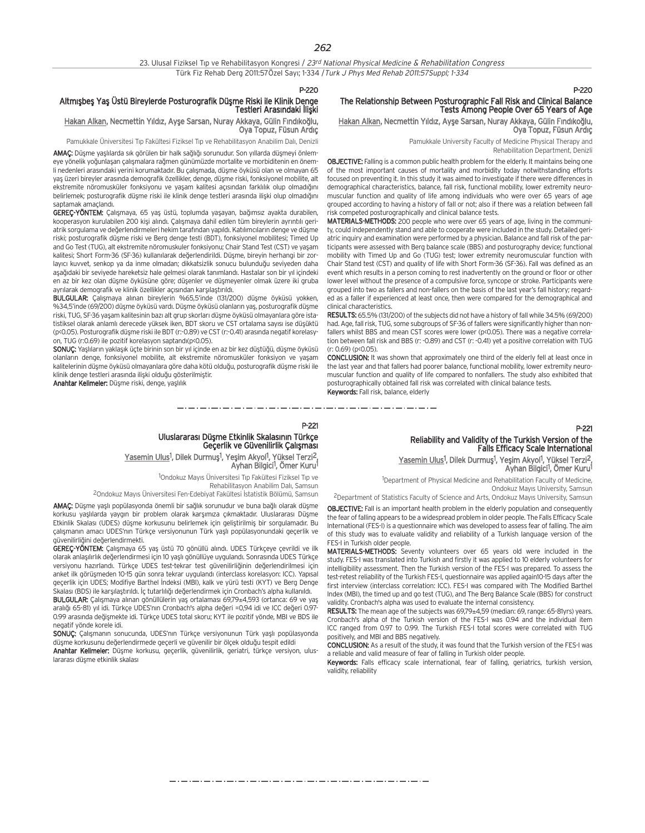#### Altmışbeş Yaş Üstü Bireylerde Posturografik Düşme Riski ile Klinik Denge Testleri Arasındaki llişki

#### Hakan Alkan, Necmettin Yıldız, Ayşe Sarsan, Nuray Akkaya, Gülin Fındıkoğlu, Oya Topuz, Füsun Ardıç

Pamukkale Üniversitesi Tıp Fakültesi Fiziksel Tıp ve Rehabilitasyon Anabilim Dalı, Denizli

AMAC: Düşme yaşlılarda sık görülen bir halk sağlığı sorunudur. Son yıllarda düşmeyi önlemeye yönelik yoğunlasan çalışmalara rağmen günümüzde mortalite ve morbiditenin en önemli nedenleri arasındaki yerini korumaktadır. Bu çalışmada, düşme öyküsü olan ve olmayan 65 yaş üzeri bireyler arasında demografik özellikler, denge, düşme riski, fonksiyonel mobilite, alt ekstremite nöromusküler fonksiyonu ve yasam kalitesi açısından farklılık olup olmadığını belirlemek; posturografik düşme riski ile klinik denge testleri arasında ilişki olup olmadığını santamak amaçlandı.

GEREÇ-YÖNTEM: Çalışmaya, 65 yaş üstü, toplumda yaşayan, bağımsız ayakta durabilen, kooperasyon kurulabilen 200 kişi alındı. Çalışmaya dahil edilen tüm bireylerin ayrıntılı geriatrik sorgulama ve değerlendirmeleri hekim tarafından yapıldı. Katılımcıların denge ve düşme riski; posturografik düşme riski ve Berg denge testi (BDT), fonksiyonel mobilitesi; Timed Up and Go Test (TUG), alt ekstremite nöromuskuler fonksiyonu; Chair Stand Test (CST) ve yaşam kalitesi; Short Form-36 (SF-36) kullanılarak değerlendirildi. Düşme, bireyin herhangi bir zorlayıcı kuvvet, senkop ya da inme olmadan; dikkatsizlik sonucu bulunduğu seviyeden daha aşağıdaki bir seviyede hareketsiz hale gelmesi olarak tanımlandı. Hastalar son bir yıl içindeki en az bir kez olan düşme öyküşüne göre; düşenler ve düşmeyenler olmak üzere iki gruba ayrılarak demografik ve klinik özellikler açısından karşılaştırıldı.

BULGULAR: Çalışmaya alınan bireylerin %65,5'inde (131/200) düşme öyküsü yokken, %34.5'inde (69/200) düşme öyküsü vardı. Düşme öyküsü olanların yaş, posturografik düşme riski, TUG, SF-36 yaşam kalitesinin bazı alt grup skorları düşme öyküsü olmayanlara göre istatistiksel olarak anlamlı derecede yüksek iken, BDT skoru ve CST ortalama sayısı ise düsüktü (p<0.05). Posturografik düşme riski ile BDT (r:-0.89) ve CST (r:-0.41) arasında negatif korelasyon, TUG (r:0.69) ile pozitif korelasyon saptandı(p<0.05).

SONUÇ: Yaşlıların yaklaşık üçte birinin son bir yıl içinde en az bir kez düştüğü, düşme öyküsü olanların denge, fonksiyonel mobilite, alt ekstremite nöromusküler fonksiyon ve yaşam kalitelerinin düşme öyküsü olmayanlara göre daha kötü olduğu, posturografik düşme riski ile klinik denge testleri arasında ilişki olduğu gösterilmiştir.

Anahtar Kelimeler: Düşme riski, denge, yaşlılık

#### The Relationship Between Posturographic Fall Risk and Clinical Balance Tests Among People Over 65 Years of Age Hakan Alkan, Necmettin Yıldız, Ayşe Sarsan, Nuray Akkaya, Gülin Fındıkoğlu,

Ova Topuz, Füsun Ardıc

Pamukkale University Faculty of Medicine Physical Therapy and Rehabilitation Department, Denizli

P-220

P-221

OBJECTIVE: Falling is a common public health problem for the elderly. It maintains being one of the most important causes of mortality and morbidity today notwithstanding efforts focused on preventing it. In this study it was aimed to investigate if there were differences in demographical characteristics, balance, fall risk, functional mobility, lower extremity neuromuscular function and quality of life among individuals who were over 65 years of age grouped according to having a history of fall or not; also if there was a relation between fall risk competed posturographically and clinical balance tests.

MATERIALS-METHODS: 200 people who were over 65 years of age, living in the community, could independently stand and able to cooperate were included in the study. Detailed geriatric inquiry and examination were performed by a physician. Balance and fall risk of the participants were assessed with Berg balance scale (BBS) and posturography device; functional mobility with Timed Up and Go (TUG) test; lower extremity neuromuscular function with Chair Stand test (CST) and quality of life with Short Form-36 (SF-36). Fall was defined as an event which results in a person coming to rest inadvertently on the ground or floor or other lower level without the presence of a compulsive force, syncope or stroke. Participants were grouped into two as fallers and non-fallers on the basis of the last year's fall history; regarded as a faller if experienced at least once, then were compared for the demographical and clinical characteristics.

RESULTS: 65.5% (131/200) of the subjects did not have a history of fall while 34.5% (69/200) had. Age, fall risk, TUG, some subgroups of SF-36 of fallers were significantly higher than nonfallers whilst BBS and mean CST scores were lower (p<0.05). There was a negative correlation between fall risk and BBS (r: -0.89) and CST (r: -0.41) yet a positive correlation with TUG (r: 0.69) (p<0.05).

CONCLUSION: It was shown that approximately one third of the elderly fell at least once in the last year and that fallers had poorer balance, functional mobility, lower extremity neuromuscular function and quality of life compared to nonfallers. The study also exhibited that posturographically obtained fall risk was correlated with clinical balance tests. Keywords: Fall risk, balance, elderly

\_ . \_ . \_ . \_ . \_ . \_ . \_ . \_ .

P-221 Uluslararası Düşme Etkinlik Skalasının Türkçe<br>Geçerlik ve Güvenilirlik Çalışması

Yasemin Ulus<sup>1</sup>, Dilek Durmuş<sup>1</sup>, Yeşim Akyol<sup>1</sup>, Yüksel Terzi<sup>2</sup>, Ayhan Bilgici<sup>1</sup>, Ömer Kuru<sup>1</sup>

<sup>1</sup>Ondokuz Mayıs Üniversitesi Tıp Fakültesi Fiziksel Tıp ve Rehabilitasyon Anabilim Dalı, Samsun

<sup>2</sup>Ondokuz Mayıs Üniversitesi Fen-Edebiyat Fakültesi İstatistik Bölümü, Samsun

AMAÇ: Düşme yaşlı popülasyonda önemli bir sağlık sorunudur ve buna bağlı olarak düşme korkusu yaşlılarda yaygın bir problem olarak karşımıza çıkmaktadır. Uluslararası Düşme Etkinlik Skalası (UDES) düşme korkusunu belirlemek için geliştirilmiş bir sorgulamadır. Bu çalışmanın amacı UDES'nın Türkçe versiyonunun Türk yaşlı popülasyonundaki geçerlik ve güvenilirliğini değerlendirmekti.

GEREÇ-YÖNTEM: Çalışmaya 65 yaş üstü 70 gönüllü alındı. UDES Türkçeye çevrildi ve ilk olarak anlaşılırlık değerlendirmesi için 10 yaşlı gönüllüye uygulandı. Sonrasında UDES Türkçe versiyonu hazırlandı. Türkçe UDES test-tekrar test güvenilirliğinin değerlendirilmesi için anket ilk görüşmeden 10-15 gün sonra tekrar uygulandı (interclass korelasyon: ICC). Yapısal geçerlik için UDES; Modifiye Barthel İndeksi (MBI), kalk ve yürü testi (KYT) ve Berg Denge Skalası (BDS) ile karşılaştırıldı. İç tutarlılığı değerlendirmek için Cronbach's alpha kullanıldı.

BULGULAR: Çalışmaya alınan gönüllülerin yaş ortalaması 69,79±4,593 (ortanca: 69 ve yaş aralığı 65-81) yıl idi. Türkçe UDES'nın Cronbach's alpha değeri =0,94 idi ve ICC değeri 0.97-0.99 arasında değişmekte idi. Türkçe UDES total skoru; KYT ile pozitif yönde, MBI ve BDS ile negatif yönde korele idi.

SONUC: Calismanın sonucunda, UDES'nın Türkçe versiyonunun Türk yaşlı popülasyonda düşme korkusunu değerlendirmede geçerli ve güvenilir bir ölçek olduğu tespit edildi

Anahtar Kelimeler: Düşme korkusu, geçerlik, güvenilirlik, geriatri, türkçe versiyon, uluslararası düşme etkinlik skalası

Reliability and Validity of the Turkish Version of the Falls Efficacy Scale International Yasemin Ulus<sup>1</sup>, Dilek Durmuş<sup>1</sup>, Yeşim Akyol<sup>1</sup>, Yüksel Terzi<sup>2</sup>, Ayhan Bilgici<sup>1</sup>, Ömer Kuru<sup>1</sup>

1 Department of Physical Medicine and Rehabilitation Faculty of Medicine, Ondokuz Mayıs University, Samsun

<sup>2</sup>Department of Statistics Faculty of Science and Arts, Ondokuz Mayıs University, Samsun

OBJECTIVE: Fall is an important health problem in the elderly population and consequently the fear of falling appears to be a widespread problem in older people. The Falls Efficacy Scale International (FES-I) is a questionnaire which was developed to assess fear of falling. The aim of this study was to evaluate validity and reliability of a Turkish language version of the FES-I in Turkish older people.

MATERIALS-METHODS: Seventy volunteers over 65 years old were included in the study. FES-I was translated into Turkish and firstly it was applied to 10 elderly volunteers for intelligibility assessment. Then the Turkish version of the FES-I was prepared. To assess the test-retest reliability of the Turkish FES-I, questionnaire was applied again10-15 days after the first interview (interclass correlation: ICC). FES-I was compared with The Modified Barthel Index (MBI), the timed up and go test (TUG), and The Berg Balance Scale (BBS) for construct validity. Cronbach's alpha was used to evaluate the internal consistency.

RESULTS: The mean age of the subjects was 69,79±4,59 (median: 69, range: 65-81yrs) years. Cronbach's alpha of the Turkish version of the FES-I was 0.94 and the individual item ICC ranged from 0.97 to 0.99. The Turkish FES-I total scores were correlated with TUG positively, and MBI and BBS negatively.

CONCLUSION: As a result of the study, it was found that the Turkish version of the FES-I was a reliable and valid measure of fear of falling in Turkish older people.

Keywords: Falls efficacy scale international, fear of falling, geriatrics, turkish version, validity, reliability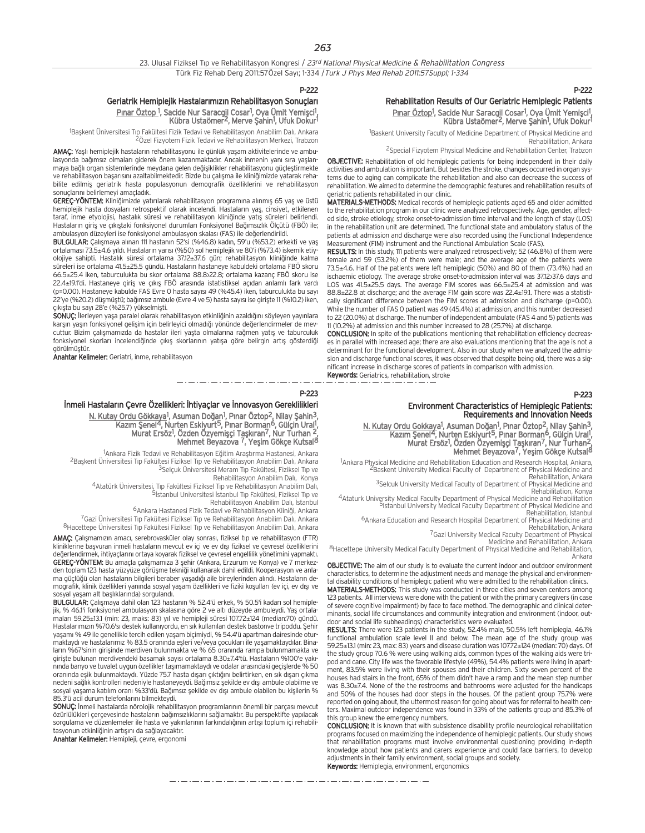P-222

## Geriatrik Hemiplejik Hastalarımızın Rehabilitasyon Sonucları Pınar Öztop <sup>1</sup>, Sacide Nur Saracgil Cosar<sup>1</sup>, Oya Ümit Yemişci<sup>1</sup>,<br>Kübra Ustaömer<sup>2</sup>, Merve Şahin<sup>1</sup>, Ufuk Dokur<sup>1</sup>

<sup>1</sup>Başkent Üniversitesi Tıp Fakültesi Fizik Tedavi ve Rehabilitasyon Anabilim Dalı, Ankara 2Özel Fizyotem Fizik Tedavi ve Rehabilitasyon Merkezi, Trabzon

AMAÇ: Yaşlı hemiplejik hastaların rehabilitasyonu ile günlük yaşam aktivitelerinde ve ambulasyonda bağımsız olmaları giderek önem kazanmaktadır. Ancak inmenin yanı sıra yaşlanmaya bağlı organ sistemlerinde meydana gelen değişiklikler rehabilitasyonu güçleştirmekte ve rehabilitasyon başarısını azaltabilmektedir. Bizde bu çalışma ile kliniğimizde yatarak rehabilite edilmiş geriatrik hasta populasyonun demografik özelliklerini ve rehabilitasyon sonuçlarını belirlemeyi amaçladık.

GEREC-YÖNTEM: Kliniğimizde yatırılarak rehabilitasyon programına alınmış 65 yaş ve üstü hemiplejik hasta dosyaları retrospektif olarak incelendi. Hastaların yaş, cinsiyet, etkilenen taraf, inme etyolojisi, hastalık süresi ve rehabilitasyon kliniğinde yatıs süreleri belirlendi. Hastaların giriş ve çıkıştaki fonksiyonel durumları Fonksiyonel Bağımsızlık Ölçütü (FBÖ) ile; ambulasyon düzeyleri ise fonksiyonel ambulasyon skalası (FAS) ile değerlendirildi.

BULGULAR: Calismaya alinan 111 hastanın 52'si (%46.8) kadın, 59'u (%53.2) erkekti ve yas ortalaması 73.5±4.6 yıldı. Hastaların yarısı (%50) sol hemiplejik ve 80'i (%73.4) iskemik etiyolojiye sahipti. Hastalık süresi ortalama 37.12±37.6 gün; rehabilitasyon kliniğinde kalma süreleri ise ortalama 41.5±25.5 gündü. Hastaların hastaneye kabuldeki ortalama FBÖ skoru 66.5±25.4 iken, taburculukta bu skor ortalama 88.8±22.8; ortalama kazanç FBÖ skoru ise 22.4±19.1'di. Hastaneye giriş ve çıkış FBÖ arasında istatistiksel açıdan anlamlı fark vardı (p=0.00). Hastaneye kabulde FAS Evre 0 hasta sayısı 49 (%45.4) iken, taburculukta bu sayı 22'ye (%20.2) düşmüştü; bağımsız ambule (Evre 4 ve 5) hasta sayısı ise girişte 11 (%10.2) iken, çıkışta bu sayı 28'e (%25.7) yükselmişti.

SONUÇ: İlerleyen yaşa paralel olarak rehabilitasyon etkinliğinin azaldığını söyleyen yayınlara karşın yaşın fonksiyonel gelişim için belirleyici olmadığı yönünde değerlendirmeler de mevcuttur. Bizim çalışmamızda da hastalar ileri yaşta olmalarına rağmen yatış ve taburculuk fonksiyonel skorları incelendiğinde çıkış skorlarının yatışa göre belirgin artış gösterdiği görülmüştür.

Anahtar Kelimeler: Geriatri, inme, rehabilitasyon

P-223

#### İnmeli Hastaların Çevre Özellikleri: İhtiyaçlar ve İnnovasyon Gereklilikleri

<u>N. Kutay Ordu Gökkaya</u><sup>1</sup>, Asuman Doğan<sup>1</sup>, Pınar Öztop<sup>2</sup>, Nilay Şahin<sup>3</sup>, Kazım Şenel<sup>4</sup>, Nurten Eskiyurt<sup>5</sup>, Pınar Borman<sup>6</sup>, Gülçin Ural<sup>1</sup>,<br>1974: Murat Ersöz<sup>1</sup>, Özden Özyemişçi Taşkıran<sup>7</sup>, Nur Turhan Mehmet Beyazova 7, Yeşim Gökçe Kutsal<sup>8</sup>

1Ankara Fizik Tedavi ve Rehabilitasyon Eğitim Araştırma Hastanesi, Ankara Ankara Fizik Tedavi ve Rehabilitasyon E¤itim Araflt›rma Hastanesi, Ankara 2Baflkent Üniversitesi T›p Fakültesi Fiziksel T›p ve Rehabilitasyon Anabilim Dal›, Ankara <sup>3</sup>Selçuk Üniversitesi Meram Tıp Fakültesi, Fiziksel Tıp ve

Rehabilitasyon Anabilim Dalı, Konya

4Atatürk Üniversitesi, Tıp Fakültesi Fiziksel Tıp ve Rehabilitasyon Anabilim Dalı, 5<br>5 Sistanbul Universitesi İstanbul Tıp Fakültesi, Fiziksel Tıp ve

Rehabilitasyon Anabilim Dalı, İstanbul

<sup>6</sup>Ankara Hastanesi Fizik Tedavi ve Rehabilitasyon Kliniği, Ankara

7Gazi Üniversitesi Tıp Fakültesi Fiziksel Tıp ve Rehabilitasyon Anabilim Dalı, Ankara 8Hacettepe Üniversitesi Tip Fakültesi Fiziksel Tip ve Rehabilitasyon Anabilim Dalı, Ankara

AMAÇ: Çalışmamızın amacı, serebrovasküler olay sonrası, fiziksel tıp ve rehabilitasyon (FTR) kliniklerine başvuran inmeli hastaların mevcut ev içi ve ev dışı fiziksel ve çevresel özelliklerini değerlendirmek, ihtiyaçlarını ortaya koyarak fiziksel ve çevresel engellilik yönetimini yapmaktı. GEREÇ-YÖNTEM: Bu amaçla çalışmamıza 3 şehir (Ankara, Erzurum ve Konya) ve 7 merkezden toplam 123 hasta yüzyüze görüşme tekniği kullanarak dahil edildi. Kooperasyon ve anlama güçlüğü olan hastaların bilgileri beraber yaşadığı aile bireylerinden alındı. Hastaların demografik, klinik özellikleri yanında sosyal yaşam özellikleri ve fiziki koşulları (ev içi, ev dışı ve mografik, klinik özellikleri yanında sosyal yaşam özellikleri ve fiziki koşulları (ev içi, ev dışı ve sosyal yaşam alt başlıklarında) sorgulandı.

BULGULAR: Çalışmaya dahil olan 123 hastanın % 52.4'ü erkek, % 50.5'i kadarı sol hemiple % 46.1'i fonksiyonel ambulasyon skalasına göre 2 ve altı düzeyde ambuleydi. Yaş ortalamalar› 59.25±13.1 (min: 23, maks: 83) y›l ve hemipleji süresi 107.72±124 (median:70) gündü. Hastalarımızın %70.6'sı destek kullanıyordu, en sık kullanılan destek bastonve tripoddu. Şehir yaşamı % 49 ile genellikle tercih edilen yaşam biçimiydi, % 54.4'ü apartman dairesinde oturmaktaydı ve hastalarımız % 83.5 oranında eşleri ve/veya çocukları ile yaşamaktaydılar. Binaların %67'sinin girişinde merdiyen bulunmakta ve % 65 oranında rampa bulunmamakta ve giriste bulunan merdivendeki basamak sayısı ortalama 8.30±7.4'tü. Hastaların %100'e yakınında banyo ve tuvalet uygun özellikler taşımamaktaydı ve odalar arasındaki geçişlerde % 50 oranında eşik bulunmaktaydı. Yüzde 75.7 hasta dışarı çıktığını belirtirken, en sık dışarı çıkma nedeni sağlık kontrolleri nedeniyle hastaneyeydi. Bağımsız şekilde ev dışı ambule olabilme ve sosyal yaşama katılım oranı %33'dü. Bağımsız şekilde ev dışı ambule olabilen bu kişilerin % 85.3'ü acil durum telefonlarını bilmekteydi.

SONUC: İnmeli hastalarda nörolojik rehabilitasyon programlarının önemli bir parçası mevcut özürlülükleri çerçevesinde hastaların bağımsızlıklarını sağlamaktır. Bu perspektifte yapılacak sorgulama ve düzenlemeler ile hasta ve yakınlarının farkındalığının artısı toplum içi rehabilitasyonun etkinliğinin artısını da sağlayacaktır.

Anahtar Kelimeler: Hemipleji, çevre, ergonomi

## P-222

Rehabilitation Results of Our Geriatric Hemiplegic Patients Pınar Öztop<sup>1</sup>, Sacide Nur Saracgil Cosar<sup>1</sup>, Oya Ümit Yemişci<sup>1</sup>, Kübra Ustaömer<sup>2</sup>, Merve Şahin<sup>1</sup>, Ufuk Dokur<sup>1</sup>

<sup>1</sup>Baskent University Faculty of Medicine Department of Physical Medicine and Rehabilitation, Ankara

2Special Fizyotem Physical Medicine and Rehabilitation Center, Trabzon

OBJECTIVE: Rehabilitation of old hemiplegic patients for being independent in their daily activities and ambulation is important. But besides the stroke, changes occurred in organ systems due to aging can complicate the rehabilitation and also can decrease the success of rehabilitation. We aimed to determine the demographic features and rehabilitation results of geriatric patients rehabilitated in our clinic.

MATERIALS-METHODS: Medical records of hemiplegic patients aged 65 and older admitted to the rehabilitation program in our clinic were analyzed retrospectively. Age, gender, affected side, stroke etiology, stroke onset-to-admission time interval and the length of stay (LOS) in the rehabilitation unit are determined. The functional state and ambulatory status of the patients at admission and discharge were also recorded using the Functional Independence Measurement (FIM) instrument and the Functional Ambulation Scale (FAS).

RESULTS: In this study, 111 patients were analyzed retrospectively; 52 (46.8%) of them were female and 59 (53.2%) of them were male; and the average age of the patients were 73.5±4.6. Half of the patients were left hemiplegic (50%) and 80 of them (73.4%) had an ischaemic etiology. The average stroke onset-to-admission interval was 37.12>37.6 days and LOS was 41.5±25.5 days. The average FIM scores was 66.5±25.4 at admission and was 88.8±22.8 at discharge; and the average FIM gain score was 22.4±19.1. There was a statistically significant difference between the FIM scores at admission and discharge (p=0.00). While the number of FAS 0 patient was 49 (45.4%) at admission, and this number decreased to 22 (20.0%) at discharge. The number of independent ambulate (FAS 4 and 5) patients was 11 (10.2%) at admission and this number increased to 28 (25.7%) at discharge.

CONCLUSION: In spite of the publications mentioning that rehabilitation efficiency decreases in parallel with increased age; there are also evaluations mentioning that the age is not a determinant for the functional development. Also in our study when we analyzed the admission and discharge functional scores, it was observed that despite being old, there was a significant increase in discharge scores of patients in comparison with admission. Keywords: Geriatrics, rehabilitation, stroke

P-223

## Environment Characteristics of Hemiplegic Patients: Requirements and Innovation Needs

N. Kutay Ordu Gokkaya<sup>1</sup>, Asuman Doğan<sup>1</sup>, Pınar Öztop<sup>2</sup>, Nilay Şahin<sup>3</sup>, Kazım Şenel<sup>4</sup>, Nurten Eskiyurt<sup>5</sup>, Pınar Borman<sup>6</sup>, Gülçin Ural<sup>1</sup>,<br>1974-Murat Ersöz<sup>1</sup>, Özden Özyemişçi Taşkıran<sup>7</sup>, Nur Turhan Mehmet Beyazova<sup>7</sup>, Yeşim Gökçe Kutsal<sup>8</sup>

<sup>1</sup>Ankara Physical Medicine and Rehabilitation Education and Research Hospital, Ankara,<br><sup>2</sup>Baskent University Medical Faculty of Department of Physical Medicine and

Rehabilitation, Ankara 3Selcuk University Medical Faculty of Department of Physical Medicine and<br>3Selcuk University Medical Faculty of Department of Physical Medicine and<br>Rehabilitation, Konya

Rehabilitation, Konya 4Ataturk University Medical Faculty Department of Physical Medicine and Rehabilitation 5Istanbul University Medical Faculty Department of Physical Medicine and

Rehabilitation, Istanbul 6Ankara Education and Research Hospital Department of Physical Medicine and<br>Rehabilitation, Ankara Education and Research Hospital Department of Physical Medicine and

Rehabilitation, Ankara 7Gazi University Medical Faculty Department of Physical

8Hacettepe University Medical Faculty Department of Physical Medicine and Rehabilitation, Ankara

OBJECTIVE: The aim of our study is to evaluate the current indoor and outdoor environment characteristics, to determine the adjustment needs and manage the physical and environmental disability conditions of hemiplegic patient who were admitted to the rehabilitation clinics.

MATERIALS-METHODS: This study was conducted in three cities and seven centers among 123 patients. All interviews were done with the patient or with the primary caregivers (in case of severe cognitive impairment) by face to face method. The demographic and clinical determinants, social life circumstances and community integration and environment (indoor, outdoor and social life subheadings) characteristics were evaluated.

RESULTS: There were 123 patients in the study, 52.4% male, 50.5% left hemiplegia, 46.1% functional ambulation scale level II and below. The mean age of the study group was 59.25±13.1 (min: 23, max: 83) years and disease duration was 107.72±124 (median: 70) days. Of the study group 70.6 % were using walking aids, common types of the walking aids were tripod and cane. City life was the favorable lifestyle (49%), 54.4% patients were living in apartment, 83.5% were living with their spouses and their children. Sixty seven percent of the houses had stairs in the front, 65% of them didn't have a ramp and the mean step number was 8.30±7.4. None of the the restrooms and bathrooms were adjusted for the handicaps and 50% of the houses had door steps in the houses. Of the patient group 75.7% were reported on going about, the uttermost reason for going about was for referral to health centers. Maximal outdoor independence was found in 33% of the patients group and 85.3% of this group knew the emergency numbers.

CONCLUSION: It is known that with subsistence disability profile neurological rehabilitation programs focused on maximizing the independence of hemiplegic patients. Our study shows that rehabilitation programs must involve environmental questioning providing in-depth knowledge about how patients and carers experience and could face barriers, to develop adjustments in their family environment, social groups and society. Keywords: Hemiplegia, environment, ergonomics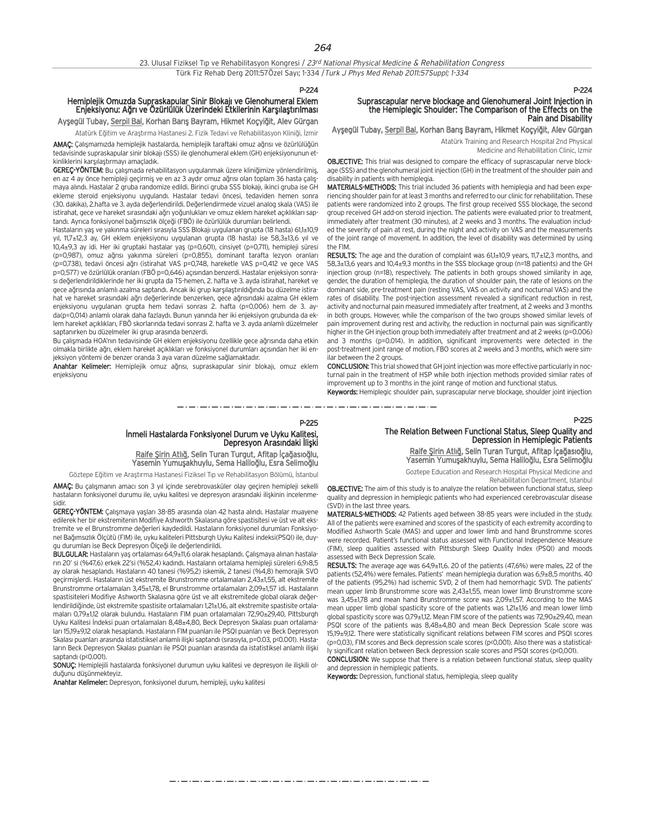|  |  |  |  | 23. Ulusal Fiziksel Tip ve Rehabilitasyon Kongresi / 23rd National Physical Medicine & Rehabilitation Congress |  |
|--|--|--|--|----------------------------------------------------------------------------------------------------------------|--|
|  |  |  |  | Türk Fiz Rehab Derg 2011:57Özel Sayı; 1-334 / Turk J Phys Med Rehab 2011:57Suppl; 1-334                        |  |

## Hemiplejik Omuzda Supraskapular Sinir Blokajı ve Glenohumeral Eklem Enjeksiyonu: Ağrı ve Özürlülük Üzerindeki Etkilerinin Karşılaştırılması

Ayşegül Tubay, Serpil Bal, Korhan Barış Bayram, Hikmet Koçyiğit, Alev Gürgan

Atatürk Eğitim ve Araştırma Hastanesi 2. Fizik Tedavi ve Rehabilitasyon Kliniği, İzmir AMAC: Calışmamızda hemiplejik hastalarda, hemiplejik taraftaki omuz ağrısı ve özürlülüğün tedavisinde supraskapular sinir blokajı (SSS) ile glenohumeral eklem (GH) enjeksiyonunun etkinliklerini karşılaştırmayı amaçladık.

GEREC-YÖNTEM: Bu çalışmada rehabilitasyon uygulanmak üzere kliniğimize yönlendirilmiş, en az 4 ay önce hemipleji geçirmiş ve en az 3 aydır omuz ağrısı olan toplam 36 hasta çalışmaya alındı. Hastalar 2 gruba randomize edildi. Birinci gruba SSS blokajı, ikinci gruba ise GH ekleme steroid enjeksiyonu uygulandı. Hastalar tedavi öncesi, tedaviden hemen sonra (30. dakika), 2.hafta ve 3. ayda değerlendirildi. Değerlendirmede vizuel analog skala (VAS) ile istirahat, gece ve hareket sırasındaki ağrı yoğunlukları ve omuz eklem hareket açıklıkları saptandı. Ayrıca fonksiyonel bağımsızlık ölçeği (FBÖ) ile özürlülük durumları belirlendi.

Hastaların yaş ve yakınma süreleri sırasıyla SSS Blokajı uygulanan grupta (18 hasta) 61,1±10,9 yıl, 11,7±12,3 ay, GH eklem enjeksiyonu uygulanan grupta (18 hasta) ise 58,3±13,6 yıl ve 10,4±9,3 ay idi. Her iki gruptaki hastalar yaş (p=0,601), cinsiyet (p=0,711), hemipleji süresi (p=0,987), omuz ağrısı yakınma süreleri (p=0,855), dominant tarafta lezyon oranları (p=0,738), tedavi öncesi a¤r› (istirahat VAS p=0,748, hareketle VAS p=0,412 ve gece VAS p=0,577) ve özürlülük oranları (FBÖ p=0,646) açısından benzerdi. Hastalar enjeksiyon sonrasi değerlendirildiklerinde her iki grupta da TS-hemen, 2. hafta ve 3. ayda istirahat, hareket ve gece ağrısında anlamlı azalma saptandı. Ancak iki grup karşılaştırıldığında bu düzelme istirahat ve hareket sırasındaki ağrı değerlerinde benzerken, gece ağrısındaki azalma GH eklem enjeksiyonu uygulanan grupta hem tedavi sonrası 2. hafta (p=0,006) hem de 3. ayda(p=0,014) anlamlı olarak daha fazlaydı. Bunun yanında her iki enjeksiyon grubunda da eklem hareket açıklıkları, FBÖ skorlarında tedavi sonrası 2. hafta ve 3. ayda anlamlı düzelmeler saptanırken bu düzelmeler iki grup arasında benzerdi.

Bu çalışmada HOA'nın tedavisinde GH eklem enjeksiyonu özellikle gece ağrısında daha etkin olmakla birlikte ağrı, eklem hareket açıklıkları ve fonksiyonel durumları açısından her iki enjeksiyon yöntemi de benzer oranda 3 aya varan düzelme sağlamaktadır.

Anahtar Kelimeler: Hemiplejik omuz ağrısı, supraskapular sinir blokajı, omuz eklem enjeksiyonu

P-224

P-225

# Suprascapular nerve blockage and Glenohumeral Joint Injection in the Hemiplegic Shoulder: The Comparison of the Effects on the Pain and Disability

#### Ayşegül Tubay, Serpil Bal, Korhan Barış Bayram, Hikmet Koçyiğit, Alev Gürgan

Atatürk Training and Research Hospital 2nd Physical Medicine and Rehabilitation Clinic, Izmir

OBJECTIVE: This trial was designed to compare the efficacy of suprascapular nerve blockage (SSS) and the glenohumeral joint injection (GH) in the treatment of the shoulder pain and disability in patients with hemiplegia.

MATERIALS-METHODS: This trial included 36 patients with hemiplegia and had been experiencing shoulder pain for at least 3 months and referred to our clinic for rehabilitation. These patients were randomized into 2 groups. The first group received SSS blockage, the second group received GH add-on steroid injection. The patients were evaluated prior to treatment, immediately after treatment (30 minutes), at 2 weeks and 3 months. The evaluation included the severity of pain at rest, during the night and activity on VAS and the measurements of the joint range of movement. In addition, the level of disability was determined by using the FIM.

RESULTS: The age and the duration of complaint was 61,1±10,9 years, 11,7±12,3 months, and 58,3±13,6 years and 10,4±9,3 months in the SSS blockage group (n=18 patients) and the GH injection group (n=18), respectively. The patients in both groups showed similarity in age, gender, the duration of hemiplegia, the duration of shoulder pain, the rate of lesions on the dominant side, pre-treatment pain (resting VAS, VAS on activity and nocturnal VAS) and the rates of disability. The post-injection assessment revealed a significant reduction in rest, activity and nocturnal pain measured immediately after treatment, at 2 weeks and 3 months in both groups. However, while the comparison of the two groups showed similar levels of pain improvement during rest and activity, the reduction in nocturnal pain was significantly higher in the GH injection group both immediately after treatment and at 2 weeks (p=0.006) and 3 months (p=0.014). In addition, significant improvements were detected in the post-treatment joint range of motion, FBO scores at 2 weeks and 3 months, which were similar between the 2 groups.

CONCLUSION: This trial showed that GH joint injection was more effective particularly in nocturnal pain in the treatment of HSP while both injection methods provided similar rates of improvement up to 3 months in the joint range of motion and functional status.

Keywords: Hemiplegic shoulder pain, suprascapular nerve blockage, shoulder joint injection

P-225

## İnmeli Hastalarda Fonksiyonel Durum ve Uyku Kalitesi,<br>Depresyon Arasındaki İlişki

Raife Şirin Atlığ, Selin Turan Turgut, Afitap İçağasıoğlu, Yasemin Yumuşakhuylu, Sema Haliloğlu, Esra Selimoğlu

Göztepe Eğitim ve Arastırma Hastanesi Fiziksel Tıp ve Rehabilitasyon Bölümü, İstanbul

AMAC: Bu çalışmanın amacı son 3 yıl içinde serebrovasküler olay geçiren hemipleji sekelli hastaların fonksiyonel durumu ile, uyku kalitesi ve depresyon arasındaki ilişkinin incelenmesidir.

GEREC-YÖNTEM: Calismaya yasları 38-85 arasında olan 42 hasta alındı. Hastalar muayene edilerek her bir ekstremitenin Modifiye Ashworth Skalasına göre spastisitesi ve üst ve alt ekstremite ve el Brunstromme değerleri kaydedildi. Hastaların fonksiyonel durumları Fonksiyonel Bağımsızlık Ölçütü (FIM) ile, uyku kaliteleri Pittsburgh Uyku Kalitesi indeksi(PSQI) ile, duygu durumları ise Beck Depresyon Ölçeği ile değerlendirildi.

BULGULAR: Hastaların yaş ortalaması 64,9±11,6 olarak hesaplandı. Çalışmaya alınan hastaların 20' si (%47,6) erkek 22'si (%52,4) kadındı. Hastaların ortalama hemipleji süreleri 6,9>8,5 ay olarak hesaplandı. Hastaların 40 tanesi (%95,2) iskemik, 2 tanesi (%4,8) hemorajik SVO geçirmişlerdi. Hastaların üst ekstremite Brunstromme ortalamaları 2,43±1,55, alt ekstremite Brunstromme ortalamaları 3,45±1,78, el Brunstromme ortalamaları 2,09±1,57 idi. Hastaların spastisiteleri Modifiye Ashworth Skalasına göre üst ve alt ekstremitede global olarak değerlendirildiğinde, üst ekstremite spastisite ortalamaları 1,21±1,16, alt ekstremite spastisite ortalamaları 0,79±1,12 olarak bulundu. Hastaların FIM puan ortalamaları 72,90±29,40, Pittsburgh Uyku Kalitesi Indeksi puan ortalamaları 8,48±4,80, Beck Depresyon Skalası puan ortalamaları 15,19±9,12 olarak hesaplandı. Hastaların FIM puanları ile PSQI puanları ve Beck Depresyon Skalası puanları arasında istatistiksel anlamlı ilişki saptandı (sırasıyla, p=0.03, p<0.001). Hastaların Beck Depresyon Skalası puanları ile PSQI puanları arasında da istatistiksel anlamlı ilişki saptandı (p<0.001).

SONUÇ: Hemiplejili hastalarda fonksiyonel durumun uyku kalitesi ve depresyon ile ilişkili olduğunu düşünmekteyiz.

Anahtar Kelimeler: Depresyon, fonksiyonel durum, hemipleji, uyku kalitesi

## The Relation Between Functional Status, Sleep Quality and Depression in Hemiplegic Patients

Raife Şirin Atlığ, Selin Turan Turgut, Afitap İçağasıoğlu, Yasemin Yumuşakhuylu, Sema Haliloğlu, Esra Selimoğlu

Goztepe Education and Research Hospital Physical Medicine and

Rehabilitation Department, Istanbul

OBJECTIVE: The aim of this study is to analyze the relation between functional status, sleep quality and depression in hemiplegic patients who had experienced cerebrovascular disease (SVD) in the last three years.

MATERIALS-METHODS: 42 Patients aged between 38-85 years were included in the study. All of the patients were examined and scores of the spasticity of each extremity according to Modified Ashworth Scale (MAS) and upper and lower limb and hand Brunstromme scores were recorded. Patient's functional status assessed with Functional Independence Measure (FIM), sleep qualities assessed with Pittsburgh Sleep Quality Index (PSQI) and moods assessed with Beck Depression Scale.

RESULTS: The average age was 64,9±11,6. 20 of the patients (47,6%) were males, 22 of the patients (52,4%) were females. Patients' mean hemiplegia duration was 6,9±8,5 months. 40 of the patients (95,2%) had ischemic SVD, 2 of them had hemorrhagic SVD. The patients' mean upper limb Brunstromme score was 2,43±1,55, mean lower limb Brunstromme score was 3,45±1,78 and mean hand Brunstromme score was 2,09±1,57. According to the MAS mean upper limb global spasticity score of the patients was 1,21±1,16 and mean lower limb global spasticity score was 0,79±1,12. Mean FIM score of the patients was 72,90±29,40, mean PSQI score of the patients was 8,48±4,80 and mean Beck Depression Scale score was 15,19±9,12. There were statistically significant relations between FIM scores and PSQI scores (p=0,03), FIM scores and Beck depression scale scores (p<0,001). Also there was a statistically significant relation between Beck depression scale scores and PSQI scores (p<0,001).

CONCLUSION: We suppose that there is a relation between functional status, sleep quality and depression in hemiplegic patients.

Keywords: Depression, functional status, hemiplegia, sleep quality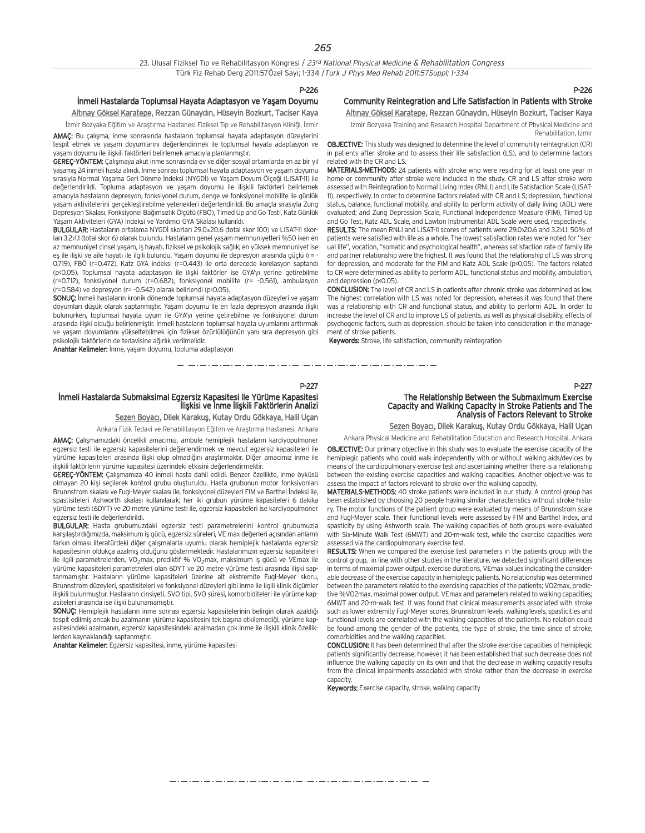#### P-226

### İnmeli Hastalarda Toplumsal Hayata Adaptasyon ve Yaşam Doyumu Altınay Göksel Karatepe, Rezzan Günaydın, Hüseyin Bozkurt, Taciser Kaya

İzmir Bozyaka Eğitim ve Araştırma Hastanesi Fiziksel Tıp ve Rehabilitasyon Kliniği, İzmir

AMAC: Bu çalışma, inme sonrasında hastaların toplumsal hayata adaptasyon düzeylerini tespit etmek ve yaşam doyumlarını değerlendirmek ile toplumsal hayata adaptasyon ve yasam doyumu ile ilişkili faktörleri belirlemek amacıyla planlanmıştır.

GEREC-YÖNTEM: Calismaya akut inme sonrasında ev ve diğer sosyal ortamlarda en az bir yıl yasamıs 24 inmeli hasta alındı. İnme sonrası toplumsal hayata adaptasyon ve yaşam doyumu sırasıyla Normal Yasama Geri Dönme İndeksi (NYGDİ) ve Yasam Doyum Ölçeği (LISAT-11) ile değerlendirildi. Topluma adaptasyon ve yaşam doyumu ile ilişkili faktörleri belirlemek amacıyla hastaların depresyon, fonksiyonel durum, denge ve fonksiyonel mobilite ile günlük yasam aktivitelerini gerçekleştirebilme yetenekleri değerlendirildi. Bu amaçla sırasıyla Zung Depresyon Skalası, Fonksiyonel Bağımsızlık Ölçütü (FBÖ), Timed Up and Go Testi, Katz Günlük am Aktiviteleri (GYA) İndeksi ve Yardımcı GYA Skalası kullanıldı.

BULGULAR: Hastaların ortalama NYGDİ skorları 29.0±20.6 (total skor 100) ve LISAT-11 skorları 3.2>1.1 (total skor 6) olarak bulundu. Hastaların genel yaşam memnuniyetleri %50 iken en az memnuniyet cinsel yaşam, iş hayatı, fiziksel ve psikolojik sağlık; en yüksek memnuniyet ise es ile ilişki ve aile hayatı ile ilgili bulundu. Yaşam doyumu ile depresyon arasında güçlü (r= -0.719), FBÖ (r=0.472), Katz GYA indeksi (r=0.443) ile orta derecede korelasyon saptandı (p<0.05). Toplumsal hayata adaptasyon ile ilişki faktörler ise GYA'yı yerine getirebilme (r=0.712), fonksiyonel durum (r=0.682), fonksiyonel mobilite (r= -0.561), ambulasyon (r=0.584) ve depresyon (r= -0.542) olarak belirlendi (p<0.05).

SONUC: İnmeli hastaların kronik dönemde toplumsal hayata adaptasyon düzeyleri ve yaşam doyumları düşük olarak saptanmıştır. Yaşam doyumu ile en fazla depresyon arasında ilişki bulunurken, toplumsal hayata uyum ile GYA'y› yerine getirebilme ve fonksiyonel durum arasında ilişki olduğu belirlenmiştir. İnmeli hastaların toplumsal hayata uyumlarını arttırmak ve yaşam doyumlarını yükseltebilmek için fiziksel özürlülüğünün yanı sıra depresyon gibi psikolojik faktörlerin de tedavisine ağırlık verilmelidir.

Anahtar Kelimeler: İnme, yaşam doyumu, topluma adaptasyon

## P-226

#### Community Reintegration and Life Satisfaction in Patients with Stroke Altınay Göksel Karatepe, Rezzan Günaydın, Hüseyin Bozkurt, Taciser Kaya

Izmir Bozyaka Training and Research Hospital Department of Physical Medicine and Rehabilitation, Izmir

OBJECTIVE: This study was designed to determine the level of community reintegration (CR) in patients after stroke and to assess their life satisfaction (LS), and to determine factors related with the CR and LS.

MATERIALS-METHODS: 24 patients with stroke who were residing for at least one year in home or community after stroke were included in the study. CR and LS after stroke were assessed with Reintegration to Normal Living Index (RNLI) and Life Satisfaction Scale (LISAT-11), respectively. In order to determine factors related with CR and LS; depression, functional status, balance, functional mobility, and ability to perform activity of daily living (ADL) were evaluated; and Zung Depression Scale, Functional Independence Measure (FIM), Timed Up and Go Test, Katz ADL Scale, and Lawton Instrumental ADL Scale were used, respectively.

RESULTS: The mean RNLI and LISAT-11 scores of patients were 29.0>20.6 and 3.2>1.1. 50% of patients were satisfied with life as a whole. The lowest satisfaction rates were noted for "sexual life", vocation, "somatic and psychological health", whereas satisfaction rate of family life and partner relationship were the highest. It was found that the relationship of LS was strong for depression, and moderate for the FIM and Katz ADL Scale (p<0.05). The factors related to CR were determined as ability to perform ADL, functional status and mobility, ambulation, and depression (p<0.05).

CONCLUSION: The level of CR and LS in patients after chronic stroke was determined as low. The highest correlation with LS was noted for depression, whereas it was found that there was a relationship with CR and functional status, and ability to perform ADL. In order to increase the level of CR and to improve LS of patients, as well as physical disability, effects of psychogenic factors, such as depression, should be taken into consideration in the management of stroke patients.

Keywords: Stroke, life satisfaction, community reintegration

#### P-227

#### İnmeli Hastalarda Submaksimal Egzersiz Kapasitesi ile Yürüme Kapasitesi İlişkisi ve İnme İlişkili Faktörlerin Analizi

Sezen Boyacı, Dilek Karakuş, Kutay Ordu Gökkaya, Halil Uçan

Ankara Fizik Tedavi ve Rehabilitasyon Eğitim ve Araştırma Hastanesi, Ankara AMAÇ: Çalışmamızdaki öncelikli amacımız, ambule hemiplejik hastaların kardiyopulmoner

egzersiz testi ile egzersiz kapasitelerini değerlendirmek ve mevcut egzersiz kapasiteleri ile yürüme kapasiteleri arasında ilişki olup olmadığını araştırmaktır. Diğer amacımız inme ile iliskili faktörlerin yürüme kapasitesi üzerindeki etkisini değerlendirmektir.

GEREC-YÖNTEM: Calismamiza 40 inmeli hasta dahil edildi. Benzer özellikte, inme öyküsü olmayan 20 kişi seçilerek kontrol grubu oluşturuldu. Hasta grubunun motor fonksiyonları Brunnstrom skalası ve Fugl-Meyer skalası ile, fonksiyonel düzeyleri FIM ve Barthel İndeksi ile, spastisiteleri Ashworth skalası kullanılarak; her iki grubun yürüme kapasiteleri 6 dakika yürüme testi (6DYT) ve 20 metre yürüme testi ile, egzersiz kapasiteleri ise kardiyopulmoner egzersiz testi ile değerlendirildi.

BULGULAR: Hasta grubumuzdaki egzersiz testi parametrelerini kontrol grubumuzla karşılaştırdığımızda, maksimum iş gücü, egzersiz süreleri, VE max değerleri açısından anlamlı farkın olması literatürdeki diğer çalışmalarla uyumlu olarak hemiplejik hastalarda egzersiz kapasitesinin oldukça azalmış olduğunu göstermektedir. Hastalarımızın egzersiz kapasiteleri ile ilgili parametrelerden, VO<sub>2</sub>max, prediktif % VO<sub>2</sub>max, maksimum iş gücü ve VEmax ile yürüme kapasiteleri parametreleri olan 6DYT ve 20 metre yürüme testi arasında ilişki saptanmamıştır. Hastaların yürüme kapasiteleri üzerine alt ekstremite Fugl-Meyer skoru, Brunnstrom düzeyleri, spastisiteleri ve fonksiyonel düzeyleri gibi inme ile ilgili klinik ölçümler ilişkili bulunmuştur. Hastaların cinsiyeti, SVO tipi, SVO süresi, komorbiditeleri ile yürüme kapasiteleri arasında ise ilişki bulunamamıştır.

SONUÇ: Hemiplejik hastaların inme sonrası egzersiz kapasitelerinin belirgin olarak azaldığı tespit edilmiş ancak bu azalmanın yürüme kapasitesini tek başına etkilemediği, yürüme kapasitesindeki azalmanın, egzersiz kapasitesindeki azalmadan çok inme ile ilişkili klinik özelliklerden kaynaklandığı saptanmıştır.

Anahtar Kelimeler: Egzersiz kapasitesi, inme, yürüme kapasitesi

#### P-227

# The Relationship Between the Submaximum Exercise Capacity and Walking Capacity in Stroke Patients and The Analysis of Factors Relevant to Stroke

Sezen Boyacı, Dilek Karakuş, Kutay Ordu Gökkaya, Halil Uçan

Ankara Physical Medicine and Rehabilitation Education and Research Hospital, Ankara

OBJECTIVE: Our primary objective in this study was to evaluate the exercise capacity of the hemiplegic patients who could walk independently with or without walking aids/devices by means of the cardiopulmonary exercise test and ascertaining whether there is a relationship between the existing exercise capacities and walking capacities. Another objective was to assess the impact of factors relevant to stroke over the walking capacity.

MATERIALS-METHODS: 40 stroke patients were included in our study. A control group has been established by choosing 20 people having similar characteristics without stroke history. The motor functions of the patient group were evaluated by means of Brunnstrom scale and Fugl-Meyer scale. Their functional levels were assessed by FIM and Barthel Index, and spasticity by using Ashworth scale. The walking capacities of both groups were evaluated with Six-Minute Walk Test (6MWT) and 20-m-walk test, while the exercise capacities were assessed via the cardiopulmonary exercise test.

RESULTS: When we compared the exercise test parameters in the patients group with the control group, in line with other studies in the literature, we detected significant differences in terms of maximal power output, exercise durations, VEmax values indicating the considerable decrease of the exercise capacity in hemiplegic patients. No relationship was determined between the parameters related to the exercising capacities of the patients; VO2max, predictive %VO2max, maximal power output, VEmax and parameters related to walking capacities; 6MWT and 20-m-walk test. It was found that clinical measurements associated with stroke such as lower extremity Fugl-Meyer scores, Brunnstrom levels, walking levels, spasticities and functional levels are correlated with the walking capacities of the patients. No relation could be found among the gender of the patients, the type of stroke, the time since of stroke, comorbidities and the walking capacities.

CONCLUSION: It has been determined that after the stroke exercise capacities of hemiplegic patients significantly decrease, however, it has been established that such decrease does not influence the walking capacity on its own and that the decrease in walking capacity results from the clinical impairments associated with stroke rather than the decrease in exercise capacity.

Keywords: Exercise capacity, stroke, walking capacity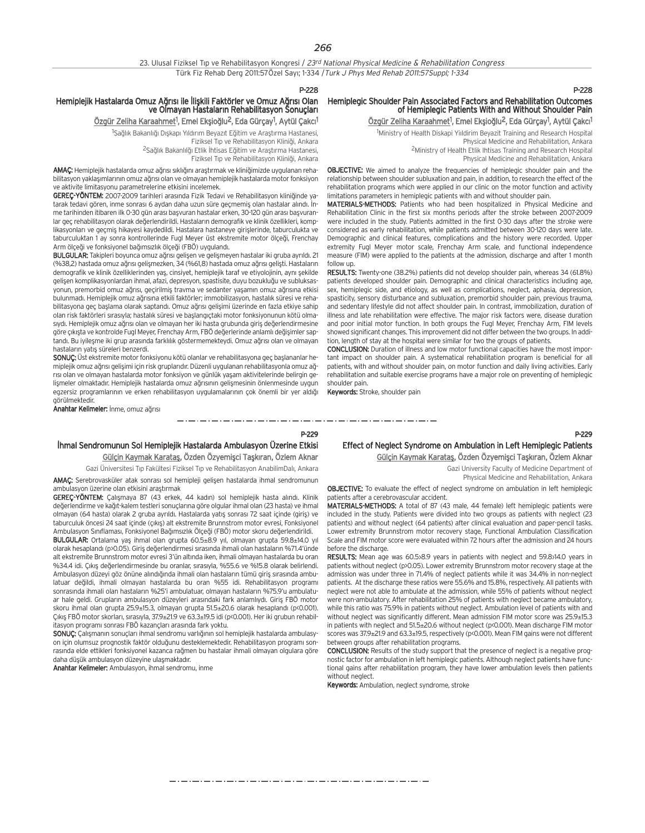#### P-228

## Hemiplejik Hastalarda Omuz Ağrısı ile llişkili Faktörler ve Omuz Ağrısı Olan ve Olmayan Hastaların Rehabilitasyon Sonuçları

<u>Özgür Zeliha Karaahmet</u><sup>1</sup>, Emel Ekşioğlu<sup>2</sup>, Eda Gürçay<sup>1</sup>, Aytül Çakcı<sup>1</sup>

<sup>1</sup>Sağlık Bakanlığı Dışkapı Yıldırım Beyazıt Eğitim ve Araştırma Hastanesi, Fiziksel Tıp ve Rehabilitasyon Kliniği, Ankara <sup>2</sup>Sağlık Bakanlılğı Etlik İhtisas Eğitim ve Araştırma Hastanesi, .<br>Fiziksel Tıp ve Rehabilitasyon Kliniği, Ankara

AMAC: Hemiplejik hastalarda omuz ağrısı sıklığını araştırmak ve kliniğimizde uygulanan rehabilitasyon yaklasımlarının omuz ağrısı olan ve olmayan hemiplejik hastalarda motor fonksiyon ve aktivite limitasyonu parametrelerine etkisini incelemek.

GEREC-YÖNTEM: 2007-2009 tarihleri arasında Fizik Tedavi ve Rehabilitasyon kliniğinde yatarak tedavi gören, inme sonrası 6 aydan daha uzun süre geçmemis olan hastalar alındı. İnme tarihinden itibaren ilk 0-30 gün arası başvuran hastalar erken, 30-120 gün arası başvuranlar geç rehabilitasyon olarak değerlendirildi. Hastaların demografik ve klinik özellikleri, komplikasyonları ve geçmiş hikayesi kaydedildi. Hastalara hastaneye girişlerinde, taburculukta ve taburculuktan 1 ay sonra kontrollerinde Fugl Meyer üst ekstremite motor ölçeği, Frenchay Arm ölçeği ve fonksiyonel bağımsızlık ölçeği (FBÖ) uygulandı.

BULGULAR: Takipleri boyunca omuz ağrısı gelisen ve gelismeyen hastalar iki gruba ayrıldı. 21 (%38,2) hastada omuz ağrısı gelişmezken, 34 (%61,8) hastada omuz ağrısı gelişti. Hastaların demografik ve klinik özelliklerinden yaş, cinsiyet, hemiplejik taraf ve etiyolojinin, aynı şekilde gelişen komplikasyonlardan ihmal, afazi, depresyon, spastisite, duyu bozukluğu ve subluksasyonun, premorbid omuz ağrısı, geçirilmiş travma ve sedanter yaşamın omuz ağrısına etkisi bulunmadı. Hemiplejik omuz ağrısına etkili faktörler: immobilizasyon, hastalık süresi ve rehabilitasyona geç başlama olarak saptandı. Omuz ağrısı gelişimi üzerinde en fazla etkiye sahip olan risk faktörleri sırasıyla; hastalık süresi ve başlangıctaki motor fonksiyonunun kötü olmasıydı. Hemiplejik omuz ağrısı olan ve olmayan her iki hasta grubunda giris değerlendirmesine göre çıkışta ve kontrolde Fugl Meyer, Frenchay Arm, FBÖ değerlerinde anlamlı değişimler saptandı. Bu iyileşme iki grup arasında farklılık göstermemekteydi. Omuz ağrısı olan ve olmayan hastaların yatış süreleri benzerdi.

SONUÇ: Üst ekstremite motor fonksiyonu kötü olanlar ve rehabilitasyona geç başlananlar hemiplejik omuz ağrısı gelişimi için risk gruplarıdır. Düzenli uygulanan rehabilitasyonla omuz ağrisi olan ve olmayan hastalarda motor fonksiyon ve günlük yaşam aktivitelerinde belirgin gelişmeler olmaktadır. Hemiplejik hastalarda omuz ağrısının gelişmesinin önlenmesinde uygun egzersiz programlarının ve erken rehabilitasyon uygulamalarının çok önemli bir yer aldığı görülmektedir.

Anahtar Kelimeler: İnme, omuz ağrısı

#### P-229

المستحق والمتحال المتناول المتناول المتناول المتناول المتناول المتناول المتناول المتناول المتناول المتناول المتناول المتناولات

## İhmal Sendromunun Sol Hemiplejik Hastalarda Ambulasyon Üzerine Etkisi Gülçin Kaymak Karataş, Özden Özyemişci Taşkıran, Özlem Aknar

Gazi Üniversitesi Tıp Fakültesi Fiziksel Tıp ve Rehabilitasyon AnabilimDalı, Ankara

AMAÇ: Serebrovasküler atak sonrası sol hemipleji gelişen hastalarda ihmal sendromunun ambulasyon üzerine olan etkisini araştırmak

GEREÇ-YÖNTEM: Calismaya 87 (43 erkek, 44 kadın) sol hemiplejik hasta alındı. Klinik değerlendirme ve kağıt-kalem testleri sonuçlarına göre olgular ihmal olan (23 hasta) ve ihmal olmayan (64 hasta) olarak 2 gruba ayrıldı. Hastalarda yatış sonrası 72 saat içinde (giriş) ve taburculuk öncesi 24 saat içinde (çıkıs) alt ekstremite Brunnstrom motor evresi, Fonksiyonel Ambulasyon Sınıflaması, Fonksiyonel Bağımsızlık Ölçeği (FBÖ) motor skoru değerlendirildi.

**BULGULAR:** Ortalama yaş ihmal olan grupta 60.5 $\pm$ 8.9 yıl, olmayan grupta 59.8 $\pm$ 14.0 yıl olarak hesaplandı (p>0.05). Giriş değerlendirmesi sırasında ihmali olan hastaların %71.4'ünde alt ekstremite Brunnstrom motor evresi 3'ün altında iken, ihmali olmayan hastalarda bu oran %34.4 idi. Çıkış değerlendirmesinde bu oranlar, sırasıyla, %55.6 ve %15.8 olarak belirlendi. Ambulasyon düzeyi göz önüne alındığında ihmali olan hastaların tümü giriş sırasında ambulatuar değildi, ihmali olmayan hastalarda bu oran %55 idi. Rehabilitasyon programı sonrasında ihmali olan hastaların %25'i ambulatuar, olmayan hastaların %75.9'u ambulatuar hale geldi. Grupların ambulasyon düzeyleri arasındaki fark anlamlıydı. Giriş FBÖ motor skoru ihmal olan grupta 25.9±15.3, olmayan grupta 51.5±20.6 olarak hesaplandı (p<0.001). Cıkıs FBÖ motor skorları, sırasıyla, 37.9±21.9 ve 63.3±19.5 idi (p<0.001). Her iki grubun rehabilitasyon programı sonrası FBÖ kazançları arasında fark yoktu.

SONUC: Calismanın sonuçları ihmal sendromu varlığının sol hemiplejik hastalarda ambulasyon için olumsuz prognostik faktör olduğunu desteklemektedir. Rehabilitasyon programı sonrasında elde ettikleri fonksiyonel kazanca rağmen bu hastalar ihmali olmayan olgulara göre daha düşük ambulasyon düzeyine ulaşmaktadır.

Anahtar Kelimeler: Ambulasyon, ihmal sendromu, inme

## Effect of Neglect Syndrome on Ambulation in Left Hemiplegic Patients Gülçin Kaymak Karataş, Özden Özyemişci Taşkıran, Özlem Aknar

Gazi University Faculty of Medicine Department of

Physical Medicine and Rehabilitation, Ankara

OBJECTIVE: To evaluate the effect of neglect syndrome on ambulation in left hemiplegic patients after a cerebrovascular accident.

MATERIALS-METHODS: A total of 87 (43 male, 44 female) left hemiplegic patients were included in the study. Patients were divided into two groups as patients with neglect (23 patients) and without neglect (64 patients) after clinical evaluation and paper-pencil tasks. Lower extremity Brunnstrom motor recovery stage, Functional Ambulation Classification Scale and FIM motor score were evaluated within 72 hours after the admission and 24 hours before the discharge.

RESULTS: Mean age was 60.5>8.9 years in patients with neglect and 59.8>14.0 years in patients without neglect (p>0.05). Lower extremity Brunnstrom motor recovery stage at the admission was under three in 71.4% of neglect patients while it was 34.4% in non-neglect patients. At the discharge these ratios were 55.6% and 15.8%, respectively. All patients with neglect were not able to ambulate at the admission, while 55% of patients without neglect were non-ambulatory. After rehabilitation 25% of patients with neglect became ambulatory, while this ratio was 75.9% in patients without neglect. Ambulation level of patients with and without neglect was significantly different. Mean admission FIM motor score was 25.9±15.3 in patients with neglect and 51.5±20.6 without neglect (p<0.001). Mean discharge FIM motor scores was 37.9±21.9 and 63.3±19.5, respectively (p<0.001). Mean FIM gains were not different between groups after rehabilitation programs.

CONCLUSION: Results of the study support that the presence of neglect is a negative prognostic factor for ambulation in left hemiplegic patients. Although neglect patients have functional gains after rehabilitation program, they have lower ambulation levels then patients without neglect.

Keywords: Ambulation, neglect syndrome, stroke

P-228

P-229

## Hemiplegic Shoulder Pain Associated Factors and Rehabilitation Outcomes of Hemiplegic Patients With and Without Shoulder Pain

<u>Özgür Zeliha Karaahmet</u><sup>1</sup>, Emel Ekşioğlu<sup>2</sup>, Eda Gürçay<sup>1</sup>, Aytül Çakcı<sup>1</sup>

<sup>1</sup>Ministry of Health Diskapi Yiıldirim Beyazit Training and Research Hospital Physical Medicine and Rehabilitation, Ankara 2Ministry of Health Etlik Ihtisas Training and Research Hospital Physical Medicine and Rehabilitation, Ankara

OBJECTIVE: We aimed to analyze the frequencies of hemiplegic shoulder pain and the relationship between shoulder subluxation and pain, in addition, to research the effect of the rehabilitation programs which were applied in our clinic on the motor function and activity limitations parameters in hemiplegic patients with and without shoulder pain.

MATERIALS-METHODS: Patients who had been hospitalized in Physical Medicine and Rehabilitation Clinic in the first six months periods after the stroke between 2007-2009 were included in the study. Patients admitted in the first 0-30 days after the stroke were considered as early rehabilitation, while patients admitted between 30-120 days were late. Demographic and clinical features, complications and the history were recorded. Upper extremity Fugl Meyer motor scale, Frenchay Arm scale, and functional independence measure (FIM) were applied to the patients at the admission, discharge and after 1 month follow up.

RESULTS: Twenty-one (38.2%) patients did not develop shoulder pain, whereas 34 (61.8%) patients developed shoulder pain. Demographic and clinical characteristics including age, sex, hemiplegic side, and etiology, as well as complications, neglect, aphasia, depression, spasticity, sensory disturbance and subluxation, premorbid shoulder pain, previous trauma, and sedentary lifestyle did not affect shoulder pain. In contrast, immobilization, duration of illness and late rehabilitation were effective. The major risk factors were, disease duration and poor initial motor function. In both groups the Fugl Meyer, Frenchay Arm, FIM levels showed significant changes. This improvement did not differ between the two groups. In addition, length of stay at the hospital were similar for two the groups of patients.

CONCLUSION: Duration of illness and low motor functional capacities have the most important impact on shoulder pain. A systematical rehabilitation program is beneficial for all patients, with and without shoulder pain, on motor function and daily living activities. Early rehabilitation and suitable exercise programs have a major role on preventing of hemiplegic shoulder pain.

Keywords: Stroke, shoulder pain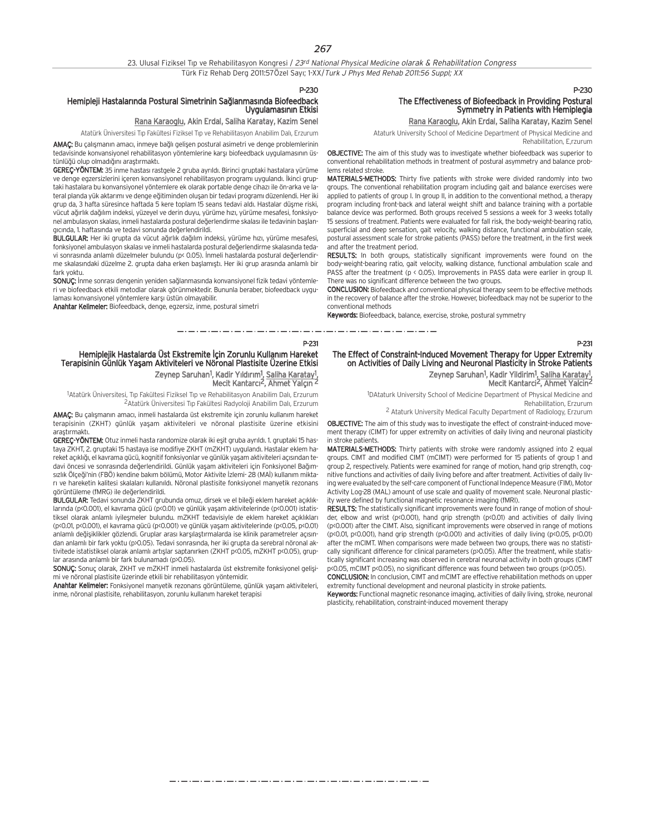#### 23. Ulusal Fiziksel Tip ve Rehabilitasyon Kongresi / 23<sup>rd</sup> National Physical Medicine olarak & Rehabilitation Congress Türk Fiz Rehab Derg 2011:57Özel Sayı; 1-XX/Turk J Phys Med Rehab 2011:56 Suppl; XX

P-230

P-231

#### Hemipleji Hastalarında Postural Simetrinin Sağlanmasında Biofeedback Uygulamasının Etkisi

#### Rana Karaoglu, Akin Erdal, Saliha Karatay, Kazim Senel

Atatürk Üniversitesi Tıp Fakültesi Fiziksel Tıp ve Rehabilitasyon Anabilim Dalı, Erzurum

AMAC: Bu calismanin amacı, inmeye bağlı gelisen postural asimetri ve denge problemlerinin tedavisinde konvansiyonel rehabilitasyon yöntemlerine karsı biofeedback uygulamasının üstünlüğü olup olmadığını araştırmaktı.

GEREC-YÖNTEM: 35 inme hastası rastgele 2 gruba ayrıldı. Birinci gruptaki hastalara yürüme ve denge egzersizlerini içeren konvansiyonel rehabilitasyon programı uygulandı. İkinci gruptaki hastalara bu konvansiyonel yöntemlere ek olarak portable denge cihaz› ile ön-arka ve lateral planda yük aktarımı ve denge eğitiminden oluşan bir tedavi programı düzenlendi. Her iki grup da, 3 hafta süresince haftada 5 kere toplam 15 seans tedavi ald›. Hastalar düflme riski, vücut ağırlık dağılım indeksi, yüzeyel ve derin duyu, yürüme hızı, yürüme mesafesi, fonksiyonel ambulasyon skalası, inmeli hastalarda postural değerlendirme skalası ile tedavinin başlangıcında, 1. haftasında ve tedavi sonunda değerlendirildi.

BULGULAR: Her iki grupta da vücut ağırlık dağılım indeksi, yürüme hızı, yürüme mesafesi, fonksiyonel ambulasyon skalası ve inmeli hastalarda postural değerlendirme skalasında tedavi sonrasında anlamlı düzelmeler bulundu (p< 0.05). İnmeli hastalarda postural değerlendirme skalasındaki düzelme 2. grupta daha erken başlamıştı. Her iki grup arasında anlamlı bir fark yoktu.

SONUC: İnme sonrası dengenin yeniden sağlanmasında konvansiyonel fizik tedavi yöntemleri ve biofeedback etkili metodlar olarak görünmektedir. Bununla beraber, biofeedback uygulaması konvansiyonel yöntemlere karsı üstün olmayabilir.

Anahtar Kelimeler: Biofeedback, denge, egzersiz, inme, postural simetri

## The Effectiveness of Biofeedback in Providing Postural Symmetry in Patients with Hemiplegia

#### Rana Karaoglu, Akin Erdal, Saliha Karatay, Kazim Senel

Ataturk University School of Medicine Department of Physical Medicine and

Rehabilitation, E,rzurum

OBJECTIVE: The aim of this study was to investigate whether biofeedback was superior to conventional rehabilitation methods in treatment of postural asymmetry and balance problems related stroke.

MATERIALS-METHODS: Thirty five patients with stroke were divided randomly into two groups. The conventional rehabilitation program including gait and balance exercises were applied to patients of group I. In group II, in addition to the conventional method, a therapy program including front-back and lateral weight shift and balance training with a portable balance device was performed. Both groups received 5 sessions a week for 3 weeks totally 15 sessions of treatment. Patients were evaluated for fall risk, the body-weight-bearing ratio, superficial and deep sensation, gait velocity, walking distance, functional ambulation scale, postural assessment scale for stroke patients (PASS) before the treatment, in the first week and after the treatment period.

RESULTS: In both groups, statistically significant improvements were found on the body-weight-bearing ratio, gait velocity, walking distance, functional ambulation scale and PASS after the treatment (p < 0.05). Improvements in PASS data were earlier in group II. There was no significant difference between the two groups.

CONCLUSION: Biofeedback and conventional physical therapy seem to be effective methods in the recovery of balance after the stroke. However, biofeedback may not be superior to the conventional methods

Keywords: Biofeedback, balance, exercise, stroke, postural symmetry

المتوارد المساور المساور المساور المساور المساور المساور المتوا

#### Hemiplejik Hastalarda Üst Ekstremite İçin Zorunlu Kullanım Hareket Terapisinin Günlük Yaşam Aktiviteleri ve Nöronal Plastisite Üzerine Etkisi Zeynep Saruhan<sup>1</sup>, Kadir Yıldırım<sup>1</sup>, <u>Saliha Karatay<sup>1</sup>,</u> Mecit Kantarcı<sup>2</sup>, Ahmet Yalçın<sup>2</sup>

<sup>1</sup>Atatürk Üniversitesi, Tıp Fakültesi Fiziksel Tıp ve Rehabilitasyon Anabilim Dalı, Erzurum 2 Atatürk Üniversitesi Tıp Fakültesi Radyoloji Anabilim Dalı, Erzurum

AMAÇ: Bu çalışmanın amacı, inmeli hastalarda üst ekstremite için zorunlu kullanım hareket terapisinin (ZKHT) günlük yaşam aktiviteleri ve nöronal plastisite üzerine etkisini

arastırmaktı GEREC-YÖNTEM: Otuz inmeli hasta randomize olarak iki eşit gruba ayrıldı. 1. gruptaki 15 hastaya ZKHT, 2. gruptaki 15 hastaya ise modifiye ZKHT (mZKHT) uygulandı. Hastalar eklem hareket açıklığı, el kavrama gücü, kognitif fonksiyonlar ve günlük yaşam aktiviteleri açısından tedavi öncesi ve sonrasında değerlendirildi. Günlük yaşam aktiviteleri için Fonksiyonel Bağımsızlık Ölçeği'nin (FBÖ) kendine bakım bölümü, Motor Aktivite İzlemi- 28 (MAİ) kullanım miktarı ve hareketin kalitesi skalaları kullanıldı. Nöronal plastisite fonksiyonel manyetik rezonans görüntüleme (fMRG) ile değerlendirildi.

BULGULAR: Tedavi sonunda ZKHT grubunda omuz, dirsek ve el bileği eklem hareket açıklıklarında (p<0.001), el kavrama gücü (p<0.01) ve günlük yaşam aktivitelerinde (p<0.001) istatistiksel olarak anlamlı iyilesmeler bulundu. mZKHT tedavisiyle de eklem hareket açıklıkları (p<0.01, p<0.001), el kavrama gücü (p<0.001) ve günlük yaşam aktivitelerinde (p<0.05, p<0.01) anlamlı değişiklikler gözlendi. Gruplar arası karşılaştırmalarda ise klinik parametreler açısından anlamlı bir fark yoktu (p>0.05). Tedavi sonrasında, her iki grupta da serebral nöronal aktivitede istatistiksel olarak anlamlı artışlar saptanırken (ZKHT p<0.05, mZKHT p<0.05), gruplar arasında anlamlı bir fark bulunamadı (p>0.05).

SONUÇ: Sonuç olarak, ZKHT ve mZKHT inmeli hastalarda üst ekstremite fonksiyonel gelişimi ve nöronal plastisite üzerinde etkili bir rehabilitasyon yöntemidir.

Anahtar Kelimeler: Fonksiyonel manyetik rezonans görüntüleme, günlük yaşam aktiviteleri, inme, nöronal plastisite, rehabilitasyon, zorunlu kullanım hareket terapisi

#### The Effect of Constraint-Induced Movement Therapy for Upper Extremity on Activities of Daily Living and Neuronal Plasticity in Stroke Patients Zeynep Saruhan<sup>1</sup>, Kadir Yildirim<sup>1</sup>, Saliha Karatay<sup>1</sup> ,

Mecit Kantarci 2, Ahmet Yalcin2

1 DAtaturk University School of Medicine Department of Physical Medicine and Rehabilitation, Erzurum

2 Ataturk University Medical Faculty Department of Radiology, Erzurum

OBJECTIVE: The aim of this study was to investigate the effect of constraint-induced movement therapy (CIMT) for upper extremity on activities of daily living and neuronal plasticity in stroke patients.

MATERIALS-METHODS: Thirty patients with stroke were randomly assigned into 2 equal groups. CIMT and modified CIMT (mCIMT) were performed for 15 patients of group 1 and group 2, respectively. Patients were examined for range of motion, hand grip strength, cognitive functions and activities of daily living before and after treatment. Activities of daily living were evaluated by the self-care component of Functional Indepence Measure (FIM), Motor Activity Log-28 (MAL) amount of use scale and quality of movement scale. Neuronal plasticity were defined by functional magnetic resonance imaging (fMRI).

RESULTS: The statistically significant improvements were found in range of motion of shoulder, elbow and wrist (p<0.001), hand grip strength (p<0.01) and activities of daily living (p<0.001) after the CIMT. Also, significant improvements were observed in range of motions ( $p$ <0.01,  $p$ <0.001), hand grip strength ( $p$ <0.001) and activities of daily living ( $p$ <0.05,  $p$ <0.01) after the mCIMT. When comparisons were made between two groups, there was no statistically significant difference for clinical parameters (p>0.05). After the treatment, while statistically significant increasing was observed in cerebral neuronal activity in both groups (CIMT p<0.05, mCIMT p<0.05), no significant difference was found between two groups (p>0.05).

CONCLUSION: In conclusion, CIMT and mCIMT are effective rehabilitation methods on upper extremity functional development and neuronal plasticity in stroke patients.

Keywords: Functional magnetic resonance imaging, activities of daily living, stroke, neuronal plasticity, rehabilitation, constraint-induced movement therapy

## P-230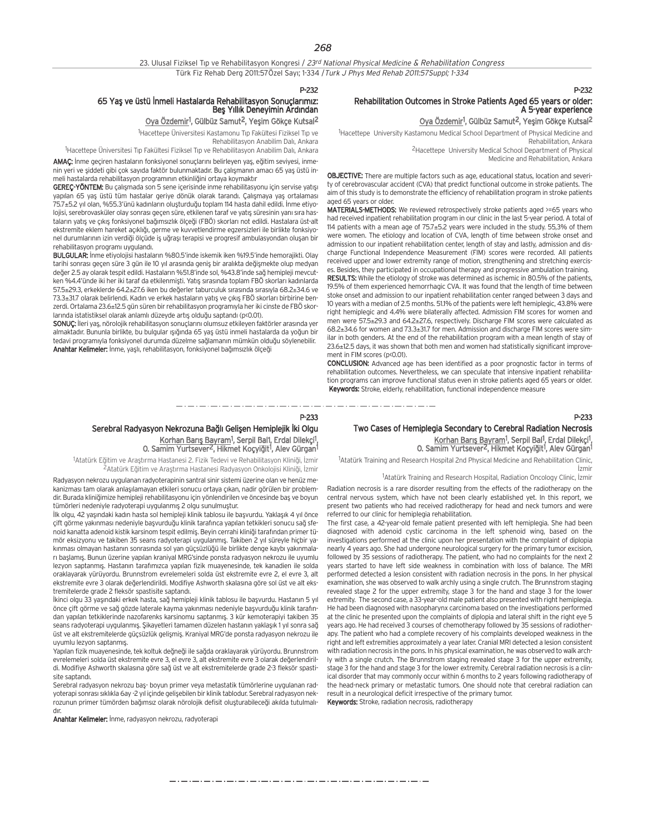23. Ulusal Fiziksel Tıp ve Rehabilitasyon Kongresi / 23rd National Physical Medicine & Rehabilitation Congress Türk Fiz Rehab Derg 2011:57Özel Sayı; 1-334 / Turk J Phys Med Rehab 2011:57Suppl; 1-334

P-232

## 65 Yaş ve üstü İnmeli Hastalarda Rehabilitasyon Sonuçlarımız: Beş Yıllık Deneyimin Ardından

#### <u>Oya Özdemir</u><sup>1</sup>, Gülbüz Samut<sup>2</sup>, Yeşim Gökçe Kutsal<sup>2</sup>

<sup>1</sup>Hacettepe Üniversitesi Kastamonu Tıp Fakültesi Fiziksel Tıp ve

Rehabilitasyon Anabilim Dalı, Ankara

<sup>1</sup>Hacettepe Üniversitesi Tıp Fakültesi Fiziksel Tıp ve Rehabilitasyon Anabilim Dalı, Ankara

AMAÇ: İnme geçiren hastaların fonksiyonel sonuçlarını belirleyen yaş, eğitim seviyesi, inmenin yeri ve siddeti gibi çok sayıda faktör bulunmaktadır. Bu çalışmanın amacı 65 yaş üstü inmeli hastalarda rehabilitasyon programının etkinliğini ortaya koymaktır

GEREC-YÖNTEM: Bu çalışmada son 5 sene içerisinde inme rehabilitasyonu için servise yatısı yapılan 65 yas üstü tüm hastalar geriye dönük olarak tarandı. Çalışmaya yaş ortalaması 75.7±5.2 yıl olan, %55.3'ünü kadınların oluşturduğu toplam 114 hasta dahil edildi. İnme etiyolojisi, serebrovasküler olay sonrası geçen süre, etkilenen taraf ve yatış süresinin yanı sıra hastaların yatış ve çıkış fonksiyonel bağımsızlık ölçeği (FBÖ) skorları not edildi. Hastalara üst-alt ekstremite eklem hareket açıklığı, germe ve kuvvetlendirme egzersizleri ile birlikte fonksiyonel durumlarının izin verdiği ölçüde iş uğraşı terapisi ve progresif ambulasyondan oluşan bir rehabilitasyon programı uygulandı.

BULGULAR: İnme etiyolojisi hastaların %80.5'inde iskemik iken %19.5'inde hemorajikti. Olay tarihi sonrası geçen süre 3 gün ile 10 yıl arasında geniş bir aralıkta değişmekte olup medyan değer 2.5 ay olarak tespit edildi. Hastaların %51.8'inde sol, %43.8'inde sağ hemipleji mevcutken %4.4'ünde iki her iki taraf da etkilenmişti. Yatış sırasında toplam FBÖ skorları kadınlarda 57.5±29.3, erkeklerde 64.2±27.6 iken bu de¤erler taburculuk s›ras›nda s›ras›yla 68.2±34.6 ve 73.3±31.7 olarak belirlendi. Kadın ve erkek hastaların yatış ve çıkış FBÖ skorları birbirine benzerdi. Ortalama 23.6±12.5 gün süren bir rehabilitasyon programıyla her iki cinste de FBÖ skorlarında istatistiksel olarak anlamlı düzeyde artıs olduğu saptandı (p<0.01).

SONUC: İleri yas, nörolojik rehabilitasyon sonuçlarını olumsuz etkileyen faktörler arasında yer almaktadır. Bununla birlikte, bu bulgular ışığında 65 yaş üstü inmeli hastalarda da yoğun bir tedavi programıyla fonksiyonel durumda düzelme sağlamanın mümkün olduğu söylenebilir. Anahtar Kelimeler: İnme, yaşlı, rehabilitasyon, fonksiyonel bağımsızlık ölçeği

## Rehabilitation Outcomes in Stroke Patients Aged 65 years or older: A 5-year experience

#### Oya Özdemir<sup>1</sup>, Gülbüz Samut<sup>2</sup>, Yeşim Gökçe Kutsal<sup>2</sup>

P-232

P-233

<sup>1</sup>Hacettepe University Kastamonu Medical School Department of Physical Medicine and Rehabilitation, Ankara 2Hacettepe University Medical School Department of Physical Medicine and Rehabilitation, Ankara

OBJECTIVE: There are multiple factors such as age, educational status, location and severity of cerebrovascular accident (CVA) that predict functional outcome in stroke patients. The aim of this study is to demonstrate the efficiency of rehabilitation program in stroke patients aged 65 years or older.

MATERIALS-METHODS: We reviewed retrospectively stroke patients aged >=65 years who had received inpatient rehabilitation program in our clinic in the last 5-year period. A total of 114 patients with a mean age of 75.7±5.2 years were included in the study. 55,3% of them were women. The etiology and location of CVA, length of time between stroke onset and admission to our inpatient rehabilitation center, length of stay and lastly, admission and discharge Functional Independence Measurement (FIM) scores were recorded. All patients received upper and lower extremity range of motion, strengthening and stretching exercises. Besides, they participated in occupational therapy and progressive ambulation training.

RESULTS: While the etiology of stroke was determined as ischemic in 80.5% of the patients, 19.5% of them experienced hemorrhagic CVA. It was found that the length of time between stoke onset and admission to our inpatient rehabilitation center ranged between 3 days and 10 years with a median of 2.5 months. 51.1% of the patients were left hemiplegic, 43.8% were right hemiplegic and 4.4% were bilaterally affected. Admission FIM scores for women and men were 57.5±29.3 and 64.2±27.6, respectively. Discharge FIM scores were calculated as 68.2±34.6 for women and 73.3±31.7 for men. Admission and discharge FIM scores were similar in both genders. At the end of the rehabilitation program with a mean length of stay of 23.6±12.5 days, it was shown that both men and women had statistically significant improvement in FIM scores (p<0.01).

CONCLUSION: Advanced age has been identified as a poor prognostic factor in terms of rehabilitation outcomes. Nevertheless, we can speculate that intensive inpatient rehabilitation programs can improve functional status even in stroke patients aged 65 years or older. Keywords: Stroke, elderly, rehabilitation, functional independence measure

## P-233 Serebral Radyasyon Nekrozuna Bağlı Gelişen Hemiplejik İki Olgu Korhan Barış Bayram<sup>1</sup>, Serpil Bal1, Erdal Dilekçi<sup>1</sup>,

0. Samim Yurtsever<sup>2</sup>, Hikmet Koçyiğit<sup>1</sup>, Alev Gürgan<sup>1</sup>

والمستحيل والمستحدث والمستحد والمستحد المستحد والمستحد والمساحي

<sup>1</sup>Atatürk Eğitim ve Araştırma Hastanesi 2. Fizik Tedevi ve Rehabilitasyon Kliniği, İzmir 2Atatürk Eğitim ve Araştırma Hastanesi Radyasyon Onkolojisi Kliniği, İzmir

Radyasyon nekrozu uygulanan radyoterapinin santral sinir sistemi üzerine olan ve henüz mekanizması tam olarak anlaşılamayan etkileri sonucu ortaya çıkan, nadir görülen bir problemdir. Burada kliniğimize hemipleji rehabilitasyonu için yönlendirilen ve öncesinde baş ve boyun tümörleri nedeniyle radyoterapi uygulanmış 2 olgu sunulmuştur.

llk olgu, 42 yasındaki kadın hasta sol hemipleji klinik tablosu ile başyurdu. Yaklaşık 4 yıl önce çift görme yakınması nedeniyle başvurduğu klinik tarafınca yapılan tetkikleri sonucu sağ sfenoid kanatta adenoid kistik karsinom tespit edilmis. Beyin cerrahi kliniği tarafından primer tümör eksizyonu ve takiben 35 seans radyoterapi uygulanmış. Takiben 2 yıl süreyle hiçbir yakınması olmayan hastanın sonrasında sol yan güçsüzlüğü ile birlikte denge kaybı yakınmaları başlamış. Bunun üzerine yapılan kraniyal MRG'sinde ponsta radyasyon nekrozu ile uyumlu lezyon saptanmış. Hastanın tarafımızca yapılan fizik muayenesinde, tek kanadien ile solda oraklayarak yürüyordu. Brunnstrom evrelemeleri solda üst ekstremite evre 2, el evre 3, alt ekstremite evre 3 olarak değerlendirildi. Modifiye Ashworth skalasına göre sol üst ve alt ekstremitelerde grade 2 fleksör spastisite saptandı.

İkinci olgu 33 yaşındaki erkek hasta, sağ hemipleji klinik tablosu ile başvurdu. Hastanın 5 yıl önce çift görme ve sağ gözde laterale kayma yakınması nedeniyle başvurduğu klinik tarafından yapılan tetkiklerinde nazofarenks karsinomu saptanmış. 3 kür kemoterapiyi takiben 35 seans radyoterapi uygulanmış. Şikayetleri tamamen düzelen hastanın yaklaşık 1 yıl sonra sağ üst ve alt ekstremitelerde güçsüzlük gelişmiş. Kraniyal MRG'de ponsta radyasyon nekrozu ile uvumlu lezvon saptanmis.

Yapılan fizik muayenesinde, tek koltuk değneği ile sağda oraklayarak yürüyordu. Brunnstrom evrelemeleri solda üst ekstremite evre 3, el evre 3, alt ekstremite evre 3 olarak değerlendirildi. Modifiye Ashworth skalasına göre sağ üst ve alt ekstremitelerde grade 2-3 fleksör spastisite saptandı.

Serebral radyasyon nekrozu baş- boyun primer veya metastatik tümörlerine uygulanan radyoterapi sonrası sıklıkla 6ay -2 yıl içinde gelişebilen bir klinik tablodur. Serebral radyasyon nekrozunun primer tümörden bağımsız olarak nörolojik defisit oluşturabileceği akılda tutulmalıdır

Anahtar Kelimeler: İnme, radyasyon nekrozu, radyoterapi

## Two Cases of Hemiplegia Secondary to Cerebral Radiation Necrosis

Korhan Barış Bayram<sup>1</sup>, Serpil Bal<sup>1</sup>, Erdal Dilekçi<sup>1</sup><br>1. O. Samim Yurtsever<sup>2</sup>, Hikmet Koçyiğit<sup>1</sup>, Alev Gürgan

<sup>1</sup>Atatürk Training and Research Hospital 2nd Physical Medicine and Rehabilitation Clinic, İzmir

<sup>1</sup>Atatürk Training and Research Hospital, Radiation Oncology Clinic, İzmir

Radiation necrosis is a rare disorder resulting from the effects of the radiotherapy on the central nervous system, which have not been clearly established yet. In this report, we present two patients who had received radiotherapy for head and neck tumors and were referred to our clinic for hemiplegia rehabilitation.

The first case, a 42-year-old female patient presented with left hemiplegia. She had been diagnosed with adenoid cystic carcinoma in the left sphenoid wing, based on the investigations performed at the clinic upon her presentation with the complaint of diplopia nearly 4 years ago. She had undergone neurological surgery for the primary tumor excision, followed by 35 sessions of radiotherapy. The patient, who had no complaints for the next 2 years started to have left side weakness in combination with loss of balance. The MRI performed detected a lesion consistent with radiation necrosis in the pons. In her physical examination, she was observed to walk archly using a single crutch. The Brunnstrom staging revealed stage 2 for the upper extremity, stage 3 for the hand and stage 3 for the lower extremity. The second case, a 33-year-old male patient also presented with right hemiplegia. He had been diagnosed with nasopharynx carcinoma based on the investigations performed at the clinic he presented upon the complaints of diplopia and lateral shift in the right eye 5 years ago. He had received 3 courses of chemotherapy followed by 35 sessions of radiotherapy. The patient who had a complete recovery of his complaints developed weakness in the right and left extremities approximately a year later. Cranial MRI detected a lesion consistent with radiation necrosis in the pons. In his physical examination, he was observed to walk archly with a single crutch. The Brunnstrom staging revealed stage 3 for the upper extremity, stage 3 for the hand and stage 3 for the lower extremity. Cerebral radiation necrosis is a clinical disorder that may commonly occur within 6 months to 2 years following radiotherapy of the head-neck primary or metastatic tumors. One should note that cerebral radiation can result in a neurological deficit irrespective of the primary tumor. Keywords: Stroke, radiation necrosis, radiotherapy

والمساويس والمساويس والمساويس والمساويس والمساويس والمساويس والمساويس والمساويس والمساويس والمساويس والمساويس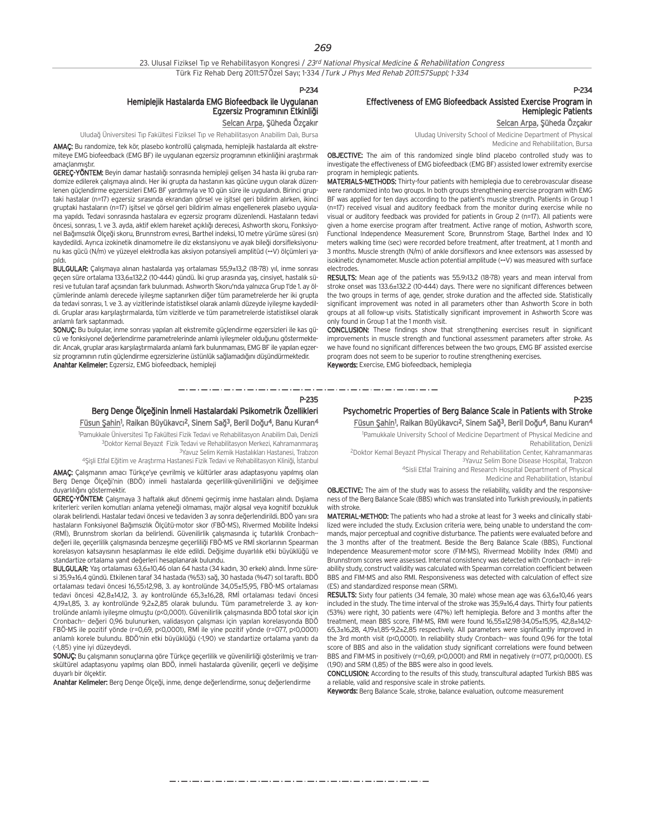23. Ulusal Fiziksel Tıp ve Rehabilitasyon Kongresi / 23rd National Physical Medicine & Rehabilitation Congress Türk Fiz Rehab Derg 2011:57Özel Sayı; 1-334 / Turk J Phys Med Rehab 2011:57Suppl; 1-334

#### P-234

## Hemiplejik Hastalarda EMG Biofeedback ile Uygulanan Egzersiz Programının Etkinliği

Selcan Arpa, Şüheda Özçakır

Uludağ Üniversitesi Tıp Fakültesi Fiziksel Tıp ve Rehabilitasyon Anabilim Dalı, Bursa AMAÇ: Bu randomize, tek kör, plasebo kontrollü çalışmada, hemiplejik hastalarda alt ekstre miteye EMG biofeedback (EMG BF) ile uygulanan egzersiz programının etkinliğini araştırmak amaçlanmıştır.

GEREÇ-YÖNTEM: Beyin damar hastalığı sonrasında hemipleji gelişen 34 hasta iki gruba randomize edilerek çalışmaya alındı. Her iki grupta da hastanın kas gücüne uygun olarak düzenlenen güçlendirme egzersizleri EMG BF yardımıyla ve 10 gün süre ile uygulandı. Birinci gruptaki hastalar (n=17) egzersiz sırasında ekrandan görsel ve işitsel geri bildirim alırken, ikinci gruptaki hastaların (n=17) işitsel ve görsel geri bildirim alması engellenerek plasebo uygulama yapıldı. Tedavi sonrasında hastalara ev egzersiz programı düzenlendi. Hastaların tedavi öncesi, sonrası, 1. ve 3. ayda, aktif eklem hareket açıklığı derecesi, Ashworth skoru, Fonksiyonel Bağımsızlık Ölçeği skoru, Brunnstrom evresi, Barthel indeksi, 10 metre yürüme süresi (sn) kaydedildi. Ayrıca izokinetik dinamometre ile diz ekstansiyonu ve ayak bileği dorsifleksiyonunu kas gücü (N/m) ve yüzeyel elektrodla kas aksiyon potansiyeli amplitüd (→V) ölçümleri yapıldı.

BULGULAR: Çalışmaya alınan hastalarda yaş ortalaması 55,9±13,2 (18-78) yıl, inme sonrası geçen süre ortalama 133,6±132,2 (10-444) gündü. İki grup arasında yaş, cinsiyet, hastalık süresi ve tutulan taraf açısından fark bulunmadı. Ashworth Skoru'nda yalnızca Grup 1'de 1. ay ölcümlerinde anlamlı derecede iyilesme saptanırken diğer tüm parametrelerde her iki grupta da tedavi sonrası, 1. ve 3. ay vizitlerinde istatistiksel olarak anlamlı düzeyde iyileşme kaydedildi. Gruplar arası karşılaştırmalarda, tüm vizitlerde ve tüm parametrelerde istatistiksel olarak anlamlı fark saptanmadı.

SONUÇ: Bu bulgular, inme sonrası yapılan alt ekstremite güçlendirme egzersizleri ile kas gücü ve fonksiyonel değerlendirme parametrelerinde anlamlı iyileşmeler olduğunu göstermektedir. Ancak, gruplar arası karsılastırmalarda anlamlı fark bulunmaması, EMG BF ile yapılan egzersiz programının rutin güçlendirme egzersizlerine üstünlük sağlamadığını düşündürmektedir. Anahtar Kelimeler: Egzersiz, EMG biofeedback, hemipleji

## Effectiveness of EMG Biofeedback Assisted Exercise Program in Hemiplegic Patients

Selcan Arpa, Şüheda Özçakır

P-234

Uludag University School of Medicine Department of Physical Medicine and Rehabilitation, Bursa

OBJECTIVE: The aim of this randomized single blind placebo controlled study was to investigate the effectiveness of EMG biofeedback (EMG BF) assisted lower extremity exercise program in hemiplegic patients.

MATERIALS-METHODS: Thirty-four patients with hemiplegia due to cerebrovascular disease were randomized into two groups. In both groups strengthening exercise program with EMG BF was applied for ten days according to the patient's muscle strength. Patients in Group 1 (n=17) received visual and auditory feedback from the monitor during exercise while no visual or auditory feedback was provided for patients in Group 2 (n=17). All patients were given a home exercise program after treatment. Active range of motion, Ashworth score, Functional Independence Measurement Score, Brunnstrom Stage, Barthel Index and 10 meters walking time (sec) were recorded before treatment, after treatment, at 1 month and 3 months. Muscle strength (N/m) of ankle dorsiflexors and knee extensors was assessed by isokinetic dynamometer. Muscle action potential amplitude  $(\rightarrow V)$  was measured with surface electrodes.

RESULTS: Mean age of the patients was 55.9>13.2 (18-78) years and mean interval from stroke onset was 133.6±132.2 (10-444) days. There were no significant differences between the two groups in terms of age, gender, stroke duration and the affected side. Statistically significant improvement was noted in all parameters other than Ashworth Score in both groups at all follow-up visits. Statistically significant improvement in Ashworth Score was only found in Group 1 at the 1 month visit.

CONCLUSION: These findings show that strengthening exercises result in significant improvements in muscle strength and functional assessment parameters after stroke. As we have found no significant differences between the two groups. EMG BF assisted exercise program does not seem to be superior to routine strengthening exercises.

Keywords: Exercise, EMG biofeedback, hemiplegia

#### P-235

## Berg Denge Ölçeğinin İnmeli Hastalardaki Psikometrik Özellikleri <u>Füsun Şahin</u>1, Raikan Büyükavcı<sup>2</sup>, Sinem Sağ<sup>3</sup>, Beril Doğu<sup>4</sup>, Banu Kuran<sup>4</sup>

1 Pamukkale Üniversitesi T›p Fakültesi Fizik Tedavi ve Rehabilitasyon Anabilim Dal›, Denizli 3Doktor Kemal Beyazıt Fizik Tedavi ve Rehabilitasyon Merkezi, Kahramanmaraş <sup>3</sup>Yavuz Selim Kemik Hastalıkları Hastanesi, Trabzon

4Şişli Etfal Eğitim ve Araştırma Hastanesi Fizik Tedavi ve Rehabilitasyon Kliniği, İstanbul

AMAC: Calismanın amacı Türkçe'ye çevrilmiş ve kültürler arası adaptasyonu yapılmış olan Berg Denge Ölceği'nin (BDÖ) inmeli hastalarda geçerlilik-güvenilirliğini ve değişimee duvarlılığını göstermektir.

GEREÇ-YÖNTEM: Çalışmaya 3 haftalık akut dönemi geçirmiş inme hastaları alındı. Dışlama kriterleri: verilen komutları anlama yeteneği olmaması, majör algısal veya kognitif bozukluk olarak belirlendi. Hastalar tedavi öncesi ve tedaviden 3 ay sonra de¤erlendirildi. BDÖ yan› s›ra hastaların Fonksiyonel Bağımsızlık Ölçütü-motor skor (FBÖ-MS), Rivermed Mobilite İndeksi (RMİ), Brunnstrom skorları da belirlendi. Güvenilirlik çalışmasında iç tutarlılık Cronbach-· değeri ile, geçerlilik çalışmasında benzeşme geçerliliği FBÖ-MS ve RMİ skorlarının Spearman korelasyon katsayısının hesaplanması ile elde edildi. Değişime duyarlılık etki büyüklüğü ve standartize ortalama yanıt değerleri hesaplanarak bulundu.

BULGULAR: Yaş ortalaması 63,6±10,46 olan 64 hasta (34 kadın, 30 erkek) alındı. İnme süresi 35,9±16,4 gündü. Etkilenen taraf 34 hastada (%53) sağ, 30 hastada (%47) sol taraftı. BDÖ ortalaması tedavi öncesi 16,55>12,98, 3. ay kontrolünde 34,05±15,95, FBÖ-MS ortalaması tedavi öncesi 42,8±14,12, 3. ay kontrolünde 65,3±16,28, RMİ ortalaması tedavi öncesi 4,19±1,85, 3. ay kontrolünde 9,2±2,85 olarak bulundu. Tüm parametrelerde 3. ay kontrolünde anlamlı iyileşme olmuştu (p<0,0001). Güvenilirlik çalışmasında BDÖ total skor için Cronbach-· değeri 0,96 bulunurken, validasyon çalışması için yapılan korelasyonda BDÖ FBÖ-MS ile pozitif yönde (r=0,69, p<0,0001), RMİ ile yine pozitif yönde (r=077, p<0,0001) anlamlı korele bulundu. BDÖ'nin etki büyüklüğü (-1,90) ve standartize ortalama yanıtı da (-1,85) yine iyi düzeydeydi.

SONUÇ: Bu çalışmanın sonuçlarına göre Türkçe geçerlilik ve güvenilirliği gösterilmiş ve transkültürel adaptasyonu yapılmış olan BDÖ, inmeli hastalarda güvenilir, geçerli ve değişime duyarlı bir ölçektir.

Anahtar Kelimeler: Berg Denge Ölçeği, inme, denge değerlendirme, sonuç değerlendirme

## Psychometric Properties of Berg Balance Scale in Patients with Stroke Füsun Şahin<sup>1</sup>, Raikan Büyükavcı<sup>2</sup>, Sinem Sağ<sup>3</sup>, Beril Doğu<sup>4</sup>, Banu Kuran<sup>4</sup>

1 Pamukkale University School of Medicine Department of Physical Medicine and Rehabilitation, Denizli

<sup>2</sup>Doktor Kemal Beyazıt Physical Therapy and Rehabilitation Center, Kahramanmaras 3Yavuz Selim Bone Disease Hospital, Trabzon

4Sisli Etfal Training and Research Hospital Department of Physical

Medicine and Rehabilitation, Istanbul

OBJECTIVE: The aim of the study was to assess the reliability, validity and the responsiveness of the Berg Balance Scale (BBS) which was translated into Turkish previously, in patients with stroke.

MATERIAL-METHOD: The patients who had a stroke at least for 3 weeks and clinically stabilized were included the study. Exclusion criteria were, being unable to understand the commands, major perceptual and cognitive disturbance. The patients were evaluated before and the 3 months after of the treatment. Beside the Berg Balance Scale (BBS), Functional Independence Measurement-motor score (FIM-MS), Rivermead Mobility Index (RMI) and Brunnstrom scores were assessed. Internal consistency was detected with Cronbach-· in reliability study, construct validity was calculated with Spearman correlation coefficient between BBS and FIM-MS and also RMI. Responsiveness was detected with calculation of effect size (ES) and standardized response mean (SRM).

RESULTS: Sixty four patients (34 female, 30 male) whose mean age was 63,6±10,46 years included in the study. The time interval of the stroke was 35,9±16,4 days. Thirty four patients (53%) were right, 30 patients were (47%) left hemiplegia. Before and 3 months after the treatment, mean BBS score, FIM-MS, RMI were found 16,55±12,98-34,05±15,95, 42,8±14,12- 65,3±16,28, 4,19±1,85-9,2±2,85 respectively. All parameters were significantly improved in the 3rd month visit (p<0,0001). In reliability study Cronbach-· was found 0,96 for the total score of BBS and also in the validation study significant correlations were found between BBS and FIM-MS in positively (r=0,69, p<0,0001) and RMI in negatively (r=077, p<0,0001). ES (1,90) and SRM (1,85) of the BBS were also in good levels.

CONCLUSION: According to the results of this study, transcultural adapted Turkish BBS was a reliable, valid and responsive scale in stroke patients.

Keywords: Berg Balance Scale, stroke, balance evaluation, outcome measurement

P-235

والمتواد المتواد المتواد المتواد المتواد المتواد المتواد المتواد المتواد المتواد المتواد المتواد المتواد المتواد المتواد المتواد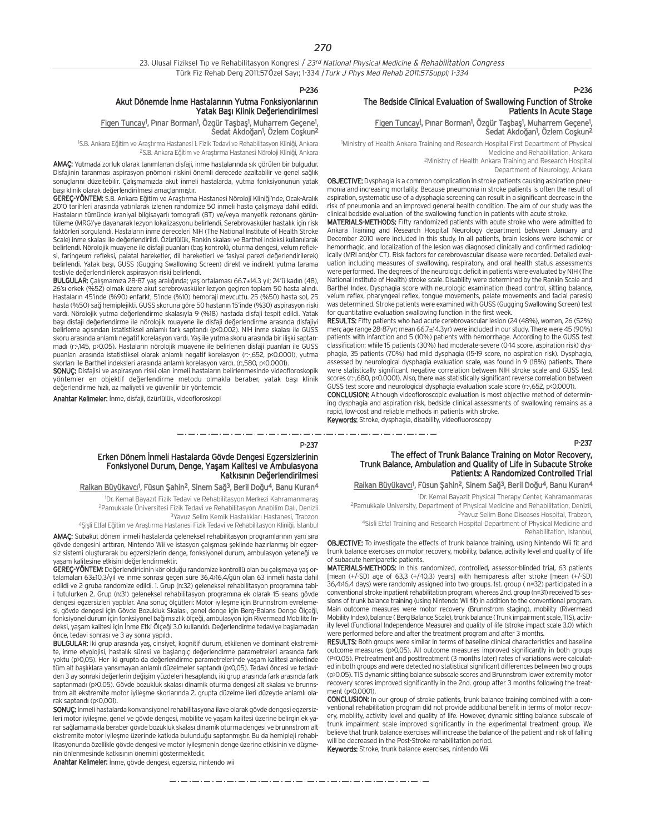#### P-236

#### Akut Dönemde İnme Hastalarının Yutma Fonksiyonlarının Yatak Bası Klinik Değerlendirilmesi

#### <u>Figen Tuncay</u>!, Pınar Borman!, Özgür Taşbaş!, Muharrem Geçene!, Sedat Akdoğan<sup>1</sup>, Özlem Coşkun<sup>2</sup>

<sup>1</sup>S.B. Ankara Eğitim ve Araştırma Hastanesi 1. Fizik Tedavi ve Rehabilitasyon Kliniği, Ankara <sup>2</sup>S.B. Ankara Eğitim ve Araştırma Hastanesi Nöroloji Kliniği, Ankara

AMAÇ: Yutmada zorluk olarak tanımlanan disfaji, inme hastalarında sık görülen bir bulgudur. Disfajinin taranması aspirasyon pnömoni riskini önemli derecede azaltabilir ve genel sağlık sonuçlarını düzeltebilir. Çalışmamızda akut inmeli hastalarda, yutma fonksiyonunun yatak başı klinik olarak değerlendirilmesi amaçlanmıştır.

GEREÇ-YÖNTEM: S.B. Ankara Eğitim ve Araştırma Hastanesi Nöroloji Kliniği'nde, Ocak-Aralık 2010 tarihleri arasında yatırılarak izlenen randomize 50 inmeli hasta çalışmaya dahil edildi. Hastaların tümünde kraniyal bilgisayarlı tomografi (BT) ve/veya manyetik rezonans görüntüleme (MRG)'ye dayanarak lezyon lokalizasyonu belirlendi. Serebrovasküler hastalık için risk faktörleri sorgulandı. Hastaların inme dereceleri NIH (The National Institute of Health Stroke Scale) inme skalası ile değerlendirildi. Özürlülük, Rankin skalası ve Barthel indeksi kullanılarak belirlendi. Nörolojik muayene ile disfaji puanları (baş kontrolü, oturma dengesi, velum refleksi, faringeum refleksi, palatal hareketler, dil hareketleri ve fasiyal parezi de¤erlendirilerek) belirlendi. Yatak bası, GUSS (Gugging Swallowing Screen) direkt ve indirekt yutma tarama testiyle de¤erlendirilerek aspirasyon riski belirlendi.

BULGULAR: Çalışmamıza 28-87 yaş aralığında; yaş ortalaması 66.7±14.3 yıl; 24'ü kadın (48), 26'sı erkek (%52) olmak üzere akut serebrovasküler lezyon geçiren toplam 50 hasta alındı. Hastaların 45'inde (%90) enfarkt, 5'inde (%10) hemoraji mevcuttu. 25 (%50) hasta sol, 25 hasta (%50) sağ hemiplejikti. GUSS skoruna göre 50 hastanın 15'inde (%30) aspirasyon riski vardı. Nörolojik yutma değerlendirme skalasıyla 9 (%18) hastada disfaji tespit edildi. Yatak başı disfaji değerlendirme ile nörolojik muayene ile disfaji değerlendirme arasında disfajiyi belirleme açısından istatistiksel anlamlı fark saptandı (p<0.002). NIH inme skalası ile GUSS skoru arasında anlamlı negatif korelasyon vardı. Yaş ile yutma skoru arasında bir ilişki saptanmadı (r:-,145, p>0.05). Hastaların nörolojik muayene ile belirlenen disfaji puanları ile GUSS puanları arasında istatistiksel olarak anlamlı negatif korelasyon (r:-,652, p<0.0001), yutma skorları ile Barthel indeksleri arasında anlamlı korelasyon vardı. (r. 580, p<0.0001).

SONUÇ: Disfajisi ve aspirasyon riski olan inmeli hastaların belirlenmesinde videofloroskopik yöntemler en objektif değerlendirme metodu olmakla beraber, yatak başı klinik değerlendirme hızlı, az maliyetli ve güvenilir bir yöntemdir.

Anahtar Kelimeler: İnme, disfaji, özürlülük, videofloroskopi

#### The Bedside Clinical Evaluation of Swallowing Function of Stroke Patients In Acute Stage

#### <u>Figen Tuncay<sup>1</sup>,</u> Pınar Borman<sup>1</sup>, Özgür Taşbaş<sup>1</sup>, Muharrem Geçene<sup>1</sup>, Sedat Akdoğan<sup>1</sup>, Özlem Coşkun<sup>2</sup>

1 Ministry of Health Ankara Training and Research Hospital First Department of Physical Medicine and Rehabilitation, Ankara 2Ministry of Health Ankara Training and Research Hospital

Department of Neurology, Ankara

P-236

OBJECTIVE: Dysphagia is a common complication in stroke patients causing aspiration pneumonia and increasing mortality. Because pneumonia in stroke patients is often the result of aspiration, systematic use of a dysphagia screening can result in a significant decrease in the risk of pneumonia and an improved general health condition. The aim of our study was the clinical bedside evaluation of the swallowing function in patients with acute stroke.

MATERIALS-METHODS: Fifty randomized patients with acute stroke who were admitted to Ankara Training and Research Hospital Neurology department between January and December 2010 were included in this study. In all patients, brain lesions were ischemic or hemorrhagic, and localization of the lesion was diagnosed clinically and confirmed radiologically (MRI and/or CT). Risk factors for cerebrovascular disease were recorded. Detailed evaluation including measures of swallowing, respiratory, and oral health status assessments were performed. The degrees of the neurologic deficit in patients were evaluated by NIH (The National Institute of Health) stroke scale. Disability were determined by the Rankin Scale and Barthel Index. Dysphagia score with neurologic examination (head control, sitting balance, velum reflex, pharyngeal reflex, tongue movements, palate movements and facial paresis) was determined. Stroke patients were examined with GUSS (Gugging Swallowing Screen) test for quantitative evaluation swallowing function in the first week.

RESULTS: Fifty patients who had acute cerebrovascular lesion (24 (48%), women, 26 (52%) men; age range 28-87yr; mean 66.7±14.3yr) were included in our study. There were 45 (90%) patients with infarction and 5 (10%) patients with hemorrhage. According to the GUSS test classification; while 15 patients (30%) had moderate-severe (0-14 score, aspiration risk) dysphagia, 35 patients (70%) had mild dysphagia (15-19 score, no aspiration risk). Dysphagia, assessed by neurological dysphagia evaluation scale, was found in 9 (18%) patients. There were statistically significant negative correlation between NIH stroke scale and GUSS test scores (r:-,680, p<0.0001). Also, there was statistically significant reverse correlation between GUSS test score and neurological dysphagia evaluation scale score (r:-,652, p<0.0001).

CONCLUSION: Although videofloroscopic evaluation is most objective method of determining dysphagia and aspiration risk, bedside clinical assessments of swallowing remains as a rapid, low-cost and reliable methods in patients with stroke.

Keywords: Stroke, dysphagia, disability, videofluoroscopy

P-237

#### P-237

متاز ومتواردها والمتوارد متوارد متواردها والمتوارد متواردها والمتوارد متواردها والمتوارد متواردها والمتوارد متواردها

#### Erken Dönem İnmeli Hastalarda Gövde Dengesi Egzersizlerinin Fonksiyonel Durum, Denge, Yasam Kalitesi ve Ambulasyona Katkısının Değerlendirilmesi

#### <u>Raikan Büyükavcı</u><sup>ı</sup>, Füsun Şahin<sup>2</sup>, Sinem Sağ<sup>3</sup>, Beril Doğu<sup>4</sup>, Banu Kuran<sup>4</sup>

<sup>1</sup>Dr. Kemal Bayazıt Fizik Tedavi ve Rehabilitasyon Merkezi Kahramanmaraş 2Pamukkale Üniversitesi Fizik Tedavi ve Rehabilitasyon Anabilim Dal›, Denizli <sup>3</sup>Yavuz Selim Kemik Hastalıkları Hastanesi, Trabzon 4Şişli Etfal Eğitim ve Araştırma Hastanesi Fizik Tedavi ve Rehabilitasyon Kliniği, İstanbul

AMAC: Subakut dönem inmeli hastalarda geleneksel rehabilitasyon programlarının yanı sıra gövde dengesini arttıran, Nintendo Wii ve istasyon çalışması seklinde hazırlanmış bir egzersiz sistemi oluşturarak bu egzersizlerin denge, fonksiyonel durum, ambulasyon yeteneği ve yaşam kalitesine etkisini değerlendirmektir.

GEREÇ-YÖNTEM: Değerlendiricinin kör olduğu randomize kontrollü olan bu çalışmaya yaş ortalamaları 63±10,3/yıl ve inme sonrası geçen süre 36,4>16,4/gün olan 63 inmeli hasta dahil edildi ve 2 gruba randomize edildi. 1. Grup (n:32) geleneksel rehabilitasyon programına tabii tutulurken 2. Grup (n:31) geleneksel rehabilitasyon programına ek olarak 15 seans gövde dengesi egzersizleri yaptılar. Ana sonuç ölçütleri: Motor iyileşme için Brunnstrom evrelemesi, gövde dengesi için Gövde Bozukluk Skalası, genel denge için Berg-Balans Denge Ölçeği, fonksiyonel durum için fonksiyonel bağımsızlık ölçeği, ambulasyon için Rivermead Mobilite İndeksi, yaşam kalitesi için İnme Etki Ölçeği 3.0 kullanıldı. Değerlendirme tedaviye başlamadan önce, tedavi sonrası ve 3 ay sonra yapıldı.

BULGULAR: İki grup arasında yaş, cinsiyet, kognitif durum, etkilenen ve dominant ekstremite, inme etyolojisi, hastalık süresi ve başlangıç değerlendirme parametreleri arasında fark yoktu (p>0,05). Her iki grupta da değerlendirme parametrelerinde yaşam kalitesi anketinde tüm alt başlıklara yansımayan anlamlı düzelmeler saptandı (p<0,05). Tedavi öncesi ve tedaviden 3 ay sonraki değerlerin değişim yüzdeleri hesaplandı, iki grup arasında fark arasında fark saptanmadı (p>0.05). Gövde bozukluk skalası dinamik oturma dengesi alt skalası ve brunnstrom alt ekstremite motor ivilesme skorlarında 2. grupta düzelme ileri düzeyde anlamlı olarak saptandı (p<0,001).

SONUC: İnmeli hastalarda konvansiyonel rehabilitasyona ilave olarak göyde dengesi egzersizleri motor iyileşme, genel ve gövde dengesi, mobilite ve yaşam kalitesi üzerine belirgin ek yarar sağlamamakla beraber gövde bozukluk skalası dinamik oturma dengesi ve brunnstrom alt ekstremite motor iyileşme üzerinde katkıda bulunduğu saptanmıştır. Bu da hemipleji rehabilitasyonunda özellikle gövde dengesi ve motor ivilesmenin denge üzerine etkisinin ve düşmenin önlenmesinde katkısının önemini göstermektedir.

Anahtar Kelimeler: İnme, gövde dengesi, egzersiz, nintendo wii

#### The effect of Trunk Balance Training on Motor Recovery, Trunk Balance, Ambulation and Quality of Life in Subacute Stroke Patients: A Randomized Controlled Trial

#### Raikan Büyükavcı<sup>1</sup>, Füsun Şahin<sup>2</sup>, Sinem Sağ<sup>3</sup>, Beril Doğu<sup>4</sup>, Banu Kuran<sup>4</sup>

1 Dr. Kemal Bayazit Physical Therapy Center, Kahramanmaras 2Pamukkale University, Department of Physical Medicine and Rehabilitation, Denizli,

3Yavuz Selim Bone Diseases Hospital, Trabzon, 4Sisli Etfal Training and Research Hospital Department of Physical Medicine and

Rehabilitation, Istanbul,

OBJECTIVE: To investigate the effects of trunk balance training, using Nintendo Wii fit and trunk balance exercises on motor recovery, mobility, balance, activity level and quality of life of subacute hemiparetic patients.

MATERIALS-METHODS: In this randomized, controlled, assessor-blinded trial, 63 patients [mean (+/-SD) age of 63,3 (+/-10,3) years] with hemiparesis after stroke [mean (+/-SD) 36,4±16,4 days) were randomly assigned into two groups. 1st. group ( n=32) participated in a conventional stroke inpatient rehabilitation program, whereas 2nd. group (n=31) received 15 sessions of trunk balance training (using Nintendo Wii fit) in addition to the conventional program. Main outcome measures were motor recovery (Brunnstrom staging), mobility (Rivermead Mobility Index), balance ( Berg Balance Scale), trunk balance (Trunk impairment scale, TIS), activity level (Functional Independence Measure) and quality of life (stroke impact scale 3.0) which were performed before and after the treatment program and after 3 months.

RESULTS: Both groups were similar in terms of baseline clinical characteristics and baseline outcome measures (p>0,05). All outcome measures improved significantly in both groups (P<0.05). Pretreatment and posttreatment (3 months later) rates of variations were calculated in both groups and were detected no statistical significant differences between two groups (p>0,05). TIS dynamic sitting balance subscale scores and Brunnstrom lower extremity motor recovery scores improved significantly in the 2nd. group after 3 months following the treatment (p<0,0001).

CONCLUSION: In our group of stroke patients, trunk balance training combined with a conventional rehabilitation program did not provide additional benefit in terms of motor recovery, mobility, activity level and quality of life. However, dynamic sitting balance subscale of trunk impairment scale improved significantly in the experimental treatment group. We believe that trunk balance exercises will increase the balance of the patient and risk of falling will be decreased in the Post-Stroke rehabilitation period.

Keywords: Stroke, trunk balance exercises, nintendo Wii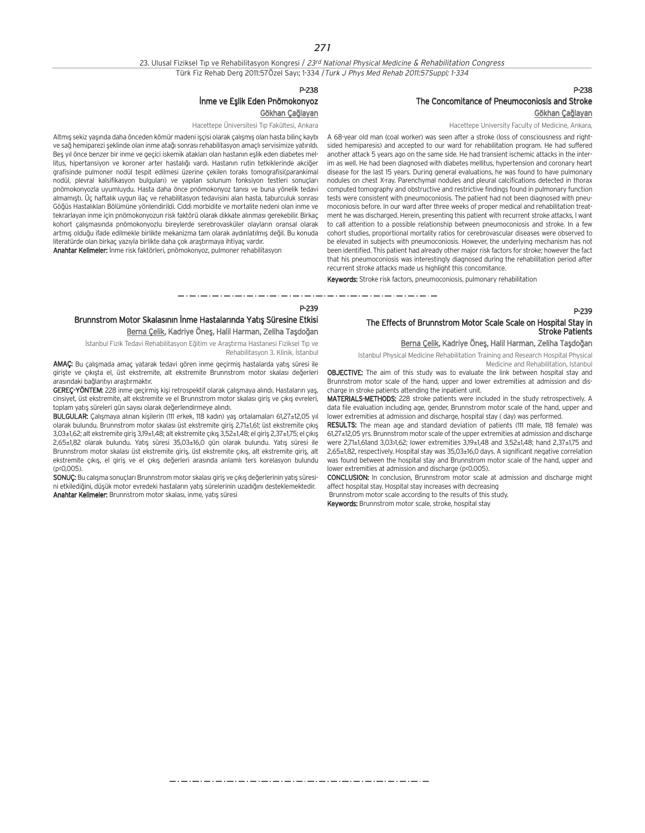23. Ulusal Fiziksel Tıp ve Rehabilitasyon Kongresi / 23rd National Physical Medicine & Rehabilitation Congress Türk Fiz Rehab Derg 2011:57Özel Sayı; 1-334 / Turk J Phys Med Rehab 2011:57Suppl; 1-334

#### P-238

## İnme ve Eşlik Eden Pnömokonyoz

Gökhan Çağlayan

Hacettepe Üniversitesi Tıp Fakültesi, Ankara

Altmış sekiz yaşında daha önceden kömür madeni işçisi olarak çalışmış olan hasta bilinç kaybı ve sağ hemiparezi seklinde olan inme atağı sonrası rehabilitasyon amaçlı servisimize yatırıldı. Beş yıl önce benzer bir inme ve geçici iskemik atakları olan hastanın eşlik eden diabetes mellitus, hipertansiyon ve koroner arter hastalığı vardı. Hastanın rutin tetkiklerinde akciğer grafisinde pulmoner nodül tespit edilmesi üzerine çekilen toraks tomografisi(parankimal nodül, plevral kalsifikasyon bulguları) ve yapılan solunum fonksiyon testleri sonuçları pnömokonyozla uyumluydu. Hasta daha önce pnömokonyoz tanısı ve buna yönelik tedavi almamıştı. Üç haftalık uygun ilaç ve rehabilitasyon tedavisini alan hasta, taburculuk sonrası Göğüs Hastalıkları Bölümüne yönlendirildi. Ciddi morbidite ve mortalite nedeni olan inme ve tekrarlayan inme için pnömokonyozun risk faktörü olarak dikkate alınması gerekebilir. Birkaç kohort çalışmasında pnömokonyozlu bireylerde serebrovasküler olayların oransal olarak artmış olduğu ifade edilmekle birlikte mekanizma tam olarak aydınlatılmış değil. Bu konuda literatürde olan birkaç yazıyla birlikte daha çok araştırmaya ihtiyaç vardır.

Anahtar Kelimeler: İnme risk faktörleri, pnömokonyoz, pulmoner rehabilitasyon

### P-238 The Concomitance of Pneumoconiosis and Stroke Gökhan Çağlayan

Hacettepe University Faculty of Medicine, Ankara,

A 68-year old man (coal worker) was seen after a stroke (loss of consciousness and rightsided hemiparesis) and accepted to our ward for rehabilitation program. He had suffered another attack 5 years ago on the same side. He had transient ischemic attacks in the interim as well. He had been diagnosed with diabetes mellitus, hypertension and coronary heart disease for the last 15 years. During general evaluations, he was found to have pulmonary nodules on chest X-ray. Parenchymal nodules and pleural calcifications detected in thorax computed tomography and obstructive and restrictive findings found in pulmonary function tests were consistent with pneumoconiosis. The patient had not been diagnosed with pneumoconiosis before. In our ward after three weeks of proper medical and rehabilitation treatment he was discharged. Herein, presenting this patient with recurrent stroke attacks, I want to call attention to a possible relationship between pneumoconiosis and stroke. In a few cohort studies, proportional mortality ratios for cerebrovascular diseases were observed to be elevated in subjects with pneumoconiosis. However, the underlying mechanism has not been identified. This patient had already other major risk factors for stroke; however the fact that his pneumoconiosis was interestingly diagnosed during the rehabilitation period after recurrent stroke attacks made us highlight this concomitance.

Keywords: Stroke risk factors, pneumoconiosis, pulmonary rehabilitation

#### P-239

## Brunnstrom Motor Skalasının İnme Hastalarında Yatıs Süresine Etkisi Berna Çelik, Kadriye Öneş, Halil Harman, Zeliha Taşdoğan

İstanbul Fizik Tedavi Rehabilitasyon Eğitim ve Araştırma Hastanesi Fiziksel Tıp ve Rehabilitasyon 3. Klinik, İstanbul

AMAÇ: Bu çalışmada amaç yatarak tedavi gören inme geçirmiş hastalarda yatış süresi ile giriste ve çıkışta el, üst ekstremite, alt ekstremite Brunnstrom motor skalası değerleri arasındaki bağlantıyı arastırmaktır.

GEREÇ-YÖNTEM: 228 inme geçirmiş kişi retrospektif olarak çalışmaya alındı. Hastaların yaş, cinsiyet, üst ekstremite, alt ekstremite ve el Brunnstrom motor skalası giriş ve çıkış evreleri, toplam yatış süreleri gün sayısı olarak değerlendirmeye alındı.

BULGULAR: Çalışmaya alınan kişilerin (111 erkek, 118 kadın) yaş ortalamaları 61,27±12,05 yıl olarak bulundu. Brunnstrom motor skalası üst ekstremite giriş 2,71±1,61; üst ekstremite çıkış 3,03±1,62; alt ekstremite giris 3,19±1,48; alt ekstremite çıkıs 3,52±1,48; el giris 2,37±1,75; el çıkıs 2,65±1,82 olarak bulundu. Yatış süresi 35,03±16,0 gün olarak bulundu. Yatış süresi ile Brunnstrom motor skalası üst ekstremite giriş, üst ekstremite çıkış, alt ekstremite giriş, alt ekstremite çıkış, el giriş ve el çıkış değerleri arasında anlamlı ters korelasyon bulundu (p<0,005).

SONUÇ: Bu calışma sonuçları Brunnstrom motor skalası giriş ve çıkış değerlerinin yatış süresini etkilediğini, düşük motor evredeki hastaların yatış sürelerinin uzadığını desteklemektedir. Anahtar Kelimeler: Brunnstrom motor skalası, inme, yatış süresi

## The Effects of Brunnstrom Motor Scale Scale on Hospital Stay in Stroke Patients

## Berna Çelik, Kadriye Öneş, Halil Harman, Zeliha Taşdoğan

P-239

Istanbul Physical Medicine Rehabilitation Training and Research Hospital Physical Medicine and Rehabilitation, Istanbul

OBJECTIVE: The aim of this study was to evaluate the link between hospital stay and Brunnstrom motor scale of the hand, upper and lower extremities at admission and discharge in stroke patients attending the inpatient unit.

MATERIALS-METHODS: 228 stroke patients were included in the study retrospectively. A data file evaluation including age, gender, Brunnstrom motor scale of the hand, upper and lower extremities at admission and discharge, hospital stay ( day) was performed.

RESULTS: The mean age and standard deviation of patients (111 male, 118 female) was 61,27±12,05 yrs. Brunnstrom motor scale of the upper extremities at admission and discharge were 2,71±1,61and 3,03>1,62; lower extremities 3,19±1,48 and 3,52±1,48; hand 2,37±1,75 and 2,65±1,82, respectively. Hospital stay was 35,03±16,0 days. A significant negative correlation was found between the hospital stay and Brunnstrom motor scale of the hand, upper and lower extremities at admission and discharge (p<0.005).

CONCLUSION: In conclusion, Brunnstrom motor scale at admission and discharge might affect hospital stay. Hospital stay increases with decreasing

Brunnstrom motor scale according to the results of this study.

Keywords: Brunnstrom motor scale, stroke, hospital stay

که در کار در کار در کار در کار در کار در کار در کار در کار در کار در کار در کار در کار در کار در کار در کار در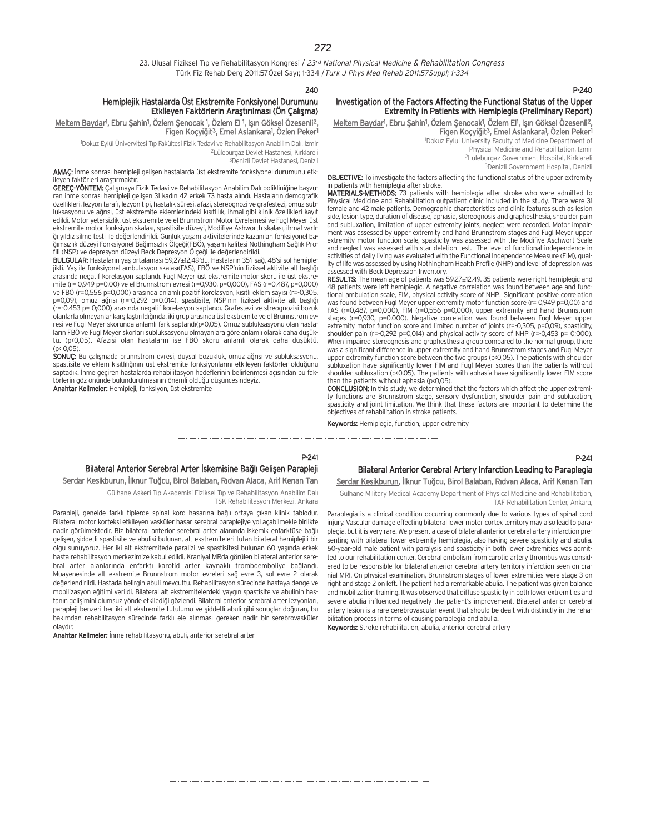240

#### Hemiplejik Hastalarda Üst Ekstremite Fonksiyonel Durumunu Etkileyen Faktörlerin Arastırılması (Ön Calısma)

<u>Meltem Bayda</u>r', Ebru Şahin', Özlem Şenocak <sup>1</sup>, Özlem El <sup>1</sup>, Işın Göksel Özesenli<sup>2</sup>, Figen Koçyiğit<sup>3</sup>, Emel Aslankara<sup>1</sup>, Özlen Peker<sup>1</sup>

1 Dokuz Eylül Ünivervitesi T›p Fakültesi Fizik Tedavi ve Rehabilitasyon Anabilim Dal›, ‹zmir <sup>2</sup>Lüleburgaz Devlet Hastanesi, Kırklareli

3Denizli Devlet Hastanesi, Denizli

AMAÇ: İnme sonrası hemipleji gelişen hastalarda üst ekstremite fonksiyonel durumunu etkfaktörleri araştırmaktır.

GEREÇ-YÖNTEM: Çalışmaya Fizik Tedavi ve Rehabilitasyon Anabilim Dalı polikliniğine başvuran inme sonrası hemipleji gelişen 31 kadın 42 erkek 73 hasta alındı. Hastaların demografik özellikleri, lezyon tarafı, lezyon tipi, hastalık süresi, afazi, stereognozi ve grafestezi, omuz subluksasyonu ve ağrısı, üst ekstremite eklemlerindeki kısıtlılık, ihmal gibi klinik özellikleri kayıt edildi. Motor yetersizlik, üst ekstremite ve el Brunnstrom Motor Evrelemesi ve Fugl Meyer üst ekstremite motor fonksiyon skalası, spastisite düzeyi, Modifiye Ashworth skalası, ihmal varlığı yıldız silme testi ile değerlendirildi. Günlük yaşam aktivitelerinde kazanılan fonksiyonel ba-¤›ms›zl›k düzeyi Fonksiyonel Ba¤›ms›zl›k Ölçe¤i(FBÖ), yaflam kalitesi Nothingham Sa¤l›k Profili (NSP) ve depresyon düzeyi Beck Depresyon Ölçeği ile değerlendirildi.

BULGULAR: Hastaların yaş ortalaması 59,27±12,49'du. Hastaların 35'i sağ, 48'si sol hemiplejikti. Yaş ile fonksiyonel ambulasyon skalası(FAS), FBÖ ve NSP'nin fiziksel aktivite alt başlığı arasında negatif korelasyon saptandı. Fugl Meyer üst ekstremite motor skoru ile üst ekstremite (r= 0,949 p=0,00) ve el Brunnstrom evresi (r=0,930, p=0,000), FAS (r=0,487, p=0,000) ve FBÖ (r=0,556 p=0,000) arasında anlamlı pozitif korelasyon, kısıtlı eklem sayısı (r=-0,305, p=0,09), omuz ağrısı (r=-0,292 p=0,014), spastisite, NSP'nin fiziksel aktivite alt başlığı (r=-0,453 p= 0;000) arasında negatif korelasyon saptandı. Grafestezi ve streognozisi bozuk olanlarla olmayanlar karşılaştırıldığında, iki grup arasında üst ekstremite ve el Brunnstrom evresi ve Fugl Meyer skorunda anlamlı fark saptandı(p<0,05). Omuz subluksasyonu olan hastaların FBÖ ve Fugl Meyer skorları subluksasyonu olmayanlara göre anlamlı olarak daha düşüktü. (p<0,05). Afazisi olan hastaların ise FBÖ skoru anlamlı olarak daha düşüktü.  $(n \in \Omega \cap 5)$ 

SONUC: Bu calismada brunnstrom evresi, duysal bozukluk, omuz ağrısı ve subluksasyonu, spastisite ve eklem kısıtlılığının üst ekstremite fonksiyonlarını etkileyen faktörler olduğunu saptadık. İnme geçiren hastalarda rehabilitasyon hedeflerinin belirlenmesi açısından bu faktörlerin göz önünde bulundurulmasının önemli olduğu düşüncesindeyiz.

Anahtar Kelimeler: Hemipleji, fonksiyon, üst ekstremite

#### P-240

#### Investigation of the Factors Affecting the Functional Status of the Upper Extremity in Patients with Hemiplegia (Preliminary Report)

<u>Meltem Baydar</u>', Ebru Şahin', Özlem Şenocak', Özlem El', Işın Göksel Özesenli<sup>2</sup>, Figen Koçyiğit<sup>3</sup>, Emel Aslankara<sup>1</sup>, Özlen Peker<sup>1</sup>

1 Dokuz Eylul University Faculty of Medicine Department of Physical Medicine and Rehabilitation, Izmir 2Luleburgaz Government Hospital, Kirklareli

3Denizli Government Hospital, Denizli

OBJECTIVE: To investigate the factors affecting the functional status of the upper extremity in patients with hemiplegia after stroke.

MATERIALS-METHODS: 73 patients with hemiplegia after stroke who were admitted to Physical Medicine and Rehabilitation outpatient clinic included in the study. There were 31 female and 42 male patients. Demographic characteristics and clinic features such as lesion side, lesion type, duration of disease, aphasia, stereognosis and graphesthesia, shoulder pain and subluxation, limitation of upper extremity joints, neglect were recorded. Motor impairment was assessed by upper extremity and hand Brunnstrom stages and Fugl Meyer upper extremity motor function scale, spasticity was assessed with the Modifiye Aschwort Scale and neglect was assessed with star deletion test. The level of functional independence in activities of daily living was evaluated with the Functional Independence Measure (FIM), quality of life was assessed by using Nothingham Health Profile (NHP) and level of depression was essed with Beck Depression Inventory.

RESULTS: The mean age of patients was 59,27±12,49. 35 patients were right hemiplegic and 48 patients were left hemiplegic. A negative correlation was found between age and functional ambulation scale, FIM, physical activity score of NHP. Significant positive correlation was found between Fugl Meyer upper extremity motor function score (r= 0,949 p=0,00) and FAS (r=0,487, p=0,000), FIM (r=0,556 p=0,000), upper extremity and hand Brunnstrom stages (r=0,930, p=0,000). Negative correlation was found between Fugl Meyer upper extremity motor function score and limited number of joints (r=-0,305, p=0,09), spasticity, shoulder pain (r=-0,292 p=0,014) and physical activity score of NHP (r=-0,453 p= 0,000). When impaired stereognosis and graphesthesia group compared to the normal group, there was a significant difference in upper extremity and hand Brunnstrom stages and Fugl Meyer upper extremity function score between the two groups (p<0,05). The patients with shoulder subluxation have significantly lower FIM and Fugl Meyer scores than the patients without shoulder subluxation (p<0,05). The patients with aphasia have significantly lower FIM score than the patients without aphasia (p<0,05).

CONCLUSION: In this study, we determined that the factors which affect the upper extremity functions are Brunnstrom stage, sensory dysfunction, shoulder pain and subluxation, spasticity and joint limitation. We think that these factors are important to determine the objectives of rehabilitation in stroke patients.

Keywords: Hemiplegia, function, upper extremity

والمستورة والمساوي والمستورة والمستورة المستورة المستورة المستورة والمستورة والمستورة والمتوارد والمسارد والمسارد والمسارد والمسارد والمسارد المسارد والمسار

#### P-241 Bilateral Anterior Serebral Arter İskemisine Bağlı Gelişen Parapleji Serdar Kesikburun, İlknur Tuğcu, Birol Balaban, Rıdvan Alaca, Arif Kenan Tan

Gülhane Askeri Tıp Akademisi Fiziksel Tıp ve Rehabilitasyon Anabilim Dalı TSK Rehabilitasyon Merkezi, Ankara

Parapleji, genelde farklı tiplerde spinal kord hasarına bağlı ortaya çıkan klinik tablodur. Bilateral motor korteksi etkileyen vasküler hasar serebral paraplejiye yol açabilmekle birlikte nadir görülmektedir. Biz bilateral anterior serebral arter alanında iskemik enfarktüse bağlı gelisen, siddetli spastisite ve abulisi bulunan, alt ekstremiteleri tutan bilateral hemiplejili bir olgu sunuyoruz. Her iki alt ekstremitede paralizi ve spastisitesi bulunan 60 yasında erkek hasta rehabilitasyon merkezimize kabul edildi. Kraniyal MRda görülen bilateral anterior serebral arter alanlarında enfarktı karotid arter kaynaklı tromboemboliye bağlandı. Muayenesinde alt ekstremite Brunnstrom motor evreleri sağ evre 3, sol evre 2 olarak değerlendirildi. Hastada belirgin abuli mevcuttu. Rehabilitasyon sürecinde hastaya denge ve mobilizasyon eğitimi verildi. Bilateral alt ekstremitelerdeki yaygın spastisite ve abulinin hastanın gelişimini olumsuz yönde etkilediği gözlendi. Bilateral anterior serebral arter lezyonları, parapleji benzeri her iki alt ekstremite tutulumu ve şiddetli abuli gibi sonuçlar doğuran, bu bakımdan rehabilitasyon sürecinde farklı ele alınması gereken nadir bir serebrovasküler olavdır.

Anahtar Kelimeler: İnme rehabilitasyonu, abuli, anterior serebral arter

## Bilateral Anterior Cerebral Artery Infarction Leading to Paraplegia

Serdar Kesikburun, İlknur Tuğcu, Birol Balaban, Rıdvan Alaca, Arif Kenan Tan Gülhane Military Medical Academy Department of Physical Medicine and Rehabilitation,

TAF Rehabilitation Center, Ankara,

Paraplegia is a clinical condition occurring commonly due to various types of spinal cord injury. Vascular damage effecting bilateral lower motor cortex territory may also lead to paraplegia, but it is very rare. We present a case of bilateral anterior cerebral artery infarction presenting with bilateral lower extremity hemiplegia, also having severe spasticity and abulia. 60-year-old male patient with paralysis and spasticity in both lower extremities was admitted to our rehabilitation center. Cerebral embolism from carotid artery thrombus was considered to be responsible for bilateral anterior cerebral artery territory infarction seen on cranial MRI. On physical examination, Brunnstrom stages of lower extremities were stage 3 on right and stage 2 on left. The patient had a remarkable abulia. The patient was given balance and mobilization training. It was observed that diffuse spasticity in both lower extremities and severe abulia influenced negatively the patient's improvement. Bilateral anterior cerebral artery lesion is a rare cerebrovascular event that should be dealt with distinctly in the rehabilitation process in terms of causing paraplegia and abulia.

Keywords: Stroke rehabilitation, abulia, anterior cerebral artery

مترو متوارد متوارد متوارد متوارد متوارد متوارد متوارد متوارد متوارد متوارد متوارد متوارد متوارد متوارد متوارد متوارد متوارد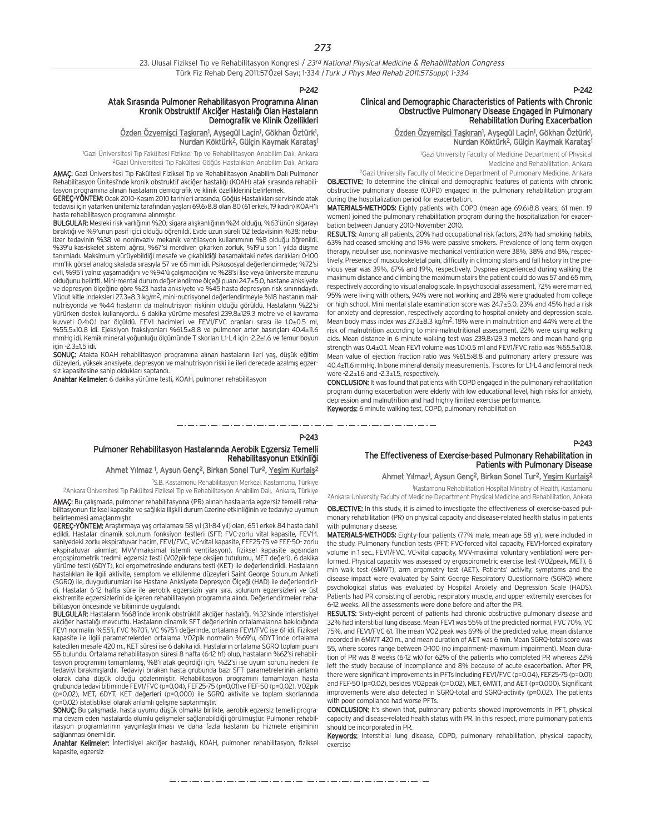#### $P-2A2$

#### Atak Sırasında Pulmoner Rehabilitasyon Programına Alınan Kronik Obstruktif Akciğer Hastalığı Olan Hastaların Demografik ve Klinik Özellikleri

<u>Özden Özyemişci Taşkıran</u>1, Ayşegül Laçin<sup>1</sup>, Gökhan Öztürk<sup>1</sup>, Nurdan Köktürk<sup>2</sup>, Gülcin Kaymak Karatas<sup>1</sup>

<sup>1</sup>Gazi Üniversitesi Tıp Fakültesi Fiziksel Tıp ve Rehabilitasyon Anabilim Dalı, Ankara <sup>2</sup>Gazi Üniversitesi Tıp Fakültesi Göğüs Hastalıkları Anabilim Dalı, Ankara

AMAÇ: Gazi Üniversitesi Tıp Fakültesi Fiziksel Tıp ve Rehabilitasyon Anabilim Dalı Pulmoner Rehabilitasyon Ünitesi'nde kronik obstruktif akciğer hastalığı (KOAH) atak sırasında rehabilitasyon programına alınan hastaların demografik ve klinik özelliklerini belirlemek.

GEREÇ-YÖNTEM: Ocak 2010-Kasım 2010 tarihleri arasında, Göğüs Hastalıkları servisinde atak tedavisi için yatarken ünitemiz tarafından yaşları 69.6>8.8 olan 80 (61 erkek, 19 kadın) KOAH'lı hasta rehabilitasyon programına alınmıştır.

BULGULAR: Mesleki risk varlığının %20; sigara alışkanlığının %24 olduğu, %63'ünün sigarayı bıraktığı ve %9'unun pasif içici olduğu öğrenildi. Evde uzun süreli O2 tedavisinin %38; nebulizer tedavinin %38 ve noninvaziv mekanik ventilasyon kullanımının %8 olduğu öğrenildi. %39'u kas-iskelet sistemi ağrısı, %67'si merdiven çıkarken zorluk, %19'u son 1 yılda düşme tanımladı. Maksimum yürüyebildiği mesafe ve çıkabildiği basamaktaki nefes darlıkları 0-100 mm'lik görsel analog skalada s›ras›yla 57 ve 65 mm idi. Psikososyal de¤erlendirmede; %72'si evli, %95'i yalnız yaşamadığını ve %94'ü çalışmadığını ve %28'si lise veya üniversite mezunu olduğunu belirtti. Mini-mental durum değerlendirme ölceği puanı 24.7±5.0, hastane anksiyete ve depresyon ölçeğine göre %23 hasta anksiyete ve %45 hasta depresyon risk sınırındaydı. Vücut kitle indeksleri 27.3±8.3 kg/m<sup>2</sup>, mini-nutrisyonel değerlendirmeyle %18 hastanın malnutrisyonda ve %44 hastanın da malnutrisyon riskinin olduğu görüldü. Hastaların %22'si yürürken destek kullanıyordu. 6 dakika yürüme mesafesi 239.8±129.3 metre ve el kavrama kuvveti 0.4>0.1 bar ölçüldü. FEV1 hacimleri ve FEV1/FVC oranları sırası ile 1.0±0.5 ml, %55.5±10.8 idi. Ejeksiyon fraksiyonları %61.5±8.8 ve pulmoner arter basınçları 40.4±11.6 mmHg idi. Kemik mineral yoğunluğu ölçümünde T skorları L1-L4 için -2.2±1.6 ve femur boyun için -2.3±1.5 idi.

SONUÇ: Atakta KOAH rehabilitasyon programına alınan hastaların ileri yaş, düşük eğitim düzeyleri, yüksek anksiyete, depresyon ve malnutrisyon riski ile ileri derecede azalmış egzersiz kapasitesine sahip oldukları saptandı.

Anahtar Kelimeler: 6 dakika yürüme testi, KOAH, pulmoner rehabilitasyon

#### P-242

#### Clinical and Demographic Characteristics of Patients with Chronic Obstructive Pulmonary Disease Engaged in Pulmonary Rehabilitation During Exacerbation

<u>Özden Özyemişci Taşkıran</u>1, Ayşegül Laçin<sup>1</sup>, Gökhan Öztürk<sup>1</sup>, Nurdan Köktürk<sup>2</sup>, Gülçin Kaymak Karataş<sup>ı</sup>

1 Gazi University Faculty of Medicine Department of Physical

Medicine and Rehabilitation, Ankara

<sup>2</sup>Gazi University Faculty of Medicine Department of Pulmonary Medicine, Ankara OBJECTIVE: To determine the clinical and demographic features of patients with chronic obstructive pulmonary disease (COPD) engaged in the pulmonary rehabilitation program during the hospitalization period for exacerbation.

MATERIALS-METHODS: Eighty patients with COPD (mean age 69.6>8.8 years; 61 men, 19 women) joined the pulmonary rehabilitation program during the hospitalization for exacerbation between January 2010-November 2010.

RESULTS: Among all patients, 20% had occupational risk factors, 24% had smoking habits, 63% had ceased smoking and 19% were passive smokers. Prevalence of long term oxygen therapy, nebuliser use, noninvasive mechanical ventilation were 38%, 38% and 8%, respectively. Presence of musculoskeletal pain, difficulty in climbing stairs and fall history in the previous year was 39%, 67% and 19%, respectively. Dyspnea experienced during walking the maximum distance and climbing the maximum stairs the patient could do was 57 and 65 mm, respectively according to visual analog scale. In psychosocial assessment, 72% were married, 95% were living with others, 94% were not working and 28% were graduated from college or high school. Mini mental state examination score was 24.7±5.0. 23% and 45% had a risk for anxiety and depression, respectively according to hospital anxiety and depression scale. Mean body mass index was 27.3±8.3 kg/m2. 18% were in malnutrition and 44% were at the risk of malnutrition according to mini-malnutritional assessment. 22% were using walking aids. Mean distance in 6 minute walking test was 239.8>129.3 meters and mean hand grip strength was  $0.4+0.1$ . Mean FFV1 volume was  $10.05$  ml and FFV1/FVC ratio was %55.5 $\pm$ 10.8. Mean value of ejection fraction ratio was %61.5>8.8 and pulmonary artery pressure was 40.4±11.6 mmHg. In bone mineral density measurements, T-scores for L1-L4 and femoral neck were -2.2±1.6 and -2.3±1.5, respectively.

CONCLUSION: It was found that patients with COPD engaged in the pulmonary rehabilitation program during exacerbation were elderly with low educational level, high risks for anxiety, depression and malnutrition and had highly limited exercise performance. Keywords: 6 minute walking test, COPD, pulmonary rehabilitation

#### P-243

#### Pulmoner Rehabilitasyon Hastalarında Aerobik Egzersiz Temelli Rehabilitasyonun Etkinliği

#### Ahmet Yılmaz <sup>1</sup>, Aysun Genç<sup>2</sup>, Birkan Sonel Tur<sup>2</sup>, Yeşim Kurtaiş<sup>2</sup>

1 S.B. Kastamonu Rehabilitasyon Merkezi, Kastamonu, Türkiye

<sup>2</sup>Ankara Üniversitesi Tıp Fakültesi Fiziksel Tıp ve Rehabilitasyon Anabilim Dalı, Ankara, Türkiye AMAÇ: Bu çalışmada, pulmoner rehabilitasyona (PR) alınan hastalarda egzersiz temelli rehabilitasyonun fiziksel kapasite ve sağlıkla ilişkili durum üzerine etkinliğinin ve tedaviye uyumun belirlenmesi amaçlanmıştır.

GEREÇ-YÖNTEM: Araştırmaya yaş ortalaması 58 yıl (31-84 yıl) olan, 65'i erkek 84 hasta dahil edildi. Hastalar dinamik solunum fonksiyon testleri (SFT; FVC-zorlu vital kapasite, FEV1-1. saniyedeki zorlu ekspiratuvar hacim, FEV1/FVC, VC-vital kapasite, FEF25-75 ve FEF-50- zorlu ekspiratuvar akımlar, MVV-maksimal istemli ventilasyon), fiziksel kapasite açısından ergospirometrik tredmil egzersiz testi (VO2pik-tepe oksijen tutulumu, MET değeri), 6 dakika yürüme testi (6DYT), kol ergometresinde endurans testi (KET) ile değerlendirildi. Hastaların hastalıkları ile ilgili aktivite, semptom ve etkilenme düzeyleri Saint George Solunum Anketi (SGRQ) ile, duygudurumları ise Hastane Anksiyete Depresyon Ölçeği (HAD) ile değerlendirildi. Hastalar 6-12 hafta süre ile aerobik egzersizin yanı sıra, solunum egzersizleri ve üst ekstremite egzersizlerini de içeren rehabilitasyon programına alındı. Değerlendirmeler rehabilitasyon öncesinde ve bitiminde uyguland›.

BULGULAR: Hastaların %68'inde kronik obstrüktif akciğer hastalığı, %32'sinde interstisiyel akciğer hastalığı mevcuttu. Hastaların dinamik SFT değerlerinin ortalamalarına bakıldığında FEV1 normalin %55'i, FVC %70'i, VC %75'i değerinde, ortalama FEV1/FVC ise 61 idi. Fiziksel kapasite ile ilgili parametrelerden ortalama VO2pik normalin %69'u, 6DYT'inde ortalama katedilen mesafe 420 m., KET süresi ise 6 dakika idi. Hastaların ortalama SGRQ toplam puanı 55 bulundu. Ortalama rehabilitasyon süresi 8 hafta (6-12 hf) olup, hastaların %62'si rehabilitasyon programını tamamlamış, %8'i atak geçirdiği için, %22'si ise uyum sorunu nedeni ile tedaviyi bırakmışlardır. Tedaviyi bırakan hasta grubunda bazı SFT parametrelerinin anlamlı olarak daha düşük olduğu gözlenmiştir. Rehabilitasyon programını tamamlayan hasta<br>grubunda tedavi bitiminde FEV1/FVC (p=0,04), FEF25-75 (p=0,01)ve FEF-50 (p=0,02), VO2pik (p=0,02), MET, 6DYT, KET değerleri (p=0,000) ile SGRQ aktivite ve toplam skorlarında (p=0,02) istatistiksel olarak anlamlı gelişme saptanmıştır.

SONUÇ: Bu çalışmada, hasta uyumu düşük olmakla birlikte, aerobik egzersiz temelli programa devam eden hastalarda olumlu gelişmeler sağlanabildiği görülmüştür. Pulmoner rehabilitasyon programlarının yaygınlaştırılması ve daha fazla hastanın bu hizmete erişiminin sa¤lanmas› önemlidir.

Anahtar Kelimeler: İntertisiyel akciğer hastalığı, KOAH, pulmoner rehabilitasyon, fiziksel kapasite, egzersiz

## The Effectiveness of Exercise-based Pulmonary Rehabilitation in Patients with Pulmonary Disease

Ahmet Yılmaz<sup>1</sup>, Aysun Genç<sup>2</sup>, Birkan Sonel Tur<sup>2</sup>, Yeşim Kurtaiş<sup>2</sup>

1 Kastamonu Rehabilitation Hospital Ministry of Health, Kastamonu

2Ankara University Faculty of Medicine Department Physical Medicine and Rehabilitation, Ankara OBJECTIVE: In this study, it is aimed to investigate the effectiveness of exercise-based pulmonary rehabilitation (PR) on physical capacity and disease-related health status in patients with pulmonary disease

MATERIALS-METHODS: Eighty-four patients (77% male, mean age 58 yr), were included in the study. Pulmonary function tests (PFT; FVC-forced vital capacity, FEV1-forced expiratory volume in 1 sec., FEV1/FVC, VC-vital capacity, MVV-maximal voluntary ventilation) were performed. Physical capacity was assessed by ergospirometric exercise test (VO2peak, MET), 6 min walk test (6MWT), arm ergometry test (AET). Patients' activity, symptoms and the disease impact were evaluated by Saint George Respiratory Questionnaire (SGRQ) where psychological status was evaluated by Hospital Anxiety and Depression Scale (HADS). Patients had PR consisting of aerobic, respiratory muscle, and upper extremity exercises for 6-12 weeks. All the assessments were done before and after the PR.

RESULTS: Sixty-eight percent of patients had chronic obstructive pulmonary disease and 32% had interstitial lung disease. Mean FEV1 was 55% of the predicted normal, FVC 70%, VC 75%, and FEV1/FVC 61. The mean VO2 peak was 69% of the predicted value, mean distance recorded in 6MWT 420 m., and mean duration of AET was 6 min. Mean SGRQ-total score was 55, where scores range between 0-100 (no impairment- maximum impairment). Mean duration of PR was 8 weeks (6-12 wk) for 62% of the patients who completed PR whereas 22% left the study because of incompliance and 8% because of acute exacerbation. After PR, there were significant improvements in PFTs including FEV1/FVC (p=0.04), FEF25-75 (p=0.01) and FEF-50 (p=0.02), besides VO2peak (p=0.02), MET, 6MWT, and AET (p=0.000). Significant improvements were also detected in SGRQ-total and SGRQ-activity (p=0.02). The patients with poor compliance had worse PFTs.

CONCLUSION: It's shown that, pulmonary patients showed improvements in PFT, physical capacity and disease-related health status with PR. In this respect, more pulmonary patients should be incorporated in PR.

Keywords: Interstitial lung disease, COPD, pulmonary rehabilitation, physical capacity, exercise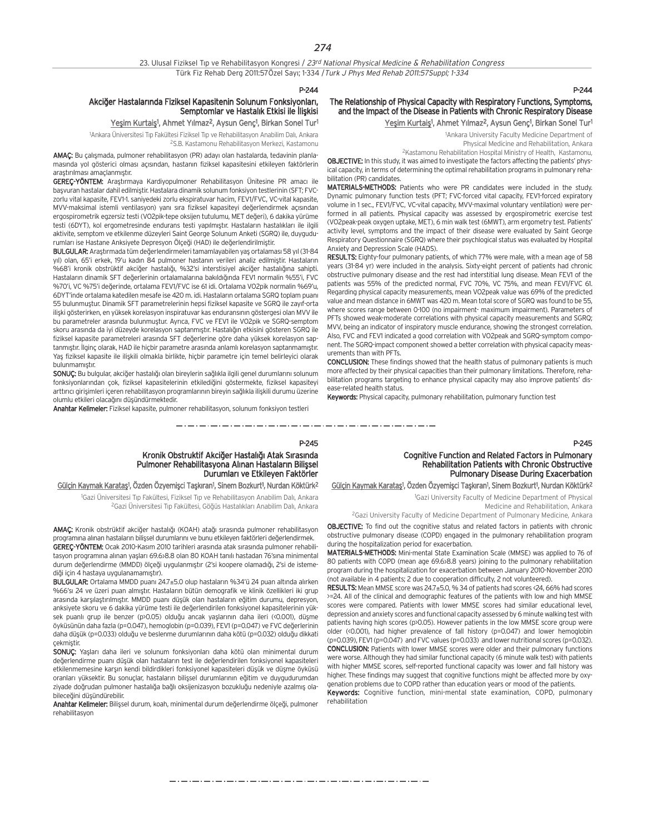### Akciğer Hastalarında Fiziksel Kapasitenin Solunum Fonksiyonları, Semptomlar ve Hastalık Etkisi ile İliskisi

#### <u>Yeşim Kurtaiş</u>1, Ahmet Yılmaz<sup>2</sup>, Aysun Genç1, Birkan Sonel Tur<sup>1</sup>

<sup>1</sup>Ankara Üniversitesi Tıp Fakültesi Fiziksel Tıp ve Rehabilitasyon Anabilim Dalı, Ankara 2S.B. Kastamonu Rehabilitasyon Merkezi, Kastamonu

AMAÇ: Bu çalışmada, pulmoner rehabilitasyon (PR) adayı olan hastalarda, tedavinin planlamasında yol gösterici olması açısından, hastanın fiziksel kapasitesini etkileyen faktörlerin arastırılması amaçlanmıştır.

GEREC-YÖNTEM: Arastırmaya Kardiyopulmoner Rehabilitasyon Ünitesine PR amacı ile basvuran hastalar dahil edilmistir. Hastalara dinamik solunum fonksiyon testlerinin (SFT; FVCzorlu vital kapasite, FEV1-1. saniyedeki zorlu ekspiratuvar hacim, FEV1/FVC, VC-vital kapasite, MVV-maksimal istemli ventilasyon) yanı sıra fiziksel kapasiteyi değerlendirmek açısından ergospirometrik egzersiz testi (VO2pik-tepe oksijen tutulumu, MET değeri), 6 dakika yürüme testi (6DYT), kol ergometresinde endurans testi yapılmıştır. Hastaların hastalıkları ile ilgili aktivite, semptom ve etkilenme düzeyleri Saint George Solunum Anketi (SGRQ) ile, duygudurumları ise Hastane Anksiyete Depresyon Ölçeği (HAD) ile değerlendirilmiştir.

BULGULAR: Araştırmada tüm değerlendirmeleri tamamlayabilen yaş ortalaması 58 yıl (31-84 yıl) olan, 65'i erkek, 19'u kadın 84 pulmoner hastanın verileri analiz edilmiştir. Hastaların %68'i kronik obstrüktif akciğer hastalığı, %32'si interstisiyel akciğer hastalığına sahipti. Hastaların dinamik SFT değerlerinin ortalamalarına bakıldığında FEV1 normalin %55'i, FVC %70'i, VC %75'i değerinde, ortalama FEV1/FVC ise 61 idi. Ortalama VO2pik normalin %69'u, 6DYT'inde ortalama katedilen mesafe ise 420 m. idi. Hastalar›n ortalama SGRQ toplam puan› 55 bulunmuştur. Dinamik SFT parametrelerinin hepsi fiziksel kapasite ve SGRQ ile zayıf-orta ilişki gösterirken, en yüksek korelasyon inspiratuvar kas enduransının göstergesi olan MVV ile bu parametreler arasında bulunmuştur. Ayrıca, FVC ve FEV1 ile VO2pik ve SGRQ-semptom skoru arasında da iyi düzeyde korelasyon saptanmıştır. Hastalığın etkisini gösteren SGRQ ile fiziksel kapasite parametreleri arasında SFT değerlerine göre daha yüksek korelasyon saptanmıştır. İlginc olarak, HAD ile hiçbir parametre arasında anlamlı korelasyon saptanmamıştır. Yaş fiziksel kapasite ile ilişkili olmakla birlikte, hiçbir parametre için temel belirleyici olarak bulunmamıştır.

SONUÇ: Bu bulgular, akciğer hastalığı olan bireylerin sağlıkla ilgili genel durumlarını solunum fonksiyonlarından çok, fiziksel kapasitelerinin etkilediğini göstermekte, fiziksel kapasiteyi arttırıcı girişimleri içeren rehabilitasyon programlarının bireyin sağlıkla ilişkili durumu üzerine olumlu etkileri olacağını düşündürmektedir.

Anahtar Kelimeler: Fiziksel kapasite, pulmoner rehabilitasyon, solunum fonksiyon testleri

#### The Relationship of Physical Capacity with Respiratory Functions, Symptoms, and the Impact of the Disease in Patients with Chronic Respiratory Disease

Yeşim Kurtaiş<sup>1</sup>, Ahmet Yılmaz<sup>2</sup>, Aysun Genç<sup>1</sup>, Birkan Sonel Tur<sup>1</sup>

1 Ankara University Faculty Medicine Department of Physical Medicine and Rehabilitation, Ankara

2Kastamonu Rehabilitation Hospital Ministry of Health, Kastamonu, OBJECTIVE: In this study, it was aimed to investigate the factors affecting the patients' phys-

ical capacity, in terms of determining the optimal rehabilitation programs in pulmonary rehabilitation (PR) candidates.

MATERIALS-METHODS: Patients who were PR candidates were included in the study. Dynamic pulmonary function tests (PFT; FVC-forced vital capacity, FEV1-forced expiratory volume in 1 sec., FEV1/FVC, VC-vital capacity, MVV-maximal voluntary ventilation) were performed in all patients. Physical capacity was assessed by ergospirometric exercise test (VO2peak-peak oxygen uptake, MET), 6 min walk test (6MWT), arm ergometry test. Patients' activity level, symptoms and the impact of their disease were evaluated by Saint George Respiratory Questionnaire (SGRQ) where their psychlogical status was evaluated by Hospital Anxiety and Depression Scale (HADS).

RESULTS: Eighty-four pulmonary patients, of which 77% were male, with a mean age of 58 years (31-84 yr) were included in the analysis. Sixty-eight percent of patients had chronic obstructive pulmonary disease and the rest had interstitial lung disease. Mean FEV1 of the patients was 55% of the predicted normal, FVC 70%, VC 75%, and mean FEV1/FVC 61. Regarding physical capacity measurements, mean VO2peak value was 69% of the predicted value and mean distance in 6MWT was 420 m. Mean total score of SGRQ was found to be 55, where scores range between 0-100 (no impairment- maximum impairment). Parameters of PFTs showed weak-moderate correlations with physical capacity measurements and SGRQ; MVV, being an indicator of inspiratory muscle endurance, showing the strongest correlation. Also, FVC and FEV1 indicated a good correlation with VO2peak and SGRQ-symptom component. The SGRQ-impact component showed a better correlation with physical capacity measurements than with PFTs.

CONCLUSION: These findings showed that the health status of pulmonary patients is much more affected by their physical capacities than their pulmonary limitations. Therefore, rehabilitation programs targeting to enhance physical capacity may also improve patients' disease-related health status.

Keywords: Physical capacity, pulmonary rehabilitation, pulmonary function test

#### P-245

مترو متناول متناول متناول متناول متناول متناول متناول متناول متناول متناول متناول متناول متناول متناول متناول متناولات

#### Kronik Obstruktif Akciğer Hastalığı Atak Sırasında Pulmoner Rehabilitasyona Alınan Hastaların Bilişsel Durumları ve Etkileyen Faktörler

#### <u>Gülçin Kaymak Karataş</u>1, Özden Özyemişci Taşkıran1, Sinem Bozkurt1, Nurdan Köktürk<sup>2</sup>

<sup>1</sup>Gazi Üniversitesi Tıp Fakültesi, Fiziksel Tıp ve Rehabilitasyon Anabilim Dalı, Ankara <sup>2</sup>Gazi Üniversitesi Tıp Fakültesi, Göğüs Hastalıkları Anabilim Dalı, Ankara

AMAÇ: Kronik obstrüktif akciğer hastalığı (KOAH) atağı sırasında pulmoner rehabilitasyon programına alınan hastaların bilissel durumlarını ve bunu etkileyen faktörleri değerlendirmek. GEREÇ-YÖNTEM: Ocak 2010-Kasım 2010 tarihleri arasında atak sırasında pulmoner rehabilitasyon programına alınan yaşları 69.6 $>8.8$  olan 80 KOAH tanılı hastadan 76'sına minimental durum değerlendirme (MMDD) ölçeği uygulanmıştır (2'si koopere olamadığı, 2'si de istemediği için 4 hastaya uygulanamamıştır).

BULGULAR: Ortalama MMDD puanı 24.7±5.0 olup hastaların %34'ü 24 puan altında alırken %66'sı 24 ve üzeri puan almıştır. Hastaların bütün demografik ve klinik özellikleri iki grup arasında karşılaştırılmıştır. MMDD puanı düşük olan hastaların eğitim durumu, depresyon, anksiyete skoru ve 6 dakika yürüme testi ile değerlendirilen fonksiyonel kapasitelerinin yüksek puanlı grup ile benzer (p>0.05) olduğu ancak yaşlarının daha ileri (<0.001), düşme öyküsünün daha fazla (p=0.047), hemoglobin (p=0.039), FEV1 (p=0.047) ve FVC değerlerinin daha düşük (p=0.033) olduğu ve beslenme durumlarının daha kötü (p=0.032) olduğu dikkati çekmistir

SONUÇ: Yaşları daha ileri ve solunum fonksiyonları daha kötü olan minimental durum değerlendirme puanı düşük olan hastaların test ile değerlendirilen fonksiyonel kapasiteleri etkilenmemesine karşın kendi bildirdikleri fonksiyonel kapasiteleri düşük ve düşme öyküsü oranları yüksektir. Bu sonuçlar, hastaların bilissel durumlarının eğitim ve duygudurumdan ziyade doğrudan pulmoner hastalığa bağlı oksijenizasyon bozukluğu nedeniyle azalmış olabileceğini düşündürebilir.

Anahtar Kelimeler: Bilişsel durum, koah, minimental durum değerlendirme ölçeği, pulmoner rehabilitasyon

#### Cognitive Function and Related Factors in Pulmonary Rehabilitation Patients with Chronic Obstructive Pulmonary Disease During Exacerbation

<u>Gülçin Kaymak Karataş</u>1, Özden Özyemişci Taşkıran1, Sinem Bozkurt1, Nurdan Köktürk<sup>2</sup>

1 Gazi University Faculty of Medicine Department of Physical Medicine and Rehabilitation, Ankara

P-245

2Gazi University Faculty of Medicine Department of Pulmonary Medicine, Ankara

OBJECTIVE: To find out the cognitive status and related factors in patients with chronic obstructive pulmonary disease (COPD) engaged in the pulmonary rehabilitation program during the hospitalization period for exacerbation.

MATERIALS-METHODS: Mini-mental State Examination Scale (MMSE) was applied to 76 of 80 patients with COPD (mean age 69.6>8.8 years) joining to the pulmonary rehabilitation program during the hospitalization for exacerbation between January 2010-November 2010 (not available in 4 patients; 2 due to cooperation difficulty, 2 not volunteered).

RESULTS: Mean MMSE score was 24.7±5.0, % 34 of patients had scores <24, 66% had scores >=24. All of the clinical and demographic features of the patients with low and high MMSE scores were compared. Patients with lower MMSE scores had similar educational level, depression and anxiety scores and functional capacity assessed by 6 minute walking test with patients having high scores (p>0.05). However patients in the low MMSE score group were older (<0.001), had higher prevalence of fall history (p=0.047) and lower hemoglobin (p=0.039), FEV1 (p=0.047) and FVC values (p=0.033) and lower nutritional scores (p=0.032). CONCLUSION: Patients with lower MMSE scores were older and their pulmonary functions were worse. Although they had similar functional capacity (6 minute walk test) with patients with higher MMSE scores, self-reported functional capacity was lower and fall history was higher. These findings may suggest that cognitive functions might be affected more by oxy-

genation problems due to COPD rather than education years or mood of the patients. Keywords: Cognitive function, mini-mental state examination, COPD, pulmonary rehabilitation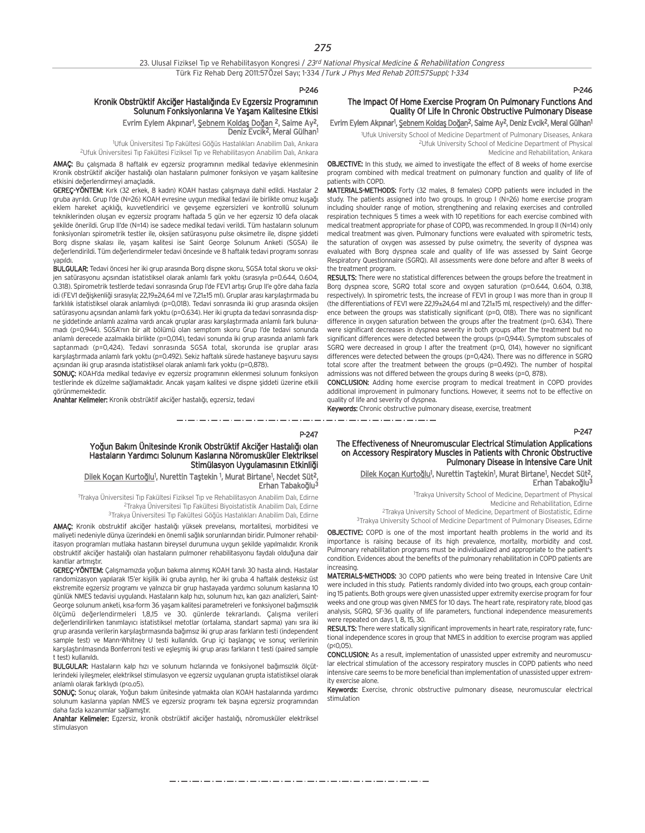P-247

#### Kronik Obstrüktif Akciğer Hastalığında Ev Egzersiz Programının Solunum Fonksiyonlarına Ve Yaşam Kalitesine Etkisi Evrim Eylem Akpınar<sup>ı</sup>, <u>Şebnem Koldaş Doğan 2, Saime Ay2</u>,

Deniz Evcik2, Meral Gülhan1 <sup>1</sup>Ufuk Üniversitesi Tıp Fakültesi Göğüs Hastalıkları Anabilim Dalı, Ankara

<sup>2</sup>Ufuk Üniversitesi Tıp Fakültesi Fiziksel Tıp ve Rehabilitasyon Anabilim Dalı, Ankara

AMAÇ: Bu çalışmada 8 haftalık ev egzersiz programının medikal tedaviye eklenmesinin Kronik obstrüktif akciğer hastalığı olan hastaların pulmoner fonksiyon ve yaşam kalitesine etkisini değerlendirmeyi amaçladık.

GEREÇ-YÖNTEM: Kırk (32 erkek, 8 kadın) KOAH hastası çalışmaya dahil edildi. Hastalar 2 gruba ayrıldı. Grup I'de (N=26) KOAH evresine uygun medikal tedavi ile birlikte omuz kuşağı eklem hareket açıklığı, kuvvetlendirici ve gevşeme egzersizleri ve kontrollü solunum tekniklerinden oluşan ev egzersiz programı haftada 5 gün ve her egzersiz 10 defa olacak şekilde önerildi. Grup II'de (N=14) ise sadece medikal tedavi verildi. Tüm hastaların solunum fonksiyonları spirometrik testler ile, oksijen satürasyonu pulse oksimetre ile, dispne siddeti Borg dispne skalası ile, yaşam kalitesi ise Saint George Solunum Anketi (SGSA) ile değerlendirildi. Tüm değerlendirmeler tedavi öncesinde ve 8 haftalık tedavi programı sonrası yapıldı.

BULGULAR: Tedavi öncesi her iki grup arasında Borg dispne skoru, SGSA total skoru ve oksijen satürasyonu açısından istatistiksel olarak anlamlı fark yoktu (sırasıyla p=0.644, 0.604, 0.318). Spirometrik testlerde tedavi sonrasında Grup I'de FEV1 artışı Grup II'e göre daha fazla idi (FFV1 değişkenliği sırasıyla; 22,19+24,64 ml ve 7,21±15 ml). Gruplar arası karşılaştırmada bu farklılık istatistiksel olarak anlamlıydı (p=0,018). Tedavi sonrasında iki grup arasında oksijen satürasyonu açısından anlamlı fark yoktu (p=0.634). Her iki grupta da tedavi sonrasında dispne şiddetinde anlamlı azalma vardı ancak gruplar arası karşılaştırmada anlamlı fark bulunamadı (p=0,944). SGSA'nın bir alt bölümü olan semptom skoru Grup I'de tedavi sonunda anlamlı derecede azalmakla birlikte (p=0,014), tedavi sonunda iki grup arasında anlamlı fark saptanmadı (p=0,424). Tedavi sonrasında SGSA total, skorunda ise gruplar arası karsılaştırmada anlamlı fark yoktu (p=0.492). Sekiz haftalık sürede hastaneye başyuru sayısı açısından iki grup arasında istatistiksel olarak anlamlı fark yoktu (p=0,878).

SONUÇ: KOAH'da medikal tedaviye ev egzersiz programının eklenmesi solunum fonksiyon testlerinde ek düzelme sağlamaktadır. Ancak yaşam kalitesi ve dispne şiddeti üzerine etkili görünmemektedir.

Anahtar Kelimeler: Kronik obstrüktif akciğer hastalığı, egzersiz, tedavi

#### P-246

## The Impact Of Home Exercise Program On Pulmonary Functions And Quality Of Life In Chronic Obstructive Pulmonary Disease

Evrim Eylem Akpınar<sup>ı</sup>, <u>Şebnem Koldaş Doğan</u><sup>2</sup>, Saime Ay<sup>2</sup>, Deniz Evcik<sup>2</sup>, Meral Gülhan<sup>ı</sup>

1 Ufuk University School of Medicine Department of Pulmonary Diseases, Ankara 2Ufuk University School of Medicine Department of Physical Medicine and Rehabilitation, Ankara

**OBJECTIVE:** In this study, we aimed to investigate the effect of 8 weeks of home exercise program combined with medical treatment on pulmonary function and quality of life of patients with COPD.

MATERIALS-METHODS: Forty (32 males, 8 females) COPD patients were included in the study. The patients assigned into two groups. In group I (N=26) home exercise program including shoulder range of motion, strengthening and relaxing exercises and controlled respiration techniques 5 times a week with 10 repetitions for each exercise combined with medical treatment appropriate for phase of COPD, was recommended. In group II (N=14) only medical treatment was given. Pulmonary functions were evaluated with spirometric tests, the saturation of oxygen was assessed by pulse oximetry, the severity of dyspnea was evaluated with Borg dyspnea scale and quality of life was assessed by Saint George Respiratory Questionnaire (SGRQ). All assessments were done before and after 8 weeks of the treatment program.

RESULTS: There were no statistical differences between the groups before the treatment in Borg dyspnea score, SGRQ total score and oxygen saturation (p=0.644, 0.604, 0.318, respectively). In spirometric tests, the increase of FEV1 in group I was more than in group II (the differentiations of FEV1 were 22,19±24,64 ml and 7,21±15 ml, respectively) and the difference between the groups was statistically significant (p=0, 018). There was no significant difference in oxygen saturation between the groups after the treatment (p=0. 634). There were significant decreases in dyspnea severity in both groups after the treatment but no significant differences were detected between the groups (p=0,944). Symptom subscales of SGRQ were decreased in group I after the treatment (p=0, 014), however no significant differences were detected between the groups (p=0,424). There was no difference in SGRQ total score after the treatment between the groups (p=0.492). The number of hospital admissions was not differed between the groups during 8 weeks (p=0, 878).

CONCLUSION: Adding home exercise program to medical treatment in COPD provides additional improvement in pulmonary functions. However, it seems not to be effective on quality of life and severity of dyspnea.

Keywords: Chronic obstructive pulmonary disease, exercise, treatment

#### P-247

The Effectiveness of Nneuromuscular Electrical Stimulation Applications on Accessory Respiratory Muscles in Patients with Chronic Obstructive Pulmonary Disease in Intensive Care Unit

Dilek Koçan Kurtoğlu<sup>1</sup>, Nurettin Taştekin<sup>1</sup>, Murat Birtane<sup>1</sup>, Necdet Süt<sup>2</sup>, Erhan Tabakoğlu<sup>3</sup>

1 Trakya University School of Medicine, Department of Physical

Medicine and Rehabilitation, Edirne

2Trakya University School of Medicine, Department of Biostatistic, Edirne

3Trakya University School of Medicine Department of Pulmonary Diseases, Edirne

OBJECTIVE: COPD is one of the most important health problems in the world and its importance is raising because of its high prevalence, mortality, morbidity and cost. Pulmonary rehabilitation programs must be individualized and appropriate to the patient's condition. Evidences about the benefits of the pulmonary rehabilitation in COPD patients are increasing.

MATERIALS-METHODS: 30 COPD patients who were being treated in Intensive Care Unit were included in this study. Patients randomly divided into two groups, each group containing 15 patients. Both groups were given unassisted upper extremity exercise program for four weeks and one group was given NMES for 10 days. The heart rate, respiratory rate, blood gas analysis, SGRQ, SF-36 quality of life parameters, functional independence measurements were repeated on days 1, 8, 15, 30.

RESULTS: There were statically significant improvements in heart rate, respiratory rate, functional independence scores in group that NMES in addition to exercise program was applied  $(p < 0.05)$ 

CONCLUSION: As a result, implementation of unassisted upper extremity and neuromuscular electrical stimulation of the accessory respiratory muscles in COPD patients who need intensive care seems to be more beneficial than implementation of unassisted upper extremity exercise alone.

Keywords: Exercise, chronic obstructive pulmonary disease, neuromuscular electrical stimulation

Stimülasyon Uygulamasının Etkinliği Dilek Koçan Kurtoğlu<sup>1</sup>, Nurettin Taştekin <sup>1</sup>, Murat Birtane<sup>1</sup>, Necdet Süt<sup>2</sup>, Erhan Tabakoğlu<sup>3</sup>

Yoğun Bakım Ünitesinde Kronik Obstrüktif Akciğer Hastalığı olan Hastaların Yardımcı Solunum Kaslarına Nöromusküler Elektriksel

1 Trakya Üniversitesi T›p Fakültesi Fiziksel T›p ve Rehabilitasyon Anabilim Dal›, Edirne <sup>2</sup>Trakya Üniversitesi Tıp Fakültesi Biyoistatistik Anabilim Dalı, Edirne 3Trakya Üniversitesi Tıp Fakültesi Göğüs Hastalıkları Anabilim Dalı, Edirne

AMAÇ: Kronik obstruktif akciğer hastalığı yüksek prevelansı, mortalitesi, morbiditesi ve maliyeti nedeniyle dünya üzerindeki en önemli sağlık sorunlarından biridir. Pulmoner rehabilitasyon programları mutlaka hastanın bireysel durumuna uygun şekilde yapılmalıdır. Kronik obstruktif akciğer hastalığı olan hastaların pulmoner rehabilitasyonu faydalı olduğuna dair kanıtlar artmıştır.

GEREC-YÖNTEM: Calismamizda yoğun bakıma alınmış KOAH tanılı 30 hasta alındı. Hastalar randomizasyon yapılarak 15'er kişilik iki gruba ayrılıp, her iki gruba 4 haftalık desteksiz üst ekstremite egzersiz programı ve yalnızca bir grup hastayada yardımcı solunum kaslarına 10 günlük NMES tedavisi uygulandı. Hastaların kalp hızı, solunum hızı, kan gazı analizleri, Saint-George solunum anketi, kısa-form 36 yasam kalitesi parametreleri ve fonksiyonel bağımsızlık ölçümü değerlendirmeleri 1,8,15 ve 30. günlerde tekrarlandı. Calışma verileri değerlendirilirken tanımlayıcı istatistiksel metotlar (ortalama, standart sapma) yanı sıra iki grup arasında verilerin karşılaştırmasında bağımsız iki grup arası farkların testi (independent sample test) ve Mann-Whitney U testi kullanıldı. Grup içi başlangıç ve sonuç verilerinin karşılaştırılmasında Bonferroni testi ve eşleşmiş iki grup arası farkların t testi (paired sample t test) kullanıldı.

BULGULAR: Hastaların kalp hızı ve solunum hızlarında ve fonksiyonel bağımsızlık ölçütlerindeki iyileşmeler, elektriksel stimulasyon ve egzersiz uygulanan grupta istatistiksel olarak anlamlı olarak farklıydı (n<o.o5).

SONUÇ: Sonuç olarak, Yoğun bakım ünitesinde yatmakta olan KOAH hastalarında yardımcı solunum kaslarına yapılan NMES ve egzersiz programı tek başına egzersiz programından daha fazla kazanımlar sağlamıştır.

Anahtar Kelimeler: Egzersiz, kronik obstrüktif akciğer hastalığı, nöromusküler elektriksel stimulasyon

والمساويس والمساويس والمساويس والمساويس والمساويس والمساويس والمساويس والمساويس والمساويس والمساويس والمساويس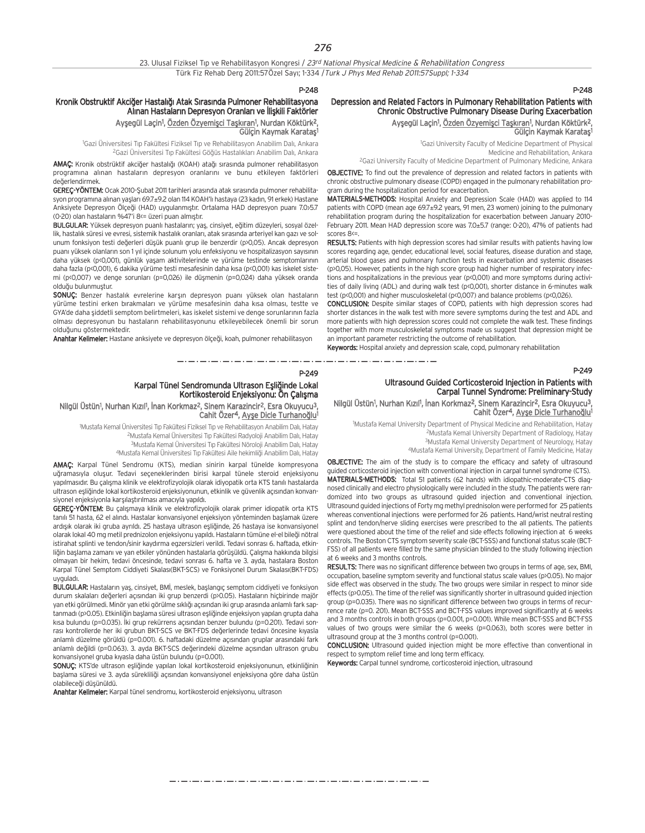#### P-248

## Kronik Obstruktif Akciğer Hastalığı Atak Sırasında Pulmoner Rehabilitasyona Alınan Hastaların Depresyon Oranları ve İlişkili Faktörler

Ayşegül Laçin<sup>ı</sup>, <u>Özden Özyemişci Taşkıran</u>ı, Nurdan Köktürk<sup>2</sup>, Gülcin Kaymak Karatas

<sup>1</sup>Gazi Üniversitesi Tıp Fakültesi Fiziksel Tıp ve Rehabilitasyon Anabilim Dalı, Ankara <sup>2</sup>Gazi Üniversitesi Tıp Fakültesi Göğüs Hastalıkları Anabilim Dalı, Ankara

AMAÇ: Kronik obstrüktif akciğer hastalığı (KOAH) atağı sırasında pulmoner rehabilitasyon programına alınan hastaların depresyon oranlarını ve bunu etkileyen faktörleri de¤erlendirmek.

GEREC-YÖNTEM: Ocak 2010-Subat 2011 tarihleri arasında atak sırasında pulmoner rehabilitasyon programına alınan yaşları 69.7±9.2 olan 114 KOAH'lı hastaya (23 kadın, 91 erkek) Hastane Anksiyete Depresyon Ölçeği (HAD) uygulanmıştır. Ortalama HAD depresyon puanı 7.0>5.7 (0-20) olan hastaların %47'i 8<= üzeri puan almıştır.

BULGULAR: Yüksek depresyon puanlı hastaların; yaş, cinsiyet, eğitim düzeyleri, sosyal özellik, hastalık süresi ve evresi, sistemik hastalık oranları, atak sırasında arteriyel kan gazı ve solunum fonksiyon testi değerleri düşük puanlı grup ile benzerdir (p>0,05). Ancak depresyon puanı yüksek olanların son 1 yıl içinde solunum yolu enfeksiyonu ve hospitalizasyon sayısının daha yüksek (p<0,001), günlük yaşam aktivitelerinde ve yürüme testinde semptomlarının daha fazla (p<0,001), 6 dakika yürüme testi mesafesinin daha kısa (p<0,001) kas iskelet sistemi (p<0,007) ve denge sorunları (p=0,026) ile düşmenin (p=0,024) daha yüksek oranda olduğu bulunmuştur.

SONUÇ: Benzer hastalık evrelerine karşın depresyon puanı yüksek olan hastaların vürüme testini erken bırakmaları ve yürüme mesafesinin daha kısa olması, testte ve GYA'de daha şiddetli semptom belirtmeleri, kas iskelet sistemi ve denge sorunlarının fazla olması depresyonun bu hastaların rehabilitasyonunu etkileyebilecek önemli bir sorun olduğunu göstermektedir.

Anahtar Kelimeler: Hastane anksiyete ve depresyon ölçeği, koah, pulmoner rehabilitasyon

#### P-249

## Karpal Tünel Sendromunda Ultrason Eşliğinde Lokal Kortikosteroid Enjeksiyonu: Ön Çalışma

Nilgül Üstün<sup>ı</sup>, Nurhan Kızıl<sup>ı</sup>, İnan Korkmaz<sup>2</sup>, Sinem Karazincir<sup>2</sup>, Esra Okuyucu<sup>3</sup>, Cahit Özer<sup>4</sup>, Ayşe Dicle Turhanoğlu<sup>1</sup>

1 Mustafa Kemal Üniversitesi T›p Fakültesi Fiziksel T›p ve Rehabilitasyon Anabilim Dal›, Hatay <sup>2</sup>Mustafa Kemal Üniversitesi Tıp Fakültesi Radyoloji Anabilim Dalı, Hatay <sup>3</sup>Mustafa Kemal Üniversitesi Tıp Fakültesi Nöroloji Anabilim Dalı, Hatav 4Mustafa Kemal Üniversitesi Tıp Fakültesi Aile hekimliği Anabilim Dalı, Hatay

AMAÇ: Karpal Tünel Sendromu (KTS), median sinirin karpal tünelde kompresyona uğramasıyla oluşur. Tedavi seçeneklerinden birisi karpal tünele steroid enjeksiyonu yapılmasıdır. Bu çalışma klinik ve elektrofizyolojik olarak idiyopatik orta KTS tanılı hastalarda ultrason eşliğinde lokal kortikosteroid enjeksiyonunun, etkinlik ve güvenlik açısından konvansiyonel enjeksiyonla karşılaştırılması amacıyla yapıldı.

**GEREC-YÖNTEM:** Bu calismaya klinik ve elektrofizyolojik olarak primer idiopatik orta KTS tanılı 51 hasta, 62 el alındı. Hastalar konvansiyonel enjeksiyon yönteminden başlamak üzere ardışık olarak iki gruba ayrıldı. 25 hastaya ultrason eşliğinde, 26 hastaya ise konvansiyonel olarak lokal 40 mg metil prednizolon enjeksiyonu yapıldı. Hastaların tümüne el-el bileği nötral istirahat splinti ve tendon/sinir kaydırma egzersizleri verildi. Tedavi sonrası 6. haftada, etkinliğin başlama zamanı ve yan etkiler yönünden hastalarla görüşüldü. Çalışma hakkında bilgisi olmayan bir hekim, tedavi öncesinde, tedavi sonrası 6. hafta ve 3. ayda, hastalara Boston Karpal Tünel Semptom Ciddiyeti Skalası(BKT-SCS) ve Fonksiyonel Durum Skalası(BKT-FDS) uygulad›.

BULGULAR: Hastaların yaş, cinsiyet, BMİ, meslek, başlangıç semptom ciddiyeti ve fonksivon durum skalaları değerleri açısından iki grup benzerdi (p>0.05). Hastaların hiçbirinde majör yan etki görülmedi. Minör yan etki görülme sıklığı açısından iki grup arasında anlamlı fark saptanmadı (p>0.05). Etkinliğin başlama süresi ultrason eşliğinde enjeksiyon yapılan grupta daha kısa bulundu (p=0.035). İki grup rekürrens açısından benzer bulundu (p=0.201). Tedavi sonrası kontrollerde her iki grubun BKT-SCS ve BKT-FDS değerlerinde tedavi öncesine kıyasla anlamlı düzelme görüldü (p=0.001). 6. haftadaki düzelme açısından gruplar arasındaki fark anlamlı değildi (p=0.063). 3. ayda BKT-SCS değerindeki düzelme açısından ultrason grubu konvansiyonel gruba kıyasla daha üstün bulundu (p=0.001).

SONUÇ: KTS'de ultrason eşliğinde yapılan lokal kortikosteroid enjeksiyonunun, etkinliğinin başlama süresi ve 3. ayda sürekliliği açısından konvansiyonel enjeksiyona göre daha üstün olabileceği düşünüldü.

Anahtar Kelimeler: Karpal tünel sendromu, kortikosteroid enjeksiyonu, ultrason

#### P-248

#### Depression and Related Factors in Pulmonary Rehabilitation Patients with Chronic Obstructive Pulmonary Disease During Exacerbation Ayşegül Laçin<sup>1</sup>, <u>Özden Özyemişci Taşkıran</u>1, Nurdan Köktürk<sup>2</sup>,

Gülçin Kaymak Karataş<sup>1</sup>

1 Gazi University Faculty of Medicine Department of Physical Medicine and Rehabilitation, Ankara 2Gazi University Faculty of Medicine Department of Pulmonary Medicine, Ankara

OBJECTIVE: To find out the prevalence of depression and related factors in patients with chronic obstructive pulmonary disease (COPD) engaged in the pulmonary rehabilitation program during the hospitalization period for exacerbation.

MATERIALS-METHODS: Hospital Anxiety and Depression Scale (HAD) was applied to 114 patients with COPD (mean age 69.7±9.2 years, 91 men, 23 women) joining to the pulmonary rehabilitation program during the hospitalization for exacerbation between January 2010- February 2011. Mean HAD depression score was 7.0±5.7 (range: 0-20), 47% of patients had scores 8<=

RESULTS: Patients with high depression scores had similar results with patients having low scores regarding age, gender, educational level, social features, disease duration and stage, arterial blood gases and pulmonary function tests in exacerbation and systemic diseases (p>0,05). However, patients in the high score group had higher number of respiratory infections and hospitalizations in the previous year (p<0,001) and more symptoms during activities of daily living (ADL) and during walk test (p<0,001), shorter distance in 6-minutes walk test (p<0,001) and higher musculoskeletal (p<0,007) and balance problems (p<0,026).

CONCLUSION: Despite similar stages of COPD, patients with high depression scores had shorter distances in the walk test with more severe symptoms during the test and ADL and more patients with high depression scores could not complete the walk test. These findings together with more musculoskeletal symptoms made us suggest that depression might be an important parameter restricting the outcome of rehabilitation.

Keywords: Hospital anxiety and depression scale, copd, pulmonary rehabilitation

والمساوية والمرابط والمراوي

#### P-249

## Ultrasound Guided Corticosteroid Injection in Patients with Carpal Tunnel Syndrome: Preliminary-Study

Nilgül Üstün<sup>1</sup>, Nurhan Kızıl<sup>1</sup>, İnan Korkmaz<sup>2</sup>, Sinem Karazincir<sup>2</sup>, Esra Okuyucu<sup>3</sup>, Cahit Özer<sup>4</sup>, Ayşe Dicle Turhanoğlu<sup>1</sup>

1 Mustafa Kemal University Department of Physical Medicine and Rehabilitation, Hatay 2Mustafa Kemal University Department of Radiology, Hatay

- 3Mustafa Kemal University Department of Neurology, Hatay
- 4Mustafa Kemal University, Department of Family Medicine, Hatay

OBJECTIVE: The aim of the study is to compare the efficacy and safety of ultrasound guided corticosteroid injection with conventional injection in carpal tunnel syndrome (CTS). MATERIALS-METHODS: Total 51 patients (62 hands) with idiopathic-moderate-CTS diagnosed clinically and electro physiologically were included in the study. The patients were randomized into two groups as ultrasound guided injection and conventional injection. Ultrasound guided injections of Forty mg methyl prednisolon were performed for 25 patients whereas conventional injections were performed for 26 patients. Hand/wrist neutral resting splint and tendon/nerve sliding exercises were prescribed to the all patients. The patients were questioned about the time of the relief and side effects following injection at 6 weeks controls. The Boston CTS symptom severity scale (BCT-SSS) and functional status scale (BCT-FSS) of all patients were filled by the same physician blinded to the study following injection at 6 weeks and 3 months controls.

RESULTS: There was no significant difference between two groups in terms of age, sex, BMI, occupation, baseline symptom severity and functional status scale values (p>0.05). No major side effect was observed in the study. The two groups were similar in respect to minor side effects (p>0.05). The time of the relief was significantly shorter in ultrasound guided injection group (p=0.035). There was no significant difference between two groups in terms of recurrence rate (p=0. 201). Mean BCT-SSS and BCT-FSS values improved significantly at 6 weeks and 3 months controls in both groups (p=0.001, p=0.001). While mean BCT-SSS and BCT-FSS values of two groups were similar the 6 weeks (p=0.063), both scores were better in ultrasound group at the 3 months control (p=0.001).

CONCLUSION: Ultrasound guided injection might be more effective than conventional in respect to symptom relief time and long term efficacy.

Keywords: Carpal tunnel syndrome, corticosteroid injection, ultrasound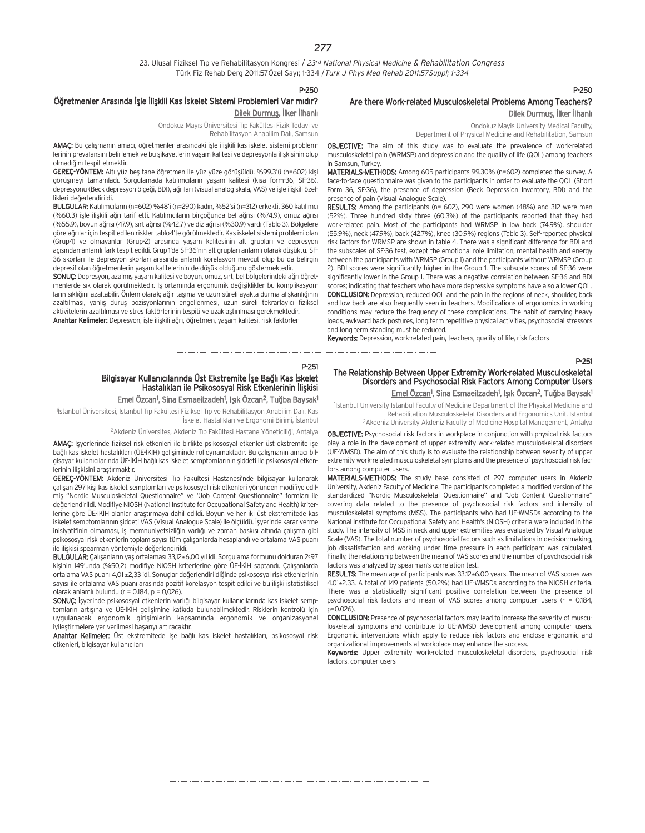23. Ulusal Fiziksel Tıp ve Rehabilitasyon Kongresi / 23rd National Physical Medicine & Rehabilitation Congress Türk Fiz Rehab Derg 2011:57Özel Sayı; 1-334 / Turk J Phys Med Rehab 2011:57Suppl; 1-334

P-250

P-251

## Öğretmenler Arasında İşle İlişkili Kas İskelet Sistemi Problemleri Var mıdır?

Dilek Durmuş, İlker İlhanlı

Ondokuz Mayıs Üniversitesi Tıp Fakültesi Fizik Tedavi ve Rehabilitasyon Anabilim Dalı, Samsun

AMAC: Bu calismanın amacı, öğretmenler arasındaki isle iliskili kas iskelet sistemi problemlerinin prevalansını belirlemek ve bu şikayetlerin yaşam kalitesi ve depresyonla ilişkisinin olup olmadığını tespit etmektir.

GEREÇ-YÖNTEM: Altı yüz beş tane öğretmen ile yüz yüze görüşüldü. %99.3'ü (n=602) kişi görüşmeyi tamamladı. Sorgulamada katılımcıların yaşam kalitesi (kısa form-36, SF-36), depresyonu (Beck depresyon ölçeği, BDI), ağrıları (visual analog skala, VAS) ve işle ilişkili özellikleri de¤erlendirildi.

BULGULAR: Katılımcıların (n=602) %48'i (n=290) kadın, %52'si (n=312) erkekti. 360 katılımcı (%60.3) işle ilişkili ağrı tarif etti. Katılımcıların birçoğunda bel ağrısı (%74.9), omuz ağrısı (%55.9), boyun ağrısı (47.9), sırt ağrısı (%42.7) ve diz ağrısı (%30.9) vardı (Tablo 3). Bölgelere göre ağrılar için tespit edilen riskler tablo4'te görülmektedir. Kas iskelet sistemi problemi olan (Grup-1) ve olmayanlar (Grup-2) arasında yaşam kalitesinin alt grupları ve depresyon açısından anlamlı fark tespit edildi. Grup 1'de SF-36'nın alt grupları anlamlı olarak düşüktü. SF-36 skorları ile depresyon skorları arasında anlamlı korelasyon meycut olup bu da belirgin depresif olan öğretmenlerin yaşam kalitelerinin de düşük olduğunu göstermektedir.

SONUÇ: Depresyon, azalmış yaşam kalitesi ve boyun, omuz, sırt, bel bölgelerindeki ağrı öğretmenlerde sık olarak görülmektedir. İş ortamında ergonumik değişiklikler bu komplikasyonların sıklığını azaltabilir. Önlem olarak; ağır taşıma ve uzun süreli ayakta durma alışkanlığının azaltılması, yanlış duruş pozisyonlarının engellenmesi, uzun süreli tekrarlayıcı fiziksel aktivitelerin azaltılması ve stres faktörlerinin tespiti ve uzaklastırılması gerekmektedir. Anahtar Kelimeler: Depresyon, işle ilişkili ağrı, öğretmen, yaşam kalitesi, risk faktörler

## P-250

## Are there Work-related Musculoskeletal Problems Among Teachers? Dilek Durmuş, İlker İlhanlı

Ondokuz Mayis University Medical Faculty,

Department of Physical Medicine and Rehabilitation, Samsun

OBJECTIVE: The aim of this study was to evaluate the prevalence of work-related musculoskeletal pain (WRMSP) and depression and the quality of life (QOL) among teachers in Samsun, Turkey.

MATERIALS-METHODS: Among 605 participants 99.30% (n=602) completed the survey. A face-to-face questionnaire was given to the participants in order to evaluate the QOL (Short Form 36, SF-36), the presence of depression (Beck Depression Inventory, BDI) and the presence of pain (Visual Analogue Scale).

RESULTS: Among the participants (n= 602), 290 were women (48%) and 312 were men (52%). Three hundred sixty three (60.3%) of the participants reported that they had work-related pain. Most of the participants had WRMSP in low back (74.9%), shoulder (55.9%), neck (47.9%), back (42.7%), knee (30.9%) regions (Table 3). Self-reported physical risk factors for WRMSP are shown in table 4. There was a significant difference for BDI and the subscales of SF-36 test, except the emotional role limitation, mental health and energy between the participants with WRMSP (Group 1) and the participants without WRMSP (Group 2). BDI scores were significantly higher in the Group 1. The subscale scores of SF-36 were significantly lower in the Group 1. There was a negative correlation between SF-36 and BDI scores; indicating that teachers who have more depressive symptoms have also a lower QOL. CONCLUSION: Depression, reduced QOL and the pain in the regions of neck, shoulder, back and low back are also frequently seen in teachers. Modifications of ergonomics in working conditions may reduce the frequency of these complications. The habit of carrying heavy loads, awkward back postures, long term repetitive physical activities, psychosocial stressors and long term standing must be reduced.

Keywords: Depression, work-related pain, teachers, quality of life, risk factors

\_ . \_ . \_ . \_ . \_ . \_ . \_ . \_ .

P-251

#### The Relationship Between Upper Extremity Work-related Musculoskeletal Disorders and Psychosocial Risk Factors Among Computer Users Emel Özcan<sup>1</sup>, Sina Esmaeilzadeh<sup>1</sup>, Işık Özcan<sup>2</sup>, Tuğba Baysak<sup>1</sup>

1 Istanbul University Istanbul Faculty of Medicine Department of the Physical Medicine and Rehabilitation Musculoskeletal Disorders and Ergonomics Unit, Istanbul 2Akdeniz University Akdeniz Faculty of Medicine Hospital Management, Antalya

OBJECTIVE: Psychosocial risk factors in workplace in conjunction with physical risk factors play a role in the development of upper extremity work-related musculoskeletal disorders (UE-WMSD). The aim of this study is to evaluate the relationship between severity of upper extremity work-related musculoskeletal symptoms and the presence of psychosocial risk factors among computer users.

MATERIALS-METHODS: The study base consisted of 297 computer users in Akdeniz University, Akdeniz Faculty of Medicine. The participants completed a modified version of the standardized "Nordic Musculoskeletal Questionnaire" and "Job Content Questionnaire" covering data related to the presence of psychosocial risk factors and intensity of musculoskeletal symptoms (MSS). The participants who had UE-WMSDs according to the National Institute for Occupational Safety and Health's (NIOSH) criteria were included in the study. The intensity of MSS in neck and upper extremities was evaluated by Visual Analogue Scale (VAS). The total number of psychosocial factors such as limitations in decision-making, job dissatisfaction and working under time pressure in each participant was calculated. Finally, the relationship between the mean of VAS scores and the number of psychosocial risk factors was analyzed by spearman's correlation test.

RESULTS: The mean age of participants was 33.12±6.00 years. The mean of VAS scores was 4.01±2.33. A total of 149 patients (50.2%) had UE-WMSDs according to the NIOSH criteria. There was a statistically significant positive correlation between the presence of psychosocial risk factors and mean of VAS scores among computer users ( $r = 0.184$ , p=0.026)

CONCLUSION: Presence of psychosocial factors may lead to increase the severity of musculoskeletal symptoms and contribute to UE-WMSD development among computer users. Ergonomic interventions which apply to reduce risk factors and enclose ergonomic and organizational improvements at workplace may enhance the success.

Keywords: Upper extremity work-related musculoskeletal disorders, psychosocial risk factors, computer users

## Bilgisayar Kullanıcılarında Üst Ekstremite İse Bağlı Kas İskelet Hastalıkları ile Psikososyal Risk Etkenlerinin İlişkisi

#### <u>Emel Özcan</u>1, Sina Esmaeilzadeh1, Işık Özcan<sup>2</sup>, Tuğba Baysak<sup>1</sup>

<sup>1</sup>İstanbul Üniversitesi, İstanbul Tıp Fakültesi Fiziksel Tıp ve Rehabilitasyon Anabilim Dalı, Kas İskelet Hastalıkları ve Ergonomi Birimi, İstanbul

<sup>2</sup>Akdeniz Üniversites, Akdeniz Tıp Fakültesi Hastane Yöneticiliği, Antalya

AMAÇ: İşyerlerinde fiziksel risk etkenleri ile birlikte psikososyal etkenler üst ekstremite işe bağlı kas iskelet hastalıkları (ÜE-İKİH) gelisiminde rol oynamaktadır. Bu çalışmanın amacı bilgisayar kullanıcılarında ÜE-İKİH bağlı kas iskelet semptomlarının şiddeti ile psikososyal etkenlerinin iliskisini arastırmaktır.

**GEREC-YÖNTEM:** Akdeniz Üniversitesi Tıp Fakültesi Hastanesi'nde bilgisayar kullanarak çalışan 297 kişi kas iskelet semptomları ve psikososyal risk etkenleri yönünden modifiye edilmiş "Nordic Musculoskeletal Questionnaire" ve "Job Content Questionnaire" formları ile değerlendirildi. Modifiye NIOSH (National Institute for Occupational Safety and Health) kriterlerine göre ÜE-İKİH olanlar araştırmaya dahil edildi. Boyun ve her iki üst ekstremitede kas iskelet semptomlarının şiddeti VAS (Visual Analogue Scale) ile ölçüldü. İşyerinde karar verme inisiyatifinin olmaması, is memnuniyetsizliğin yarlığı ve zaman baskısı altında çalışma gibi psikososyal risk etkenlerin toplam sayısı tüm çalışanlarda hesaplandı ve ortalama VAS puanı ile ilişkisi spearman yöntemiyle değerlendirildi.

BULGULAR: Çalışanların yaş ortalaması 33,12±6,00 yıl idi. Sorgulama formunu dolduran 2<97 kişinin 149'unda (%50,2) modifiye NIOSH kriterlerine göre ÜE-İKİH saptandı. Çalışanlarda ortalama VAS puanı 4,01 ±2,33 idi. Sonuçlar değerlendirildiğinde psikososyal risk etkenlerinin sayısı ile ortalama VAS puanı arasında pozitif korelasyon tespit edildi ve bu ilişki istatistiksel olarak anlamlı bulundu ( $r = 0.184$ ,  $p = 0.026$ ).

SONUC: İsyerinde psikososyal etkenlerin varlığı bilgisayar kullanıcılarında kas iskelet semptomların artışına ve ÜE-İKİH gelişimine katkıda bulunabilmektedir. Risklerin kontrolü için uygulanacak ergonomik girişimlerin kapsamında ergonomik ve organizasyonel iyilestirmelere yer verilmesi başarıyı artıracaktır.

Anahtar Kelimeler: Üst ekstremitede ise bağlı kas iskelet hastalıkları, psikososyal risk etkenleri, bilgisayar kullanıcıları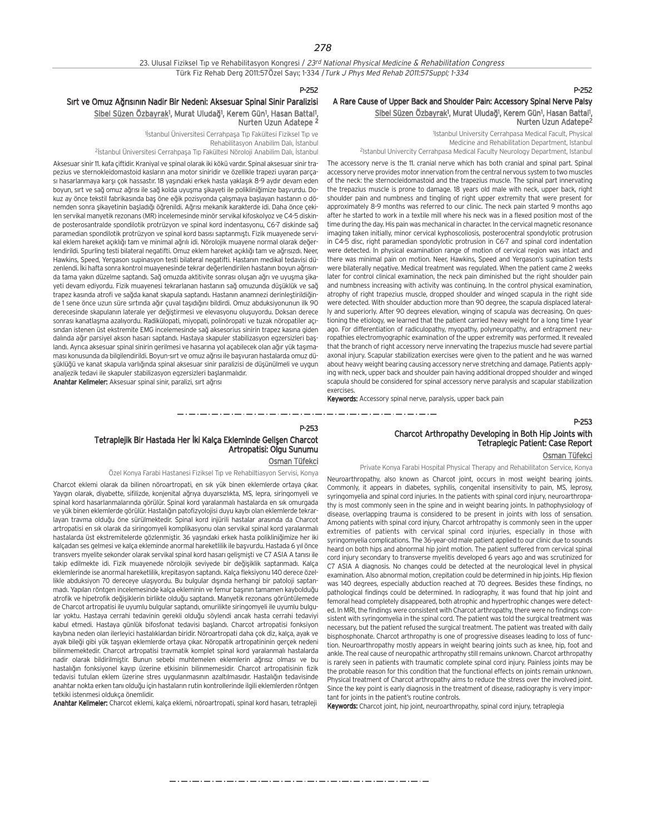Nurten Uzun Adatepe 2

Rehabilitasyon Anabilim Dalı, İstanbul

#### P-252

#### A Rare Cause of Upper Back and Shoulder Pain: Accessory Spinal Nerve Palsy Sibel Süzen Özbayrak<sup>ı</sup>, Murat Uludağ<sup>ı</sup>, Kerem Gün<sup>1</sup>, Hasan Battal<sup>ı</sup>, Nurten Uzun Adatepe2

1 Istanbul University Cerrahpasa Medical Facult, Physical Medicine and Rehabilitation Department, Istanbul 2Istanbul Univercity Cerrahpasa Medical Faculty Neurology Department, Istanbul

The accessory nerve is the 11. cranial nerve which has both cranial and spinal part. Spinal accessory nerve provides motor innervation from the central nervous system to two muscles of the neck: the sternocleidomastoid and the trapezius muscle. The spinal part innervating the trepazius muscle is prone to damage. 18 years old male with neck, upper back, right shoulder pain and numbness and tingling of right upper extremity that were present for approximately 8-9 months was referred to our clinic. The neck pain started 9 months ago after he started to work in a textile mill where his neck was in a flexed position most of the time during the day. His pain was mechanical in character. In the cervical magnetic resonance imaging taken initially, minor cervical kyphoscoliosis, posterocentral spondylotic protrusion in C4-5 disc, right paramedian spondylotic protrusion in C6-7 and spinal cord indentation were detected. In physical examination range of motion of cervical region was intact and there was minimal pain on motion. Neer, Hawkins, Speed and Yergason's supination tests were bilaterally negative. Medical treatment was regulated. When the patient came 2 weeks later for control clinical examination, the neck pain diminished but the right shoulder pain and numbness increasing with activity was continuing. In the control physical examination, atrophy of right trapezius muscle, dropped shoulder and winged scapula in the right side were detected. With shoulder abduction more than 90 degree, the scapula displaced laterally and superiorly. After 90 degrees elevation, winging of scapula was decreasing. On questioning the etiology, we learned that the patient carried heavy weight for a long time 1 year ago. For differentiation of radiculopathy, myopathy, polyneuropathy, and entrapment neuropathies electromyographic examination of the upper extremity was performed. It revealed that the branch of right accessory nerve innervating the trapezius muscle had severe partial axonal injury. Scapular stabilization exercises were given to the patient and he was warned about heavy weight bearing causing accessory nerve stretching and damage. Patients applying with neck, upper back and shoulder pain having additional dropped shoulder and winged scapula should be considered for spinal accessory nerve paralysis and scapular stabilization exercises.

Keywords: Accessory spinal nerve, paralysis, upper back pain

--------------------

P-253

## Tetraplejik Bir Hastada Her İki Kalça Ekleminde Gelişen Charcot Artropatisi: Olgu Sunumu

analjezik tedavi ile skapuler stabilizasyon egzersizleri başlanmalıdır. Anahtar Kelimeler: Aksesuar spinal sinir, paralizi, sırt ağrısı

Sırt ve Omuz Ağrısının Nadir Bir Nedeni: Aksesuar Spinal Sinir Paralizisi Sibel Süzen Özbayrak<sup>1</sup>, Murat Uludağ<sup>1</sup>, Kerem Gün<sup>1</sup>, Hasan Battal<sup>1</sup>,

Aksesuar sinir 11. kafa çiftidir. Kraniyal ve spinal olarak iki kökü vardır. Spinal aksesuar sinir trapezius ve sternokleidomastoid kasların ana motor siniridir ve özellikle trapezi uyaran parçası hasarlanmaya karsı çok hassastır. 18 yasındaki erkek hasta yaklasık 8-9 aydır devam eden boyun, sırt ve sağ omuz ağrısı ile sağ kolda uyuşma şikayeti ile polikliniğimize başvurdu. Dokuz ay önce tekstil fabrikasında baş öne eğik pozisyonda çalışmaya başlayan hastanın o dönemden sonra şikayetinin başladığı öğrenildi. Ağrısı mekanik karakterde idi. Daha önce çekilen servikal manyetik rezonans (MR) incelemesinde minör servikal kifoskolyoz ve C4-5 diskinde posterosantralde spondilotik protrüzyon ve spinal kord indentasyonu, C6-7 diskinde sağ paramedian spondilotik protrüzyon ve spinal kord basısı saptanmıştı. Fizik muayenede servikal eklem hareket açıklığı tam ve minimal ağrılı idi. Nörolojik muayene normal olarak değerlendirildi. Spurling testi bilateral negatifti. Omuz eklem hareket acıklığı tam ve ağrısızdı. Neer, Hawkins, Speed, Yergason supinasyon testi bilateral negatifti. Hastanın medikal tedavisi düzenlendi. İki hafta sonra kontrol muayenesinde tekrar değerlendirilen hastanın boyun ağrısında tama yakın düzelme saptandı. Sağ omuzda aktitivite sonrası oluşan ağrı ve uyuşma şikayeti devam ediyordu. Fizik muayenesi tekrarlanan hastanın sağ omuzunda düşüklük ve sağ trapez kasında atrofi ve sağda kanat skapula saptandı. Hastanın anamnezi derinleştirildiğinde 1 sene önce uzun süre sırtında ağır çuval taşıdığını bildirdi. Omuz abduksiyonunun ilk 90 derecesinde skapulanın laterale yer değistirmesi ve elevasyonu oluşuyordu. Doksan derece sonrası kanatlaşma azalıyordu. Radikülopati, miyopati, polinöropati ve tuzak nöropatiler açısından istenen üst ekstremite EMG incelemesinde sağ aksesorius sinirin trapez kasına giden dalında ağır parsiyel akson hasarı saptandı. Hastaya skapuler stabilizasyon egzersizleri başlandı. Ayrıca aksesuar spinal sinirin gerilmesi ve hasarına yol açabilecek olan ağır yük taşımaması konusunda da bilgilendirildi. Boyun-sırt ve omuz ağrısı ile başyuran hastalarda omuz düsüklüğü ve kanat skapula varlığında spinal aksesuar sinir paralizisi de düşünülmeli ve uygun

<sup>2</sup>İstanbul Üniversitesi Cerrahpaşa Tıp Fakültesi Nöroloji Anabilim Dalı, İstanbul

<sup>1</sup> Istanbul Üniversitesi Cerrahpaşa Tıp Fakültesi Fiziksel Tıp ve

Osman Tüfekci

Özel Konya Farabi Hastanesi Fiziksel Tıp ve Rehabiltiasyon Servisi, Konya

Charcot eklemi olarak da bilinen nöroartropati, en sık yük binen eklemlerde ortaya çıkar. Yaygın olarak, diyabette, sifilizde, konjenital ağrıya duyarsızlıkta, MS, lepra, siringomyeli ve spinal kord hasarlanmalarında görülür. Spinal kord yaralanmalı hastalarda en sık omurgada ve yük binen eklemlerde görülür. Hastalığın patofizyolojisi duyu kaybı olan eklemlerde tekrarlayan trayma olduğu öne sürülmektedir. Spinal kord injürili hastalar arasında da Charcot artropatisi en sık olarak da siringomyeli komplikasyonu olan servikal spinal kord yaralanmalı hastalarda üst ekstremitelerde gözlenmiştir. 36 yaşındaki erkek hasta polikliniğimize her iki kalçadan ses gelmesi ve kalça ekleminde anormal hareketlilik ile başvurdu. Hastada 6 yıl önce transvers myelite sekonder olarak servikal spinal kord hasarı gelişmişti ve C7 ASIA A tanısı ile takip edilmekte idi. Fizik muayenede nörolojik seviyede bir değişiklik saptanmadı. Kalça eklemlerinde ise anormal hareketlilik, krepitasyon saptandı. Kalça fleksiyonu 140 derece özellikle abduksiyon 70 dereceye ulaşıyordu. Bu bulgular dışında herhangi bir patoloji saptanmadı. Yapılan röntgen incelemesinde kalça ekleminin ve femur başının tamamen kaybolduğu atrofik ve hipetrofik değişiklerin birlikte olduğu saptandı. Manyetik rezonans görüntülemede de Charcot artropatisi ile uyumlu bulgular saptandı, omurilikte siringomyeli ile uyumlu bulgular yoktu. Hastaya cerrahi tedavinin gerekli olduğu söylendi ancak hasta cerrahi tedaviyi kabul etmedi. Hastaya günlük bifosfonat tedavisi başlandı. Charcot artropatisi fonksiyon kaybına neden olan ilerleyici hastalıklardan biridir. Nöroartropati daha çok diz, kalça, ayak ve ayak bileği gibi yük taşıyan eklemlerde ortaya çıkar. Nöropatik artropatininin gerçek nedeni bilinmemektedir. Charcot artropatisi travmatik komplet spinal kord yaralanmalı hastalarda nadir olarak bildirilmiştir. Bunun sebebi muhtemelen eklemlerin ağrısız olması ve bu hastalığın fonksiyonel kayıp üzerine etkisinin bilinmemesidir. Charcot artropatisinin fizik tedavisi tutulan eklem üzerine stres uygulanmasının azaltılmasıdır. Hastalığın tedavisinde anahtar nokta erken tanı olduğu için hastaların rutin kontrollerinde ilgili eklemlerden röntgen tetkiki istenmesi oldukça önemlidir.

Anahtar Kelimeler: Charcot eklemi, kalça eklemi, nöroartropati, spinal kord hasarı, tetrapleji

Charcot Arthropathy Developing in Both Hip Joints with Tetraplegic Patient: Case Report

#### Osman Tüfekci

P-253

Private Konya Farabi Hospital Physical Therapy and Rehabilitaton Service, Konya

Neuroarthropathy, also known as Charcot joint, occurs in most weight bearing joints. Commonly, it appears in diabetes, syphilis, congenital insensitivity to pain, MS, leprosy, syringomyelia and spinal cord injuries. In the patients with spinal cord injury, neuroarthropathy is most commonly seen in the spine and in weight bearing joints. In pathophysiology of disease, overlapping trauma is considered to be present in joints with loss of sensation. Among patients with spinal cord injury, Charcot arhtropathy is commonly seen in the upper extremities of patients with cervical spinal cord injuries, especially in those with syringomyelia complications. The 36-year-old male patient applied to our clinic due to sounds heard on both hips and abnormal hip joint motion. The patient suffered from cervical spinal cord injury secondary to transverse myelitis developed 6 years ago and was scrutinized for C7 ASIA A diagnosis. No changes could be detected at the neurological level in physical examination. Also abnormal motion, crepitation could be determined in hip joints. Hip flexion was 140 degrees, especially abduction reached at 70 degrees. Besides these findings, no pathological findings could be determined. In radiography, it was found that hip joint and femoral head completely disappeared, both atrophic and hypertrophic changes were detected. In MRI, the findings were consistent with Charcot arthropathy, there were no findings consistent with syringomyelia in the spinal cord. The patient was told the surgical treatment was necessary, but the patient refused the surgical treatment. The patient was treated with daily bisphosphonate. Charcot arthropathy is one of progressive diseases leading to loss of function. Neuroarthropathy mostly appears in weight bearing joints such as knee, hip, foot and ankle. The real cause of neuropathic arthropathy still remains unknown. Charcot arthropathy is rarely seen in patients with traumatic complete spinal cord injury. Painless joints may be the probable reason for this condition that the functional effects on joints remain unknown. Physical treatment of Charcot arthropathy aims to reduce the stress over the involved joint. Since the key point is early diagnosis in the treatment of disease, radiography is very important for joints in the patient's routine controls.

Keywords: Charcot joint, hip joint, neuroarthropathy, spinal cord injury, tetraplegia

والمتواريط والمتوار المتوار المتوارد فتوار المتوار المتوارد المتوارد متوارد متوارد متوارد متوارد متوارد متوارد متوارد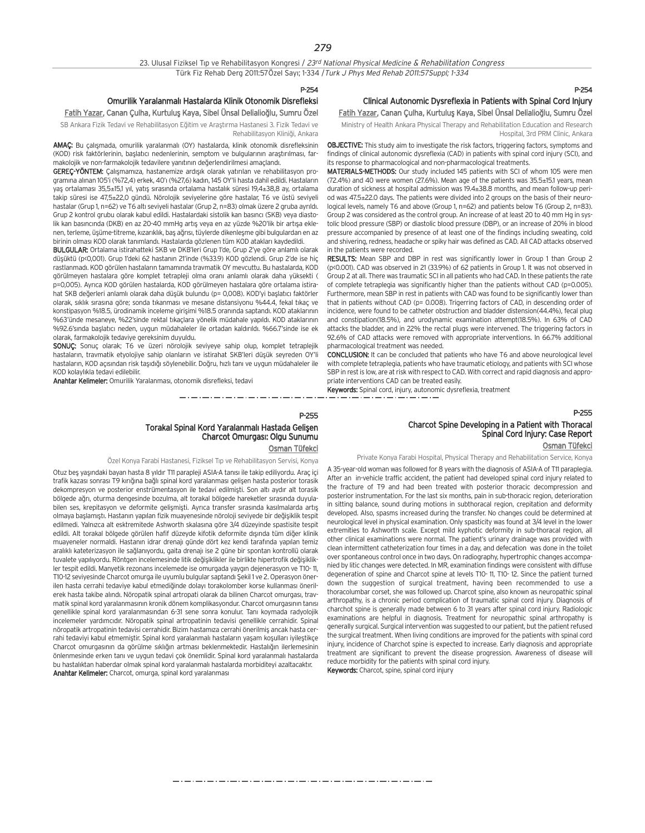#### P-254

## Omurilik Yaralanmal› Hastalarda Klinik Otonomik Disrefleksi

#### Fatih Yazar, Canan Çulha, Kurtuluş Kaya, Sibel Ünsal Delialioğlu, Sumru Özel

SB Ankara Fizik Tedavi ve Rehabilitasyon Eğitim ve Arastırma Hastanesi 3. Fizik Tedavi ve Rehabilitasyon Kliniği, Ankara

AMAC: Bu calismada, omurilik yaralanmalı (OY) hastalarda, klinik otonomik disrefleksinin (KOD) risk faktörlerinin, başlatıcı nedenlerinin, semptom ve bulgularının araştırılması, farmakolojik ve non-farmakolojik tedavilere vanıtının değerlendirilmesi amaçlandı.

GEREC-YÖNTEM: Calismamiza, hastanemize ardısık olarak yatırılan ve rehabilitasyon programına alınan 105'i (%72,4) erkek, 40'ı (%27,6) kadın, 145 OY'li hasta dahil edildi. Hastaların yaş ortalaması 35,5±15,1 yıl, yatış sırasında ortalama hastalık süresi 19,4±38,8 ay, ortalama takip süresi ise 47,5±22,0 gündü. Nörolojik seviyelerine göre hastalar, T6 ve üstü seviyeli hastalar (Grup 1, n=62) ve T6 altı seviyeli hastalar (Grup 2, n=83) olmak üzere 2 gruba ayrıldı. Grup 2 kontrol grubu olarak kabul edildi. Hastalardaki sistolik kan basıncı (SKB) veya diastolik kan basıncında (DKB) en az 20-40 mmHg artış veya en az yüzde %20'lik bir artışa eklenen, terleme, üşüme-titreme, kızarıklık, baş ağrısı, tüylerde dikenleşme gibi bulgulardan en az birinin olması KOD olarak tanımlandı. Hastalarda gözlenen tüm KOD atakları kaydedildi.

BULGULAR: Ortalama istirahatteki SKB ve DKB'leri Grup 1'de, Grup 2'ye göre anlamlı olarak düşüktü (p<0,001). Grup 1'deki 62 hastanın 21'inde (%33.9) KOD gözlendi. Grup 2'de ise hiç rastlanmad›. KOD görülen hastalar›n tamam›nda travmatik OY mevcuttu. Bu hastalarda, KOD görülmeyen hastalara göre komplet tetrapleji olma oranı anlamlı olarak daha yüksekti ( p=0,005). Ayrıca KOD görülen hastalarda, KOD görülmeyen hastalara göre ortalama istirahat SKB değerleri anlamlı olarak daha düşük bulundu (p= 0,008). KOD'yi başlatıcı faktörler olarak, sıklık sırasına göre; sonda tıkanması ve mesane distansiyonu %44.4, fekal tıkaç ve konstipasyon %18.5, ürodinamik inceleme girişimi %18.5 oranında saptandı. KOD ataklarının %63'ünde mesaneye, %22'sinde rektal tıkaçlara yönelik müdahale yapıldı. KOD ataklarının %92.6'sında başlatıcı neden, uygun müdahaleler ile ortadan kaldırıldı. %66.7'sinde ise ek olarak, farmakolojik tedaviye gereksinim duyuldu.

SONUÇ: Sonuç olarak; T6 ve üzeri nörolojik seviyeye sahip olup, komplet tetraplejik hastaların, travmatik etyolojiye sahip olanların ve istirahat SKB'leri düşük seyreden OY'li hastaların, KOD açısından risk taşıdığı söylenebilir. Doğru, hızlı tanı ve uygun müdahaleler ile KOD kolaylıkla tedavi edilebilir.

Anahtar Kelimeler: Omurilik Yaralanması, otonomik disrefleksi, tedavi

#### P-255

## Torakal Spinal Kord Yaralanmalı Hastada Gelişen Charcot Omurgası: Olgu Sunumu

والمساور المساور المساور المساور المساور المساور المساور المساور المساور

Osman Tüfekci

Özel Konya Farabi Hastanesi, Fiziksel Tıp ve Rehabilitasyon Servisi, Konya

Otuz beş yaşındaki bayan hasta 8 yıldır T11 parapleji ASIA-A tanısı ile takip ediliyordu. Araç içi trafik kazası sonrası T9 kırığına bağlı spinal kord yaralanması gelisen hasta posterior torasik dekompresyon ve posterior enstrümentasyon ile tedavi edilmişti. Son altı aydır alt torasik bölgede ağrı, oturma dengesinde bozulma, alt torakal bölgede hareketler sırasında duyulabilen ses, krepitasyon ve deformite gelişmişti. Ayrıca transfer sırasında kasılmalarda artış olmaya başlamıştı. Hastanın yapılan fizik muayenesinde nöroloji seviyede bir değişiklik tespit edilmedi. Yalnızca alt esktremitede Ashworth skalasına göre 3/4 düzeyinde spastisite tespit edildi. Alt torakal bölgede görülen hafif düzeyde kifotik deformite dısında tüm diğer klinik muayeneler normaldi. Hastanın idrar drenajı günde dört kez kendi tarafında yapılan temiz aralıklı kateterizasyon ile sağlanıyordu, gaita drenajı ise 2 güne bir spontan kontrollü olarak tuvalete yapılıyordu. Röntgen incelemesinde litik değişiklikler ile birlikte hipertrofik değişiklikler tespit edildi. Manyetik rezonans incelemede ise omurgada yaygın dejenerasyon ve T10-11, T10-12 seviyesinde Charcot omurga ile uyumlu bulgular saptandı Şekil 1 ve 2. Operasyon önerilen hasta cerrahi tedaviye kabul etmediğinde dolayı torakolomber korse kullanması önerilerek hasta takibe alındı. Nöropatik spinal artropati olarak da bilinen Charcot omurgası, travmatik spinal kord varalanmasının kronik dönem komplikasyondur. Charcot omurgasının tanısı genellikle spinal kord yaralanmasından 6-31 sene sonra konulur. Tanı koymada radyolojik incelemeler yardımcıdır. Nöropatik spinal artropatinin tedavisi genellikle cerrahidir. Spinal nöropatik artropatinin tedavisi cerrahidir. Bizim hastamıza cerrahi önerilmiş ancak hasta cerrahi tedaviyi kabul etmemiştir. Spinal kord yaralanmalı hastaların yaşam koşulları iyileştikçe Charcot omurgasının da görülme sıklığın artması beklenmektedir. Hastalığın ilerlemesinin önlenmesinde erken tanı ve uygun tedavi çok önemlidir. Spinal kord yaralanmalı hastalarda bu hastalıktan haberdar olmak spinal kord yaralanmalı hastalarda morbiditeyi azaltacaktır. Anahtar Kelimeler: Charcot, omurga, spinal kord yaralanması

## P-254

### Clinical Autonomic Dysreflexia in Patients with Spinal Cord Injury Fatih Yazar, Canan Çulha, Kurtuluş Kaya, Sibel Ünsal Delialioğlu, Sumru Özel

Ministry of Health Ankara Physical Therapy and Rehabilitation Education and Research Hospital, 3rd PRM Clinic, Ankara

OBJECTIVE: This study aim to investigate the risk factors, triggering factors, symptoms and findings of clinical autonomic dysreflexia (CAD) in patients with spinal cord injury (SCI), and its response to pharmacological and non-pharmacological treatments.

MATERIALS-METHODS: Our study included 145 patients with SCI of whom 105 were men (72.4%) and 40 were women (27.6%). Mean age of the patients was 35.5±15.1 years, mean duration of sickness at hospital admission was 19.4±38.8 months, and mean follow-up period was 47.5±22.0 days. The patients were divided into 2 groups on the basis of their neurological levels, namely T6 and above (Group 1, n=62) and patients below T6 (Group 2, n=83). Group 2 was considered as the control group. An increase of at least 20 to 40 mm Hg in systolic blood pressure (SBP) or diastolic blood pressure (DBP), or an increase of 20% in blood pressure accompanied by presence of at least one of the findings including sweating, cold and shivering, redness, headache or spiky hair was defined as CAD. All CAD attacks observed in the patients were recorded.

**RESULTS:** Mean SBP and DBP in rest was significantly lower in Group 1 than Group 2 (p<0.001). CAD was observed in 21 (33.9%) of 62 patients in Group 1. It was not observed in Group 2 at all. There was traumatic SCI in all patients who had CAD. In these patients the rate of complete tetraplegia was significantly higher than the patients without CAD (p=0.005). Furthermore, mean SBP in rest in patients with CAD was found to be significantly lower than that in patients without CAD (p= 0.008). Trigerring factors of CAD, in descending order of incidence, were found to be catheter obstruction and bladder distension(44.4%), fecal plug and constipation(18.5%), and urodynamic examination attempt(18.5%). In 63% of CAD attacks the bladder, and in 22% the rectal plugs were intervened. The triggering factors in 92.6% of CAD attacks were removed with appropriate interventions. In 66.7% additional pharmacological treatment was needed.

CONCLUSION: It can be concluded that patients who have T6 and above neurological level with complete tetraplegia, patients who have traumatic etiology, and patients with SCI whose SBP in rest is low, are at risk with respect to CAD. With correct and rapid diagnosis and appropriate interventions CAD can be treated easily.

Keywords: Spinal cord, injury, autonomic dysreflexia, treatment

## P-255 Charcot Spine Developing in a Patient with Thoracal Spinal Cord Injury: Case Report

Osman Tüfekci

Private Konya Farabi Hospital, Physical Therapy and Rehabilitation Service, Konya

A 35-year-old woman was followed for 8 years with the diagnosis of ASIA-A of T11 paraplegia. After an in-vehicle traffic accident, the patient had developed spinal cord injury related to the fracture of T9 and had been treated with posterior thoracic decompression and posterior instrumentation. For the last six months, pain in sub-thoracic region, deterioration in sitting balance, sound during motions in subthoracal region, crepitation and deformity developed. Also, spasms increased during the transfer. No changes could be determined at neurological level in physical examination. Only spasticity was found at 3/4 level in the lower extremities to Ashworth scale. Except mild kyphotic deformity in sub-thoracal region, all other clinical examinations were normal. The patient's urinary drainage was provided with clean intermittent catheterization four times in a day, and defecation was done in the toilet over spontaneous control once in two days. On radiography, hypertrophic changes accompanied by litic changes were detected. In MR, examination findings were consistent with diffuse degeneration of spine and Charcot spine at levels T10- 11, T10- 12. Since the patient turned down the suggestion of surgical treatment, having been recommended to use a thoracolumbar corset, she was followed up. Charcot spine, also known as neuropathic spinal arthropathy, is a chronic period complication of traumatic spinal cord injury. Diagnosis of charchot spine is generally made between 6 to 31 years after spinal cord injury. Radiologic examinations are helpful in diagnosis. Treatment for neuropathic spinal arthropathy is generally surgical. Surgical intervention was suggested to our patient, but the patient refused the surgical treatment. When living conditions are improved for the patients with spinal cord injury, incidence of Charchot spine is expected to increase. Early diagnosis and appropriate treatment are significant to prevent the disease progression. Awareness of disease will reduce morbidity for the patients with spinal cord injury.

Keywords: Charcot, spine, spinal cord injury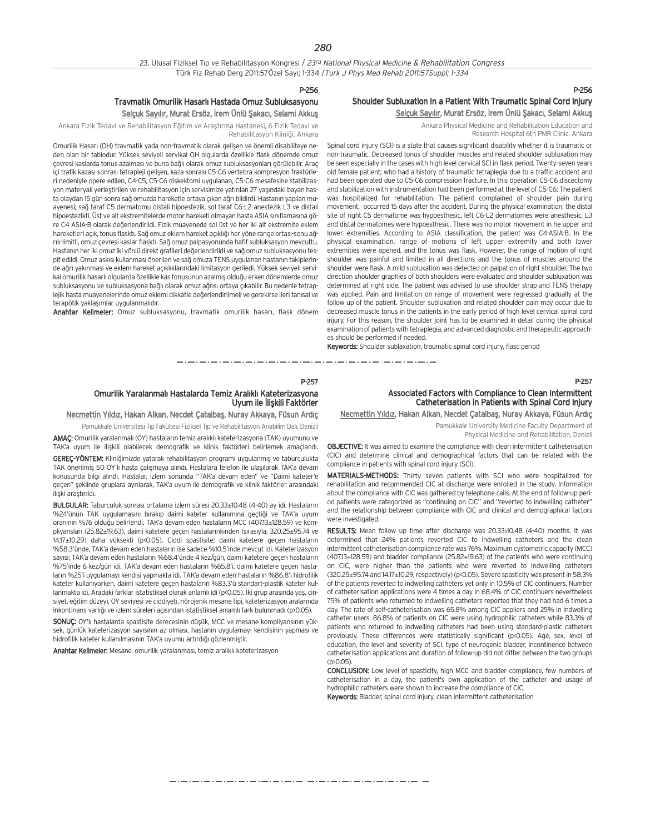#### P-256

### Travmatik Omurilik Hasarlı Hastada Omuz Subluksasyonu Selçuk Sayılır, Murat Ersöz, İrem Ünlü Şakacı, Selami Akkuş

Ankara Fizik Tedavi ve Rehabilitasyon Eğitim ve Araştırma Hastanesi, 6 Fizik Tedavi ve Rehabilitasyon Kliniği, Ankara

Omurilik Hasarı (OH) travmatik yada non-travmatik olarak gelişen ve önemli disabiliteye neden olan bir tablodur. Yüksek seviyeli servikal OH olgularda özellikle flask dönemde omuz çevresi kaslarda tonus azalması ve buna bağlı olarak omuz subluksasyonları görülebilir. Araç içi trafik kazası sonrası tetrapleji gelişen, kaza sonrası C5-C6 vertebra kompresyon fraktürleri nedeniyle opere edilen, C4-C5, C5-C6 diskektomi uygulanan, C5-C6 mesafesine stabilizasyon materyali yerleştirilen ve rehabilitasyon için servisimize yatırılan 27 yaşındaki bayan hasta olaydan 15 gün sonra sağ omuzda hareketle ortaya çıkan ağrı bildirdi. Hastanın yapılan muayenesi; sağ taraf C5 dermatomu distali hipoestezik, sol taraf C6-L2 anestezik L3 ve distali hipoestezikti. Üst ve alt ekstremitelerde motor hareketi olmayan hasta ASIA sınıflamasına göre C4 ASIA-B olarak değerlendirildi. Fizik muayenede sol üst ve her iki alt ekstremite eklem hareketleri açık, tonus flasktı. Sağ omuz eklem hareket açıklığı her yöne range ortası-sonu ağrılı-limitli, omuz çevresi kaslar flasktı. Sağ omuz palpasyonunda hafif subluksasyon mevcuttu. Hastanın her iki omuz iki yönlü direkt grafileri değerlendirildi ve sağ omuz subluksasyonu tespit edildi. Omuz askısı kullanması önerilen ve sağ omuza TENS uygulanan hastanın takiplerinde ağrı yakınması ve eklem hareket açıklıklarındaki limitasyon geriledi. Yüksek seviyeli servikal omurilik hasarlı olgularda özellikle kas tonusunun azalmış olduğu erken dönemlerde omuz subluksasyonu ve subluksasyona bağlı olarak omuz ağrısı ortaya çıkabilir. Bu nedenle tetraplejik hasta muayenelerinde omuz eklemi dikkatle değerlendirilmeli ve gerekirse ileri tanısal ve terapötik vaklasımlar uygulanmalıdır.

Anahtar Kelimeler: Omuz subluksasyonu, travmatik omurilik hasarı, flask dönem

### P-256 Shoulder Subluxation In a Patient With Traumatic Spinal Cord Injury Selçuk Sayılır, Murat Ersöz, İrem Ünlü Şakacı, Selami Akkuş

Ankara Physical Medicine and Rehabilitation Education and Research Hospital 6th PMR Clinic, Ankara

Spinal cord injury (SCI) is a state that causes significant disability whether it is traumatic or non-traumatic. Decreased tonus of shoulder muscles and related shoulder subluxation may be seen especially in the cases with high level cervical SCI in flask period. Twenty-seven years old female patient; who had a history of traumatic tetraplegia due to a traffic accident and had been operated due to C5-C6 compression fracture. In this operation C5-C6 discectomy and stabilization with instrumentation had been performed at the level of C5-C6; The patient was hospitalized for rehabilitation. The patient complained of shoulder pain during movement, occurred 15 days after the accident. During the physical examination, the distal site of right C5 dermatome was hypoesthesic, left C6-L2 dermatomes were anesthesic, L3 and distal dermatomes were hypoesthesic. There was no motor movement in he upper and lower extremities. According to ASIA classification, the patient was C4-ASIA-B. In the physical examination, range of motions of left upper extremity and both lower extremities were opened, and the tonus was flask. However, the range of motion of right shoulder was painful and limited in all directions and the tonus of muscles around the shoulder were flask. A mild subluxation was detected on palpation of right shoulder. The two direction shoulder graphies of both shoulders were evaluated and shoulder subluxation was determined at right side. The patient was advised to use shoulder strap and TENS therapy was applied. Pain and limitation on range of movement were regressed gradually at the follow up of the patient. Shoulder subluxation and related shoulder pain may occur due to decreased muscle tonus in the patients in the early period of high level cervical spinal cord injury. For this reason, the shoulder joint has to be examined in detail during the physical examination of patients with tetraplegia, and advanced diagnostic and therapeutic approaches should be performed if needed.

Keywords: Shoulder sublaxation, traumatic spinal cord injury, flasc period

ساديس والمستورد والمساوي والمساوي المساوي والمساويات 

#### P-257

#### Omurilik Yaralanmalı Hastalarda Temiz Aralıklı Kateterizasyona Uyum ile İliskili Faktörler

## Necmettin Yıldız, Hakan Alkan, Necdet Çatalbaş, Nuray Akkaya, Füsun Ardıç

Pamukkale Üniversitesi Tıp Fakültesi Fiziksel Tıp ve Rehabilitasyon Anabilim Dalı, Denizli

AMAC: Omurilik yaralanmalı (OY) hastaların temiz aralıklı kateterizasyona (TAK) uyumunu ve TAK'a uyum ile ilişkili olabilecek demografik ve klinik faktörleri belirlemek amaçlandı.

GEREÇ-YÖNTEM: Kliniğimizde yatarak rehabilitasyon programı uygulanmış ve taburculukta TAK önerilmiş 50 OY'lı hasta çalışmaya alındı. Hastalara telefon ile ulaşılarak TAK'a devam konusunda bilgi alındı. Hastalar, izlem sonunda "TAK'a devam eden" ve "Daimi kateter'e geçen" şeklinde gruplara ayrılarak, TAK'a uyum ile demografik ve klinik faktörler arasındaki iliski arastırıldı.

BULGULAR: Taburculuk sonrası ortalama izlem süresi 20.33±10.48 (4-40) ay idi. Hastaların %24'ünün TAK uygulamasını bırakıp daimi kateter kullanımına geçtiği ve TAK'a uyum oranının %76 olduğu belirlendi. TAK'a devam eden hastaların MCC (40713+128.59) ve kompliyansları (25.82±19.63), daimi katetere geçen hastalarınkinden (sırasıyla, 320.25±95.74 ve 14.17±10.29) daha yüksekti (p<0.05). Ciddi spastisite; daimi katetere gecen hastaların %58.3'ünde, TAK'a devam eden hastaların ise sadece %10.5'inde mevcut idi. Kateterizasyon sayısı; TAK'a devam eden hastaların %68.4'ünde 4 kez/gün, daimi katetere geçen hastaların %75'inde 6 kez/gün idi. TAK'a devam eden hastaların %65.8'i, daimi katetere geçen hastaların %25'i uygulamayı kendisi yapmakta idi. TAK'a devam eden hastaların %86.8'i hidrofilik kateter kullanıyorken, daimi katetere geçen hastaların %83.3'ü standart-plastik kateter kul $l$ anmakta idi. Aradaki farklar istatistiksel olarak anlamlı idi (ps0.05). İki grup arasında yas, cinsiyet, eğitim düzeyi, OY seviyesi ve ciddiyeti, nörojenik mesane tipi, kateterizasyon aralarında inkontinans varlığı ve izlem süreleri açısından istatistiksel anlamlı fark bulunmadı (p>0.05)

SONUC: OY'lı hastalarda spastisite derecesinin düşük, MCC ve mesane kompliyansının yüksek, günlük kateterizasyon sayısının az olması, hastanın uygulamayı kendisinin yapması ve hidrofilik kateter kullanılmasının TAK'a uyumu artırdığı gözlenmiştir.

Anahtar Kelimeler: Mesane, omurilik yaralanması, temiz aralıklı kateterizasyon

## Associated Factors with Compliance to Clean Intermittent Catheterisation in Patients with Spinal Cord Injury

Necmettin Yıldız, Hakan Alkan, Necdet Çatalbaş, Nuray Akkaya, Füsun Ardıç

Pamukkale University Medicine Faculty Department of Physical Medicine and Rehabilitation, Denizli

OBJECTIVE: It was aimed to examine the compliance with clean intermittent catheterisation (CIC) and determine clinical and demographical factors that can be related with the compliance in patients with spinal cord injury (SCI).

MATERIALS-METHODS: Thirty seven patients with SCI who were hospitalized for rehabilitation and recommended CIC at discharge were enrolled in the study. Information about the compliance with CIC was gathered by telephone calls. At the end of follow-up period patients were categorized as "continuing on CIC" and "reverted to indwelling catheter" and the relationship between compliance with CIC and clinical and demographical factors were investigated.

RESULTS: Mean follow up time after discharge was 20.33 $\times$ 10.48 (4-40) months. It was determined that 24% patients reverted CIC to indwelling catheters and the clean intermittent catheterisation compliance rate was 76%. Maximum cystometric capacity (MCC) (407.13±128.59) and bladder compliance (25.82±19.63) of the patients who were continuing on CIC, were higher than the patients who were reverted to indwelling catheters (320.25±95.74 and 14.17±10.29, respectively) (p<0.05). Severe spasticity was present in 58.3% of the patients reverted to indwelling catheters yet only in 10.5% of CIC continuers. Number of catheterisation applications were 4 times a day in 68.4% of CIC continuers nevertheless 75% of patients who returned to indwelling catheters reported that they had had 6 times a day. The rate of self-catheterisation was 65.8% among CIC appliers and 25% in indwelling catheter users. 86.8% of patients on CIC were using hydrophilic catheters while 83.3% of patients who returned to indwelling catheters had been using standard-plastic catheters previously. These differences were statistically significant (p<0.05). Age, sex, level of education, the level and severity of SCI, type of neurogenic bladder, incontinence between catheterisation applications and duration of follow-up did not differ between the two groups  $(n)0.05$ 

CONCLUSION: Low level of spasticity, high MCC and bladder compliance, few numbers of catheterisation in a day, the patient's own application of the catheter and usage of hydrophilic catheters were shown to increase the compliance of CIC. Keywords: Bladder, spinal cord injury, clean intermittent catheterisation

المستحق والمتحال المتناول المتناول المتناول المتناول المتناول المتناول المتناول المتناول المتناول المتناول المتناول المتناولات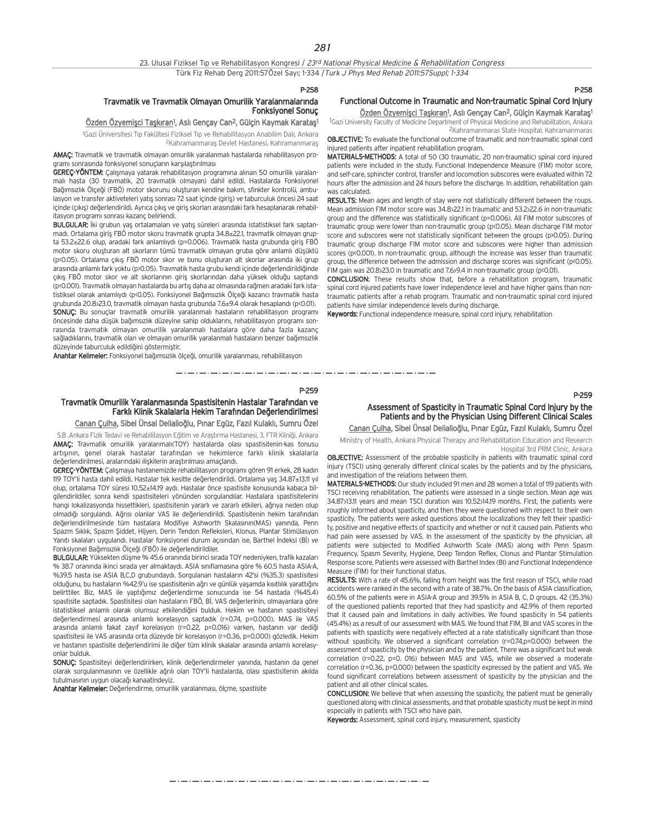#### P-258

### Travmatik ve Travmatik Olmayan Omurilik Yaralanmalarında Fonksiyonel Sonuç

#### <u>Özden Özyemişci Taşkıran</u>1, Aslı Gençay Can<sup>2</sup>, Gülçin Kaymak Karataş<sup>ı</sup>

<sup>1</sup>Gazi Üniversitesi Tıp Fakültesi Fiziksel Tıp ve Rehabilitasyon Anabilim Dalı, Ankara <sup>2</sup>Kahramanmaraş Devlet Hastanesi, Kahramanmaraş

AMAÇ: Travmatik ve travmatik olmayan omurilik yaralanmalı hastalarda rehabilitasyon programı sonrasında fonksiyonel sonuçların karşılaştırılması

GEREÇ-YÖNTEM: Çalışmaya yatarak rehabilitasyon programına alınan 50 omurilik yaralanmal› hasta (30 travmatik, 20 travmatik olmayan) dahil edildi. Hastalarda Fonksiyonel Bağımsızlık Ölceği (FBÖ) motor skorunu oluşturan kendine bakım, sfinkter kontrolü, ambulasyon ve transfer aktiveteleri yatış sonrası 72 saat içinde (giriş) ve taburculuk öncesi 24 saat içinde (çıkış) değerlendirildi. Ayrıca çıkış ve giriş skorları arasındaki fark hesaplanarak rehabilitasyon programı sonrası kazanç belirlendi.

BULGULAR: İki grubun yaş ortalamaları ve yatış süreleri arasında istatistiksel fark saptanmadı. Ortalama giriş FBÖ motor skoru travmatik grupta 34.8±22.1, travmatik olmayan grupta 53.2 $\pm$ 22.6 olup, aradaki fark anlamlıydı (p=0.006). Traymatik hasta grubunda giriş FBÖ motor skoru olusturan alt skorların tümü travmatik olmayan gruba göre anlamlı düşüktü (p<0.05). Ortalama çıkış FBÖ motor skor ve bunu oluşturan alt skorlar arasında iki grup arasında anlamlı fark yoktu (p>0.05). Travmatik hasta grubu kendi içinde değerlendirildiğinde çıkış FBÖ motor skor ve alt skorlarının giriş skorlarından daha yüksek olduğu saptandı (p<0.001). Travmatik olmayan hastalarda bu artış daha az olmasında rağmen aradaki fark istatistiksel olarak anlamlıydı (p<0.05). Fonksiyonel Bağımsızlık Ölçeği kazancı travmatik hasta grubunda 20.8±23.0, travmatik olmayan hasta grubunda 7.6±9.4 olarak hesapland› (p<0.01). SONUC: Bu sonuçlar travmatik omurilik yaralanmalı hastaların rehabilitasyon programı öncesinde daha düşük bağımsızlık düzeyine sahip olduklarını, rehabilitasyon programı sonrasında travmatik olmayan omurilik yaralanmalı hastalara göre daha fazla kazanç sağladıklarını, travmatik olan ve olmayan omurilik yaralanmalı hastaların benzer bağımsızlık düzeyinde taburculuk edildiğini göstermiştir.

Anahtar Kelimeler: Fonksiyonel bağımsızlık ölçeği, omurilik yaralanması, rehabilitasyon

متروح متوارد متوارد متوارد متوارد متوارد متوارد متوارد متوارد متوارد متوارد متوارد متوارد متوارد متوارد متوارد متوارد متوارد P-259

## Travmatik Omurilik Yaralanmasında Spastisitenin Hastalar Tarafından ve Farklı Klinik Skalalarla Hekim Tarafından Değerlendirilmesi

Canan Çulha, Sibel Ünsal Delialioğlu, Pınar Egüz, Fazıl Kulaklı, Sumru Özel

S.B .Ankara Fizik Tedavi ve Rehabilitasyon Eğitim ve Araştırma Hastanesi, 3. FTR Kliniği, Ankara AMAC: Travmatik omurilik yaralanmalı(TOY) hastalarda olası spastisitenin-kas tonusu artışının, genel olarak hastalar tarafından ve hekimlerce farklı klinik skalalarla değerlendirilmesi, aralarındaki iliskilerin arastırılması amaçlandı.

GEREÇ-YÖNTEM: Çalışmaya hastanemizde rehabilitasyon programı gören 91 erkek, 28 kadın 119 TOY'li hasta dahil edildi. Hastalar tek kesitte değerlendirildi. Ortalama yaş 34.87±13.11 yıl olup, ortalama TOY süresi 10.52±14.19 aydı. Hastalar önce spastisite konusunda kabaca bilgilendirildiler, sonra kendi spastisiteleri yönünden sorgulandılar. Hastalara spastisitelerini hangi lokalizasyonda hissettikleri, spastisitenin yararlı ve zararlı etkileri, ağrıya neden olup olmadığı sorgulandı. Ağrısı olanlar VAS ile değerlendirildi. Spastisitenin hekim tarafından değerlendirilmesinde tüm hastalara Modifiye Ashworth Skalasının(MAS) yanında, Penn Spazm Sıklık, Spazm Şiddet, Hijyen, Derin Tendon Refleksleri, Klonus, Plantar Stimülasyon Yanıtı skalaları uygulandı. Hastalar fonksiyonel durum açısından ise, Barthel İndeksi (Bİ) ve Fonksiyonel Bağımsızlık Ölçeği (FBÖ) ile değerlendirildiler.

BULGULAR: Yüksekten düşme % 45.6 oranında birinci sırada TOY nedeniyken, trafik kazaları % 38.7 oranında ikinci sırada yer almaktaydı. ASIA sınıflamasına göre % 60.5 hasta ASIA-A, %39.5 hasta ise ASIA B,C,D grubundaydı. Sorgulanan hastaların 42'si (%35.3) spastisitesi olduğunu, bu hastaların %42.9'u ise spastisitenin ağrı ve günlük yasamda kısıtlılık yarattığını belirttiler. Biz, MAS ile vaptığımız değerlendirme sonucunda ise 54 hastada (%45.4) spastisite saptadık. Spastisitesi olan hastaların FBÖ, Bİ, VAS değerlerinin, olmayanlara göre istatistiksel anlamlı olarak olumsuz etkilendiğini bulduk. Hekim ve hastanın spastisiteyi değerlendirmesi arasında anlamlı korelasyon saptadık (r=0.74, p=0.000). MAS ile VAS arasında anlamlı fakat zayıf korelasyon (r=0.22, p=0.016) varken, hastanın var dediği spastisitesi ile VAS arasında orta düzeyde bir korelasyon (r=0.36, p=0.000) gözledik. Hekim ve hastanın spastisite değerlendirimi ile diğer tüm klinik skalalar arasında anlamlı korelasyonlar bulduk.

SONUÇ: Spastisiteyi değerlendirirken, klinik değerlendirmeler yanında, hastanın da genel olarak sorgulanmasının ve özellikle ağrılı olan TOY'li hastalarda, olası spastisitenin akılda tutulmasının uygun olacağı kanaatindeyiz.

Anahtar Kelimeler: Değerlendirme, omurilik yaralanması, ölçme, spastisite

## P-258

P-259

## Functional Outcome in Traumatic and Non-traumatic Spinal Cord Injury

<u>Özden Özyemişci Taşkıran</u>1, Aslı Gençay Can<sup>2</sup>, Gülçin Kaymak Karataş<sup>ı</sup> <sup>1</sup>Gazi University Faculty of Medicine Department of Physical Medicine and Rehabilitation, Ankara 2Kahramanmaras State Hospital, Kahramanmaras

OBJECTIVE: To evaluate the functional outcome of traumatic and non-traumatic spinal cord injured patients after inpatient rehabilitation program.

MATERIALS-METHODS: A total of 50 (30 traumatic, 20 non-traumatic) spinal cord injured patients were included in the study. Functional Independence Measure (FIM) motor score, and self-care, sphincter control, transfer and locomotion subscores were evaluated within 72 hours after the admission and 24 hours before the discharge. In addition, rehabilitation gain was calculated.

RESULTS: Mean ages and length of stay were not statistically different between the roups. Mean admission FIM motor score was 34.8 $22.1$  in traumatic and 53.2 $22.6$  in non-traumatic group and the difference was statistically significant (p=0.006). All FIM motor subscores of traumatic group were lower than non-traumatic group (p<0.05). Mean discharge FIM motor score and subscores were not statistically significant between the groups (p>0.05). During traumatic group discharge FIM motor score and subscores were higher than admission scores (p<0.001). In non-traumatic group, although the increase was lesser than traumatic group, the difference between the admission and discharge scores was significant (p<0.05). FIM gain was  $20.8$  $\frac{23.0 \text{ in transitor}}{2.6 \times 9.4 \text{ in non-traumatic}}$  group (p $\leq 0.01$ ).

CONCLUSION: These results show that, before a rehabilitation program, traumatic spinal cord injured patients have lower independence level and have higher gains than nontraumatic patients after a rehab program. Traumatic and non-traumatic spinal cord injured patients have similar independence levels during discharge.

Keywords: Functional independence measure, spinal cord injury, rehabilitation

Assessment of Spasticity in Traumatic Spinal Cord Injury by the Patients and by the Physician Using Different Clinical Scales Canan Çulha, Sibel Ünsal Delialioğlu, Pınar Egüz, Fazıl Kulaklı, Sumru Özel

Ministry of Health, Ankara Physical Therapy and Rehabilitation Education and Research Hospital 3rd PRM Clinic, Ankara

OBJECTIVE: Assessment of the probable spasticity in patients with traumatic spinal cord injury (TSCI) using generally different clinical scales by the patients and by the physicians, and investigation of the relations between them.

MATERIALS-METHODS: Our study included 91 men and 28 women a total of 119 patients with TSCI receiving rehabilitation. The patients were assessed in a single section. Mean age was 34.87>13.11 years and mean TSCI duration was 10.52>14.19 months. First, the patients were roughly informed about spasticity, and then they were questioned with respect to their own spasticity. The patients were asked questions about the localizations they felt their spasticity, positive and negative effects of spacticity and whether or not it caused pain. Patients who had pain were assessed by VAS. In the assessment of the spasticity by the physician, all patients were subjected to Modified Ashworth Scale (MAS) along with Penn Spasm Frequency, Spasm Severity, Hygiene, Deep Tendon Reflex, Clonus and Plantar Stimulation Response score. Patients were assessed with Barthel Index (BI) and Functional Independence Measure (FIM) for their functional status.

RESULTS: With a rate of 45.6%, falling from height was the first reason of TSCI, while road accidents were ranked in the second with a rate of 38.7%. On the basis of ASIA classification, 60.5% of the patients were in ASIA-A group and 39.5% in ASIA B, C, D groups. 42 (35.3%) of the questioned patients reported that they had spasticity and 42.9% of them reported that it caused pain and limitations in daily activities. We found spasticity in 54 patients (45.4%) as a result of our assessment with MAS. We found that FIM, BI and VAS scores in the patients with spasticity were negatively effected at a rate statistically significant than those without spasticity. We observed a significant correlation (r=0.74,p=0.000) between the assessment of spasticity by the physician and by the patient. There was a significant but weak correlation (r=0.22, p=0. 016) between MAS and VAS, while we observed a moderate correlation (r=0.36, p=0.000) between the spasticity expressed by the patient and VAS. We found significant correlations between assessment of spasticity by the physician and the patient and all other clinical scales.

CONCLUSION: We believe that when assessing the spasticity, the patient must be generally questioned along with clinical assessments, and that probable spasticity must be kept in mind especially in patients with TSCI who have pain.

**Keywords:** Assessment, spinal cord injury, measurement, spasticity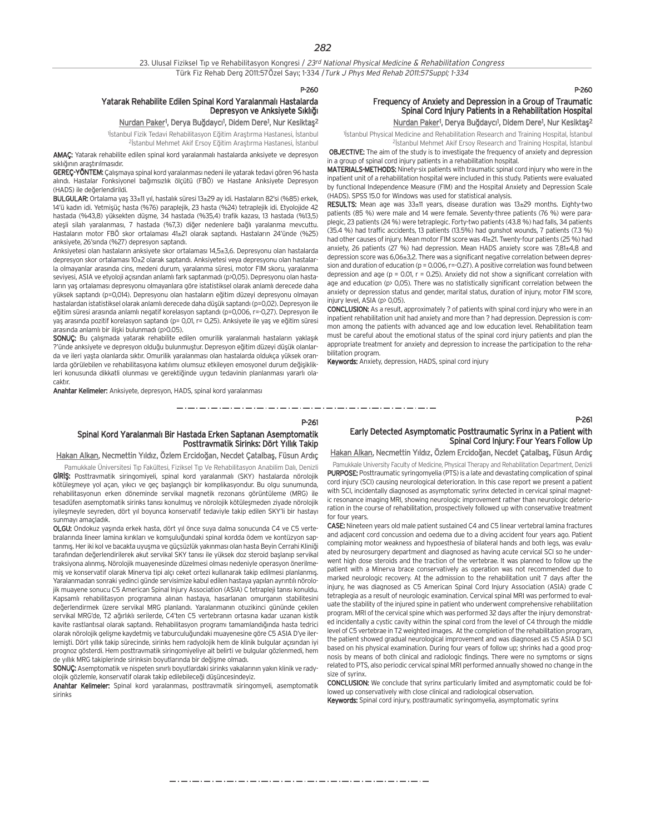P-260

P-261

#### Yatarak Rehabilite Edilen Spinal Kord Yaralanmalı Hastalarda Depresyon ve Anksiyete Sıklığı

#### Nurdan Paker<sup>1</sup>, Derya Buğdaycı<sup>1</sup>, Didem Dere<sup>1</sup>, Nur Kesiktaş<sup>2</sup>

<sup>1</sup>İstanbul Fizik Tedavi Rehabilitasyon Eğitim Araştırma Hastanesi, İstanbul

<sup>2</sup>İstanbul Mehmet Akif Ersoy Eğitim Araştırma Hastanesi, İstanbul AMAÇ: Yatarak rehabilite edilen spinal kord yaralanmalı hastalarda anksiyete ve depresyon

sıklığının araştırılmasıdır. GEREÇ-YÖNTEM: Çalışmaya spinal kord yaralanması nedeni ile yatarak tedavi gören 96 hasta alındı. Hastalar Fonksiyonel bağımsızlık ölçütü (FBÖ) ve Hastane Anksiyete Depresyon

(HADS) ile de¤erlendirildi. BULGULAR: Ortalama yaş 33±11 yıl, hastalık süresi 13±29 ay idi. Hastaların 82'si (%85) erkek, 14'ü kadın idi. Yetmişüç hasta (%76) paraplejik, 23 hasta (%24) tetraplejik idi. Etyolojide 42 hastada (%43,8) yüksekten düşme, 34 hastada (%35,4) trafik kazası, 13 hastada (%13,5) ateşli silah yaralanması, 7 hastada (%7,3) diğer nedenlere bağlı yaralanma mevcuttu. Hastaların motor FBÖ skor ortalaması 41±21 olarak saptandı. Hastaların 24'ünde (%25) anksiyete, 26'sında (%27) depresyon saptandı.

Anksiyetesi olan hastaların anksiyete skor ortalaması 14,5±3,6. Depresyonu olan hastalarda depresyon skor ortalaması 10±2 olarak saptandı. Anksiyetesi veya depresyonu olan hastalarla olmayanlar arasında cins, medeni durum, yaralanma süresi, motor FIM skoru, yaralanma seviyesi, ASIA ve etyoloji açısından anlamlı fark saptanmadı (p>0,05). Depresyonu olan hastaların yaş ortalaması depresyonu olmayanlara göre istatistiksel olarak anlamlı derecede daha yüksek saptandı (p=0,014). Depresyonu olan hastaların eğitim düzeyi depresyonu olmayan hastalardan istatistiksel olarak anlamlı derecede daha düşük saptandı (p=0,02). Depresyon ile  $e\ddot{\alpha}$ itim süresi arasında anlamlı negatif korelasyon saptandı (p=0,006, r=-0,27). Depresyon ile yaş arasında pozitif korelasyon saptandı (p= 0,01, r= 0,25). Anksiyete ile yaş ve eğitim süresi arasında anlamlı bir ilişki bulunmadı (p>0.05).

SONUÇ: Bu çalışmada yatarak rehabilite edilen omurilik yaralanmalı hastaların yaklaşık ?'ünde anksiyete ve depresyon olduğu bulunmuştur. Depresyon eğitim düzeyi düşük olanlarda ve ileri yasta olanlarda sıktır. Omurilik yaralanması olan hastalarda oldukça yüksek oranlarda görülebilen ve rehabilitasyona katılımı olumsuz etkileyen emosyonel durum değişiklikleri konusunda dikkatli olunması ve gerektiğinde uygun tedavinin planlanması yararlı olacakt›r.

Anahtar Kelimeler: Anksiyete, depresyon, HADS, spinal kord yaralanması

P-260

P-261

## Frequency of Anxiety and Depression in a Group of Traumatic Spinal Cord Injury Patients in a Rehabilitation Hospital

<u>Nurdan Paker</u>1, Derya Buğdaycı<sup>1</sup>, Didem Dere1, Nur Kesiktaş<sup>2</sup>

<sup>1</sup> Istanbul Physical Medicine and Rehabilitation Research and Training Hospital, Istanbul <sup>2</sup> Stanbul Mehmet Akif Ersoy Research and Training Hospital, İstanbul

OBJECTIVE: The aim of the study is to investigate the frequency of anxiety and depression in a group of spinal cord injury patients in a rehabilitation hospital. MATERIALS-METHODS: Ninety-six patients with traumatic spinal cord injury who were in the

inpatient unit of a rehabilitation hospital were included in this study. Patients were evaluated by functional Independence Measure (FIM) and the Hospital Anxiety and Depression Scale (HADS). SPSS 15.0 for Windows was used for statistical analysis.

RESULTS: Mean age was 33±11 years, disease duration was 13±29 months. Eighty-two patients (85 %) were male and 14 were female. Seventy-three patients (76 %) were paraplegic, 23 patients (24 %) were tetraplegic. Forty-two patients (43.8 %) had falls, 34 patients (35.4 %) had traffic accidents, 13 patients (13.5%) had gunshot wounds, 7 patients (7.3 %) had other causes of injury. Mean motor FIM score was 41±21. Twenty-four patients (25 %) had anxiety, 26 patients (27 %) had depression. Mean HADS anxiety score was 7,81±4,8 and depression score was 6,06±3,2. There was a significant negative correlation between depression and duration of education (p = 0.006, r = - 0.27). A positive correlation was found between depression and age ( $p = 0.01$ ,  $r = 0.25$ ). Anxiety did not show a significant correlation with age and education (p> 0,05). There was no statistically significant correlation between the anxiety or depression status and gender, marital status, duration of injury, motor FIM score, injury level, ASIA (n) 0,05).

CONCLUSION: As a result, approximately ? of patients with spinal cord injury who were in an inpatient rehabilitation unit had anxiety and more than ? had depression. Depression is common among the patients with advanced age and low education level. Rehabilitation team must be careful about the emotional status of the spinal cord injury patients and plan the appropriate treatment for anxiety and depression to increase the participation to the rehabilitation program.

Keywords: Anxiety, depression, HADS, spinal cord injury

#### Spinal Kord Yaralanmalı Bir Hastada Erken Saptanan Asemptomatik Posttravmatik Sirinks: Dört Yıllık Takip Early Detected Asymptomatic Posttraumatic Syrinx in a Patient with Spinal Cord Injury: Four Years Follow Up

#### Hakan Alkan, Necmettin Yıldız, Özlem Ercidoğan, Necdet Çatalbaş, Füsun Ardıç

Pamukkale Üniversitesi Tıp Fakültesi, Fiziksel Tıp Ve Rehabilitasyon Anabilim Dalı, Denizli GIRIS: Posttravmatik siringomiyeli, spinal kord yaralanmalı (SKY) hastalarda nörolojik kötüleşmeye yol açan, yıkıcı ve geç başlangıçlı bir komplikasyondur. Bu olgu sunumunda, rehabilitasyonun erken döneminde servikal magnetik rezonans görüntüleme (MRG) ile tesadüfen asemptomatik sirinks tanısı konulmuş ve nörolojik kötüleşmeden ziyade nörolojik iyilesmeyle seyreden, dört yıl boyunca konservatif tedaviyle takip edilen SKY'li bir hastayı sunmayı amaçladık.

OLGU: Ondokuz yasında erkek hasta, dört yıl önce suya dalma sonucunda C4 ve C5 vertebralarında lineer lamina kırıkları ve komşuluğundaki spinal kordda ödem ve kontüzyon saptanmış. Her iki kol ve bacakta uyuşma ve güçsüzlük yakınması olan hasta Beyin Cerrahi Kliniği tarafından değerlendirilerek akut servikal SKY tanısı ile yüksek doz steroid başlanıp servikal traksiyona alınmış. Nörolojik muayenesinde düzelmesi olması nedeniyle operasyon önerilmemiş ve konservatif olarak Minerva tipi alçı ceket ortezi kullanarak takip edilmesi planlanmış. Yaralanmadan sonraki yedinci günde servisimize kabul edilen hastaya yapılan ayrıntılı nörolojik muayene sonucu C5 American Spinal Injury Association (ASIA) C tetrapleji tanısı konuldu. Kapsamlı rehabilitasyon programına alınan hastaya, hasarlanan omurganın stabilitesini değerlendirmek üzere servikal MRG planlandı. Yaralanmanın otuzikinci gününde çekilen servikal MRG'de, T2 ağırlıklı serilerde, C4'ten C5 vertebranın ortasına kadar uzanan kistik kavite rastlantısal olarak saptandı. Rehabilitasyon programı tamamlandığında hasta tedrici olarak nörolojik gelisme kaydetmis ve taburculuğundaki muayenesine göre C5 ASIA D'ye ilerlemisti. Dört yıllık takip sürecinde, sirinks hem radyolojik hem de klinik bulgular açısından iyi prognoz gösterdi. Hem posttravmatik siringomiyeliye ait belirti ve bulgular gözlenmedi, hem de yıllık MRG takiplerinde sirinksin boyutlarında bir değişme olmadı.

SONUÇ: Asemptomatik ve nispeten sınırlı boyutlardaki sirinks vakalarının yakın klinik ve radyolojik gözlemle, konservatif olarak takip edilebileceği düşüncesindeyiz.

Anahtar Kelimeler: Spinal kord yaralanması, posttravmatik siringomyeli, asemptomatik sirinks

Hakan Alkan, Necmettin Yıldız, Özlem Ercidoğan, Necdet Çatalbaş, Füsun Ardıç

Pamukkale University Faculty of Medicine, Physical Therapy and Rehabilitation Department, Denizli PURPOSE: Posttraumatic syringomyelia (PTS) is a late and devastating complication of spinal cord injury (SCI) causing neurological deterioration. In this case report we present a patient with SCI, incidentally diagnosed as asymptomatic syrinx detected in cervical spinal magnetic resonance imaging MRI, showing neurologic improvement rather than neurologic deterioration in the course of rehabilitation, prospectively followed up with conservative treatment for four years.

CASE: Nineteen years old male patient sustained C4 and C5 linear vertebral lamina fractures and adjacent cord concussion and oedema due to a diving accident four years ago. Patient complaining motor weakness and hypoesthesia of bilateral hands and both legs, was evaluated by neurosurgery department and diagnosed as having acute cervical SCI so he underwent high dose steroids and the traction of the vertebrae. It was planned to follow up the patient with a Minerva brace conservatively as operation was not recommended due to marked neurologic recovery. At the admission to the rehabilitation unit 7 days after the injury, he was diagnosed as C5 American Spinal Cord Injury Association (ASIA) grade C tetraplegia as a result of neurologic examination. Cervical spinal MRI was performed to evaluate the stability of the injured spine in patient who underwent comprehensive rehabilitation program. MRI of the cervical spine which was performed 32 days after the injury demonstrated incidentally a cystic cavity within the spinal cord from the level of C4 through the middle level of C5 vertebrae in T2 weighted images. At the completion of the rehabilitation program, the patient showed gradual neurological improvement and was diagnosed as C5 ASIA D SCI based on his physical examination. During four years of follow up; shrinks had a good prognosis by means of both clinical and radiologic findings. There were no symptoms or signs related to PTS, also periodic cervical spinal MRI performed annually showed no change in the size of syrinx.

CONCLUSION: We conclude that syrinx particularly limited and asymptomatic could be followed up conservatively with close clinical and radiological observation. Keywords: Spinal cord injury, posttraumatic syringomyelia, asymptomatic syrinx

والمساويس والمساويس والمساويس والمساويس والمساويس والمساويس والمساويس والمساويس والمساويس والمساويس والمساويس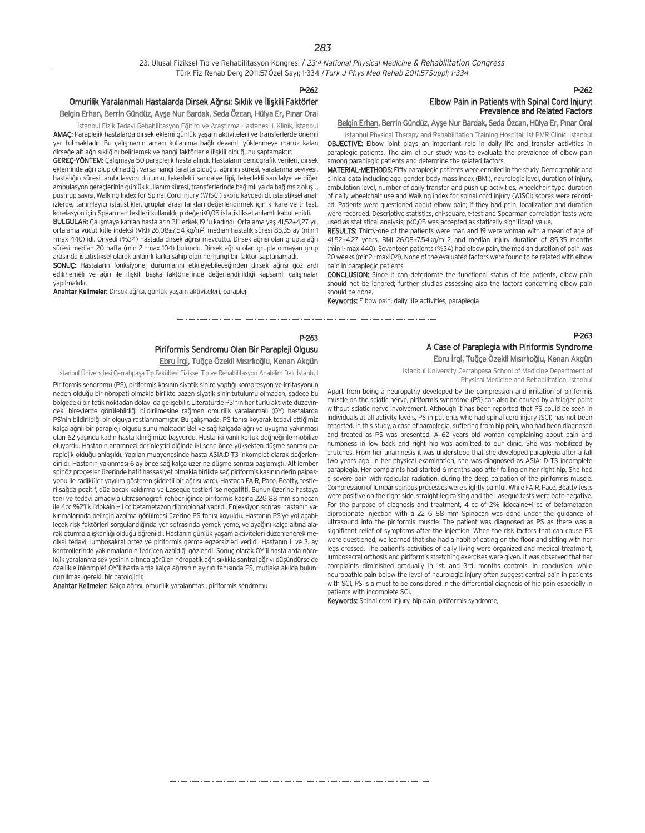#### P-262

#### Omurilik Yaralanmalı Hastalarda Dirsek Ağrısı: Sıklık ve İlişkili Faktörler Belgin Erhan, Berrin Gündüz, Ayşe Nur Bardak, Seda Özcan, Hülya Er, Pınar Oral

İstanbul Fizik Tedavi Rehabilitasyon Eğitim Ve Araştırma Hastanesi 1. Klinik, İstanbul AMAÇ: Paraplejik hastalarda dirsek eklemi günlük yaşam aktiviteleri ve transferlerde önemli

yer tutmaktadır. Bu çalışmanın amacı kullanıma bağlı devamlı yüklenmeye maruz kalan dirseğe ait ağrı sıklığını belirlemek ve hangi faktörlerle ilişkili olduğunu saptamaktır.

GEREÇ-YÖNTEM: Çalışmaya 50 paraplejik hasta alındı. Hastaların demografik verileri, dirsek ekleminde ağrı olup olmadığı, varsa hangi tarafta olduğu, ağrının süresi, yaralanma seviyesi, hastalığın süresi, ambulasyon durumu, tekerlekli sandalye tipi, tekerlekli sandalye ve diğer ambulasyon gereclerinin günlük kullanım süresi, transferlerinde bağımlı ya da bağımsız oluşu, push-up say›s›, Walking Index for Spinal Cord Injury (WISCI) skoru kaydedildi. istaistiksel analizlerde, tanımlayıcı istatistikler, gruplar arası farkları değerlendirmek için ki-kare ve t- test, korelasyon için Spearman testleri kullanıldı; p değeri<0,05 istatistiksel anlamlı kabul edildi.

BULGULAR: Çalışmaya katılan hastaların 31'i erkek,19 'u kadındı. Ortalama yaş 41,52±4,27 yıl, ortalama vücut kitle indeksi (VKİ) 26,08±7,54 kg/m<sup>2</sup>, median hastalık süresi 85,35 ay (min 1 –max 440) idi. Onyedi (%34) hastada dirsek a¤r›s› mevcuttu. Dirsek a¤r›s› olan grupta a¤r› süresi median 20 hafta (min 2 -max 104) bulundu. Dirsek ağrısı olan grupla olmayan grup arasında istatistiksel olarak anlamlı farka sahip olan herhangi bir faktör saptanamadı.

SONUÇ: Hastaların fonksiyonel durumlarını etkileyebileceğinden dirsek ağrısı göz ardı edilmemeli ve ağrı ile ilişkili başka faktörlerinde değerlendirildiği kapsamlı çalışmalar vapılmalıdır

Anahtar Kelimeler: Dirsek ağrısı, günlük yaşam aktiviteleri, parapleji

## P-262 Elbow Pain in Patients with Spinal Cord Injury: Prevalence and Related Factors

## Belgin Erhan, Berrin Gündüz, Ayşe Nur Bardak, Seda Özcan, Hülya Er, Pınar Oral

Istanbul Physical Therapy and Rehabilitation Training Hospital, 1st PMR Clinic, Istanbul OBJECTIVE: Elbow joint plays an important role in daily life and transfer activities in paraplegic patients. The aim of our study was to evaluate the prevalence of elbow pain among paraplegic patients and determine the related factors.

MATERIAL-METHODS: Fifty paraplegic patients were enrolled in the study. Demographic and clinical data including age, gender, body mass index (BMI), neurologic level, duration of injury, ambulation level, number of daily transfer and push up activities, wheelchair type, duration of daily wheelchair use and Walking index for spinal cord injury (WISCI) scores were recorded. Patients were questioned about elbow pain; if they had pain, localization and duration were recorded. Descriptive statistics, chi-square, t-test and Spearman correlation tests were used as statistical analysis; p<0,05 was accepted as statically significant value.

RESULTS: Thirty-one of the patients were man and 19 were woman with a mean of age of 41.52±4.27 years, BMI 26.08±7.54kg/m 2 and median injury duration of 85.35 months (min 1- max 440). Seventeen patients (%34) had elbow pain, the median duration of pain was 20 weeks (min2 –max104). None of the evaluated factors were found to be related with elbow pain in paraplegic patients.

#### CONCLUSION: Since it can deteriorate the functional status of the patients, elbow pain should not be ignored; further studies assessing also the factors concerning elbow pain should be done.

Keywords: Elbow pain, daily life activities, paraplegia

#### P-263 Piriformis Sendromu Olan Bir Parapleji Olgusu Ebru İrgi, Tuğce Özekli Mısırlıoğlu, Kenan Akgün

İstanbul Üniversitesi Cerrahpaşa Tıp Fakültesi Fiziksel Tıp ve Rehabilitasyon Anabilim Dalı, İstanbul

Piriformis sendromu (PS), piriformis kasının siyatik sinire yaptığı kompresyon ve irritasyonun neden olduğu bir nöropati olmakla birlikte bazen siyatik sinir tutulumu olmadan, sadece bu bölgedeki bir tetik noktadan dolayı da gelişebilir. Literatürde PS'nin her türlü aktivite düzeyindeki bireylerde görülebildiği bildirilmesine rağmen omurilik yaralanmalı (OY) hastalarda PS'nin bildirildiği bir olguya rastlanmamıştır. Bu çalışmada, PS tanısı koyarak tedavi ettiğimiz kalça ağrılı bir parapleji olgusu sunulmaktadır. Bel ve sağ kalçada ağrı ve uyusma yakınması olan 62 yasında kadın hasta kliniğimize başvurdu. Hasta iki yanlı koltuk değneği ile mobilize oluyordu. Hastanın anamnezi derinleştirildiğinde iki sene önce yüksekten düşme sonrası paraplejik olduğu anlaşıldı. Yapılan muayenesinde hasta ASIA:D T3 inkomplet olarak değerlendirildi. Hastanın yakınması 6 ay önce sağ kalça üzerine düşme sonrası başlamıştı. Alt lomber spinöz procesler üzerinde hafif hassasiyet olmakla birlikte sağ piriformis kasının derin palpasvonu ile radiküler yayılım gösteren siddetli bir ağrısı yardı. Hastada FAİR, Pace, Beatty, testleri sağda pozitif, düz bacak kaldırma ve Laseque testleri ise negatifti. Bunun üzerine hastaya tanı ve tedavi amacıyla ultrasonografi rehberliğinde piriformis kasına 22G 88 mm spinocan ile 4cc %2'lik lidokain + 1 cc betametazon dipropionat yapıldı. Enjeksiyon sonrası hastanın yakınmalarında belirgin azalma görülmesi üzerine PS tanısı koyuldu. Hastanın PS'ye yol açabilecek risk faktörleri sorgulandığında yer sofrasında yemek yeme, ve ayağını kalça altına alarak oturma alışkanlığı olduğu öğrenildi. Hastanın günlük yaşam aktiviteleri düzenlenerek medikal tedavi, lumbosakral ortez ve piriformis germe egzersizleri verildi. Hastanın 1. ve 3. av kontrollerinde yakınmalarının tedricen azaldığı gözlendi. Sonuç olarak OY'li hastalarda nörolojik yaralanma seviyesinin alt›nda görülen nöropatik a¤r› s›kl›kla santral a¤r›y› düflündürse de özellikle inkomplet OY'li hastalarda kalça ağrısının ayırıcı tanısında PS, mutlaka akılda bulundurulması gerekli bir patolojidir.

Anahtar Kelimeler: Kalça ağrısı, omurilik yaralanması, piriformis sendromu

#### P-263 A Case of Paraplegia with Piriformis Syndrome Ebru İrgi, Tuğce Özekli Mısırlıoğlu, Kenan Akgün

Istanbul University Cerrahpasa School of Medicine Department of Physical Medicine and Rehabilitation, Istanbul

Apart from being a neuropathy developed by the compression and irritation of piriformis muscle on the sciatic nerve, piriformis syndrome (PS) can also be caused by a trigger point without sciatic nerve involvement. Although it has been reported that PS could be seen in individuals at all activity levels, PS in patients who had spinal cord injury (SCI) has not been reported. In this study, a case of paraplegia, suffering from hip pain, who had been diagnosed and treated as PS was presented. A 62 years old woman complaining about pain and numbness in low back and right hip was admitted to our clinic. She was mobilized by crutches. From her anamnesis it was understood that she developed paraplegia after a fall two years ago. In her physical examination, she was diagnosed as ASIA: D T3 incomplete paraplegia. Her complaints had started 6 months ago after falling on her right hip. She had a severe pain with radicular radiation, during the deep palpation of the piriformis muscle. Compression of lumbar spinous processes were slightly painful. While FAIR, Pace, Beatty tests were positive on the right side, straight leg raising and the Laseque tests were both negative. For the purpose of diagnosis and treatment, 4 cc of 2% lidocaine+1 cc of betametazon dipropionate injection with a 22 G 88 mm Spinocan was done under the guidance of ultrasound into the piriformis muscle. The patient was diagnosed as PS as there was a significant relief of symptoms after the injection. When the risk factors that can cause PS were questioned, we learned that she had a habit of eating on the floor and sitting with her legs crossed. The patient's activities of daily living were organized and medical treatment, lumbosacral orthosis and piriformis stretching exercises were given. It was observed that her complaints diminished gradually in 1st. and 3rd. months controls. In conclusion, while neuropathic pain below the level of neurologic injury often suggest central pain in patients with SCI, PS is a must to be considered in the differential diagnosis of hip pain especially in patients with incomplete SCI.

Keywords: Spinal cord injury, hip pain, piriformis syndrome,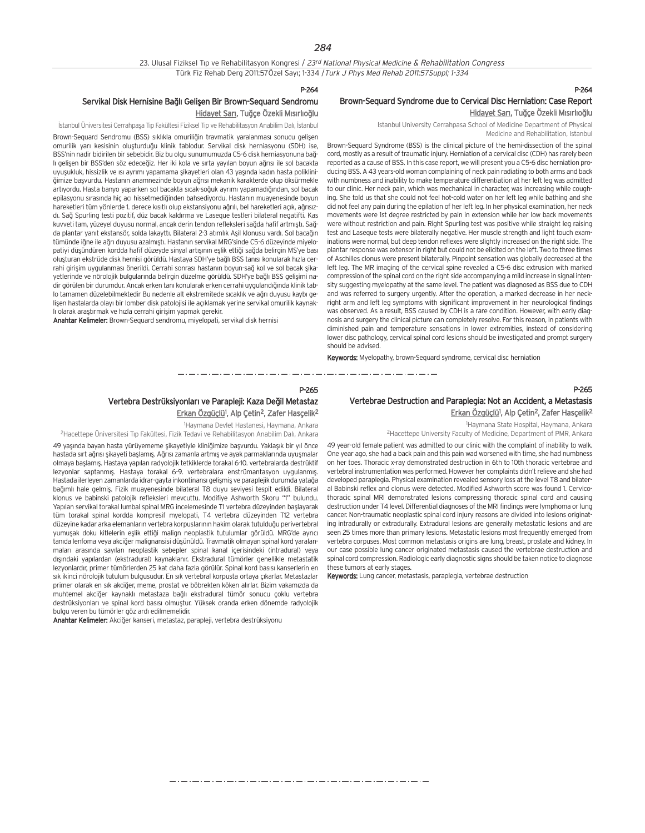#### 23. Ulusal Fiziksel Tıp ve Rehabilitasyon Kongresi / 23rd National Physical Medicine & Rehabilitation Congress Türk Fiz Rehab Derg 2011:57Özel Sayı; 1-334 / Turk J Phys Med Rehab 2011:57Suppl; 1-334

## P-264

## Brown-Sequard Syndrome due to Cervical Disc Herniation: Case Report Hidayet Sarı, Tuğçe Özekli Mısırlıoğlu

Istanbul University Cerrahpasa School of Medicine Department of Physical Medicine and Rehabilitation, Istanbul

Brown-Sequard Syndrome (BSS) is the clinical picture of the hemi-dissection of the spinal cord, mostly as a result of traumatic injury. Herniation of a cervical disc (CDH) has rarely been reported as a cause of BSS. In this case report, we will present you a C5-6 disc herniation producing BSS. A 43 years-old woman complaining of neck pain radiating to both arms and back with numbness and inability to make temperature differentiation at her left leg was admitted to our clinic. Her neck pain, which was mechanical in character, was increasing while coughing. She told us that she could not feel hot-cold water on her left leg while bathing and she did not feel any pain during the epilation of her left leg. In her physical examination, her neck movements were 1st degree restricted by pain in extension while her low back movements were without restriction and pain. Right Spurling test was positive while straight leg raising test and Laseque tests were bilaterally negative. Her muscle strength and light touch examinations were normal, but deep tendon reflexes were slightly increased on the right side. The plantar response was extensor in right but could not be elicited on the left. Two to three times of Aschilles clonus were present bilaterally. Pinpoint sensation was globally decreased at the left leg. The MR imaging of the cervical spine revealed a C5-6 disc extrusion with marked compression of the spinal cord on the right side accompanying a mild increase in signal intensity suggesting myelopathy at the same level. The patient was diagnosed as BSS due to CDH and was referred to surgery urgently. After the operation, a marked decrease in her neckright arm and left leg symptoms with significant improvement in her neurological findings was observed. As a result, BSS caused by CDH is a rare condition. However, with early diagnosis and surgery the clinical picture can completely resolve. For this reason, in patients with diminished pain and temperature sensations in lower extremities, instead of considering lower disc pathology, cervical spinal cord lesions should be investigated and prompt surgery should be advised.

Keywords: Myelopathy, brown-Sequard syndrome, cervical disc herniation

## P-265

## Vertebrae Destruction and Paraplegia: Not an Accident, a Metastasis <u>Erkan Özgüçlü</u><sup>1</sup>, Alp Çetin<sup>2</sup>, Zafer Hasçelik<sup>2</sup>

1 Haymana State Hospital, Haymana, Ankara

2Hacettepe University Faculty of Medicine, Department of PMR, Ankara

49 year-old female patient was admitted to our clinic with the complaint of inability to walk. One year ago, she had a back pain and this pain wad worsened with time, she had numbness on her toes. Thoracic x-ray demonstrated destruction in 6th to 10th thoracic vertebrae and vertebral instrumentation was performed. However her complaints didn't relieve and she had developed paraplegia. Physical examination revealed sensory loss at the level T8 and bilateral Babinski reflex and clonus were detected. Modified Ashworth score was found 1. Cervicothoracic spinal MRI demonstrated lesions compressing thoracic spinal cord and causing destruction under T4 level. Differential diagnoses of the MRI findings were lymphoma or lung cancer. Non-traumatic neoplastic spinal cord injury reasons are divided into lesions originating intradurally or extradurally. Extradural lesions are generally metastatic lesions and are seen 25 times more than primary lesions. Metastatic lesions most frequently emerged from vertebra corpuses. Most common metastasis origins are lung, breast, prostate and kidney. In our case possible lung cancer originated metastasis caused the vertebrae destruction and spinal cord compression. Radiologic early diagnostic signs should be taken notice to diagnose these tumors at early stages.

Keywords: Lung cancer, metastasis, paraplegia, vertebrae destruction

## P-264

### Servikal Disk Hernisine Bağlı Gelişen Bir Brown-Sequard Sendromu Hidayet Sarı, Tuğçe Özekli Mısırlıoğlu

İstanbul Üniversitesi Cerrahpaşa Tıp Fakültesi Fiziksel Tıp ve Rehabilitasyon Anabilim Dalı, İstanbul

Brown-Sequard Sendromu (BSS) sıklıkla omuriliğin travmatik yaralanması sonucu gelisen omurilik yarı kesisinin olusturduğu klinik tablodur. Servikal disk herniasyonu (SDH) ise, BSS'nin nadir bidirilen bir sebebidir. Biz bu olgu sunumumuzda C5-6 disk herniasyonuna bağlı gelişen bir BSS'den söz edeceğiz. Her iki kola ve sırta yayılan boyun ağrısı ile sol bacakta uyuşukluk, hissizlik ve ısı ayrımı yapamama şikayetleri olan 43 yaşında kadın hasta polikliniğimize başvurdu. Hastanın anamnezinde boyun ağrısı mekanik karakterde olup öksürmekle artıyordu. Hasta banyo yaparken sol bacakta sıcak-soğuk ayrımı yapamadığından, sol bacak epilasyonu sırasında hiç açı hissetmediğinden bahsediyordu. Hastanın muayenesinde boyun hareketleri tüm yönlerde 1. derece kısıtlı olup ekstansiyonu ağrılı, bel hareketleri açık, ağrısızdı. Sağ Spurling testi pozitif, düz bacak kaldırma ve Laseque testleri bilateral negatifti. Kas kuvveti tam, yüzeyel duyusu normal, ancak derin tendon refleksleri sağda hafif artmıştı. Sağda plantar yanıt ekstansör, solda lakayttı. Bilateral 2-3 atımlık Aşil klonusu vardı. Sol bacağın tümünde iğne ile ağrı duyusu azalmıştı. Hastanın servikal MRG'sinde C5-6 düzeyinde miyelopativi düşündüren kordda hafif düzeyde sinyal artısının eslik ettiği sağda belirgin MS'ye bası olusturan ekstrüde disk hernisi görüldü. Hastaya SDH'ye bağlı BSS tanısı konularak hızla cerrahi girişim uygulanması önerildi. Cerrahi sonrası hastanın boyun-sağ kol ve sol bacak şikayetlerinde ve nörolojik bulgularında belirgin düzelme görüldü. SDH'ye bağlı BSS gelişimi nadir görülen bir durumdur. Ancak erken tanı konularak erken cerrahi uygulandığında klinik tablo tamamen düzelebilmektedir Bu nedenle alt ekstremitede sıcaklık ve ağrı duyusu kaybı gelişen hastalarda olayı bir lomber disk patolojisi ile açıklamak yerine servikal omurilik kaynaklı olarak arastırmak ve hızla cerrahi girişim yapmak gerekir.

Anahtar Kelimeler: Brown-Sequard sendromu, miyelopati, servikal disk hernisi

### P-265 Vertebra Destrüksiyonları ve Parapleji: Kaza Değil Metastaz <u>Erkan Özgüçlü</u><sup>1</sup>, Alp Çetin<sup>2</sup>, Zafer Hasçelik<sup>2</sup>

1 Haymana Devlet Hastanesi, Haymana, Ankara <sup>2</sup>Hacettepe Üniversitesi Tıp Fakültesi, Fizik Tedavi ve Rehabilitasyon Anabilim Dalı, Ankara

49 yaşında bayan hasta yürüyememe şikayetiyle kliniğimize başvurdu. Yaklaşık bir yıl önce hastada sırt ağrısı şikayeti başlamış. Ağrısı zamanla artmış ve ayak parmaklarında uyuşmalar olmaya başlamış. Hastaya yapılan radyolojik tetkiklerde torakal 6-10. vertebralarda destrüktif lezyonlar saptanmış. Hastaya torakal 6-9. vertebralara enstrümantasyon uygulanmış. Hastada ilerleyen zamanlarda idrar-gayta inkontinansı gelişmiş ve paraplejik durumda yatağa bağımlı hale gelmiş. Fizik muayenesinde bilateral T8 duyu seviyesi tespit edildi. Bilateral klonus ve babinski patolojik refleksleri mevcuttu. Modifiye Ashworth Skoru "1" bulundu. Yapılan servikal torakal lumbal spinal MRG incelemesinde T1 vertebra düzeyinden başlayarak tüm torakal spinal kordda kompresif myelopati, T4 vertebra düzeyinden T12 vertebra düzeyine kadar arka elemanların vertebra korpuslarının hakim olarak tutulduğu perivertebral yumuşak doku kitlelerin eşlik ettiği malign neoplastik tutulumlar görüldü. MRG'de ayrıcı tanıda lenfoma veya akciğer malignansisi düşünüldü. Travmatik olmayan spinal kord yaralanmalar› aras›nda say›lan neoplastik sebepler spinal kanal içerisindeki (intradural) veya dışındaki yapılardan (ekstradural) kaynaklanır. Ekstradural tümörler genellikle metastatik lezvonlardır, primer tümörlerden 25 kat daha fazla görülür. Spinal kord basısı kanserlerin en sık ikinci nörolojik tutulum bulgusudur. En sık vertebral korpusta ortaya çıkarlar. Metastazlar primer olarak en sık akciğer, meme, prostat ve böbrekten köken alırlar. Bizim vakamızda da muhtemel akciğer kaynaklı metastaza bağlı ekstradural tümör sonucu çoklu vertebra destrüksiyonları ve spinal kord basısı olmustur. Yüksek oranda erken dönemde radyolojik bulgu veren bu tümörler göz ardı edilmemelidir.

Anahtar Kelimeler: Akciğer kanseri, metastaz, parapleji, vertebra destrüksiyonu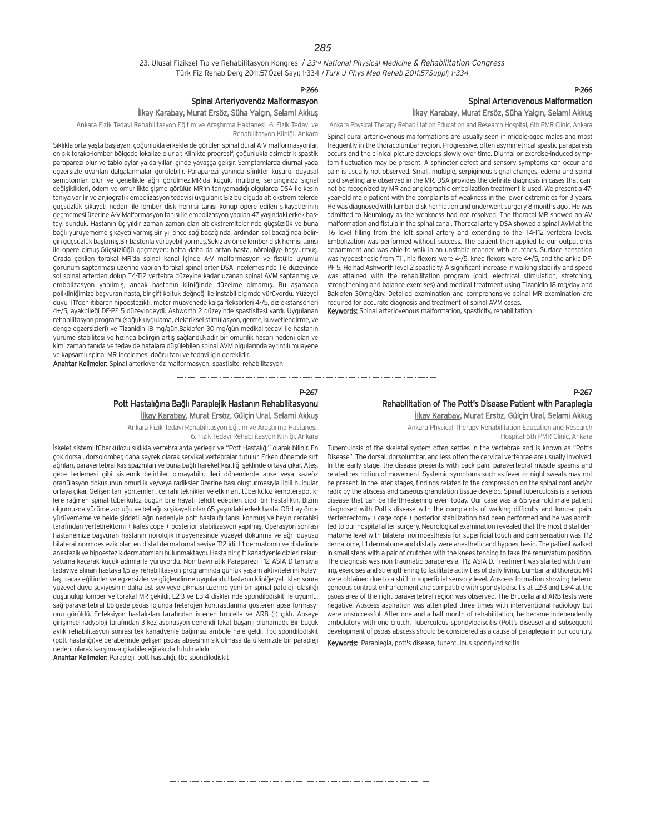#### 23. Ulusal Fiziksel Tıp ve Rehabilitasyon Kongresi / 23rd National Physical Medicine & Rehabilitation Congress Türk Fiz Rehab Derg 2011:57Özel Sayı; 1-334 / Turk J Phys Med Rehab 2011:57Suppl; 1-334

#### P-266

### Spinal Arteriyovenöz Malformasyon İlkay Karabay, Murat Ersöz, Süha Yalçın, Selami Akkuş

Ankara Fizik Tedavi Rehabilitasyon Eğitim ve Araştırma Hastanesi 6. Fizik Tedavi ve Rehabilitasyon Kliniği, Ankara

Sıklıkla orta yaşta başlayan, çoğunlukla erkeklerde görülen spinal dural A-V malformasvonlar. en sık torako-lomber bölgede lokalize olurlar. Klinikte progresif, çoğunlukla asimetrik spastik paraparezi olur ve tablo aylar ya da yıllar içinde yavaşça gelişir. Semptomlarda diürnal yada egzersizle uyarılan dalgalanmalar görülebilir. Paraparezi yanında sfinkter kusuru, duyusal semptomlar olur ve genellikle ağrı görülmez.MR'da küçük, multiple, serpinginöz signal değişiklikleri, ödem ve omurilikte şişme görülür. MR'ın tanıyamadığı olgularda DSA ile kesin tanıya yarılır ve anjiografik embolizasyon tedavisi uygulanır. Biz bu olguda alt ekstremitelerde gücsüzlük sikayeti nedeni ile lomber disk hernisi tanısı konup opere edilen sikayetlerinin geçmemesi üzerine A-V Malformasyon tanısı ile embolizasyon yapılan 47 yasındaki erkek hastayı sunduk. Hastanın üç yıldır zaman zaman olan alt ekstremitelerinde güçsüzlük ve buna bağlı yürüyememe şikayeti varmış.Bir yıl önce sağ bacağında, ardından sol bacağında belirgin güçsüzlük başlamış.Bir bastonla yürüyebiliyormuş.Sekiz ay önce lomber disk hernisi tanısı ile opere olmus.Güçsüzlüğü geçmeyen; hatta daha da artan hasta, nörolojiye başvurmuş. Orada çekilen torakal MR'da spinal kanal içinde A-V malformasyon ve fistülle uyumlu oörünüm saptanması üzerine yapılan torakal spinal arter DSA incelemesinde T6 düzeyinde sol spinal arterden dolup T4-T12 vertebra düzeyine kadar uzanan spinal AVM saptanmış ve embolizasyon yapılmış, ancak hastanın kliniğinde düzelme olmamış. Bu aşamada polikliniğimize başvuran hasta, bir çift koltuk değneği ile instabil biçimde yürüyordu. Yüzeyel duyu T11'den itibaren hipoestezikti, motor muayenede kalça fleksörleri 4-/5, diz ekstansörleri 4+/5, ayakbileği DF-PF 5 düzeyindeydi. Ashworth 2 düzeyinde spastisitesi vardı. Uygulanan rehabilitasyon programı (soğuk uygulama, elektriksel stimülasyon, germe, kuvvetlendirme, ve denge egzersizleri) ve Tizanidin 18 mg/gün,Baklofen 30 mg/gün medikal tedavi ile hastanın yürüme stabilitesi ve hızında belirgin artış sağlandı.Nadir bir omurilik hasarı nedeni olan ve kimi zaman tanıda ve tedavide hatalara düşülebilen spinal AVM olgularında ayrıntılı muayene ve kapsamlı spinal MR incelemesi doğru tanı ve tedavi için gereklidir.

Anahtar Kelimeler: Spinal arteriovenöz malformasyon, spastisite, rehabilitasyon

والمواسع ومساومته والمساومات والمناو 

#### P-267

مترو متناول متناول متناول متناول متناول متناول متناول متناول متناول متناول متناول متناول متناول متناول متناول متناولات

## Pott Hastalığına Bağlı Paraplejik Hastanın Rehabilitasyonu

İlkay Karabay, Murat Ersöz, Gülçin Ural, Selami Akkuş

Ankara Fizik Tedavi Rehabilitasyon Eğitim ve Araştırma Hastanesi, 6. Fizik Tedavi Rehabilitasyon Kliniği, Ankara

İskelet sistemi tüberkülozu sıklıkla vertebralarda yerleşir ve "Pott Hastalığı" olarak bilinir. En çok dorsal, dorsolomber, daha seyrek olarak servikal vertebralar tutulur. Erken dönemde sırt ağrıları, paravertebral kas spazmları ve buna bağlı hareket kısıtlığı şeklinde ortaya çıkar. Ateş, gece terlemesi gibi sistemik belirtiler olmayabilir. İleri dönemlerde abse veya kazeöz granülasyon dokusunun omurilik ve/veya radiksler üzerine bası oluşturmasıyla ilgili bulgular ortaya çıkar. Gelişen tanı yöntemleri, cerrahi teknikler ve etkin antitüberküloz kemoterapotiklere rağmen spinal tüberküloz bugün bile hayatı tehdit edebilen ciddi bir hastalıktır. Bizim olgumuzda yürüme zorluğu ve bel ağrısı sikayeti olan 65 yaşındaki erkek hasta. Dört ay önce yürüyememe ve belde siddetli ağrı nedeniyle pott hastalığı tanısı konmus ve beyin cerrahisi tarafından vertebrektomi + kafes cope + posterior stabilizasyon yapılmış. Operasyon sonrası hastanemize başvuran hastanın nörolojik muayenesinde yüzeyel dokunma ve ağrı duyusu bilateral normoestezik olan en distal dermatomal seviye T12 idi. L1 dermatomu ve distalinde anestezik ve hipoestezik dermatomları bulunmaktaydı. Hasta bir çift kanadyenle dizleri rekurvatuma kaçarak küçük adımlarla yürüyordu. Non-travmatik Paraparezi T12 ASIA D tanısıyla tedaviye alınan hastaya 1.5 ay rehabilitasyon programında günlük yaşam aktivitelerini kolaylaştıracak eğitimler ve egzersizler ve güçlendirme uygulandı. Hastanın kliniğe yattıktan sonra yüzeyel duyu seviyesinin daha üst seviyeye çıkması üzerine yeni bir spinal patoloji olasılığı düşünülüp lomber ve torakal MR çekildi. L2-3 ve L3-4 disklerinde spondilodiskit ile uyumlu, sağ paravertebral bölgede psoas lojunda heterojen kontrastlanma gösteren apse formasyonu görüldü. Enfeksiyon hastalıkları tarafından istenen brucella ve ARB (-) çıktı. Apseye girisimsel radyoloji tarafından 3 kez aspirasyon denendi fakat basarılı olunamadı. Bir buçuk aylık rehabilitasyon sonrası tek kanadyenle bağımsız ambule hale geldi. Tbc spondilodiskit (pott hastalığı)ve beraberinde gelişen psoas absesinin sık olmasa da ülkemizde bir parapleji nedeni olarak karşımıza çıkabileceği akılda tutulmalıdır.

Anahtar Kelimeler: Parapleji, pott hastalığı, tbc spondilodiskit

### P-266 Spinal Arteriovenous Malformation İlkay Karabay, Murat Ersöz, Süha Yalçın, Selami Akkuş

Ankara Physical Therapy Rehabilitation Education and Research Hospital, 6th PMR Clinic, Ankara

Spinal dural arteriovenous malformations are usually seen in middle-aged males and most frequently in the thoracolumbar region. Progressive, often asymmetrical spastic paraparesis occurs and the clinical picture develops slowly over time. Diurnal or exercise-induced symptom fluctuation may be present. A sphincter defect and sensory symptoms can occur and pain is usually not observed. Small, multiple, serpiginous signal changes, edema and spinal cord swelling are observed in the MR. DSA provides the definite diagnosis in cases that cannot be recognized by MR and angiographic embolization treatment is used. We present a 47 year-old male patient with the complaints of weakness in the lower extremities for 3 years. He was diagnosed with lumbar disk herniation and underwent surgery 8 months ago . He was admitted to Neurology as the weakness had not resolved. The thoracal MR showed an AV malformation and fistula in the spinal canal. Thoracal artery DSA showed a spinal AVM at the T6 level filling from the left spinal artery and extending to the T4-T12 vertebra levels. Embolization was performed without success. The patient then applied to our outpatients department and was able to walk in an unstable manner with crutches. Surface sensation was hypoesthesic from T11, hip flexors were 4-/5, knee flexors were 4+/5, and the ankle DF-PF 5. He had Ashworth level 2 spasticity. A significant increase in walking stability and speed was attained with the rehabilitation program (cold, electrical stimulation, stretching, strengthening and balance exercises) and medical treatment using Tizanidin 18 mg/day and Baklofen 30mg/day. Detailed examination and comprehensive spinal MR examination are required for accurate diagnosis and treatment of spinal AVM cases.

Keywords: Spinal arteriovenous malformation, spasticity, rehabilitation

P-267

## Rehabilitation of The Pott's Disease Patient with Paraplegia

İlkay Karabay, Murat Ersöz, Gülçin Ural, Selami Akkuş Ankara Physical Therapy Rehabilitation Education and Research Hospital-6th PMR Clinic, Ankara

Tuberculosis of the skeletal system often settles in the vertebrae and is known as "Pott's Disease". The dorsal, dorsolumbar, and less often the cervical vertebrae are usually involved. In the early stage, the disease presents with back pain, paravertebral muscle spasms and related restriction of movement. Systemic symptoms such as fever or night sweats may not be present. In the later stages, findings related to the compression on the spinal cord and/or radix by the abscess and caseous granulation tissue develop. Spinal tuberculosis is a serious disease that can be life-threatening even today. Our case was a 65-year-old male patient diagnosed with Pott's disease with the complaints of walking difficulty and lumbar pain. Vertebrectomy + cage cope + posterior stabilization had been performed and he was admitted to our hospital after surgery. Neurological examination revealed that the most distal dermatome level with bilateral normoesthesia for superficial touch and pain sensation was T12 dernatome, L1 dermatome and distally were anesthetic and hypoesthesic. The patient walked in small steps with a pair of crutches with the knees tending to take the recurvatum position. The diagnosis was non-traumatic paraparesia, T12 ASIA D. Treatment was started with training, exercises and strengthening to facilitate activities of daily living. Lumbar and thoracic MR were obtained due to a shift in superficial sensory level. Abscess formation showing heterogeneous contrast enhancement and compatible with spondylodiscitis at L2-3 and L3-4 at the psoas area of the right paravertebral region was observed. The Brucella and ARB tests were negative. Abscess aspiration was attempted three times with interventional radiology but were unsuccessful. After one and a half month of rehabilitation, he became independently ambulatory with one crutch. Tuberculous spondylodiscitis (Pott's disease) and subsequent development of psoas abscess should be considered as a cause of paraplegia in our country.

Keywords: Paraplegia, pott's disease, tuberculous spondylodiscitis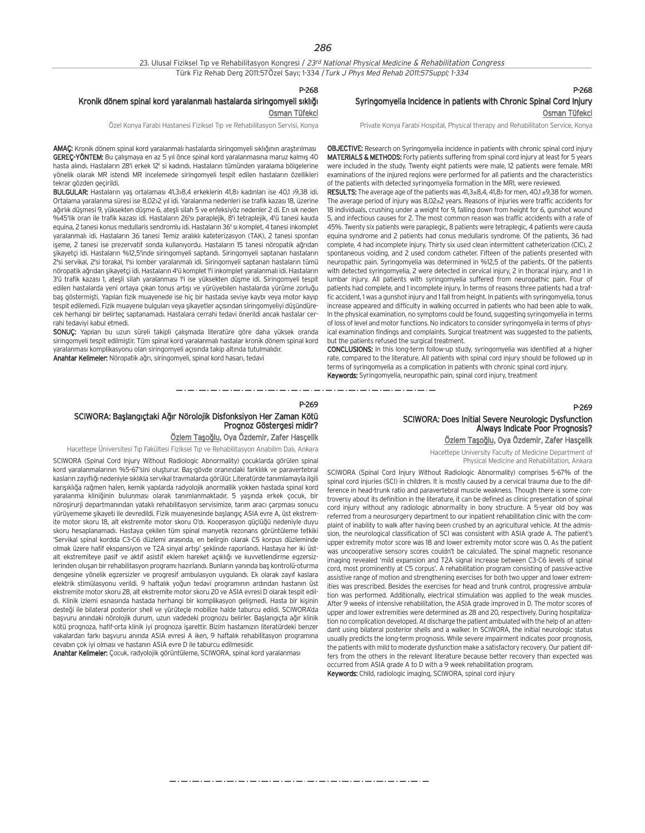23. Ulusal Fiziksel Tıp ve Rehabilitasyon Kongresi / 23rd National Physical Medicine & Rehabilitation Congress Türk Fiz Rehab Derg 2011:57Özel Sayı; 1-334 / Turk J Phys Med Rehab 2011:57Suppl; 1-334

P-268

#### Kronik dönem spinal kord yaralanmalı hastalarda siringomyeli sıklığı Osman Tüfekci

Özel Konya Farabi Hastanesi Fiziksel Tıp ve Rehabilitasyon Servisi, Konya

AMAÇ: Kronik dönem spinal kord yaralanmalı hastalarda siringomyeli sıklığının araştırılması GEREÇ-YÖNTEM: Bu çalışmaya en az 5 yıl önce spinal kord yaralanmasına maruz kalmış 40 hasta alındı. Hastaların 28'i erkek 12' si kadındı. Hastaların tümünden yaralama bölgelerine yönelik olarak MR istendi MR incelemede siringomyeli tespit edilen hastaların özellikleri tekrar gözden geçirildi.

BULGULAR: Hastaların yaş ortalaması 41,3>8,4 erkeklerin 41,8> kadınları ise 40,1 >9,38 idi. Ortalama yaralanma süresi ise 8,02>2 yıl idi. Yaralanma nedenleri ise trafik kazası 18, üzerine ağırlık düşmesi 9, yüksekten düşme 6, ateşli silah 5 ve enfeksiyöz nedenler 2 di. En sık neden %45'lik oran ile trafik kazası idi. Hastaların 26'sı paraplejik, 8'i tetraplejik, 4'ü tanesi kauda equina, 2 tanesi konus medullaris sendromlu idi. Hastaların 36' sı komplet, 4 tanesi inkomplet varalanmalı idi. Hastaların 36 tanesi Temiz aralıklı kateterizasyon (TAK), 2 tanesi spontan işeme, 2 tanesi ise prezervatif sonda kullanıyordu. Hastaların 15 tanesi nöropatik ağrıdan sikayetçi idi. Hastaların %12,5'inde siringomyeli saptandı. Siringomyeli saptanan hastaların 2'si servikal, 2'si torakal, 1'si lomber yaralanmalı idi. Siringomyeli saptanan hastaların tümü nöropatik ağrıdan sikayetçi idi. Hastaların 4'ü komplet 1'i inkomplet yaralanmalı idi. Hastaların 3'ü trafik kazası 1, ateşli silah yaralanması 1'i ise yüksekten düşme idi. Siringomyeli tespit edilen hastalarda yeni ortaya çıkan tonus artışı ve yürüyebilen hastalarda yürüme zorluğu baş göstermişti. Yapılan fizik muayenede ise hiç bir hastada seviye kaybı veya motor kayıp tespit edilemedi. Fizik muayene bulguları veya şikayetler açısından siringomyeliyi düşündürecek herhangi bir belirtec saptanamadı. Hastalara cerrahi tedavi önerildi ancak hastalar cerrahi tedaviyi kabul etmedi.

SONUÇ: Yapılan bu uzun süreli takipli çalışmada literatüre göre daha yüksek oranda siringomyeli tespit edilmiştir. Tüm spinal kord yaralanmalı hastalar kronik dönem spinal kord yaralanması komplikasyonu olan siringomyeli açısında takip altında tutulmalıdır. Anahtar Kelimeler: Nöropatik ağrı, siringomyeli, spinal kord hasarı, tedavi

### P-268 Syringomyelia Incidence in patients with Chronic Spinal Cord Injury Osman Tüfekci

Private Konya Farabi Hospital, Physical therapy and Rehabilitaton Service, Konya

OBJECTIVE: Research on Syringomyelia incidence in patients with chronic spinal cord injury MATERIALS & METHODS: Forty patients suffering from spinal cord injury at least for 5 years were included in the study. Twenty eight patients were male, 12 patients were female. MRI examinations of the injured regions were performed for all patients and the characteristics of the patients with detected syringomyelia formation in the MRI, were reviewed.

RESULTS: The average age of the patients was 41,3±8,4, 41,8> for men, 40,1 ±9,38 for women. The average period of injury was 8,02±2 years. Reasons of injuries were traffic accidents for 18 individuals, crushing under a weight for 9, falling down from height for 6, gunshot wound 5, and infectious causes for 2. The most common reason was traffic accidents with a rate of 45%. Twenty six patients were paraplegic, 8 patients were tetraplegic, 4 patients were cauda equina syndrome and 2 patients had conus medullaris syndrome. Of the patients, 36 had complete, 4 had incomplete injury. Thirty six used clean intermittent catheterization (CIC), 2 spontaneous voiding, and 2 used condom catheter. Fifteen of the patients presented with neuropathic pain. Syringomyelia was determined in %12,5 of the patients. Of the patients with detected syringomyelia, 2 were detected in cervical injury, 2 in thoracal injury, and 1 in lumbar injury. All patients with syringomyelia suffered from neuropathic pain. Four of patients had complete, and 1 incomplete injury. In terms of reasons three patients had a traffic accident, 1 was a gunshot injury and 1 fall from height. In patients with syringomyelia, tonus increase appeared and difficulty in walking occurred in patients who had been able to walk. In the physical examination, no symptoms could be found, suggesting syringomyelia in terms of loss of level and motor functions. No indicators to consider syringomyelia in terms of physical examination findings and complaints. Surgical treatment was suggested to the patients, but the patients refused the surgical treatment.

CONCLUSIONS: In this long-term follow-up study, syringomyelia was identified at a higher rate, compared to the literature. All patients with spinal cord injury should be followed up in terms of syringomyelia as a complication in patients with chronic spinal cord injury. Keywords: Syringomyelia, neuropathic pain, spinal cord injury, treatment

#### P-269

## SCIWORA: Baslangıctaki Ağır Nörolojik Disfonksiyon Her Zaman Kötü Prognoz Göstergesi midir?

## Özlem Taşoğlu, Oya Özdemir, Zafer Hascelik

Hacettepe Üniversitesi Tıp Fakültesi Fiziksel Tıp ve Rehabilitasyon Anabilim Dalı, Ankara

SCIWORA (Spinal Cord Injury Without Radiologic Abnormality) çocuklarda görülen spinal kord yaralanmalarının %5-67'sini oluşturur. Baş-gövde oranındaki farklılık ve paravertebral kasların zayıflığı nedeniyle sıklıkla servikal travmalarda görülür. Literatürde tanımlamayla ilgili karışıklığa rağmen halen, kemik yapılarda radyolojik anormallik yokken hastada spinal kord yaralanma kliniğinin bulunması olarak tanımlanmaktadır. 5 yaşında erkek çocuk, bir nöroşirurji departmanından yataklı rehabilitasyon servisimize, tarım aracı çarpması sonucu yürüyememe şikayeti ile devredildi. Fizik muayenesinde başlangıç ASIA evre A, üst ekstremite motor skoru 18, alt ekstremite motor skoru O'dı. Kooperasyon güçlüğü nedeniyle duyu skoru hesaplanamadı. Hastaya çekilen tüm spinal manyetik rezonans görüntüleme tetkiki 'Servikal spinal kordda C3-C6 düzlemi arasında, en belirgin olarak C5 korpus düzleminde olmak üzere hafif ekspansiyon ve T2A sinyal artışı' şeklinde raporlandı. Hastaya her iki üstalt ekstremiteye pasif ve aktif asistif eklem hareket açıklığı ve kuvvetlendirme egzersizlerinden oluşan bir rehabilitasyon programı hazırlandı. Bunların yanında baş kontrolü-oturma dengesine yönelik egzersizler ve progresif ambulasyon uygulandı. Ek olarak zayıf kaslara elektrik stimülasyonu verildi. 9 haftalık yoğun tedavi programının ardından hastanın üst ekstremite motor skoru 28, alt ekstremite motor skoru 20 ve ASIA evresi D olarak tespit edildi. Klinik izlemi esnasında hastada herhangi bir komplikasyon gelişmedi. Hasta bir kişinin desteği ile bilateral posterior shell ve yürütecle mobilize halde taburcu edildi. SCIWORA'da başvuru anındaki nörolojik durum, uzun vadedeki prognozu belirler. Başlangıçta ağır klinik kötü prognoza, hafif-orta klinik iyi prognoza isarettir. Bizim hastamızın literatürdeki benzer vakalardan farkı başyuru anında ASIA evresi A iken. 9 haftalık rehabilitasyon programına cevabin çok iyi olması ve hastanın ASIA evre D ile taburcu edilmesidir.

Anahtar Kelimeler: Çocuk, radyolojik görüntüleme, SCIWORA, spinal kord yaralanması

## SCIWORA: Does Initial Severe Neurologic Dysfunction Always Indicate Poor Prognosis?

Özlem Taşoğlu, Oya Özdemir, Zafer Hasçelik

Hacettepe University Faculty of Medicine Department of Physical Medicine and Rehabilitation, Ankara

SCIWORA (Spinal Cord Injury Without Radiologic Abnormality) comprises 5-67% of the spinal cord injuries (SCI) in children. It is mostly caused by a cervical trauma due to the difference in head-trunk ratio and paravertebral muscle weakness. Though there is some controversy about its definition in the literature, it can be defined as clinic presentation of spinal cord injury without any radiologic abnormality in bony structure. A 5-year old boy was referred from a neurosurgery department to our inpatient rehabilitation clinic with the complaint of inability to walk after having been crushed by an agricultural vehicle. At the admission, the neurological classification of SCI was consistent with ASIA grade A. The patient's upper extremity motor score was 18 and lower extremity motor score was 0. As the patient was uncooperative sensory scores couldn't be calculated. The spinal magnetic resonance imaging revealed 'mild expansion and T2A signal increase between C3-C6 levels of spinal cord, most prominently at C5 corpus'. A rehabilitation program consisting of passive-active assistive range of motion and strengthening exercises for both two upper and lower extremities was prescribed. Besides the exercises for head and trunk control, progressive ambulation was performed. Additionally, electrical stimulation was applied to the weak muscles. After 9 weeks of intensive rehabilitation, the ASIA grade improved in D. The motor scores of upper and lower extremities were determined as 28 and 20, respectively. During hospitalization no complication developed. At discharge the patient ambulated with the help of an attendant using bilateral posterior shells and a walker. In SCIWORA, the initial neurologic status usually predicts the long-term prognosis. While severe impairment indicates poor prognosis, the patients with mild to moderate dysfunction make a satisfactory recovery. Our patient differs from the others in the relevant literature because better recovery than expected was occurred from ASIA grade A to D with a 9 week rehabilitation program. Keywords: Child, radiologic imaging, SCIWORA, spinal cord injury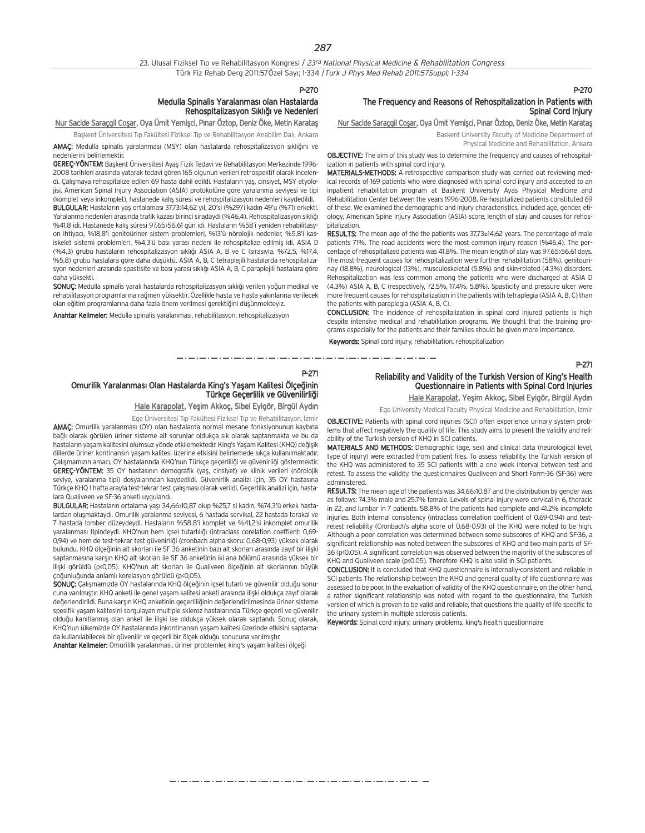#### 23. Ulusal Fiziksel Tıp ve Rehabilitasyon Kongresi / 23rd National Physical Medicine & Rehabilitation Congress Türk Fiz Rehab Derg 2011:57Özel Sayı; 1-334 / Turk J Phys Med Rehab 2011:57Suppl; 1-334

#### P-270

#### Medulla Spinalis Yaralanması olan Hastalarda Rehospitalizasyon Sıklığı ve Nedenleri

Nur Sacide Saraçgil Coşar, Oya Ümit Yemişci, Pınar Öztop, Deniz Öke, Metin Karatas

Başkent Üniversitesi Tıp Fakültesi Fiziksel Tıp ve Rehabilitasyon Anabilim Dalı, Ankara AMAÇ: Medulla spinalis yaralanması (MSY) olan hastalarda rehospitalizasyon sıklığını ve

nedenlerini belirlemektir. GEREÇ-YÖNTEM: Başkent Üniversitesi Ayaş Fizik Tedavi ve Rehabilitasyon Merkezinde 1996-2008 tarihleri aras›nda yatarak tedavi gören 165 olgunun verileri retrospektif olarak incelendi. Calısmaya rehospitalize edilen 69 hasta dahil edildi. Hastaların yas, cinsiyet, MSY etyolojisi, American Spinal Injury Association (ASIA) protokolüne göre yaralanma seviyesi ve tipi (komplet veya inkomplet), hastanede kalış süresi ve rehospitalizasyon nedenleri kaydedildi.

BULGULAR: Hastaların yaş ortalaması 37,73>14,62 yıl, 20'si (%29)'i kadın 49'u (%71) erkekti. Yaralanma nedenleri arasında trafik kazası birinci sıradaydı (%46,4). Rehospitalizasyon sıklığı %41,8 idi. Hastanede kalış süresi 97.65>56.61 gün idi. Hastaların %58'i yeniden rehabilitasyon ihtiyac›, %18,8'i genitoüriner sistem problemleri, %13'ü nörolojik nedenler, %5,8'i kasiskelet sistemi problemleri, %4,3'ü bası yarası nedeni ile rehospitalize edilmiş idi. ASIA D (%4,3) grubu hastaların rehospitalizasyon sıklığı ASIA A, B ve C (sırasıyla, %72,5, %17,4, %5,8) grubu hastalara göre daha düşüktü. ASIA A, B, C tetraplejili hastalarda rehospitalizasyon nedenleri arasında spastisite ve bası yarası sıklığı ASIA A, B, C paraplejili hastalara göre daha yüksekti.

SONUC: Medulla spinalis yaralı hastalarda rehospitalizasyon sıklığı verilen yoğun medikal ve rehabilitasyon programlarına rağmen yüksektir. Özellikle hasta ve hasta yakınlarına verilecek olan eğitim programlarına daha fazla önem verilmesi gerektiğini düşünmekteyiz.

Anahtar Kelimeler: Medulla spinalis yaralanması, rehabilitasyon, rehospitalizasyon

## The Frequency and Reasons of Rehospitalization in Patients with Spinal Cord Injury

Nur Sacide Saraçgil Coşar, Oya Ümit Yemişci, Pınar Öztop, Deniz Öke, Metin Karatas

Baskent University Faculty of Medicine Department of

Physical Medicine and Rehabilitation, Ankara

OBJECTIVE: The aim of this study was to determine the frequency and causes of rehospitalization in patients with spinal cord injury.

MATERIALS-METHODS: A retrospective comparison study was carried out reviewing medical records of 169 patients who were diagnosed with spinal cord injury and accepted to an inpatient rehabilitation program at Baskent University Ayas Physical Medicine and Rehabilitation Center between the years 1996-2008. Re-hospitalized patients constituted 69 of these. We examined the demographic and injury characteristics, included age, gender, etiology, American Spine Injury Association (ASIA) score, length of stay and causes for rehospitalization.

RESULTS: The mean age of the the patients was 37,73±14,62 years. The percentage of male patients 71%. The road accidents were the most common injury reason (%46.4). The percentage of rehospitalized patients was 41.8%. The mean length of stay was 97.65>56.61 days. The most frequent causes for rehospitalization were further rehabilitation (58%), genitourinay (18.8%), neurological (13%), musculoskeletal (5.8%) and skin-related (4.3%) disorders. Rehospitalization was less common among the patients who were discharged at ASIA D (4.3%) ASIA A, B, C (respectively, 72.5%, 17.4%, 5.8%). Spasticity and pressure ulcer were more frequent causes for rehospitalization in the patients with tetraplegia (ASIA A, B, C) than the patients with paraplegia (ASIA A, B, C).

CONCLUSION: The incidence of rehospitalization in spinal cord injured patients is high despite intensive medical and rehabilitation programs. We thought that the training programs especially for the patients and their families should be given more importance.

Keywords: Spinal cord injury, rehabilitation, rehospitalization

-----------------------

#### P-271

## Omurilik Yaralanması Olan Hastalarda King's Yaşam Kalitesi Ölçeğinin Türkçe Geçerlilik ve Güvenilirliği

Hale Karapolat, Yeşim Akkoç, Sibel Eyigör, Birgül Aydın Ege Üniversitesi Tıp Fakültesi Fiziksel Tıp ve Rehabilitasyon, İzmir

AMAÇ: Omurilik yaralanması (OY) olan hastalarda normal mesane fonksiyonunun kaybına bağlı olarak görülen üriner sisteme ait sorunlar oldukça sık olarak saptanmakta ve bu da hastaların yaşam kalitesini olumsuz yönde etkilemektedir. King's Yaşam Kalitesi (KHQ) değişik dillerde üriner kontinansın yasam kalitesi üzerine etkisini belirlemede sıkça kullanılmaktadır. Calısmamızın amacı. OY hastalarında KHQ'nun Türkçe geçerliliği ve güvenirliği göstermektir. GEREÇ-YÖNTEM: 35 OY hastasının demografik (yaş, cinsiyet) ve klinik verileri (nörolojik seviye, yaralanma tipi) dosyalarından kaydedildi. Güvenirlik analizi için, 35 OY hastasına Türkçe KHQ 1 hafta arayla test-tekrar test çalışması olarak verildi. Geçerlilik analizi için, hastalara Qualiveen ve SF-36 anketi uygulandı.

BULGULAR: Hastaların ortalama yaşı 34,66>10,87 olup %25,7 si kadın, %74,3'ü erkek hastalardan oluşmaktaydı. Omurilik yaralanma seviyesi, 6 hastada servikal, 22 hastada torakal ve 7 hastada lomber düzeydeydi. Hastaların %58.8'i komplet ve %41,2'si inkomplet omurilik yaralanması tipindeydi. KHQ'nun hem içsel tutarlılığı (intraclass corelation coeffient: 0,69-0,94) ve hem de test-tekrar test güvenirliği (cronbach alpha skoru: 0,68-0,93) yüksek olarak bulundu. KHQ ölçeğinin alt skorları ile SF 36 anketinin bazı alt skorları arasında zayıf bir ilişki saptanmasına karşın KHQ alt skorları ile SF 36 anketinin iki ana bölümü arasında yüksek bir iliski görüldü (p<0,05). KHQ'nun alt skorları ile Qualiveen ölceğinin alt skorlarının büyük çoğunluğunda anlamlı korelasyon görüldü (p<0,05).

SONUÇ: Çalışmamızda OY hastalarında KHQ ölçeğinin içsel tutarlı ve güvenilir olduğu sonucuna varılmıştır. KHQ anketi ile genel yaşam kalitesi anketi arasında ilişki oldukça zayıf olarak değerlendirildi. Buna karşın KHQ anketinin geçerliliğinin değerlendirilmesinde üriner sisteme spesifik yaşam kalitesini sorgulayan multiple skleroz hastalarında Türkçe geçerli ve güvenilir olduğu kanıtlanmış olan anket ile ilişki ise oldukça yüksek olarak saptandı. Sonuç olarak, KHQ'nun ülkemizde QY hastalarında inkontinansın yaşam kalitesi üzerinde etkisini saptamada kullanılabilecek bir güvenilir ve geçerli bir ölçek olduğu sonucuna varılmıştır.

Anahtar Kelimeler: Omurililk yaralanması, üriner problemler, king's yaşam kalitesi ölçeği

#### Reliability and Validity of the Turkish Version of King's Health Questionnaire in Patients with Spinal Cord Injuries Hale Karapolat, Yeşim Akkoç, Sibel Eyigör, Birgül Aydın

Ege University Medical Faculty Physical Medicine and Rehabilitation, Izmir

OBJECTIVE: Patients with spinal cord injuries (SCI) often experience urinary system problems that affect negatively the quality of life. This study aims to present the validity and reliability of the Turkish version of KHQ in SCI patients.

MATERIALS AND METHODS: Demographic (age, sex) and clinical data (neurological level, type of injury) were extracted from patient files. To assess reliability, the Turkish version of the KHQ was administered to 35 SCI patients with a one week interval between test and retest. To assess the validity, the questionnaires Qualiveen and Short Form-36 (SF-36) were administered.

RESULTS: The mean age of the patients was 34.66>10.87 and the distribution by gender was as follows: 74.3% male and 25.7% female. Levels of spinal injury were cervical in 6, thoracic in 22, and lumbar in 7 patients. 58.8% of the patients had complete and 41.2% incomplete injuries. Both internal consistency (intraclass correlation coefficient of 0.69-0.94) and testretest reliability (Cronbach's alpha score of 0.68-0.93) of the KHQ were noted to be high. Although a poor correlation was determined between some subscores of KHQ and SF-36, a significant relationship was noted between the subscores of KHQ and two main parts of SF-36 (p<0.05). A significant correlation was observed between the majority of the subscores of KHQ and Qualiveen scale (p<0.05). Therefore KHQ is also valid in SCI patients.

CONCLUSION: It is concluded that KHQ questionnaire is internally-consistent and reliable in SCI patients The relationship between the KHQ and general quality of life questionnaire was assessed to be poor. In the evaluation of validity of the KHQ questionnaire, on the other hand, a rather significant relationship was noted with regard to the questionnaire, the Turkish version of which is proven to be valid and reliable, that questions the quality of life specific to the urinary system in multiple sclerosis patients.

Keywords: Spinal cord injury, urinary problems, king's health questionnaire

P-271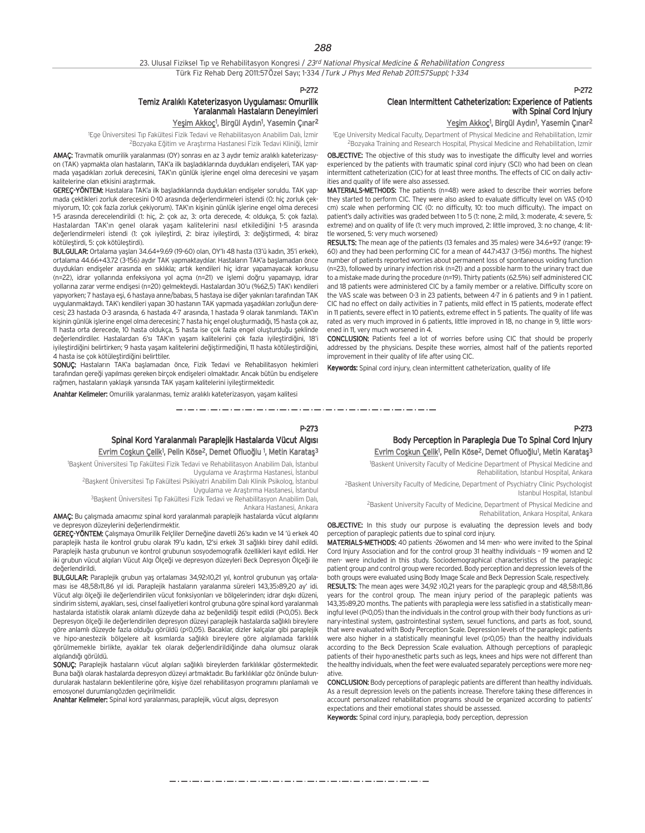23. Ulusal Fiziksel Tıp ve Rehabilitasyon Kongresi / 23rd National Physical Medicine & Rehabilitation Congress Türk Fiz Rehab Derg 2011:57Özel Sayı; 1-334 / Turk J Phys Med Rehab 2011:57Suppl; 1-334

P-272

## Temiz Aralıklı Kateterizasyon Uygulaması: Omurilik Yaralanmalı Hastaların Denevimleri

<u>Yeşim Akkoç</u><sup>1</sup>, Birgül Aydın<sup>1</sup>, Yasemin Çınar<sup>2</sup>

1 Ege Üniversitesi T›p Fakültesi Fizik Tedavi ve Rehabilitasyon Anabilim Dal›, ‹zmir <sup>2</sup>Bozyaka Eğitim ve Araştırma Hastanesi Fizik Tedavi Kliniği, İzmir

AMAÇ: Travmatik omurilik yaralanması (OY) sonrası en az 3 aydır temiz aralıklı kateterizasyon (TAK) yapmakta olan hastaların, TAK'a ilk başladıklarında duydukları endişeleri, TAK yapmada yaşadıkları zorluk derecesini, TAK'ın günlük işlerine engel olma derecesini ve yaşam kalitelerine olan etkisini arastırmak.

GEREÇ-YÖNTEM: Hastalara TAK'a ilk başladıklarında duydukları endişeler soruldu. TAK yapmada çektikleri zorluk derecesini 0-10 arasında değerlendirmeleri istendi (0: hiç zorluk çekmiyorum, 10: çok fazla zorluk çekiyorum). TAK'ın kişinin günlük işlerine engel olma derecesi 1-5 arasında derecelendirildi (1: hiç, 2: çok az, 3: orta derecede, 4: oldukça, 5: çok fazla). Hastalardan TAK'ın genel olarak yaşam kalitelerini nasıl etkilediğini 1-5 arasında değerlendirmeleri istendi (1: çok iyileştirdi, 2: biraz iyileştirdi, 3: değiştirmedi, 4: biraz kötülestirdi. 5: cok kötülestirdi).

BULGULAR: Ortalama yaşları 34.64+9.69 (19-60) olan, OY'lı 48 hasta (13'ü kadın, 35'i erkek), ortalama 44.66+43.72 (3-156) aydır TAK yapmaktaydılar. Hastaların TAK'a başlamadan önce duydukları endişeler arasında en sıklıkla; artık kendileri hiç idrar yapamayacak korkusu (n=22), idrar yollarında enfeksiyona yol açma (n=21) ve işlemi doğru yapamayıp, idrar yollarına zarar verme endisesi (n=20) gelmekteydi. Hastalardan 30'u (%62,5) TAK'ı kendileri yapıyorken; 7 hastaya esi, 6 hastaya anne/babası, 5 hastaya ise diğer yakınları tarafından TAK uygulanmaktaydı. TAK'ı kendileri yapan 30 hastanın TAK yapmada yaşadıkları zorluğun derecesi; 23 hastada 0-3 arasında, 6 hastada 4-7 arasında, 1 hastada 9 olarak tanımlandı. TAK'ın kişinin günlük işlerine engel olma derecesini; 7 hasta hiç engel oluşturmadığı, 15 hasta çok az, 11 hasta orta derecede, 10 hasta oldukça, 5 hasta ise çok fazla engel oluşturduğu şeklinde değerlendirdiler. Hastalardan 6'sı TAK'ın yaşam kalitelerini çok fazla iyileştirdiğini, 18'i ivilestirdiğini belirtirken: 9 hasta yasam kalitelerini değiştirmediğini, 11 hasta kötülestirdiğini, 4 hasta ise cok kötülestirdiğini belirttiler.

SONUÇ: Hastaların TAK'a başlamadan önce, Fizik Tedavi ve Rehabilitasyon hekimleri tarafından gereği yapılması gereken birçok endişeleri olmaktadır. Ancak bütün bu endişelere rağmen, hastaların yaklaşık yarısında TAK yaşam kalitelerini iyileştirmektedir.

Anahtar Kelimeler: Omurilik yaralanması, temiz aralıklı kateterizasyon, yaşam kalitesi

Clean Intermittent Catheterization: Experience of Patients with Spinal Cord Injury

<u>Yeşim Akkoç</u><sup>ı</sup>, Birgül Aydın<sup>ı</sup>, Yasemin Çınar<sup>2</sup>

1 Ege University Medical Faculty, Department of Physical Medicine and Rehabilitation, Izmir 2Bozyaka Training and Research Hospital, Physical Medicine and Rehabilitation, Izmir

OBJECTIVE: The objective of this study was to investigate the difficulty level and worries experienced by the patients with traumatic spinal cord injury (SCI) who had been on clean intermittent catheterization (CIC) for at least three months. The effects of CIC on daily activities and quality of life were also assessed.

MATERIALS-METHODS: The patients (n=48) were asked to describe their worries before they started to perform CIC. They were also asked to evaluate difficulty level on VAS (0-10 cm) scale when performing CIC (0: no difficulty, 10: too much difficulty). The impact on patient's daily activities was graded between 1 to 5 (1: none, 2: mild, 3: moderate, 4: severe, 5: extreme) and on quality of life (1: very much improved, 2: little improved, 3: no change, 4: little worsened, 5: very much worsened)

RESULTS: The mean age of the patients (13 females and 35 males) were 34.6+9.7 (range: 19- 60) and they had been performing CIC for a mean of 44.7>43.7 (3-156) months. The highest number of patients reported worries about permanent loss of spontaneous voiding function (n=23), followed by urinary infection risk (n=21) and a possible harm to the urinary tract due to a mistake made during the procedure (n=19). Thirty patients (62.5%) self administered CIC and 18 patients were administered CIC by a family member or a relative. Difficulty score on the VAS scale was between 0-3 in 23 patients, between 4-7 in 6 patients and 9 in 1 patient. CIC had no effect on daily activities in 7 patients, mild effect in 15 patients, moderate effect in 11 patients, severe effect in 10 patients, extreme effect in 5 patients. The quality of life was rated as very much improved in 6 patients, little improved in 18, no change in 9, little worsened in 11, very much worsened in 4.

CONCLUSION: Patients feel a lot of worries before using CIC that should be properly addressed by the physicians. Despite these worries, almost half of the patients reported improvement in their quality of life after using CIC.

Keywords: Spinal cord injury, clean intermittent catheterization, quality of life

P-273

P-272

## Body Perception in Paraplegia Due To Spinal Cord Injury Evrim Coşkun Çelik<sup>1</sup>, Pelin Köse<sup>2</sup>, Demet Ofluoğlu<sup>1</sup>, Metin Karataş<sup>3</sup>

1 Baskent University Faculty of Medicine Department of Physical Medicine and Rehabilitation, Istanbul Hospital, Ankara

<sup>2</sup>Baskent University Faculty of Medicine, Department of Psychiatry Clinic Psychologist Istanbul Hospital, Istanbul

2Baskent University Faculty of Medicine, Department of Physical Medicine and Rehabilitation, Ankara Hospital, Ankara

**OBJECTIVE:** In this study our purpose is evaluating the depression levels and body perception of paraplegic patients due to spinal cord injury.

MATERIALS-METHODS: 40 patients -26women and 14 men- who were invited to the Spinal Cord Injury Association and for the control group 31 healthy individuals – 19 women and 12 men- were included in this study. Sociodemographical characteristics of the paraplegic patient group and control group were recorded. Body perception and depression levels of the both groups were evaluated using Body Image Scale and Beck Depression Scale, respectively. RESULTS: The mean ages were 34,92 >10,21 years for the paraplegic group and 48,58>11,86 years for the control group. The mean injury period of the paraplegic patients was 143,35±89,20 months. The patients with paraplegia were less satisfied in a statistically meaningful level (P<0,05) than the individuals in the control group with their body functions as urinary-intestinal system, gastrointestinal system, sexuel functions, and parts as foot, sound, that were evaluated with Body Perception Scale. Depression levels of the paraplegic patients were also higher in a statistically meaningful level (p<0,05) than the healthy individuals according to the Beck Depression Scale evaluation. Although perceptions of paraplegic patients of their hypo-anesthetic parts such as legs, knees and hips were not different than the healthy individuals, when the feet were evaluated separately perceptions were more negative.

CONCLUSION: Body perceptions of paraplegic patients are different than healthy individuals. As a result depression levels on the patients increase. Therefore taking these differences in account personalized rehabilitation programs should be organized according to patients' expectations and their emotional states should be assessed.

Keywords: Spinal cord injury, paraplegia, body perception, depression

Spinal Kord Yaralanmalı Paraplejik Hastalarda Vücut Algısı Evrim Coşkun Çelik<sup>1</sup>, Pelin Köse<sup>2</sup>, Demet Ofluoğlu <sup>1</sup>, Metin Karataş<sup>3</sup>

<sup>1</sup>Başkent Üniversitesi Tıp Fakültesi Fizik Tedavi ve Rehabilitasyon Anabilim Dalı, İstanbul

Uygulama ve Arastırma Hastanesi, İstanbul <sup>2</sup>Başkent Üniversitesi Tıp Fakültesi Psikiyatri Anabilim Dalı Klinik Psikolog, İstanbul

Uygulama ve Arastırma Hastanesi, İstanbul <sup>3</sup>Başkent Üniversitesi Tıp Fakültesi Fizik Tedavi ve Rehabilitasyon Anabilim Dalı,

Ankara Hastanesi, Ankara

P-273

مترو متوارد متوارد متوارد متوارد متوارد متوارد متوارد متوارد متوارد متوارد متوارد متوارد متوارد متوارد متوارد متوارد متوارد

AMAÇ: Bu çalışmada amacımız spinal kord yaralanmalı paraplejik hastalarda vücut algılarını ve depresyon düzeylerini değerlendirmektir.

GEREC-YÖNTEM: Calismaya Omurilik Felcliler Derneğine davetli 26'sı kadın ve 14 'ü erkek 40 paraplejik hasta ile kontrol grubu olarak 19'u kadın, 12'si erkek 31 sağlıklı birey dahil edildi. Paraplejik hasta grubunun ve kontrol grubunun sosyodemografik özellikleri kayıt edildi. Her iki grubun vücut algıları Vücut Algı Ölçeği ve depresyon düzeyleri Beck Depresyon Ölçeği ile deăerlendirildi.

BULGULAR: Paraplejik grubun yas ortalaması 34,92>10,21 yıl, kontrol grubunun yas ortalaması ise 48,58>11,86 yıl idi. Paraplejik hastaların yaralanma süreleri 143,35>89,20 ay' idi. Vücut algı ölçeği ile değerlendirilen vücut fonksiyonları ve bölgelerinden; idrar dışkı düzeni, sindirim sistemi, ayakları, sesi, cinsel faaliyetleri kontrol grubuna göre spinal kord yaralanmalı hastalarda istatistik olarak anlamlı düzeyde daha az beğenildiği tespit edildi (P<0,05). Beck Depresyon ölçeği ile değerlendirilen depresyon düzeyi paraplejik hastalarda sağlıklı bireylere göre anlamlı düzeyde fazla olduğu görüldü (p<0,05). Bacaklar, dizler kalçalar gibi paraplejik ve hipo-anestezik bölgelere ait kısımlarda sağlıklı bireylere göre algılamada farklılık görülmemekle birlikte, ayaklar tek olarak de¤erlendirildi¤inde daha olumsuz olarak algılandığı görüldü.

SONUC: Paraplejik hastaların yücut algıları sağlıklı bireylerden farklılıklar göstermektedir. Buna bağlı olarak hastalarda depresyon düzeyi artmaktadır. Bu farklılıklar göz önünde bulundurularak hastaların beklentilerine göre, kişiye özel rehabilitasyon programını planlamalı ve emosyonel durumlarıgözden geçirilmelidir.

Anahtar Kelimeler: Spinal kord yaralanması, paraplejik, vücut algısı, depresyon

مترو متوارد متوارد متوارد متوارد متوارد متوارد متوارد متوارد متوارد متوارد متوارد متوارد متوارد متوارد متوارد متوارد متوارد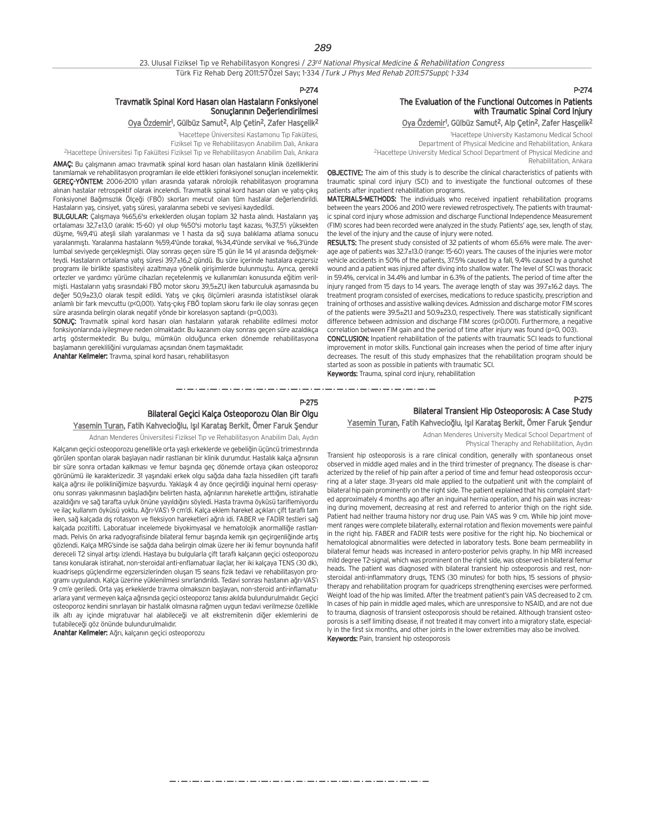#### P-274

#### Travmatik Spinal Kord Hasarı olan Hastaların Fonksiyonel Sonuclarının Değerlendirilmesi

#### <u>Oya Özdemir</u>1, Gülbüz Samut<sup>2</sup>, Alp Çetin<sup>2</sup>, Zafer Hasçelik<sup>2</sup>

1 Hacettepe Üniversitesi Kastamonu T›p Fakültesi, Fiziksel Tip ve Rehabilitasyon Anabilim Dalı, Ankara <sup>2</sup>Hacettepe Üniversitesi Tıp Fakültesi Fiziksel Tıp ve Rehabilitasyon Anabilim Dalı, Ankara

AMAÇ: Bu çalışmanın amacı travmatik spinal kord hasarı olan hastaların klinik özelliklerini tanımlamak ve rehabilitasyon programları ile elde ettikleri fonksiyonel sonuçları incelemektir. GEREC-YÖNTEM: 2006-2010 yılları arasında yatarak nörolojik rehabilitasyon programına alınan hastalar retrospektif olarak incelendi. Travmatik spinal kord hasarı olan ve yatıs-cıkıs Fonksiyonel Bağımsızlık Ölçeği (FBÖ) skorları mevcut olan tüm hastalar değerlendirildi. Hastaların yaş, cinsiyet, yatış süresi, yaralanma sebebi ve seviyesi kaydedildi.

BULGULAR: Çalışmaya %65,6'sı erkeklerden oluşan toplam 32 hasta alındı. Hastaların yaş ortalaması 32,7±13,0 (aralık: 15-60) yıl olup %50'si motorlu taşıt kazası, %37,5'i yüksekten düsme, %9,4'ü atesli silah yaralanması ve 1 hasta da sığ suya balıklama atlama sonucu yaralanm›flt›. Yaralanma hastalar›n %59,4'ünde torakal, %34,4'ünde servikal ve %6,3'ünde lumbal seviyede gerçekleşmişti. Olay sonrası geçen süre 15 gün ile 14 yıl arasında değişmekteydi. Hastaların ortalama yatış süresi 39,7±16,2 gündü. Bu süre içerinde hastalara egzersiz programı ile birlikte spastisiteyi azaltmaya yönelik girişimlerde bulunmuştu. Ayrıca, gerekli ortezler ve yardımcı yürüme cihazları reçetelenmiş ve kullanımları konusunda eğitim verilmisti. Hastaların yatış sırasındaki FBÖ motor skoru 39,5±21,1 iken taburculuk asamasında bu değer 50.9+23.0 olarak tespit edildi. Yatıs ve çıkış ölçümleri arasında istatistiksel olarak anlamlı bir fark mevcuttu (p<0,001). Yatış-çıkış FBÖ toplam skoru farkı ile olay sonrası geçen süre arasında belirgin olarak negatif yönde bir korelasyon saptandı (p=0,003).

SONUÇ: Travmatik spinal kord hasarı olan hastaların yatarak rehabilite edilmesi motor fonksiyonlarında iyileşmeye neden olmaktadır. Bu kazanım olay sonrası geçen süre azaldıkça artış göstermektedir. Bu bulgu, mümkün olduğunca erken dönemde rehabilitasyona baslamanın gerekliliğini vurgulaması açısından önem tasımaktadır.

Anahtar Kelimeler: Travma, spinal kord hasarı, rehabilitasyon

## The Evaluation of the Functional Outcomes in Patients with Traumatic Spinal Cord Injury

P-274

#### <u>Oya Özdemir</u>1, Gülbüz Samut<sup>2</sup>, Alp Çetin<sup>2</sup>, Zafer Hasçelik<sup>2</sup>

1 Hacettepe University Kastamonu Medical School Department of Physical Medicine and Rehabilitation, Ankara 2Hacettepe University Medical School Department of Physical Medicine and Rehabilitation, Ankara

OBJECTIVE: The aim of this study is to describe the clinical characteristics of patients with traumatic spinal cord injury (SCI) and to investigate the functional outcomes of these patients after inpatient rehabilitation programs.

MATERIALS-METHODS: The individuals who received inpatient rehabilitation programs between the years 2006 and 2010 were reviewed retrospectively. The patients with traumatic spinal cord injury whose admission and discharge Functional Independence Measurement (FIM) scores had been recorded were analyzed in the study. Patients' age, sex, length of stay, the level of the injury and the cause of injury were noted.

RESULTS: The present study consisted of 32 patients of whom 65.6% were male. The average age of patients was 32.7±13.0 (range: 15-60) years. The causes of the injuries were motor vehicle accidents in 50% of the patients, 37.5% caused by a fall, 9,4% caused by a gunshot wound and a patient was injured after diving into shallow water. The level of SCI was thoracic in 59.4%, cervical in 34.4% and lumbar in 6.3% of the patients. The period of time after the injury ranged from 15 days to 14 years. The average length of stay was 39.7±16.2 days. The treatment program consisted of exercises, medications to reduce spasticity, prescription and training of orthoses and assistive walking devices. Admission and discharge motor FIM scores of the patients were 39.5±21.1 and 50.9±23.0, respectively. There was statistically significant difference between admission and discharge FIM scores (p<0.001). Furthermore, a negative correlation between FIM gain and the period of time after injury was found (p=0, 003).

CONCLUSION: Inpatient rehabilitation of the patients with traumatic SCI leads to functional improvement in motor skills. Functional gain increases when the period of time after injury decreases. The result of this study emphasizes that the rehabilitation program should be started as soon as possible in patients with traumatic SCI. Keywords: Trauma, spinal cord injury, rehabilitation

### P-275 Bilateral Geçici Kalça Osteoporozu Olan Bir Olgu Yasemin Turan, Fatih Kahvecioğlu, Işıl Karataş Berkit, Ömer Faruk Şendur

Adnan Menderes Üniversitesi Fiziksel Tıp ve Rehabilitasyon Anabilim Dalı, Aydın

Kalçanın geçici osteoporozu genellikle orta yaşlı erkeklerde ve gebeliğin üçüncü trimestırında görülen spontan olarak başlayan nadir rastlanan bir klinik durumdur. Hastalık kalça ağrısının bir süre sonra ortadan kalkması ve femur başında geç dönemde ortaya çıkan osteoporoz görünümü ile karakterizedir. 31 yaşındaki erkek olgu sağda daha fazla hissedilen çift taraflı kalça ağrısı ile polikliniğimize başvurdu. Yaklaşık 4 ay önce geçirdiği inguinal herni operasyonu sonrası yakınmasının başladığını belirten hasta, ağrılarının hareketle arttığını, istirahatle azaldığını ve sağ tarafta uyluk önüne yayıldığını söyledi. Hasta travma öyküsü tariflemiyordu ve ilaç kullanım öyküsü yoktu. Ağrı-VAS'ı 9 cm'di. Kalça eklem hareket açıkları çift taraflı tam iken, sağ kalçada dış rotasyon ve fleksiyon hareketleri ağrılı idi. FABER ve FADİR testleri sağ kalcada pozitifti. Laboratuar incelemede biyokimyasal ve hematolojik anormalliğe rastlanmadı. Pelvis ön arka radvografisinde bilateral femur başında kemik ışın geçirgenliğinde artış gözlendi. Kalca MRG'sinde ise sağda daha belirgin olmak üzere her iki femur boynunda hafif dereceli T2 sinyal artışı izlendi. Hastaya bu bulgularla çift taraflı kalçanın geçici osteoporozu tanısı konularak istirahat, non-steroidal anti-enflamatuar ilaçlar, her iki kalçaya TENS (30 dk), kuadriseps güclendirme egzersizlerinden olusan 15 seans fizik tedavi ve rehabilitasyon programı uygulandı. Kalça üzerine yüklenilmesi sınırlandırıldı. Tedavi sonrası hastanın ağrı-VAS'ı 9 cm'e geriledi. Orta yas erkeklerde trayma olmaksızın başlayan, non-steroid anti-inflamatuarlara yanıt vermeyen kalça ağrısında geçici osteoporoz tanısı akılda bulundurulmalıdır. Geçici osteoporoz kendini sınırlayan bir hastalık olmasına rağmen uygun tedavi verilmezse özellikle ilk altı ay içinde migratuvar hal alabileceği ve alt ekstremitenin diğer eklemlerini de tutabileceği göz önünde bulundurulmalıdır.

Anahtar Kelimeler: Ağrı, kalçanın geçici osteoporozu

Bilateral Transient Hip Osteoporosis: A Case Study Yasemin Turan, Fatih Kahvecioğlu, Işıl Karataş Berkit, Ömer Faruk Sendur

Adnan Menderes University Medical School Department of

Physical Theraphy and Rehabilitation, Aydın

Transient hip osteoporosis is a rare clinical condition, generally with spontaneous onset observed in middle aged males and in the third trimester of pregnancy. The disease is characterized by the relief of hip pain after a period of time and femur head osteoporosis occurring at a later stage. 31-years old male applied to the outpatient unit with the complaint of bilateral hip pain prominently on the right side. The patient explained that his complaint started approximately 4 months ago after an inguinal hernia operation, and his pain was increasing during movement, decreasing at rest and referred to anterior thigh on the right side. Patient had neither trauma history nor drug use. Pain VAS was 9 cm. While hip joint movement ranges were complete bilaterally, external rotation and flexion movements were painful in the right hip. FABER and FADIR tests were positive for the right hip. No biochemical or hematological abnormalities were detected in laboratory tests. Bone beam permeability in bilateral femur heads was increased in antero-posterior pelvis graphy. In hip MRI increased mild degree T2-signal, which was prominent on the right side, was observed in bilateral femur heads. The patient was diagnosed with bilateral transient hip osteoporosis and rest, nonsteroidal anti-inflammatory drugs, TENS (30 minutes) for both hips, 15 sessions of physiotherapy and rehabilitation program for quadriceps strengthening exercises were performed. Weight load of the hip was limited. After the treatment patient's pain VAS decreased to 2 cm. In cases of hip pain in middle aged males, which are unresponsive to NSAID, and are not due to trauma, diagnosis of transient osteoporosis should be retained. Although transient osteoporosis is a self limiting disease, if not treated it may convert into a migratory state, especially in the first six months, and other joints in the lower extremities may also be involved. Keywords: Pain, transient hip osteoporosis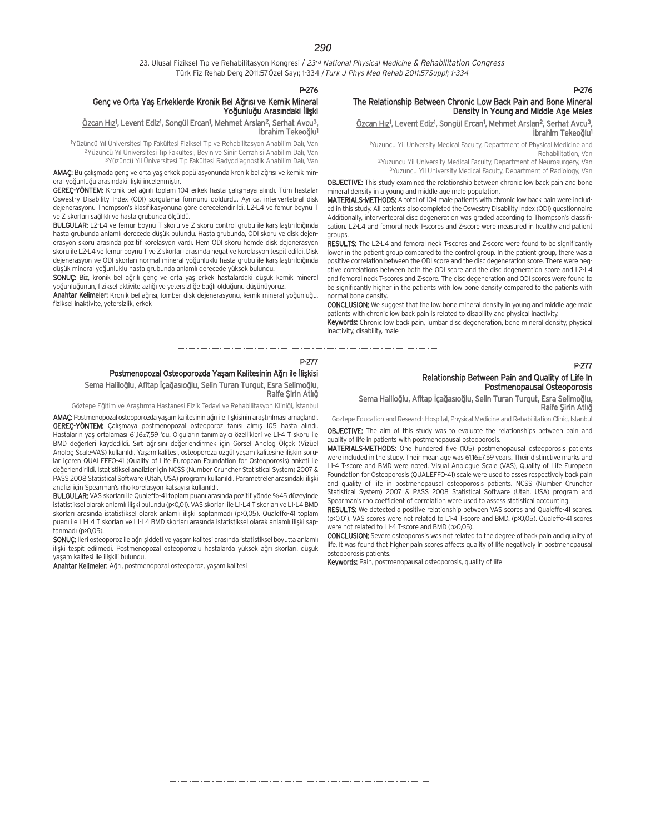#### Genç ve Orta Yaş Erkeklerde Kronik Bel Ağrısı ve Kemik Mineral Yoğunluğu Arasındaki İliski

#### <u>Özcan Hız</u>1, Levent Ediz1, Songül Ercan1, Mehmet Arslan<sup>2</sup>, Serhat Avcu<sup>3</sup>, İbrahim Tekeoğlu<sup>1</sup>

<sup>1</sup>Yüzüncü Yıl Üniversitesi Tıp Fakültesi Fiziksel Tıp ve Rehabilitasyon Anabilim Dalı, Van <sup>2</sup>Yüzüncü Yıl Üniversitesi Tıp Fakültesi, Beyin ve Sinir Cerrahisi Anabilim Dalı, Van <sup>3</sup>Yüzüncü Yıl Üniversitesi Tıp Fakültesi Radyodiagnostik Anabilim Dalı, Van

AMAÇ: Bu çalışmada genç ve orta yaş erkek popülasyonunda kronik bel ağrısı ve kemik mineral voğunluğu arasındaki ilişki incelenmiştir.

GEREÇ-YÖNTEM: Kronik bel ağrılı toplam 104 erkek hasta çalışmaya alındı. Tüm hastalar Oswestry Disability Index (ODI) sorgulama formunu doldurdu. Ayrıca, intervertebral disk dejenerasyonu Thompson's klasifikasyonuna göre derecelendirildi. L2-L4 ve femur boynu T ve Z skorları sağlıklı ve hasta grubunda ölçüldü.

BULGULAR: L2-L4 ve femur boynu T skoru ve Z skoru control grubu ile karşılaştırıldığında hasta grubunda anlamlı derecede düşük bulundu. Hasta grubunda, ODI skoru ve disk dejenerasyon skoru arasında pozitif korelasyon vardı. Hem ODI skoru hemde disk dejenerasyon skoru ile L2-L4 ve femur boynu T ve Z skorları arasında negative korelasyon tespit edildi. Disk dejenerasyon ve ODI skorları normal mineral yoğunluklu hasta grubu ile karşılaştırıldığında düşük mineral yoğunluklu hasta grubunda anlamlı derecede yüksek bulundu.

SONUÇ: Biz, kronik bel ağrılı genç ve orta yaş erkek hastalardaki düşük kemik mineral yoğunluğunun, fiziksel aktivite azlığı ve yetersizliğe bağlı olduğunu düşünüyoruz.

Anahtar Kelimeler: Kronik bel ağrısı, lomber disk dejenerasyonu, kemik mineral yoğunluğu, fiziksel inaktivite, yetersizlik, erkek

#### P-276

#### The Relationship Between Chronic Low Back Pain and Bone Mineral Density in Young and Middle Age Males

<u>Özcan Hız</u>1, Levent Ediz1, Songül Ercan1, Mehmet Arslan<sup>2</sup>, Serhat Avcu<sup>3</sup>, İbrahim Tekeoğlu<sup>1</sup>

1 Yuzuncu Yil University Medical Faculty, Department of Physical Medicine and Rehabilitation, Van

2Yuzuncu Yil University Medical Faculty, Department of Neurosurgery, Van 3Yuzuncu Yil University Medical Faculty, Department of Radiology, Van

OBJECTIVE: This study examined the relationship between chronic low back pain and bone mineral density in a young and middle age male population.

MATERIALS-METHODS: A total of 104 male patients with chronic low back pain were included in this study. All patients also completed the Oswestry Disability Index (ODI) questionnaire Additionally, intervertebral disc degeneration was graded according to Thompson's classification. L2-L4 and femoral neck T-scores and Z-score were measured in healthy and patient groups.

RESULTS: The L2-L4 and femoral neck T-scores and Z-score were found to be significantly lower in the patient group compared to the control group. In the patient group, there was a positive correlation between the ODI score and the disc degeneration score. There were negative correlations between both the ODI score and the disc degeneration score and L2-L4 and femoral neck T-scores and Z-score. The disc degeneration and ODI scores were found to be significantly higher in the patients with low bone density compared to the patients with normal bone density.

CONCLUSION: We suggest that the low bone mineral density in young and middle age male patients with chronic low back pain is related to disability and physical inactivity.

Keywords: Chronic low back pain, lumbar disc degeneration, bone mineral density, physical inactivity, disability, male

P-277

### Postmenopozal Osteoporozda Yaşam Kalitesinin Ağrı ile İlişkisi Sema Haliloğlu, Afitap İçağasıoğlu, Selin Turan Turgut, Esra Selimoğlu, Raife Şirin Atlığ

Göztepe Eğitim ve Arastırma Hastanesi Fizik Tedavi ve Rehabilitasyon Kliniği, İstanbul

AMAC: Postmenopozal osteoporozda yasam kalitesinin ağrı ile ilişkisinin araştırılması amaçlandı. **GEREC-YÖNTEM:** Calismaya postmenopozal osteoporoz tanısı almış 105 hasta alındı. Hastaların yaş ortalaması 61,16±7,59 'du. Olguların tanımlayıcı özellikleri ve L1-4 T skoru ile BMD değerleri kaydedildi. Sırt ağrısını değerlendirmek için Görsel Anolog Ölçek (Vizüel Anolog Scale-VAS) kullanıldı. Yaşam kalitesi, osteoporoza özgül yaşam kalitesine ilişkin sorular içeren QUALEFFO-41 (Quality of Life European Foundation for Osteoporosis) anketi ile değerlendirildi. İstatistiksel analizler için NCSS (Number Cruncher Statistical System) 2007 & PASS 2008 Statistical Software (Utah, USA) programı kullanıldı. Parametreler arasındaki ilişki analizi için Spearman's rho korelasyon katsayısı kullanıldı.

BULGULAR: VAS skorları ile Qualeffo-41 toplam puanı arasında pozitif yönde %45 düzeyinde istatistiksel olarak anlamlı ilişki bulundu (p<0,01). VAS skorları ile L1-L4 T skorları ve L1-L4 BMD skorları arasında istatistiksel olarak anlamlı ilişki saptanmadı (p>0,05). Qualeffo-41 toplam puanı ile L1-L4 T skorları ve L1-L4 BMD skorları arasında istatistiksel olarak anlamlı ilişki sap $t$ anmadı ( $p>0.05$ ).

SONUÇ: İleri osteoporoz ile ağrı şiddeti ve yaşam kalitesi arasında istatistiksel boyutta anlamlı ilişki tespit edilmedi. Postmenopozal osteoporozlu hastalarda yüksek ağrı skorları, düşük vasam kalitesi ile iliskili bulundu.

Anahtar Kelimeler: Ağrı, postmenopozal osteoporoz, yaşam kalitesi

## P-277

#### Relationship Between Pain and Quality of Life In Postmenopausal Osteoporosis

Sema Haliloğlu, Afitap İçağasıoğlu, Selin Turan Turgut, Esra Selimoğlu, Raife Şirin Atlığ

Goztepe Education and Research Hospital, Physical Medicine and Rehabilitation Clinic, Istanbul

OBJECTIVE: The aim of this study was to evaluate the relationships between pain and quality of life in patients with postmenopausal osteoporosis.

MATERIALS-METHODS: One hundered five (105) postmenopausal osteoporosis patients were included in the study. Their mean age was 61,16±7,59 years. Their distinctive marks and L1-4 T-score and BMD were noted. Visual Anologue Scale (VAS), Quality of Life European Foundation for Osteoporosis (QUALEFFO-41) scale were used to asses respectively back pain and quality of life in postmenopausal osteoporosis patients. NCSS (Number Cruncher Statistical System) 2007 & PASS 2008 Statistical Software (Utah, USA) program and Spearman's rho coefficient of correlation were used to assess statistical accounting.

RESULTS: We detected a positive relationship between VAS scores and Qualeffo-41 scores. (p<0,01). VAS scores were not related to L1-4 T-score and BMD. (p>0,05). Qualeffo-41 scores were not related to L1-4 T-score and BMD (p>0,05).

CONCLUSION: Severe osteoporosis was not related to the degree of back pain and quality of life. It was found that higher pain scores affects quality of life negatively in postmenopausal osteoporosis patients.

Keywords: Pain, postmenopausal osteoporosis, quality of life

. . . . . . . . . . . . . . . . . .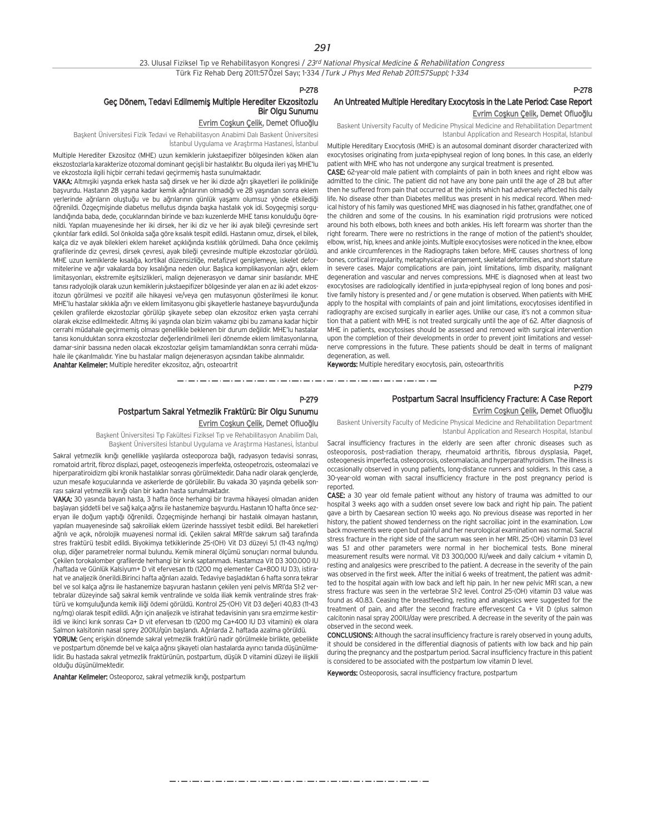والمسترد ستروست والسروسية والمتروسية والمتروسية والمتروسية والمساويسي والمتروسية والمتروسية والمتروسية والمتروسية

#### Geç Dönem, Tedavi Edilmemiş Multiple Herediter Ekzositozlu Bir Olgu Sunumu

## Evrim Coşkun Çelik, Demet Ofluoălu

Başkent Üniversitesi Fizik Tedavi ve Rehabilitasyon Anabimi Dalı Baskent Üniversitesi İstanbul Uygulama ve Arastırma Hastanesi, İstanbul

Multiple Herediter Ekzositoz (MHE) uzun kemiklerin jukstaepifizer bölgesinden köken alan ekszostozlarla karakterize otozomal dominant geçişli bir hastalıktır. Bu olguda ileri yaş MHE'lu ve ekzostozla ilgili hiçbir cerrahi tedavi geçirmemiş hasta sunulmaktadır.

VAKA: Altmışiki yaşında erkek hasta sağ dirsek ve her iki dizde ağrı şikayetleri ile polikliniğe basvurdu. Hastanın 28 yasına kadar kemik ağrılarının olmadığı ve 28 yasından sonra eklem yerlerinde ağrıların oluştuğu ve bu ağrılarının günlük yaşamı olumsuz yönde etkilediği öğrenildi. Özgeçmişinde diabetus mellutus dışında başka hastalık yok idi. Soygeçmişi sorgulandığında baba, dede, çocuklarından birinde ve bazı kuzenlerde MHE tanısı konulduğu ögrenildi. Yapılan muayenesinde her iki dirsek, her iki diz ve her iki ayak bileği çevresinde sert cıkıntılar fark edildi. Sol önkolda sağa göre kısalık tespit edildi. Hastanın omuz, dirsek, el bilek, kalça diz ve ayak bilekleri eklem hareket açıklığında kısıtlılık görülmedi. Daha önce çekilmiş grafilerinde diz çevresi, dirsek çevresi, ayak bileği çevresinde multiple ekzostozlar görüldü. MHE uzun kemiklerde kısalığa, kortikal düzensizliğe, metafizyel genişlemeye, iskelet deformitelerine ve ağır vakalarda boy kısalığına neden olur. Başlıca komplikasyonları ağrı, eklem limitasyonları, ekstremite eşitsizlikleri, malign dejenerasyon ve damar sinir basılarıdır. MHE tanısı radyolojik olarak uzun kemiklerin jukstaepifizer bölgesinde yer alan en az iki adet ekzositozun görülmesi ve pozitif aile hikayesi ve/veya gen mutasyonun gösterilmesi ile konur. MHE'lu hastalar sıklıkla ağrı ve eklem limitasyonu gibi şikayetlerle hastaneye başvurduğunda çekilen grafilerde ekzostozlar görülüp şikayete sebep olan ekzositoz erken yaşta cerrahi olarak ekzise edilmektedir. Altmış iki yaşında olan bizim vakamız gibi bu zamana kadar hiçbir cerrahi müdahale geçirmemiş olması genellikle beklenen bir durum değildir. MHE'lu hastalar tanısı konulduktan sonra ekzostozlar değerlendirilmeli ileri dönemde eklem limitasyonlarına, damar-sinir basısına neden olacak ekzostozlar gelisim tamamlandıktan sonra cerrahi müdahale ile çıkarılmalıdır. Yine bu hastalar malign dejenerasyon açısından takibe alınmalıdır. Anahtar Kelimeler: Multiple herediter ekzositoz, ağrı, osteoartrit

## P-278 An Untreated Multiple Hereditary Exocytosis in the Late Period: Case Report Evrim Coşkun Çelik, Demet Ofluoğlu

Baskent University Faculty of Medicine Physical Medicine and Rehabilitation Department Istanbul Application and Research Hospital, Istanbul

Multiple Hereditary Exocytosis (MHE) is an autosomal dominant disorder characterized with exocytosises originating from juxta-epiphyseal region of long bones. In this case, an elderly patient with MHE who has not undergone any surgical treatment is presented.

CASE: 62-year-old male patient with complaints of pain in both knees and right elbow was admitted to the clinic. The patient did not have any bone pain until the age of 28 but after then he suffered from pain that occurred at the joints which had adversely affected his daily life. No disease other than Diabetes mellitus was present in his medical record. When medical history of his family was questioned MHE was diagnosed in his father, grandfather, one of the children and some of the cousins. In his examination rigid protrusions were noticed around his both elbows, both knees and both ankles. His left forearm was shorter than the right forearm. There were no restrictions in the range of motion of the patient's shoulder, elbow, wrist, hip, knees and ankle joints. Multiple exocytosises were noticed in the knee, elbow and ankle circumferences in the Radiographs taken before. MHE causes shortness of long bones, cortical irregularity, metaphysical enlargement, skeletal deformities, and short stature in severe cases. Major complications are pain, joint limitations, limb disparity, malignant degeneration and vascular and nerves compressions. MHE is diagnosed when at least two exocytosises are radiologically identified in juxta-epiphyseal region of long bones and positive family history is presented and / or gene mutation is observed. When patients with MHE apply to the hospital with complaints of pain and joint limitations, exocytosises identified in radiography are excised surgically in earlier ages. Unlike our case, it's not a common situation that a patient with MHE is not treated surgically until the age of 62. After diagnosis of MHE in patients, exocytosises should be assessed and removed with surgical intervention upon the completion of their developments in order to prevent joint limitations and vesselnerve compressions in the future. These patients should be dealt in terms of malignant degeneration, as well.

Keywords: Multiple hereditary exocytosis, pain, osteoarthritis

#### P-279

#### Postpartum Sacral Insufficiency Fracture: A Case Report

### P-279 Postpartum Sakral Yetmezlik Fraktürü: Bir Olgu Sunumu Evrim Coskun Çelik, Demet Ofluoğlu

Başkent Üniversitesi Tıp Fakültesi Fiziksel Tıp ve Rehabilitasyon Anabilim Dalı, Başkent Üniversitesi İstanbul Uygulama ve Araştırma Hastanesi, İstanbul

Sakral yetmezlik kırığı genellikle yaşlılarda osteoporoza bağlı, radyasyon tedavisi sonrası, romatoid artrit, fibroz displazi, paget, osteogenezis imperfekta, osteopetrozis, osteomalazi ve hiperparatiroidizm gibi kronik hastalıklar sonrası görülmektedir. Daha nadir olarak gençlerde, uzun mesafe koşucularında ve askerlerde de görülebilir. Bu vakada 30 yaşında gebelik sonrası sakral yetmezlik kırığı olan bir kadın hasta sunulmaktadır.

VAKA: 30 yasında bayan hasta, 3 hafta önce herhangi bir travma hikayesi olmadan aniden başlayan şiddetli bel ve sağ kalça ağrısı ile hastanemize başvurdu. Hastanın 10 hafta önce sezeryan ile doğum yaptığı öğrenildi. Özgeçmişinde herhangi bir hastalık olmayan hastanın, yap›lan muayenesinde sa¤ sakroiliak eklem üzerinde hasssiyet tesbit edildi. Bel hareketleri ağrılı ve açık, nörolojik muayenesi normal idi. Çekilen sakral MRI'de sakrum sağ tarafında stres fraktürü tesbit edildi. Biyokimya tetkiklerinde 25-(OH) Vit D3 düzeyi 5,1 (11-43 ng/mg) olup, diğer parametreler normal bulundu. Kemik mineral ölçümü sonuçları normal bulundu. Çekilen torokalomber grafilerde herhangi bir kırık saptanmadı. Hastamıza Vit D3 300.000 IU /haftada ve Günlük Kalsiyum+ D vit efervesan tb (1200 mg elementer Ca+800 IU D3), istirahat ve analjezik önerildi.Birinci hafta ağrıları azaldı. Tedaviye başladıktan 6 hafta sonra tekrar bel ve sol kalça ağrısı ile hastanemize başvuran hastanın çekilen yeni pelvis MRI'da S1-2 vertebralar düzevinde sağ sakral kemik ventralinde ve solda iliak kemik ventralinde stres fraktürü ve komsuluğunda kemik iliği ödemi görüldü. Kontrol 25-(OH) Vit D3 değeri 40,83 (11-43 ng/mg) olarak tespit edildi. Ağrı için analjezik ve istirahat tedavisinin yanı sıra emzirme kestirildi ve ikinci kırık sonrası Ca+ D vit efervesan tb (1200 mg Ca+400 IU D3 vitamini) ek olara Salmon kalsitonin nasal sprey 200IU/gün başlandı. Ağrılarda 2. haftada azalma görüldü.

YORUM: Genc eriskin dönemde sakral vetmezlik fraktürü nadir görülmekle birlikte, gebelikte ve postpartum dönemde bel ve kalça ağrısı şikayeti olan hastalarda ayırıcı tanıda düsünülmelidir. Bu hastada sakral yetmezlik fraktürünün, postpartum, düşük D vitamini düzeyi ile iliskili olduğu düşünülmektedir.

Anahtar Kelimeler: Osteoporoz, sakral yetmezlik kırığı, postpartum

Evrim Coşkun Çelik, Demet Ofluoğlu

Baskent University Faculty of Medicine Physical Medicine and Rehabilitation Department Istanbul Application and Research Hospital, Istanbul

Sacral insufficiency fractures in the elderly are seen after chronic diseases such as osteoporosis, post-radiation therapy, rheumatoid arthritis, fibrous dysplasia, Paget, osteogenesis imperfecta, osteoporosis, osteomalacia, and hyperparathyroidism. The illness is occasionally observed in young patients, long-distance runners and soldiers. In this case, a 30-year-old woman with sacral insufficiency fracture in the post pregnancy period is reported.

CASE: a 30 year old female patient without any history of trauma was admitted to our hospital 3 weeks ago with a sudden onset severe low back and right hip pain. The patient gave a birth by Caesarean section 10 weeks ago. No previous disease was reported in her history, the patient showed tenderness on the right sacroiliac joint in the examination. Low back movements were open but painful and her neurological examination was normal. Sacral stress fracture in the right side of the sacrum was seen in her MRI. 25-(OH) vitamin D3 level was 51 and other parameters were normal in her biochemical tests. Bone mineral measurement results were normal. Vit D3 300,000 IU/week and daily calcium + vitamin D, resting and analgesics were prescribed to the patient. A decrease in the severity of the pain was observed in the first week. After the initial 6 weeks of treatment, the patient was admitted to the hospital again with low back and left hip pain. In her new pelvic MRI scan, a new stress fracture was seen in the vertebrae S1-2 level. Control 25-(OH) vitamin D3 value was found as 40.83. Ceasing the breastfeeding, resting and analgesics were suggested for the treatment of pain, and after the second fracture effervescent Ca + Vit D (plus salmon calcitonin nasal spray 200IU/day were prescribed. A decrease in the severity of the pain was observed in the second week.

CONCLUSIONS: Although the sacral insufficiency fracture is rarely observed in young adults, it should be considered in the differential diagnosis of patients with low back and hip pain during the pregnancy and the postpartum period. Sacral insufficiency fracture in this patient is considered to be associated with the postpartum low vitamin D level.

Keywords: Osteoporosis, sacral insufficiency fracture, postpartum

مترو متناول متناول متناول متناول متناول متناول متناول متناول متناول متناول متناول متناول متناول متناول متناول متناولات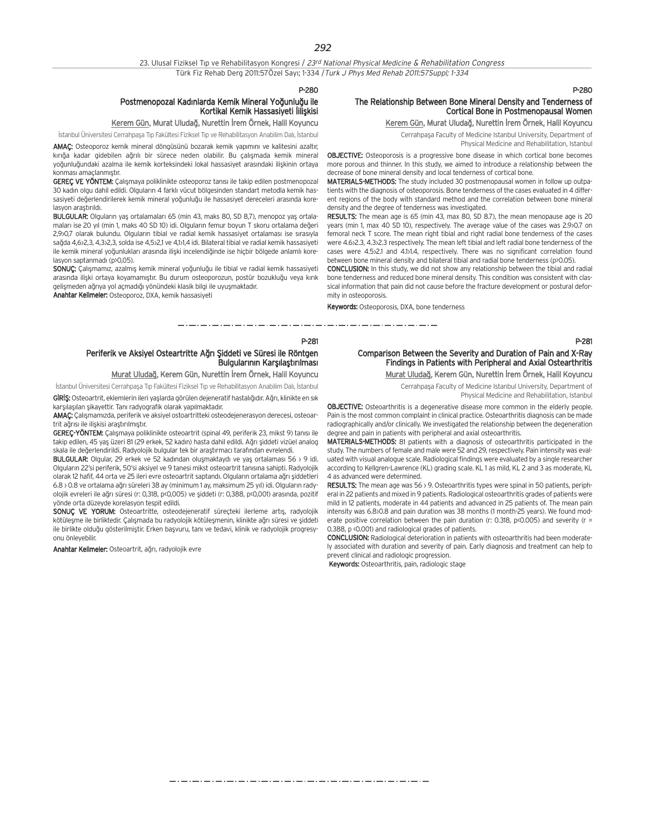P-280

## Postmenopozal Kadınlarda Kemik Mineral Yoğunluğu ile Kortikal Kemik Hassasiveti liliskisi

## Kerem Gün, Murat Uludağ, Nurettin İrem Örnek, Halil Koyuncu

İstanbul Üniversitesi Cerrahpaşa Tıp Fakültesi Fiziksel Tıp ve Rehabilitasyon Anabilim Dalı, İstanbul AMAÇ: Osteoporoz kemik mineral döngüsünü bozarak kemik yapımını ve kalitesini azaltır, kırığa kadar gidebilen ağrılı bir sürece neden olabilir. Bu çalışmada kemik mineral yoğunluğundaki azalma ile kemik korteksindeki lokal hassasiyet arasındaki ilişkinin ortaya konması amaçlanmıştır.

GEREÇ VE YÖNTEM: Çalışmaya poliklinikte osteoporoz tanısı ile takip edilen postmenopozal 30 kadın olgu dahil edildi. Olguların 4 farklı vücut bölgesinden standart metodla kemik hassasiyeti değerlendirilerek kemik mineral yoğunluğu ile hassasiyet dereceleri arasında korelasyon arastırıldı.

BULGULAR: Olguların yaş ortalamaları 65 (min 43, maks 80, SD 8,7), menopoz yaş ortalamaları ise 20 yıl (min 1, maks 40 SD 10) idi. Olguların femur boyun T skoru ortalama değeri 2,9>0.7 olarak bulundu. Olguların tibial ve radial kemik hassasiyet ortalaması ise sırasıyla sağda 4,652,3, 4,352,3, solda ise 4,5521 ve 4,151,4 idi. Bilateral tibial ve radial kemik hassasiyeti ile kemik mineral yoğunlukları arasında ilişki incelendiğinde ise hiçbir bölgede anlamlı korelasyon saptanmadı (p>0,05).

SONUÇ: Çalışmamız, azalmış kemik mineral yoğunluğu ile tibial ve radial kemik hassasiyeti arasında ilişki ortaya koyamamıştır. Bu durum osteoporozun, postür bozukluğu veya kırık gelismeden ağrıya yol açmadığı yönündeki klasik bilgi ile uyuşmaktadır.

Anahtar Kelimeler: Osteoporoz, DXA, kemik hassasiyeti

#### P-280

## The Relationship Between Bone Mineral Density and Tenderness of Cortical Bone in Postmenopausal Women

Kerem Gün, Murat Uludağ, Nurettin İrem Örnek, Halil Koyuncu

Cerrahpaşa Faculty of Medicine Istanbul University, Department of

Physical Medicine and Rehabilitation, Istanbul

OBJECTIVE: Osteoporosis is a progressive bone disease in which cortical bone becomes more porous and thinner. In this study, we aimed to introduce a relationship between the decrease of bone mineral density and local tenderness of cortical bone.

MATERIALS-METHODS: The study included 30 postmenopausal women in follow up outpatients with the diagnosis of osteoporosis. Bone tenderness of the cases evaluated in 4 different regions of the body with standard method and the correlation between bone mineral density and the degree of tenderness was investigated.

RESULTS: The mean age is 65 (min 43, max 80, SD 8.7), the mean menopause age is 20 years (min 1, max 40 SD 10), respectively. The average value of the cases was 2.9>0.7 on femoral neck T score. The mean right tibial and right radial bone tenderness of the cases were 4.6>2.3, 4.3>2.3 respectively. The mean left tibial and left radial bone tenderness of the cases were 4.5>2.1 and 4.1>1.4, respectively. There was no significant correlation found between bone mineral density and bilateral tibial and radial bone tenderness (p>0.05).

CONCLUSION: In this study, we did not show any relationship between the tibial and radial bone tenderness and reduced bone mineral density. This condition was consistent with classical information that pain did not cause before the fracture development or postural deformity in osteoporosis.

Keywords: Osteoporosis, DXA, bone tenderness

والمتواد المتواد المتواد المتواد المتواد المتواد المتواد المتواد المتواد المتواد المستحدث المستحد والمستحد والمستحد المستحد المستحد المستحدة

P-281

#### P-281

## Periferik ve Aksiyel Osteartritte Ağrı Siddeti ve Süresi ile Röntgen Bulgularının Karşılaştırılması

Murat Uludağ, Kerem Gün, Nurettin İrem Örnek, Halil Koyuncu

İstanbul Üniversitesi Cerrahpaşa Tıp Fakültesi Fiziksel Tıp ve Rehabilitasyon Anabilim Dalı, İstanbul

GİRİŞ: Osteoartrit, eklemlerin ileri yaşlarda görülen dejeneratif hastalığıdır. Ağrı, klinikte en sık karşılaşılan şikayettir. Tanı radyografik olarak yapılmaktadır.

AMAÇ: Çalışmamızda, periferik ve aksiyel ostoartritteki osteodejenerasyon derecesi, osteoartrit ağrısı ile iliskisi arastırılmıştır.

GEREC-YÖNTEM: Çalışmaya poliklinikte osteoartrit (spinal 49, periferik 23, mikst 9) tanısı ile takip edilen, 45 yaş üzeri 81 (29 erkek, 52 kadın) hasta dahil edildi. Ağrı şiddeti vizüel analog skala ile değerlendirildi. Radyolojik bulgular tek bir arastırmacı tarafından evrelendi.

BULGULAR: Olgular, 29 erkek ve 52 kadından oluşmaktaydı ve yaş ortalaması 56 > 9 idi. Olguların 22'si periferik, 50'si aksiyel ve 9 tanesi mikst osteoartrit tanısına sahipti. Radyolojik olarak 12 hafif, 44 orta ve 25 ileri evre osteoartrit saptandı. Olguların ortalama ağrı şiddetleri 6.8 > 0.8 ve ortalama ağrı süreleri 38 ay (minimum 1 ay, maksimum 25 yıl) idi. Olguların radyolojik evreleri ile ağrı süresi (r: 0,318, p<0,005) ve şiddeti (r: 0,388, p<0,001) arasında, pozitif yönde orta düzeyde korelasyon tespit edildi.

SONUC VE YORUM: Osteoartritte, osteodejeneratif süreçteki ilerleme artış, radyolojik kötüleşme ile birliktedir. Çalışmada bu radyolojik kötüleşmenin, klinikte ağrı süresi ve şiddeti ile birlikte olduğu gösterilmiştir. Erken başvuru, tanı ve tedavi, klinik ve radyolojik progresyonu önleyebilir.

Anahtar Kelimeler: Osteoartrit, ağrı, radyolojik evre

#### Comparison Between the Severity and Duration of Pain and X-Ray Findings in Patients with Peripheral and Axial Ostearthritis Murat Uludağ, Kerem Gün, Nurettin İrem Örnek, Halil Koyuncu

Cerrahpaşa Faculty of Medicine Istanbul University, Department of Physical Medicine and Rehabilitation, Istanbul

OBJECTIVE: Osteoarthritis is a degenerative disease more common in the elderly people. Pain is the most common complaint in clinical practice. Osteoarthritis diagnosis can be made radiographically and/or clinically. We investigated the relationship between the degeneration degree and pain in patients with peripheral and axial osteoarthritis.

MATERIALS-METHODS: 81 patients with a diagnosis of osteoarthritis participated in the study. The numbers of female and male were 52 and 29, respectively. Pain intensity was evaluated with visual analogue scale. Radiological findings were evaluated by a single researcher according to Kellgren-Lawrence (KL) grading scale. KL 1 as mild, KL 2 and 3 as moderate, KL 4 as advanced were determined.

RESULTS: The mean age was  $56$  > 9. Osteoarthritis types were spinal in 50 patients, peripheral in 22 patients and mixed in 9 patients. Radiological osteoarthritis grades of patients were mild in 12 patients, moderate in 44 patients and advanced in 25 patients of. The mean pain intensity was 6.8>0.8 and pain duration was 38 months (1 month-25 years). We found moderate positive correlation between the pain duration (r: 0.318, p<0.005) and severity (r = 0.388, p <0.001) and radiological grades of patients.

CONCLUSION: Radiological deterioration in patients with osteoarthritis had been moderately associated with duration and severity of pain. Early diagnosis and treatment can help to prevent clinical and radiologic progression.

Keywords: Osteoarthritis, pain, radiologic stage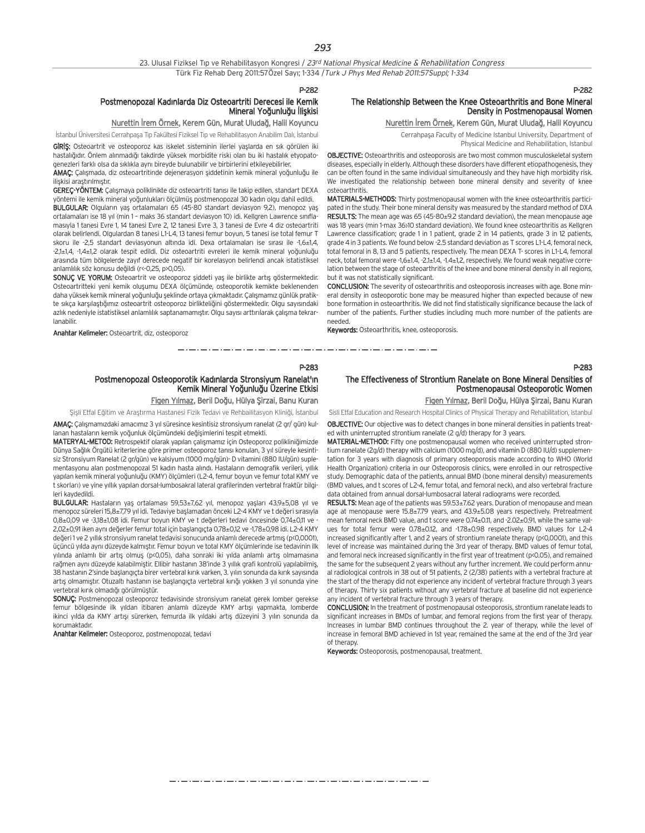#### P-282

#### Postmenopozal Kadınlarda Diz Osteoartriti Derecesi ile Kemik Mineral Yoăunluău İliskisi

### Nurettin İrem Örnek, Kerem Gün, Murat Uludağ, Halil Koyuncu

İstanbul Üniversitesi Cerrahpaşa Tıp Fakültesi Fiziksel Tıp ve Rehabilitasyon Anabilim Dalı, İstanbul

GIRIŞ: Osteoartrit ve osteoporoz kas iskelet sisteminin ilerlei yaşlarda en sık görülen iki hastalığıdır. Önlem alınmadığı takdirde yüksek morbidite riski olan bu iki hastalık etyopatogenezleri farklı olsa da sıklıkla aynı bireyde bulunabilir ve birbirlerini etkileyebilirler.

AMAÇ: Çalışmada, diz osteoartritinde dejenerasyon şiddetinin kemik mineral yoğunluğu ile iliskisi arastırılmıştır.

GEREÇ-YÖNTEM: Calismaya poliklinikte diz osteoartriti tanısı ile takip edilen, standart DEXA yöntemi ile kemik mineral yoğunlukları ölçülmüş postmenopozal 30 kadın olgu dahil edildi. BULGULAR: Olguların yaş ortalamaları 65 (45-80 standart deviasyon 9,2), menopoz yaş ortalamaları ise 18 yıl (min 1 - maks 36 standart deviasyon 10) idi. Kellgren Lawrence sınıflamasıyla 1 tanesi Evre 1, 14 tanesi Evre 2, 12 tanesi Evre 3, 3 tanesi de Evre 4 diz osteoartriti olarak belirlendi. Olgulardan 8 tanesi L1-L4, 13 tanesi femur boyun, 5 tanesi ise total femur T skoru ile -2.5 standart deviasyonun altında idi. Dexa ortalamaları ise sırası ile -1,6+14, -2,1±1,4, -1,4±1,2 olarak tespit edildi. Diz osteoartriti evreleri ile kemik mineral yoğunluğu arasında tüm bölgelerde zayıf derecede negatif bir korelasyon belirlendi ancak istatistiksel anlamlılık söz konusu değildi (r<-0,25, p>0,05).

SONUÇ VE YORUM: Osteoartrit ve osteoporoz şiddeti yaş ile birlikte artış göstermektedir. Osteoartritteki yeni kemik oluşumu DEXA ölçümünde, osteoporotik kemikte beklenenden daha yüksek kemik mineral yoğunluğu seklinde ortaya çıkmaktadır. Çalışmamız günlük pratikte sıkça karşılaştığımız osteoartrit osteoporoz birlikteliğini göstermektedir. Olgu sayısındaki azlık nedeniyle istatistiksel anlamlılık saptanamamıştır. Olgu sayısı arttırılarak çalışma tekrarlanabilir.

Anahtar Kelimeler: Osteoartrit, diz, osteoporoz

#### P-282

#### The Relationship Between the Knee Osteoarthritis and Bone Mineral Density in Postmenopausal Women

## Nurettin İrem Örnek, Kerem Gün, Murat Uludağ, Halil Koyuncu

Cerrahpaşa Faculty of Medicine Istanbul University, Department of Physical Medicine and Rehabilitation, Istanbul

OBJECTIVE: Osteoarthritis and osteoporosis are two most common musculoskeletal system diseases, especially in elderly. Although these disorders have different etiopathogenesis, they can be often found in the same individual simultaneously and they have high morbidity risk. We investigated the relationship between bone mineral density and severity of knee osteoarthritis.

MATERIALS-METHODS: Thirty postmenopausal women with the knee osteoarthritis participated in the study. Their bone mineral density was measured by the standard method of DXA RESULTS: The mean age was 65 (45-80±9.2 standard deviation), the mean menopause age was 18 years (min 1-max 36>10 standard deviation). We found knee osteoarthritis as Kellgren Lawrence classification; grade 1 in 1 patient, grade 2 in 14 patients, grade 3 in 12 patients, grade 4 in 3 patients. We found below -2.5 standard deviation as T scores L1-L4, femoral neck total femoral in 8, 13 and 5 patients, respectively. The mean DEXA T- scores in L1-L4, femoral neck, total femoral were -1,6±1.4, -2.1±1.4, -1.4±1,2, respectively. We found weak negative correlation between the stage of osteoarthritis of the knee and bone mineral density in all regions, but it was not statistically significant.

CONCLUSION: The severity of osteoarthritis and osteoporosis increases with age. Bone mineral density in osteoporotic bone may be measured higher than expected because of new bone formation in osteoarthritis. We did not find statistically significance because the lack of number of the patients. Further studies including much more number of the patients are needed.

Keywords: Osteoarthritis, knee, osteoporosis.

\_\_\_\_\_\_\_\_\_\_\_\_\_\_\_\_\_\_\_\_\_\_\_\_\_\_\_\_\_\_\_\_\_\_

#### P-283

#### Postmenopozal Osteoporotik Kadınlarda Stronsiyum Ranelat'ın Kemik Mineral Yoğunluğu Üzerine Etkisi

#### Figen Yılmaz, Beril Doğu, Hülya Şirzai, Banu Kuran

Şişli Etfal Eğitim ve Araştırma Hastanesi Fizik Tedavi ve Rehbailitasyon Kliniği, İstanbul AMAÇ: Çalışmamızdaki amacımız 3 yıl süresince kesintisiz stronsiyum ranelat (2 gr/ gün) kulhan hastaların kemik yoğunluk ölçümündeki değişimlerini tespit etmekti.

MATERYAL-METOD: Retrospektif olarak yapılan çalışmamız için Osteoporoz polikliniğimizde Dünya Sağlık Örgütü kriterlerine göre primer osteoporoz tanısı konulan, 3 yıl süreyle kesintisiz Stronsiyum Ranelat (2 gr/gün) ve kalsiyum (1000 mg/gün)- D vitamini (880 IU/gün) suplementasyonu alan postmenopozal 51 kadın hasta alındı. Hastaların demografik verileri, yıllık yapılan kemik mineral yoğunluğu (KMY) ölçümleri (L2-4, femur boyun ve femur total KMY ve t skorları) ve yine yıllık yapılan dorsal-lumbosakral lateral grafilerinden vertebral fraktür bilgileri kaydedildi.

**BULGULAR:** Hastaların yas ortalaması 59,53±7,62 yıl, menopoz yaşları 43,9±5,08 yıl ve menopoz süreleri 15,8±7,79 yıl idi. Tedaviye başlamadan önceki L2-4 KMY ve t değeri sırasıyla 0,8±0,09 ve -3,18±1,08 idi. Femur boyun KMY ve t değerleri tedavi öncesinde 0,74±0,11 ve -2,02±0,91 iken aynı değerler femur total için başlangıçta 0,78±0,12 ve -1,78±0,98 idi. L2-4 KMY değeri 1 ve 2 yıllık stronsiyum ranelat tedavisi sonucunda anlamlı derecede artmış (p<0,0001), üçüncü yılda aynı düzeyde kalmıştır. Femur boyun ve total KMY ölçümlerinde ise tedavinin ilk yılında anlamlı bir artış olmuş (p<0,05), daha sonraki iki yılda anlamlı artış olmamasına rağmen aynı düzeyde kalabilmiştir. Ellibir hastanın 38'inde 3 yıllık grafi kontrolü yapılabilmiş, 38 hastanın 2'sinde başlangıçta birer vertebral kırık varken, 3. yılın sonunda da kırık sayısında artış olmamıştır. Otuzaltı hastanın ise başlangıçta vertebral kırığı yokken 3 yıl sonunda yine vertebral kırık olmadığı görülmüştür.

SONUÇ: Postmenopozal osteoporoz tedavisinde stronsiyum ranelat gerek lomber gerekse femur bölgesinde ilk yıldan itibaren anlamlı düzeyde KMY artışı yapmakta, lomberde ikinci yılda da KMY artışı sürerken, femurda ilk yıldaki artış düzeyini 3 yılın sonunda da korumaktadır.

Anahtar Kelimeler: Osteoporoz, postmenopozal, tedavi

## The Effectiveness of Strontium Ranelate on Bone Mineral Densities of Postmenopausal Osteoporotic Women

Figen Yılmaz, Beril Doğu, Hülya Şirzai, Banu Kuran

Sisli Etfal Education and Research Hospital Clinics of Physical Therapy and Rehabilitation, Istanbul OBJECTIVE: Our objective was to detect changes in bone mineral densities in patients treated with uninterrupted strontium ranelate (2  $g/d$ ) therapy for 3 years.

MATERIAL-METHOD: Fifty one postmenopausal women who received uninterrupted strontium ranelate (2g/d) therapy with calcium (1000 mg/d), and vitamin D (880 IU/d) supplementation for 3 years with diagnosis of primary osteoporosis made according to WHO (World Health Organization) criteria in our Osteoporosis clinics, were enrolled in our retrospective study. Demographic data of the patients, annual BMD (bone mineral density) measurements (BMD values, and t scores of L2-4, femur total, and femoral neck), and also vertebral fracture data obtained from annual dorsal-lumbosacral lateral radiograms were recorded.

RESULTS: Mean age of the patients was 59.53±7.62 years. Duration of menopause and mean age at menopause were 15.8±7.79 years, and 43.9±5.08 years respectively. Pretreatment mean femoral neck BMD value, and t score were 0.74±0.11, and -2.02±0.91, while the same values for total femur were 0.78±0.12, and -1.78±0.98 respectively. BMD values for L2-4 increased significantly after 1, and 2 years of strontium ranelate therapy (p<0,0001), and this level of increase was maintained during the 3rd year of therapy. BMD values of femur total, and femoral neck increased significantly in the first year of treatment (p<0.05), and remained the same for the subsequent 2 years without any further increment. We could perform annual radiological controls in 38 out of 51 patients, 2 (2/38) patients with a vertebral fracture at the start of the therapy did not experience any incident of vertebral fracture through 3 years of therapy. Thirty six patients without any vertebral fracture at baseline did not experience any incident of vertebral fracture through 3 years of therapy.

CONCLUSION: In the treatment of postmenopausal osteoporosis, strontium ranelate leads to significant increases in BMDs of lumbar, and femoral regions from the first year of therapy. Increases in lumbar BMD continues throughout the 2. year of therapy, while the level of increase in femoral BMD achieved in 1st year, remained the same at the end of the 3rd year of therapy.

Keywords: Osteoporosis, postmenopausal, treatment.

مترو متوارد متوارد متوارد متوارد متوارد متوارد متوارد متوارد متوارد متوارد متوارد متوارد متوارد متوارد متوارد متوارد متوارد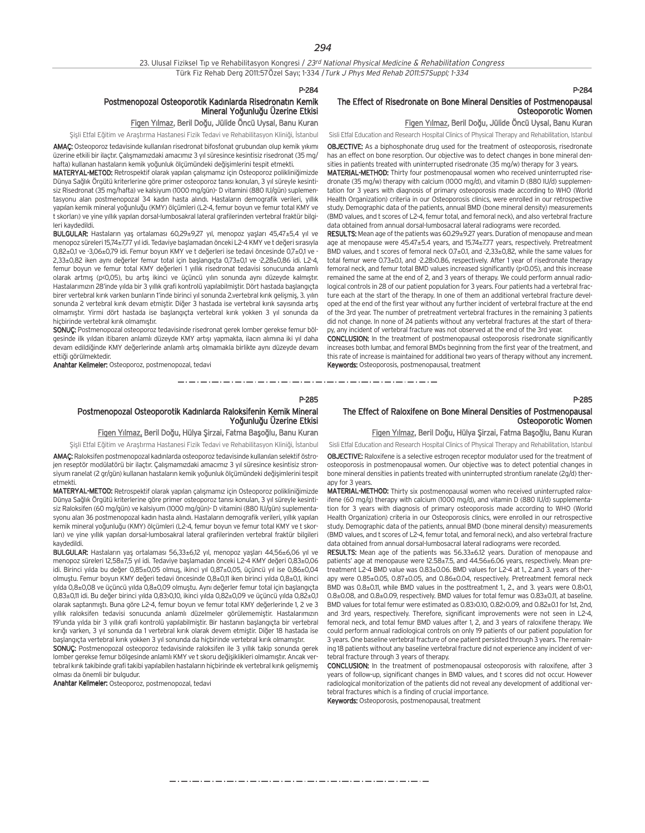#### Postmenopozal Osteoporotik Kadınlarda Risedronatın Kemik Mineral Yoăunluău Üzerine Etkisi

## Figen Yılmaz, Beril Doğu, Jülide Öncü Uysal, Banu Kuran

Şişli Etfal Eğitim ve Araştırma Hastanesi Fizik Tedavi ve Rehabilitasyon Kliniği, İstanbul

AMAÇ: Osteoporoz tedavisinde kullanılan risedronat bifosfonat grubundan olup kemik yıkımı üzerine etkili bir ilaçtır. Çalışmamızdaki amacımız 3 yıl süresince kesintisiz risedronat (35 mg/ hafta) kullanan hastaların kemik yoğunluk ölçümündeki değişimlerini tespit etmekti.

MATERYAL-METOD: Retrospektif olarak yapılan çalışmamız için Osteoporoz polikliniğimizde Dünya Sağlık Örgütü kriterlerine göre primer osteoporoz tanısı konulan, 3 yıl süreyle kesintisiz Risedronat (35 mg/hafta) ve kalsiyum (1000 mg/gün)- D vitamini (880 IU/gün) suplementasyonu alan postmenopozal 34 kadın hasta alındı. Hastaların demografik verileri, yıllık yapılan kemik mineral yoğunluğu (KMY) ölçümleri (L2-4, femur boyun ve femur total KMY ve t skorları) ve yine yıllık yapılan dorsal-lumbosakral lateral grafilerinden vertebral fraktür bilgileri kaydedildi.

BULGULAR: Hastaların yaş ortalaması 60,29±9,27 yıl, menopoz yaşları 45,47±5,4 yıl ve menopoz süreleri 15,74+777 yıl idi. Tedaviye başlamadan önceki L2-4 KMY ve t değeri sırasıyla 0,82±0,1 ve -3,06±0,79 idi. Femur boyun KMY ve t değerleri ise tedavi öncesinde 0,7±0,1 ve -2,33±0,82 iken aynı değerler femur total için başlangıçta 0,73±0,1 ve -2,28±0,86 idi. L2-4, femur boyun ve femur total KMY değerleri 1 yıllık risedronat tedavisi sonucunda anlamlı olarak artmış (p<0,05), bu artış ikinci ve üçüncü yılın sonunda aynı düzeyde kalmıştır. Hastalarımızın 28'inde yılda bir 3 yıllık grafi kontrolü yapılabilmiştir. Dört hastada başlangıcta birer vertebral kırık varken bunların 1'inde birinci yıl sonunda 2 vertebral kırık gelişmiş, 3. yılın sonunda 2 vertebral kırık devam etmiştir. Diğer 3 hastada ise vertebral kırık sayısında artış olmamıştır. Yirmi dört hastada ise başlangıçta vertebral kırık yokken 3 yıl sonunda da hicbirinde vertebral kırık olmamıştır.

SONUÇ: Postmenopozal osteoporoz tedavisinde risedronat gerek lomber gerekse femur bölgesinde ilk yıldan itibaren anlamlı düzeyde KMY artışı yapmakta, ilacın alımına iki yıl daha devam edildiğinde KMY değerlerinde anlamlı artıs olmamakla birlikte aynı düzeyde devam ettiği görülmektedir.

Anahtar Kelimeler: Osteoporoz, postmenopozal, tedavi

#### P-284

#### The Effect of Risedronate on Bone Mineral Densities of Postmenopausal Osteoporotic Women

## Figen Yılmaz, Beril Doğu, Jülide Öncü Uysal, Banu Kuran

Sisli Etfal Education and Research Hospital Clinics of Physical Therapy and Rehabilitation, Istanbul OBJECTIVE: As a biphosphonate drug used for the treatment of osteoporosis, risedronate has an effect on bone resorption. Our objective was to detect changes in bone mineral den-

sities in patients treated with uninterrupted risedronate (35 mg/w) therapy for 3 years. MATERIAL-METHOD: Thirty four postmenopausal women who received uninterrupted risedronate (35 mg/w) therapy with calcium (1000 mg/d), and vitamin D (880 IU/d) supplementation for 3 years with diagnosis of primary osteoporosis made according to WHO (World Health Organization) criteria in our Osteoporosis clinics, were enrolled in our retrospective study. Demographic data of the patients, annual BMD (bone mineral density) measurements (BMD values, and t scores of L2-4, femur total, and femoral neck), and also vertebral fracture data obtained from annual dorsal-lumbosacral lateral radiograms were recorded.

RESULTS: Mean age of the patients was 60.29±9.27 years. Duration of menopause and mean age at menopause were 45.47±5.4 years, and 15.74±7.77 years, respectively. Pretreatment BMD values, and t scores of femoral neck 0.7±0.1, and -2,33±0,82, while the same values for total femur were 0.73±0.1, and -2.28>0.86, respectively. After 1 year of risedronate therapy femoral neck, and femur total BMD values increased significantly (p<0.05), and this increase remained the same at the end of 2, and 3 years of therapy. We could perform annual radiological controls in 28 of our patient population for 3 years. Four patients had a vertebral fracture each at the start of the therapy. In one of them an additional vertebral fracture developed at the end of the first year without any further incident of vertebral fracture at the end of the 3rd year. The number of pretreatment vertebral fractures in the remaining 3 patients did not change. In none of 24 patients without any vertebral fractures at the start of therapy, any incident of vertebral fracture was not observed at the end of the 3rd year.

CONCLUSION: In the treatment of postmenopausal osteoporosis risedronate significantly increases both lumbar, and femoral BMDs beginning from the first year of the treatment, and this rate of increase is maintained for additional two years of therapy without any increment. Keywords: Osteoporosis, postmenopausal, treatment

P-285

Yoğunluğu Üzerine Etkisi

#### P-285

#### The Effect of Raloxifene on Bone Mineral Densities of Postmenopausal Osteoporotic Women

Figen Yılmaz, Beril Doğu, Hülya Şirzai, Fatma Başoğlu, Banu Kuran

Sisli Etfal Eğitim ve Arastırma Hastanesi Fizik Tedavi ve Rehabilitasyon Kliniği, İstanbul AMAC: Raloksifen postmenopozal kadınlarda osteoporoz tedavisinde kullanılan selektif östrojen reseptör modülatörü bir ilaçtır. Çalışmamızdaki amacımız 3 yıl süresince kesintisiz stronsiyum ranelat (2 gr/gün) kullanan hastaların kemik yoğunluk ölçümündeki değişimlerini tespit etmekti. Sisli Etfal Education and Research Hospital Clinics of Physical Therapy and Rehabilitation, Istanbul

Postmenopozal Osteoporotik Kadınlarda Raloksifenin Kemik Mineral

Figen Yılmaz, Beril Doğu, Hülya Şirzai, Fatma Başoğlu, Banu Kuran

MATERYAL-METOD: Retrospektif olarak yapılan çalışmamız için Osteoporoz polikliniğimizde Dünya Sağlık Örgütü kriterlerine göre primer osteoporoz tanısı konulan, 3 yıl süreyle kesintisiz Raloksifen (60 mg/gün) ve kalsiyum (1000 mg/gün)- D vitamini (880 IU/gün) suplementasyonu alan 36 postmenopozal kadın hasta alındı. Hastaların demografik verileri, yıllık yapılan kemik mineral yoğunluğu (KMY) ölçümleri (L2-4, femur boyun ve femur total KMY ve t skorları) ve yine yıllık yapılan dorsal-lumbosakral lateral grafilerinden vertebral fraktür bilgileri kaydedildi.

BULGULAR: Hastaların yaş ortalaması 56,33±6,12 yıl, menopoz yaşları 44,56±6,06 yıl ve menopoz süreleri 12,58±7,5 yıl idi. Tedaviye başlamadan önceki L2-4 KMY değeri 0,83±0,06 idi. Birinci yılda bu değer  $0.85\pm0.05$  olmus, ikinci yıl  $0.87\pm0.05$ , üçüncü yıl ise  $0.86\pm0.04$ olmufltu. Femur boyun KMY de¤eri tedavi öncesinde 0,8±0,11 iken birinci y›lda 0,8±0,1, ikinci vılda 0,8±0,08 ve üçüncü yılda 0,8±0,09 olmuştu. Aynı değerler femur total için başlangıçta 0,83±0,11 idi. Bu değer birinci yılda 0,83>0,10, ikinci yılda 0,82±0,09 ve üçüncü yılda 0,82±0,1 olarak saptanmıştı. Buna göre L2-4, femur boyun ve femur total KMY değerlerinde 1, 2 ve 3 villik raloksifen tedavisi sonucunda anlamlı düzelmeler görülememiştir. Hastalarımızın 19'unda yılda bir 3 yıllık grafi kontrolü yapılabilmiştir. Bir hastanın başlangıcta bir vertebral kırığı varken. 3 yıl sonunda da 1 vertebral kırık olarak devem etmiştir. Diğer 18 hastada ise baslangıcta vertebral kırık yokken 3 yıl sonunda da hiçbirinde vertebral kırık olmamıştır.

SONUC: Postmenopozal osteoporoz tedavisinde raloksifen ile 3 yıllık takip sonunda gerek lomber gerekse femur bölgesinde anlamlı KMY ve t skoru değişiklikleri olmamıştır. Ancak vertebral kırık takibinde grafi takibi yapılabilen hastaların hiçbirinde ek vertebral kırık gelişmemiş olması da önemli bir bulgudur.

Anahtar Kelimeler: Osteoporoz, postmenopozal, tedavi

OBJECTIVE: Raloxifene is a selective estrogen receptor modulator used for the treatment of osteoporosis in postmenopausal women. Our objective was to detect potential changes in bone mineral densities in patients treated with uninterrupted strontium ranelate (2g/d) therapy for 3 years.

MATERIAL-METHOD: Thirty six postmenopausal women who received uninterrupted raloxifene (60 mg/g) therapy with calcium (1000 mg/d), and vitamin D (880 IU/d) supplementation for 3 years with diagnosis of primary osteoporosis made according to WHO (World Health Organization) criteria in our Osteoporosis clinics, were enrolled in our retrospective study. Demographic data of the patients, annual BMD (bone mineral density) measurements (BMD values, and t scores of L2-4, femur total, and femoral neck), and also vertebral fracture data obtained from annual dorsal-lumbosacral lateral radiograms were recorded.

RESULTS: Mean age of the patients was 56.33±6.12 years. Duration of menopause and patients' age at menopause were 12.58±7.5, and 44.56±6.06 years, respectively. Mean pretreatment L2-4 BMD value was 0.83±0.06. BMD values for L2-4 at 1., 2.and 3. years of therapy were 0.85±0.05, 0.87±0.05, and 0.86±0.04, respectively. Pretreatment femoral neck BMD was  $0.8\pm0.11$ , while BMD values in the posttreatment 1., 2., and 3, vears were 0.8 $\cdot$ 0.1, 0.8±0.08, and 0.8±0.09, respectively. BMD values for total femur was 0.83±0.11, at baseline. BMD values for total femur were estimated as 0.83>0.10, 0.82>0.09, and 0.82±0.1 for 1st, 2nd, and 3rd years, respectively. Therefore, significant improvements were not seen in L2-4, femoral neck, and total femur BMD values after 1, 2, and 3 years of raloxifene therapy. We could perform annual radiological controls on only 19 patients of our patient population for 3 years. One baseline vertebral fracture of one patient persisted through 3 years. The remaining 18 patients without any baseline vertebral fracture did not experience any incident of vertebral fracture through 3 years of therapy.

CONCLUSION: In the treatment of postmenopausal osteoporosis with raloxifene, after 3 years of follow-up, significant changes in BMD values, and t scores did not occur. However radiological monitorization of the patients did not reveal any development of additional vertebral fractures which is a finding of crucial importance.

Keywords: Osteoporosis, postmenopausal, treatment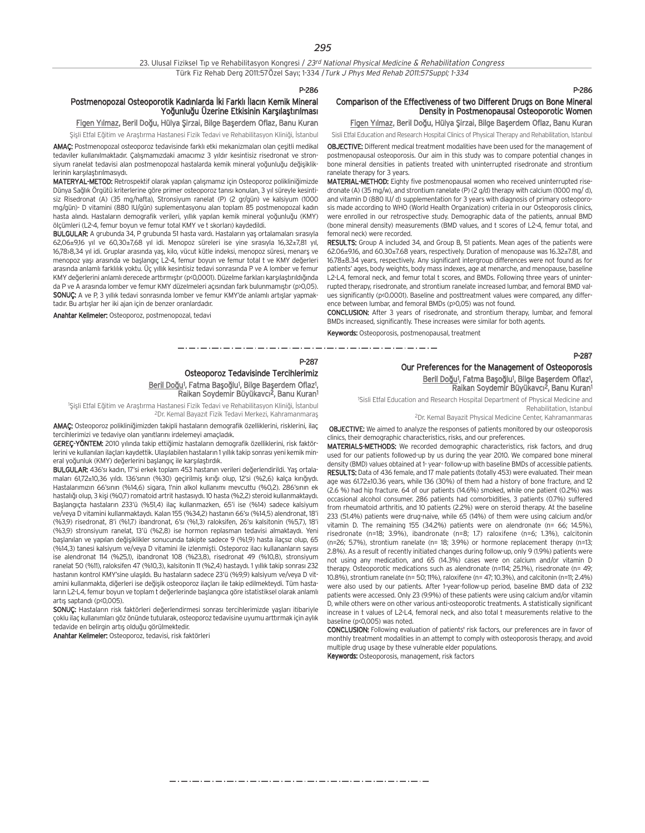| 23. Ulusal Fiziksel Tip ve Rehabilitasyon Kongresi / 23rd National Physical Medicine & Rehabilitation Congress |  |
|----------------------------------------------------------------------------------------------------------------|--|
| Türk Fiz Rehab Derg 2011:57Özel Sayı; 1-334 / Turk J Phys Med Rehab 2011:57Suppl; 1-334                        |  |

#### Postmenopozal Osteoporotik Kadınlarda İki Farklı İlacın Kemik Mineral Yoğunluğu Üzerine Etkisinin Karsılastırılması

Figen Yılmaz, Beril Doğu, Hülya Şirzai, Bilge Başerdem Oflaz, Banu Kuran

Şişli Etfal Eğitim ve Araştırma Hastanesi Fizik Tedavi ve Rehabilitasyon Kliniği, İstanbul

AMAÇ: Postmenopozal osteoporoz tedavisinde farklı etki mekanizmaları olan çeşitli medikal tedaviler kullanılmaktadır. Çalışmamızdaki amacımız 3 yıldır kesintisiz risedronat ve stronsiyum ranelat tedavisi alan postmenopozal hastalarda kemik mineral yoğunluğu değişikliklerinin karsılaştırılmasıydı.

MATERYAL-METOD: Retrospektif olarak yapılan çalışmamız için Osteoporoz polikliniğimizde Dünya Sağlık Örgütü kriterlerine göre primer osteoporoz tanısı konulan, 3 yıl süreyle kesintisiz Risedronat (A) (35 mg/hafta), Stronsiyum ranelat (P) (2 gr/gün) ve kalsiyum (1000 mg/gün)- D vitamini (880 IU/gün) suplementasyonu alan toplam 85 postmenopozal kadın hasta alındı. Hastaların demografik verileri, yıllık yapılan kemik mineral yoğunluğu (KMY) ölçümleri (L2-4, femur boyun ve femur total KMY ve t skorları) kaydedildi.

BULGULAR: A grubunda 34, P grubunda 51 hasta vardı. Hastaların yaş ortalamaları sırasıyla  $62,06+916$  yıl ve  $60,30+768$  yıl idi. Menopoz süreleri ise yine sırasıyla  $16,32+781$  yıl, 16,78>8,34 yıl idi. Gruplar arasında yaş, kilo, vücut kütle indeksi, menopoz süresi, menarş ve menopoz yaşı arasında ve başlangıç L2-4, femur boyun ve femur total t ve KMY değerleri arasında anlamlı farklılık yoktu. Üç yıllık kesintisiz tedavi sonrasında P ve A lomber ve femur KMY değerlerini anlamlı derecede arttırmıştır (p<0,0001). Düzelme farkları karşılaştırıldığında da P ve A arasında lomber ve femur KMY düzelmeleri açısından fark bulunmamıştır (p>0,05). SONUC: A ve P, 3 yıllık tedavi sonrasında lomber ve femur KMY'de anlamlı artışlar yapmaktadır. Bu artışlar her iki ajan için de benzer oranlardadır.

Anahtar Kelimeler: Osteoporoz, postmenopozal, tedavi

#### P-286

P-287

## Comparison of the Effectiveness of two Different Drugs on Bone Mineral Density in Postmenopausal Osteoporotic Women

Figen Yılmaz, Beril Doğu, Hülya Şirzai, Bilge Başerdem Oflaz, Banu Kuran

Sisli Etfal Education and Research Hospital Clinics of Physical Therapy and Rehabilitation, Istanbul

OBJECTIVE: Different medical treatment modalities have been used for the management of postmenopausal osteoporosis. Our aim in this study was to compare potential changes in bone mineral densities in patients treated with uninterrupted risedronate and strontium ranelate therapy for 3 years.

MATERIAL-METHOD: Eighty five postmenopausal women who received uninterrupted risedronate (A) (35 mg/w), and strontium ranelate (P) (2 g/d) therapy with calcium (1000 mg/ d), and vitamin D (880 IU/ d) supplementation for 3 years with diagnosis of primary osteoporosis made according to WHO (World Health Organization) criteria in our Osteoporosis clinics, were enrolled in our retrospective study. Demographic data of the patients, annual BMD (bone mineral density) measurements (BMD values, and t scores of L2-4, femur total, and femoral neck) were recorded.

RESULTS: Group A included 34, and Group B, 51 patients. Mean ages of the patients were 62.06±9.16, and 60.30±7.68 years, respectively. Duration of menopause was 16.32±7.81, and 16.78±8.34 years, respectively. Any significant intergroup differences were not found as for patients' ages, body weights, body mass indexes, age at menarche, and menopause, baseline L2-L4, femoral neck, and femur total t scores, and BMDs. Following three years of uninterrupted therapy, risedronate, and strontium ranelate increased lumbar, and femoral BMD values significantly (p<0.0001). Baseline and posttreatment values were compared, any difference between lumbar, and femoral BMDs (p>0,05) was not found.

CONCLUSION: After 3 years of risedronate, and strontium therapy, lumbar, and femoral BMDs increased, significantly. These increases were similar for both agents.

Keywords: Osteoporosis, postmenopausal, treatment

للماء الماري والماري الماري والماري والماري والماري والماري

#### P-287

#### Osteoporoz Tedavisinde Tercihlerimiz Beril Doğu<sup>1</sup>, Fatma Başoğlu<sup>1</sup>, Bilge Başerdem Oflaz<sup>1</sup>, Raikan Soydemir Büyükavcı<sup>z</sup>, Banu Kuran<sup>1</sup>

<sup>1</sup>Şişli Etfal Eğitim ve Araştırma Hastanesi Fizik Tedavi ve Rehabilitasyon Kliniği, İstanbul <sup>2</sup>Dr. Kemal Bayazıt Fizik Tedavi Merkezi, Kahramanmaraş

AMAÇ: Osteoporoz polikliniğimizden takipli hastaların demografik özelliklerini, risklerini, ilaç tercihlerimizi ve tedaviye olan yanıtlarını irdelemeyi amaçladık.

GEREÇ-YÖNTEM: 2010 yılında takip ettiğimiz hastaların demografik özelliklerini, risk faktörlerini ve kullanılan ilaçları kaydettik. Ulasılabilen hastaların 1 yıllık takip sonrası yeni kemik mineral yoğunluk (KMY) değerlerini başlangıç ile karşılaştırdık.

BULGULAR: 436'sı kadın, 17'si erkek toplam 453 hastanın verileri değerlendirildi. Yaş ortalamaları 61,72±10,36 yıldı. 136'sının (%30) geçirilmiş kırığı olup, 12'si (%2,6) kalça kırığıydı. Hastalarımızın 66'sının (%14,6) sigara, 1'nin alkol kullanımı mevcuttu (%0,2). 286'sının ek hastalığı olup, 3 kişi (%0,7) romatoid artrit hastasıydı. 10 hasta (%2,2) steroid kullanmaktaydı. Başlangıçta hastaların 233'ü (%51,4) ilaç kullanmazken, 65'i ise (%14) sadece kalsiyum ve/veya D vitamini kullanmaktaydı. Kalan 155 (%34,2) hastanın 66'sı (%14,5) alendronat, 18'i (%3,9) risedronat, 8'i (%1,7) ibandronat, 6's› (%1,3) raloksifen, 26's› kalsitonin (%5,7), 18'i (%3.9) stronsiyum ranelat, 13'ü (%2.8) ise hormon replasman tedavisi almaktaydı. Yeni başlanılan ve yapılan değişiklikler sonucunda takipte sadece 9 (%1,9) hasta ilaçsız olup, 65 (%14,3) tanesi kalsiyum ve/veya D vitamini ile izlenmişti. Osteporoz ilacı kullananların sayısı ise alendronat 114 (%25,1), ibandronat 108 (%23,8), risedronat 49 (%10,8), stronsiyum ranelat 50 (%11), raloksifen 47 (%10,3), kalsitonin 11 (%2,4) hastaydı. 1 yıllık takip sonrası 232 hastanın kontrol KMY'sine ulaşıldı. Bu hastaların sadece 23'ü (%9,9) kalsiyum ve/veya D vitamini kullanmakta, diğerleri ise değişik osteoporoz ilaçları ile takip edilmekteydi. Tüm hastaların L2-L4, femur boyun ve toplam t değerlerinde başlangıca göre istatistiksel olarak anlamlı  $artis$  santand $i$  ( $n$  $(0,005)$ ).

SONUC: Hastaların risk faktörleri değerlendirmesi sonrası tercihlerimizde yaşları itibariyle çoklu ilaç kullanımları göz önünde tutularak, osteoporoz tedavisine uyumu arttırmak için aylık tedavide en belirgin artış olduğu görülmektedir.

Anahtar Kelimeler: Osteoporoz, tedavisi, risk faktörleri

#### Our Preferences for the Management of Osteoporosis Beril Doğu<sup>1</sup>, Fatma Başoğlu<sup>1</sup>, Bilge Başerdem Oflaz<sup>1</sup>, Raikan Soydemir Büyükavcı<sup>2</sup>, Banu Kuran<sup>1</sup>

<sup>1</sup>Sisli Etfal Education and Research Hospital Department of Physical Medicine and Rehabilitation, Istanbul

2Dr. Kemal Bayazit Physical Medicine Center, Kahramanmaras

OBJECTIVE: We aimed to analyze the responses of patients monitored by our osteoporosis clinics, their demographic characteristics, risks, and our preferences.

MATERIALS-METHODS: We recorded demographic characteristics, risk factors, and drug used for our patients followed-up by us during the year 2010. We compared bone mineral density (BMD) values obtained at 1- year- follow-up with baseline BMDs of accessible patients. RESULTS: Data of 436 female, and 17 male patients (totally 453) were evaluated. Their mean age was 61.72±10.36 years, while 136 (30%) of them had a history of bone fracture, and 12 (2.6 %) had hip fracture. 64 of our patients (14.6%) smoked, while one patient (0.2%) was occasional alcohol consumer. 286 patients had comorbidities, 3 patients (0.7%) suffered from rheumatoid arthritis, and 10 patients (2.2%) were on steroid therapy. At the baseline 233 (51.4%) patients were drug-naive, while 65 (14%) of them were using calcium and/or vitamin D. The remaining 155 (34.2%) patients were on alendronate (n= 66; 14.5%), risedronate (n=18; 3.9%), ibandronate (n=8; 1.7) raloxifene (n=6; 1.3%), calcitonin  $(n=26; 5.7%)$ , strontium ranelate  $(n=18; 3.9%)$  or hormone replacement therapy  $(n=13; 3.9%)$ 2.8%). As a result of recently initiated changes during follow-up, only 9 (1.9%) patients were not using any medication, and 65 (14.3%) cases were on calcium and/or vitamin D therapy. Osteoporotic medications such as alendronate (n=114; 25.1%), risedronate (n= 49; 10.8%), strontium ranelate (n= 50; 11%), raloxifene (n= 47; 10.3%), and calcitonin (n=11; 2.4%) were also used by our patients. After 1-year-follow-up period, baseline BMD data of 232 patients were accessed. Only 23 (9.9%) of these patients were using calcium and/or vitamin D, while others were on other various anti-osteoporotic treatments. A statistically significant increase in t values of L2-L4, femoral neck, and also total t measurements relative to the baseline (p<0,005) was noted.

CONCLUSION: Following evaluation of patients' risk factors, our preferences are in favor of monthly treatment modalities in an attempt to comply with osteoporosis therapy, and avoid multiple drug usage by these vulnerable elder populations.

Keywords: Osteoporosis, management, risk factors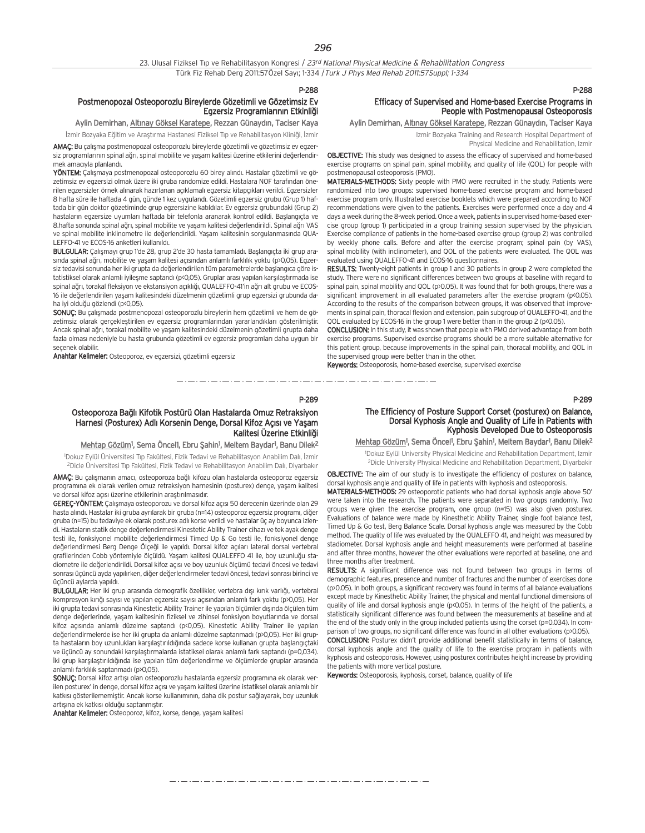P-289

والمساويات والمتوارد والمساوي والمساوي المساوي المساوي المساويات والمساويات

#### Postmenopozal Osteoporozlu Bireylerde Gözetimli ve Gözetimsiz Ev Egzersiz Programlarının Etkinliği

## Aylin Demirhan, Altınay Göksel Karatepe, Rezzan Günaydın, Taciser Kaya

İzmir Bozyaka Eğitim ve Araştırma Hastanesi Fiziksel Tıp ve Rehabilitasyon Kliniği, İzmir

AMAÇ: Bu çalışma postmenopozal osteoporozlu bireylerde gözetimli ve gözetimsiz ev egzersiz programlarının spinal ağrı, spinal mobilite ve yaşam kalitesi üzerine etkilerini değerlendirmek amacıyla planlandı.

YÖNTEM: Çalışmaya postmenopozal osteoporozlu 60 birey alındı. Hastalar gözetimli ve gözetimsiz ev egzersizi olmak üzere iki gruba randomize edildi. Hastalara NOF tarafından önerilen egzersizler örnek alınarak hazırlanan açıklamalı egzersiz kitapçıkları verildi. Egzersizler 8 hafta süre ile haftada 4 gün, günde 1 kez uygulandı. Gözetimli egzersiz grubu (Grup 1) haftada bir gün doktor gözetiminde grup egzersizine katıldılar. Ev egzersiz grubundaki (Grup 2) hastaların egzersize uyumları haftada bir telefonla aranarak kontrol edildi. Başlangıçta ve 8.hafta sonunda spinal ağrı, spinal mobilite ve yaşam kalitesi değerlendirildi. Spinal ağrı VAS ve spinal mobilite inklinometre ile değerlendirildi. Yaşam kalitesinin sorgulanmasında QUA-LEFFO-41 ve ECOS-16 anketleri kullan›ld›.

BULGULAR: Çalışmayı grup 1'de 28, grup 2'de 30 hasta tamamladı. Başlangıçta iki grup arasında spinal ağrı, mobilite ve yaşam kalitesi açısından anlamlı farklılık yoktu (p>0,05). Egzersiz tedavisi sonunda her iki grupta da değerlendirilen tüm parametrelerde başlangıca göre istatistiksel olarak anlamlı iyileşme saptandı (p<0,05). Gruplar arası yapılan karşılaştırmada ise spinal ağrı, torakal fleksiyon ve ekstansiyon açıklığı, QUALEFFO-41'in ağrı alt grubu ve ECOS-16 ile değerlendirilen yaşam kalitesindeki düzelmenin gözetimli grup egzersizi grubunda daha iyi olduğu gözlendi (p<0,05).

SONUÇ: Bu çalışmada postmenopozal osteoporozlu bireylerin hem gözetimli ve hem de gözetimsiz olarak gerçekleştirilen ev egzersiz programlarından yararlandıkları gösterilmiştir. Ancak spinal ağrı, torakal mobilite ve yaşam kalitesindeki düzelmenin gözetimli grupta daha fazla olması nedeniyle bu hasta grubunda gözetimli ev egzersiz programları daha uygun bir seçenek olabilir.

Anahtar Kelimeler: Osteoporoz, ev egzersizi, gözetimli egzersiz

#### P-288

### Efficacy of Supervised and Home-based Exercise Programs in People with Postmenopausal Osteoporosis

Aylin Demirhan, Altınay Göksel Karatepe, Rezzan Günaydın, Taciser Kaya

Izmir Bozyaka Training and Research Hospital Department of Physical Medicine and Rehabilitation, Izmir

OBJECTIVE: This study was designed to assess the efficacy of supervised and home-based exercise programs on spinal pain, spinal mobility, and quality of life (QOL) for people with

postmenopausal osteoporosis (PMO).

والمستحيل والمستحد والمستحد والمستحد والمستحد والمستحد والمستحد

MATERIALS-METHODS: Sixty people with PMO were recruited in the study. Patients were randomized into two groups: supervised home-based exercise program and home-based exercise program only. Illustrated exercise booklets which were prepared according to NOF recommendations were given to the patients. Exercises were performed once a day and 4 days a week during the 8-week period. Once a week, patients in supervised home-based exercise group (group 1) participated in a group training session supervised by the physician. Exercise compliance of patients in the home-based exercise group (group 2) was controlled by weekly phone calls. Before and after the exercise program; spinal pain (by VAS), spinal mobility (with inclinometer), and QOL of the patients were evaluated. The QOL was evaluated using QUALEFFO-41 and ECOS-16 questionnaires.

RESULTS: Twenty-eight patients in group 1 and 30 patients in group 2 were completed the study. There were no significant differences between two groups at baseline with regard to spinal pain, spinal mobility and QOL (p>0.05). It was found that for both groups, there was a significant improvement in all evaluated parameters after the exercise program (p<0.05). According to the results of the comparison between groups, it was observed that improvements in spinal pain, thoracal flexion and extension, pain subgroup of QUALEFFO-41, and the QOL evaluated by ECOS-16 in the group 1 were better than in the group 2 (p<0.05).

CONCLUSION: In this study, it was shown that people with PMO derived advantage from both exercise programs. Supervised exercise programs should be a more suitable alternative for this patient group, because improvements in the spinal pain, thoracal mobility, and QOL in the supervised group were better than in the other.

Keywords: Osteoporosis, home-based exercise, supervised exercise

P-289

#### The Efficiency of Posture Support Corset (posturex) on Balance, Dorsal Kyphosis Angle and Quality of Life in Patients with Kyphosis Developed Due to Osteoporosis

Mehtap Gözüm<sup>1</sup>, Sema Öncel<sup>1</sup>, Ebru Şahin<sup>1</sup>, Meltem Baydar<sup>1</sup>, Banu Dilek<sup>2</sup>

1 Dokuz Eylül University Physical Medicine and Rehabilitation Department, Izmir 2Dicle University Physical Medicine and Rehabilitation Department, Diyarbakir

**OBJECTIVE:** The aim of our study is to investigate the efficiency of posturex on balance, dorsal kyphosis angle and quality of life in patients with kyphosis and osteoporosis.

MATERIALS-METHODS: 29 osteoporotic patients who had dorsal kyphosis angle above 50' were taken into the research. The patients were separated in two groups randomly. Two groups were given the exercise program, one group (n=15) was also given posturex. Evaluations of balance were made by Kinesthetic Ability Trainer, single foot balance test, Timed Up & Go test, Berg Balance Scale. Dorsal kyphosis angle was measured by the Cobb method. The quality of life was evaluated by the QUALEFFO 41, and height was measured by stadiometer. Dorsal kyphosis angle and height measurements were performed at baseline and after three months, however the other evaluations were reported at baseline, one and three months after treatment.

RESULTS: A significant difference was not found between two groups in terms of demographic features, presence and number of fractures and the number of exercises done (p>0.05). In both groups, a significant recovery was found in terms of all balance evaluations except made by Kinesthetic Ability Trainer, the physical and mental functional dimensions of quality of life and dorsal kyphosis angle (p<0.05). In terms of the height of the patients, a statistically significant difference was found between the measurements at baseline and at the end of the study only in the group included patients using the corset ( $p=0.034$ ). In comparison of two groups, no significant difference was found in all other evaluations (p>0.05).

CONCLUSION: Posturex didn't provide additional benefit statistically in terms of balance, dorsal kyphosis angle and the quality of life to the exercise program in patients with kyphosis and osteoporosis. However, using posturex contributes height increase by providing the patients with more vertical posture.

Keywords: Osteoporosis, kyphosis, corset, balance, quality of life

Osteoporoza Bağlı Kifotik Postürü Olan Hastalarda Omuz Retraksiyon Harnesi (Posturex) Adlı Korsenin Denge, Dorsal Kifoz Açısı ve Yaşam Kalitesi Üzerine Etkinliği

<u>Mehtap Gözüm</u>1, Sema Öncel1, Ebru Şahin1, Meltem Baydar1, Banu Dilek<sup>2</sup> 1 Dokuz Eylül Üniversitesi T›p Fakültesi, Fizik Tedavi ve Rehabilitasyon Anabilim Dal›, ‹zmir

<sup>2</sup>Dicle Üniversitesi Tıp Fakültesi, Fizik Tedavi ve Rehabilitasyon Anabilim Dalı, Diyarbakır AMAÇ: Bu çalışmanın amacı, osteoporoza bağlı kifozu olan hastalarda osteoporoz egzersiz

programına ek olarak verilen omuz retraksiyon harnesinin (posturex) denge, yaşam kalitesi ve dorsal kifoz açısı üzerine etkilerinin araştırılmasıdır.

GEREÇ-YÖNTEM: Calismaya osteoporozu ve dorsal kifoz açısı 50 derecenin üzerinde olan 29 hasta alındı. Hastalar iki gruba ayrılarak bir gruba (n=14) osteoporoz egzersiz programı, diğer gruba (n=15) bu tedaviye ek olarak posturex adlı korse verildi ve hastalar üç ay boyunca izlendi. Hastaların statik denge değerlendirmesi Kinestetic Ability Trainer cihazı ve tek ayak denge testi ile, fonksiyonel mobilite değerlendirmesi Timed Up & Go testi ile, fonksiyonel denge değerlendirmesi Berg Denge Ölçeği ile yapıldı. Dorsal kifoz açıları lateral dorsal vertebral grafilerinden Cobb yöntemiyle ölçüldü. Yaşam kalitesi QUALEFFO 41 ile, boy uzunluğu stadiometre ile değerlendirildi. Dorsal kifoz açısı ve boy uzunluk ölçümü tedavi öncesi ve tedavi sonrası üçüncü ayda yapılırken, diğer değerlendirmeler tedavi öncesi, tedavi sonrası birinci ve üçüncü aylarda yapıldı.

BULGULAR: Her iki grup arasında demografik özellikler, vertebra dışı kırık varlığı, vertebral kompresyon kırığı sayısı ve yapılan egzersiz sayısı açısından anlamlı fark yoktu (p>0,05). Her iki grupta tedavi sonrasında Kinestetic Ability Trainer ile yapılan ölçümler dışında ölçülen tüm denge değerlerinde, yaşam kalitesinin fiziksel ve zihinsel fonksiyon boyutlarında ve dorsal kifoz açısında anlamlı düzelme saptandı (p<0.05). Kinestetic Ability Trainer ile yapılan değerlendirmelerde ise her iki grupta da anlamlı düzelme saptanmadı (p>0,05). Her iki grupta hastaların boy uzunlukları karşılaştırıldığında sadece korse kullanan grupta başlangıçtaki ve üçüncü ay sonundaki karşılaştırmalarda istatiksel olarak anlamlı fark saptandı (p=0,034). İki grup karşılaştırıldığında ise yapılan tüm değerlendirme ve ölçümlerde gruplar arasında anlamlı farklılık saptanmadı (p>0,05).

SONUC: Dorsal kifoz artışı olan osteoporozlu hastalarda egzersiz programına ek olarak verilen posturex' in denge, dorsal kifoz açısı ve yaşam kalitesi üzerine istatiksel olarak anlamlı bir katkısı gösterilememiştir. Ancak korse kullanımının, daha dik postur sağlayarak, boy uzunluk artısına ek katkısı olduğu saptanmıştır.

Anahtar Kelimeler: Osteoporoz, kifoz, korse, denge, yaşam kalitesi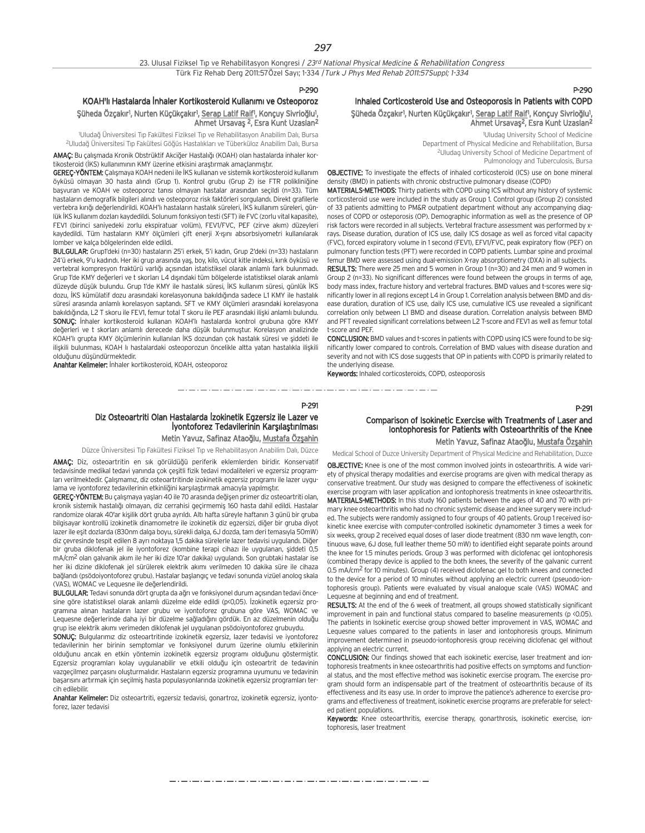### KOAH'lı Hastalarda İnhaler Kortikosteroid Kullanımı ve Osteoporoz Şüheda Özçakır<sup>ı</sup>, Nurten Küçükçakır<sup>ı</sup>, <u>Serap Latif Raif</u><sup>ı</sup>, Konçuy Sivrioğlu<sup>1</sup>, Ahmet Ursavas <sup>2</sup>, Esra Kunt Uzaslan<sup>2</sup>

1 Uluda¤ Üniversitesi T›p Fakültesi Fiziksel T›p ve Rehabilitasyon Anabilim Dal›, Bursa <sup>2</sup>Uludağ Üniversitesi Tıp Fakültesi Göğüs Hastalıkları ve Tüberküloz Anabilim Dalı, Bursa

AMAÇ: Bu çalışmada Kronik Obstrüktif Akciğer Hastalığı (KOAH) olan hastalarda inhaler kor-

tikosteroid (İKS) kullanımının KMY üzerine etkisini araştırmak amaçlanmıştır. **GEREÇ-YÖNTEM:** Çalışmaya KOAH nedeni ile İKS kullanan ve sistemik kortikosteroid kullanım öyküsü olmayan 30 hasta alındı (Grup 1). Kontrol grubu (Grup 2) ise FTR polikliniğine basvuran ve KOAH ve osteoporoz tanısı olmayan hastalar arasından secildi (n=33). Tüm hastaların demografik bilgileri alındı ve osteoporoz risk faktörleri sorgulandı. Direkt grafilerle vertebra kırığı değerlendirildi. KOAH'lı hastaların hastalık süreleri, İKS kullanım süreleri, günlük İKS kullanım dozları kaydedildi. Solunum fonksiyon testi (SFT) ile FVC (zorlu vital kapasite), FEV1 (birinci saniyedeki zorlu ekspiratuar volüm), FEV1/FVC, PEF (zirve akım) düzeyleri kaydedildi. Tüm hastaların KMY ölçümleri çift enerji X-ışını absorbsiyometri kullanılarak lomber ve kalça bölgelerinden elde edildi.

BULGULAR: Grup1'deki (n=30) hastaların 25'i erkek, 5'i kadın, Grup 2'deki (n=33) hastaların 24'ü erkek, 9'u kadındı. Her iki grup arasında yaş, boy, kilo, vücut kitle indeksi, kırık öyküsü ve vertebral kompresyon fraktürü varlığı açısından istatistiksel olarak anlamlı fark bulunmadı. Grup 1'de KMY değerleri ve t skorları L4 dışındaki tüm bölgelerde istatistiksel olarak anlamlı düzeyde düşük bulundu. Grup 1'de KMY ile hastalık süresi, İKS kullanım süresi, günlük İKS dozu. İKS kümülatif dozu arasındaki korelasyonuna bakıldığında sadece L1 KMY ile hastalık süresi arasında anlamlı korelasyon saptandı. SFT ve KMY ölçümleri arasındaki korelasyona bakıldığında, L2 T skoru ile FEV1, femur total T skoru ile PEF arasındaki ilişki anlamlı bulundu. SONUÇ: İnhaler kortikosteroid kullanan KOAH'lı hastalarda kontrol grubuna göre KMY değerleri ve t skorları anlamlı derecede daha düşük bulunmuştur. Korelasyon analizinde KOAH'lı grupta KMY ölçümlerinin kullanılan İKS dozundan çok hastalık süresi ve şiddeti ile iliskili bulunması. KOAH lı hastalardaki osteoporozun öncelikle altta yatan hastalıkla iliskili oldu¤unu düflündürmektedir.

Anahtar Kelimeler: İnhaler kortikosteroid, KOAH, osteoporoz

#### P-290 Inhaled Corticosteroid Use and Osteoporosis in Patients with COPD Şüheda Özçakır<sup>ı</sup>, Nurten Küçükçakır<sup>ı</sup>, <u>Serap Latif Raif</u>l, Konçuy Sivrioğlu<sup>ı</sup>, Ahmet Ursavas<sup>2</sup>, Esra Kunt Uzaslan<sup>2</sup>

1 Uludag University School of Medicine Department of Physical Medicine and Rehabilitation, Bursa 2Uludag University School of Medicine Department of Pulmonology and Tuberculosis, Bursa

OBJECTIVE: To investigate the effects of inhaled corticosteroid (ICS) use on bone mineral density (BMD) in patients with chronic obstructive pulmonary disease (COPD)

MATERIALS-METHODS: Thirty patients with COPD using ICS without any history of systemic corticosteroid use were included in the study as Group 1. Control group (Group 2) consisted of 33 patients admitting to PM&R outpatient department without any accompanying diagnoses of COPD or osteporosis (OP). Demographic information as well as the presence of OP risk factors were recorded in all subjects. Vertebral fracture assessment was performed by xrays. Disease duration, duration of ICS use, daily ICS dosage as well as forced vital capacity (FVC), forced expiratory volume in 1 second (FEV1), EFV1/FVC, peak expiratory flow (PEF) on pulmonary function tests (PFT) were recorded in COPD patients. Lumbar spine and proximal femur BMD were assessed using dual-emission X-ray absorptiometry (DXA) in all subjects.

RESULTS: There were 25 men and 5 women in Group 1 (n=30) and 24 men and 9 women in Group 2 (n=33). No significant differences were found between the groups in terms of age, body mass index, fracture history and vertebral fractures. BMD values and t-scores were significantly lower in all regions except L4 in Group 1. Correlation analysis between BMD and disease duration, duration of ICS use, daily ICS use, cumulative ICS use revealed a significant correlation only between L1 BMD and disease duration. Correlation analysis between BMD and PFT revealed significant correlations between L2 T-score and FEV1 as well as femur total t-score and PEF.

CONCLUSION: BMD values and t-scores in patients with COPD using ICS were found to be significantly lower compared to controls. Correlation of BMD values with disease duration and severity and not with ICS dose suggests that OP in patients with COPD is primarily related to the underlying disease.

Keywords: Inhaled corticosteroids, COPD, osteoporosis

### P-291 Diz Osteoartriti Olan Hastalarda İzokinetik Egzersiz ile Lazer ve **İyontoforez Tedavilerinin Karşılaştırılması**

Metin Yavuz, Safinaz Ataoğlu, Mustafa Özşahin

the company's company's company's company's company's company's company's company's company's company's a

Düzce Üniversitesi Tıp Fakültesi Fiziksel Tıp ve Rehabilitasyon Anabilim Dalı, Düzce

AMAC: Diz, osteoartritin en sık görüldüğü periferik eklemlerden biridir. Konservatif tedavisinde medikal tedavi yanında çok çesitli fizik tedavi modaliteleri ve egzersiz programları verilmektedir. Çalışmamız, diz osteoartritinde izokinetik egzersiz programı ile lazer uygulama ve iyontoforez tedavilerinin etkinliğini karşılaştırmak amacıyla yapılmıştır.

GEREÇ-YÖNTEM: Bu çalışmaya yaşları 40 ile 70 arasında değişen primer diz osteoartriti olan, kronik sistemik hastalığı olmayan, diz cerrahisi geçirmemiş 160 hasta dahil edildi. Hastalar randomize olarak 40'ar kişilik dört gruba ayrıldı. Altı hafta süreyle haftanın 3 günü bir gruba bilgisayar kontrollü izokinetik dinamometre ile izokinetik diz egzersizi, di¤er bir gruba diyot lazer ile eşit dozlarda (830nm dalga boyu, sürekli dalga, 6J dozda, tam deri temasıyla 50mW) diz çevresinde tespit edilen 8 ayrı noktaya 1,5 dakika sürelerle lazer tedavisi uygulandı. Diğer bir gruba diklofenak jel ile iyontoforez (kombine terapi cihazı ile uygulanan, siddeti 0,5 mA/cm<sup>2</sup> olan galvanik akım ile her iki dize 10'ar dakika) uygulandı. Son grubtaki hastalar ise her iki dizine diklofenak jel sürülerek elektrik akımı verilmeden 10 dakika süre ile cihaza bağlandı (psödoiyontoforez grubu). Hastalar başlangıc ve tedayi sonunda yizüel anolog skala (VAS), WOMAC ve Lequesne ile değerlendirildi.

BULGULAR: Tedavi sonunda dört grupta da ağrı ve fonksiyonel durum açısından tedavi öncesine göre istatistiksel olarak anlamlı düzelme elde edildi (p<0,05). İzokinetik egzersiz programına alınan hastaların lazer grubu ve iyontoforez grubuna göre VAS, WOMAC ve Lequesne değerlerinde daha iyi bir düzelme sağladığını gördük. En az düzelmenin olduğu grup ise elektrik akımı verimeden diklofenak jel uygulanan psödoiyontoforez grubuydu.

SONUÇ: Bulgularımız diz osteoartritinde izokinetik egzersiz, lazer tedavisi ve iyontoforez tedavilerinin her birinin semptomlar ve fonksiyonel durum üzerine olumlu etkilerinin olduğunu ancak en etkin yöntemin izokinetik egzersiz programı olduğunu göstermiştir. Egzersiz programları kolay uygulanabilir ve etkili olduğu için osteoartrit de tedavinin vazgeçilmez parçasını oluşturmalıdır. Hastaların egzersiz programına uyumunu ve tedavinin başarısını artırmak için seçilmiş hasta populasyonlarında izokinetik egzersiz programları tercih edilebilir.

Anahtar Kelimeler: Diz osteoartriti, egzersiz tedavisi, gonartroz, izokinetik egzersiz, iyontoforez, lazer tedavisi

## Comparison of Isokinetic Exercise with Treatments of Laser and Iontophoresis for Patients with Osteoarthritis of the Knee Metin Yavuz, Safinaz Ataoğlu, Mustafa Özşahin

Medical School of Duzce University Department of Physical Medicine and Rehabilitation, Duzce

OBJECTIVE: Knee is one of the most common involved joints in osteoarthritis. A wide variety of physical therapy modalities and exercise programs are given with medical therapy as conservative treatment. Our study was designed to compare the effectiveness of isokinetic exercise program with laser application and iontophoresis treatments in knee osteoarthritis. MATERIALS-METHODS: In this study 160 patients between the ages of 40 and 70 with primary knee osteoarthritis who had no chronic systemic disease and knee surgery were included. The subjects were randomly assigned to four groups of 40 patients. Group 1 received isokinetic knee exercise with computer-controlled isokinetic dynamometer 3 times a week for six weeks, group 2 received equal doses of laser diode treatment (830 nm wave length, continuous wave, 6J dose, full leather theme 50 mW) to identified eight separate points around the knee for 1.5 minutes periods. Group 3 was performed with diclofenac gel iontophoresis (combined therapy device is applied to the both knees, the severity of the galvanic current 0.5 mA/cm2 for 10 minutes). Group (4) received diclofenac gel to both knees and connected to the device for a period of 10 minutes without applying an electric current (pseuodo-iontophoresis group). Patients were evaluated by visual analogue scale (VAS) WOMAC and Lequesne at beginning and end of treatment.

RESULTS: At the end of the 6 week of treatment, all groups showed statistically significant improvement in pain and functional status compared to baseline measurements (p <0.05). The patients in Isokinetic exercise group showed better improvement in VAS, WOMAC and Lequesne values compared to the patients in laser and iontophoresis groups. Minimum improvement determined in pseuodo-iontophoresis group receiving diclofenac gel without applying an electric current.

CONCLUSION: Our findings showed that each isokinetic exercise, laser treatment and iontophoresis treatments in knee osteoarthritis had positive effects on symptoms and functional status, and the most effective method was isokinetic exercise program. The exercise program should form an indispensable part of the treatment of osteoarthritis because of its effectiveness and its easy use. In order to improve the patience's adherence to exercise programs and effectiveness of treatment, isokinetic exercise programs are preferable for selected patient populations.

Keywords: Knee osteoarthritis, exercise therapy, gonarthrosis, isokinetic exercise, iontophoresis, laser treatment

که در کار در کار در کار در کار در کار در کار در کار در کار در کار در کار در کار در کار در کار در کار در کار در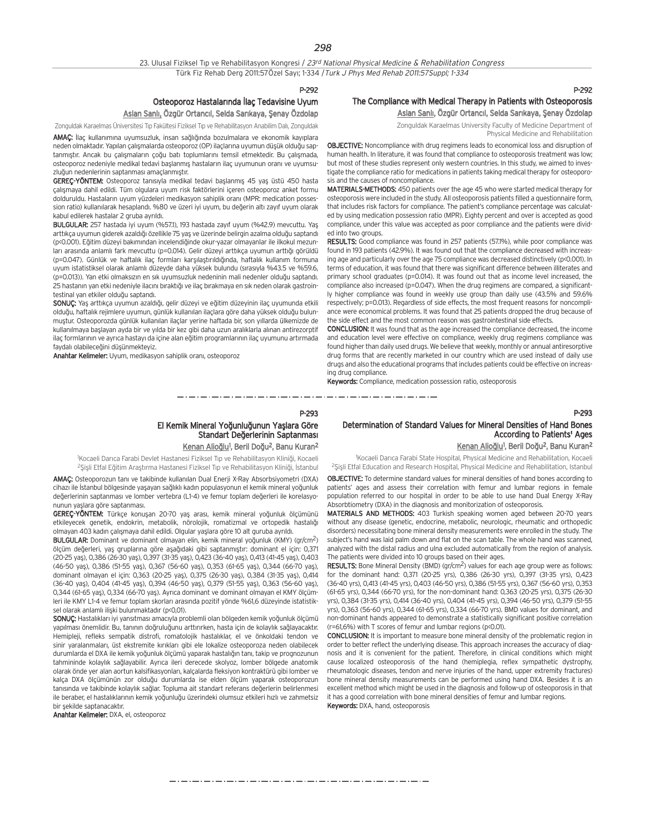#### 23. Ulusal Fiziksel Tip ve Rehabilitasyon Kongresi / 23rd National Physical Medicine & Rehabilitation Congress Türk Fiz Rehab Derg 2011:57Özel Sayı; 1-334 / Turk J Phys Med Rehab 2011:57Suppl; 1-334

P-292

### Osteoporoz Hastalarında İlaç Tedavisine Uyum

Aslan Sanlı, Özgür Ortancıl, Selda Sarıkaya, Şenay Özdolap

Zonguldak Karaelmas Üniversitesi Tıp Fakültesi Fiziksel Tıp ve Rehabilitasyon Anabilim Dalı, Zonguldak

AMAÇ: İlaç kullanımına uyumsuzluk, insan sağlığında bozulmalara ve ekonomik kayıplara neden olmaktadır. Yapılan çalışmalarda osteoporoz (OP) ilaçlarına uyumun düşük olduğu saptanmıştır. Ancak bu çalışmaların çoğu batı toplumlarını temsil etmektedir. Bu çalışmada, osteoporoz nedeniyle medikal tedavi başlanmış hastaların ilaç uyumunun oranı ve uyumsuzluğun nedenlerinin saptanması amaçlanmıştır.

GEREC-YÖNTEM: Osteoporoz tanısıyla medikal tedavi başlanmış 45 yas üstü 450 hasta çalışmaya dahil edildi. Tüm olgulara uyum risk faktörlerini içeren osteoporoz anket formu dolduruldu. Hastaların uyum yüzdeleri medikasyon sahiplik oranı (MPR: medication possession ratio) kullanılarak hesaplandı. %80 ve üzeri iyi uyum, bu değerin altı zayıf uyum olarak kabul edilerek hastalar 2 gruba avrıldı.

BULGULAR: 257 hastada iyi uyum (%57.1), 193 hastada zayıf uyum (%42.9) mevcuttu. Yaş arttıkça uyumun giderek azaldığı özellikle 75 yaş ve üzerinde belirgin azalma olduğu saptandı (p<0.001). Eğitim düzeyi bakımından incelendiğinde okur-yazar olmayanlar ile ilkokul mezunları arasında anlamlı fark mevcuttu (p=0.014). Gelir düzeyi arttıkça uyumun arttığı görüldü (p=0.047). Günlük ve haftalık ilaç formları karşılaştırıldığında, haftalık kullanım formuna uyum istatistiksel olarak anlamlı düzeyde daha yüksek bulundu (sırasıyla %43.5 ve %59.6, (p=0.013)). Yan etki olmaksızın en sık uyumsuzluk nedeninin mali nedenler olduğu saptandı. 25 hastanın yan etki nedeniyle ilacını bıraktığı ve ilaç bırakmaya en sık neden olarak gastrointestinal van etkiler olduğu saptandı.

SONUC: Yas arttıkça uyumun azaldığı, gelir düzeyi ve eğitim düzeyinin ilaç uyumunda etkili oldu¤u, haftal›k rejimlere uyumun, günlük kullan›lan ilaçlara göre daha yüksek oldu¤u bulunmuştur. Osteoporozda günlük kullanılan ilaçlar yerine haftada bir, son yıllarda ülkemizde de kullanılmaya başlayan ayda bir ve yılda bir kez gibi daha uzun aralıklarla alınan antirezorptif ilaç formlarının ve ayrıca hastayı da içine alan eğitim programlarının ilaç uyumunu artırmada faydalı olabileceğini düşünmekteyiz.

Anahtar Kelimeler: Uyum, medikasyon sahiplik oranı, osteoporoz

#### P-292 The Compliance with Medical Therapy in Patients with Osteoporosis Aslan Sanlı, Özgür Ortancıl, Selda Sarıkaya, Şenay Özdolap

Zonguldak Karaelmas University Faculty of Medicine Department of Physical Medicine and Rehabilitation

OBJECTIVE: Noncompliance with drug regimens leads to economical loss and disruption of human health. In literature, it was found that compliance to osteoporosis treatment was low; but most of these studies represent only western countries. In this study, we aimed to investigate the compliance ratio for medications in patients taking medical therapy for osteoporosis and the causes of noncompliance.

MATERIALS-METHODS: 450 patients over the age 45 who were started medical therapy for osteoporosis were included in the study. All osteoporosis patients filled a questionnaire form, that includes risk factors for compliance. The patient's compliance percentage was calculated by using medication possession ratio (MPR). Eighty percent and over is accepted as good compliance, under this value was accepted as poor compliance and the patients were divided into two groups.

RESULTS: Good compliance was found in 257 patients (57.1%), while poor compliance was found in 193 patients (42.9%). It was found out that the compliance decreased with increasing age and particularly over the age 75 compliance was decreased distinctively (p<0.001). In terms of education, it was found that there was significant difference between illiterates and primary school graduates (p=0.014). It was found out that as income level increased, the compliance also increased (p=0.047). When the drug regimens are compared, a significantly higher compliance was found in weekly use group than daily use (43.5% and 59.6% respectively; p=0.013). Regardless of side effects, the most frequent reasons for noncompliance were economical problems. It was found that 25 patients dropped the drug because of the side effect and the most common reason was gastrointestinal side effects.

CONCLUSION: It was found that as the age increased the compliance decreased, the income and education level were effective on compliance, weekly drug regimens compliance was found higher than daily used drugs. We believe that weekly, monthly or annual antiresorptive drug forms that are recently marketed in our country which are used instead of daily use drugs and also the educational programs that includes patients could be effective on increasing drug compliance.

Keywords: Compliance, medication possession ratio, osteoporosis

للمراجع والمساور المساور المساور المساور المساور المساور المساور المساور المساور

#### P-293

## El Kemik Mineral Yoğunluğunun Yaşlara Göre Standart Değerlerinin Saptanması

<u>Kenan Alioğlu</u><sup>1</sup>, Beril Doğu<sup>2</sup>, Banu Kuran<sup>2</sup>

1Kocaeli Darıca Farabi Devlet Hastanesi Fiziksel Tıp ve Rehabilitasyon Kliniği, Kocaeli <sup>2</sup>Şişli Etfal Eğitim Araştırma Hastanesi Fiziksel Tıp ve Rehabilitasyon Kliniği, İstanbul

AMAC: Osteoporozun tanı ve takibinde kullanılan Dual Enerji X-Ray Absorbsiyometri (DXA) cihazı ile İstanbul bölgesinde yaşayan sağlıklı kadın populasyonun el kemik mineral yoğunluk değerlerinin saptanması ve lomber vertebra (L1-4) ve femur toplam değerleri ile korelasyonunun yaslara göre saptanması.

GEREÇ-YÖNTEM: Türkçe konuşan 20-70 yaş arası, kemik mineral yoğunluk ölçümünü etkileyecek genetik, endokrin, metabolik, nörolojik, romatizmal ve ortopedik hastalığı olmayan 403 kadın çalışmaya dahil edildi. Olgular yaşlara göre 10 alt guruba ayrıldı.

BULGULAR: Dominant ve dominant olmayan elin, kemik mineral yoğunluk (KMY) (gr/cm<sup>2</sup>) ölçüm değerleri, yaş gruplarına göre aşağıdaki gibi saptanmıştır: dominant el için: 0,371 (20-25 yaş), 0,386 (26-30 yaş), 0,397 (31-35 yaş), 0,423 (36-40 yaş), 0,413 (41-45 yaş), 0,403 (46-50 yaş), 0,386 (51-55 yaş), 0,367 (56-60 yaş), 0,353 (61-65 yaş), 0,344 (66-70 yaş), dominant olmayan el için: 0,363 (20-25 yaş), 0,375 (26-30 yaş), 0,384 (31-35 yaş), 0,414 (36-40 yaş), 0,404 (41-45 yaş), 0,394 (46-50 yaş), 0,379 (51-55 yaş), 0,363 (56-60 yaş), 0,344 (61-65 yaş), 0,334 (66-70 yaş). Ayrıca dominant ve dominant olmayan el KMY ölçümleri ile KMY L1-4 ve femur toplam skorları arasında pozitif yönde %61,6 düzeyinde istatistiksel olarak anlamlı ilişki bulunmaktadır (p<0,01).

SONUÇ: Hastalıkları iyi yansıtması amacıyla problemli olan bölgeden kemik yoğunluk ölçümü yapılması önemlidir. Bu, tanının doğruluğunu arttırırken, hasta için de kolaylık sağlayacaktır. Hemipleji, refleks sempatik distrofi, romatolojik hastalıklar, el ve önkoldaki tendon ve sinir yaralanmaları, üst ekstremite kırıkları gibi ele lokalize osteoporoza neden olabilecek durumlarda el DXA ile kemik yoğunluk ölçümü yaparak hastalığın tanı, takip ve prognozunun tahmininde kolaylık sağlayabilir. Ayrıca ileri derecede skolyoz, lomber bölgede anatomik olarak önde yer alan aortun kalsifikasyonları, kalçalarda fleksiyon kontraktürü gibi lomber ve kalça DXA ölçümünün zor olduğu durumlarda ise elden ölçüm yaparak osteoporozun tanısında ve takibinde kolaylık sağlar. Topluma ait standart referans değerlerin belirlenmesi ile beraber, el hastalıklarının kemik yoğunluğu üzerindeki olumsuz etkileri hızlı ve zahmetsiz bir sekilde saptanacaktır.

Anahtar Kelimeler: DXA, el, osteoporoz

## Determination of Standard Values for Mineral Densities of Hand Bones According to Patients' Ages

<u>Kenan Alioğlu</u><sup>1</sup>, Beril Doğu<sup>2</sup>, Banu Kuran<sup>2</sup>

P-293

<sup>1</sup>Kocaeli Darıca Farabi State Hospital, Physical Medicine and Rehabilitation, Kocaeli <sup>2</sup>Sisli Etfal Education and Research Hospital, Physical Medicine and Rehabilitation, Istanbul

OBJECTIVE: To determine standard values for mineral densities of hand bones according to patients' ages and assess their correlation with femur and lumbar regions in female population referred to our hospital in order to be able to use hand Dual Energy X-Ray Absorbtiometry (DXA) in the diagnosis and monitorization of osteoporosis.

MATERIALS AND METHODS: 403 Turkish speaking women aged between 20-70 years without any disease (genetic, endocrine, metabolic, neurologic, rheumatic and orthopedic disorders) necessitating bone mineral density measurements were enrolled in the study. The subject's hand was laid palm down and flat on the scan table. The whole hand was scanned, analyzed with the distal radius and ulna excluded automatically from the region of analysis. The patients were divided into 10 groups based on their ages.

RESULTS: Bone Mineral Density (BMD) (gr/cm2) values for each age group were as follows: for the dominant hand: 0,371 (20-25 yrs), 0,386 (26-30 yrs), 0,397 (31-35 yrs), 0,423 (36-40 yrs), 0,413 (41-45 yrs), 0,403 (46-50 yrs), 0,386 (51-55 yrs), 0,367 (56-60 yrs), 0,353 (61-65 yrs), 0,344 (66-70 yrs), for the non-dominant hand: 0,363 (20-25 yrs), 0,375 (26-30 yrs), 0,384 (31-35 yrs), 0,414 (36-40 yrs), 0,404 (41-45 yrs), 0,394 (46-50 yrs), 0,379 (51-55 yrs), 0,363 (56-60 yrs), 0,344 (61-65 yrs), 0,334 (66-70 yrs). BMD values for dominant, and non-dominant hands appeared to demonstrate a statistically significant positive correlation (r=61,6%) with T scores of femur and lumbar regions (p<0.01).

CONCLUSION: It is important to measure bone mineral density of the problematic region in order to better reflect the underlying disease. This approach increases the accuracy of diagnosis and it is convenient for the patient. Therefore, in clinical conditions which might cause localized osteoporosis of the hand (hemiplegia, reflex sympathetic dystrophy, rheumatologic diseases, tendon and nerve injuries of the hand, upper extremity fractures) bone mineral density measurements can be performed using hand DXA. Besides it is an excellent method which might be used in the diagnosis and follow-up of osteoporosis in that it has a good correlation with bone mineral densities of femur and lumbar regions. Keywords: DXA, hand, osteoporosis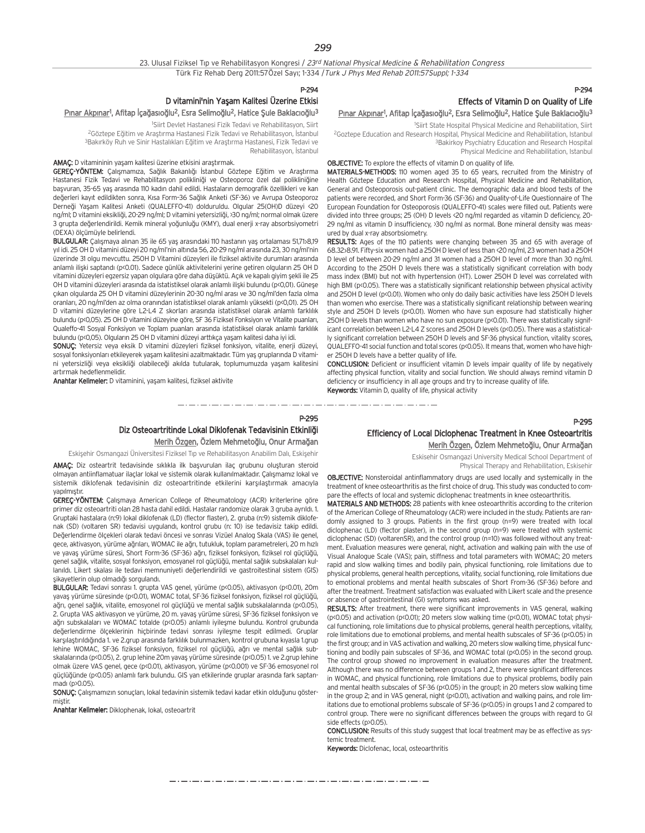P-294

#### D vitamini'nin Yasam Kalitesi Üzerine Etkisi

#### <u>Pınar Akpınar</u><sup>ı</sup>, Afitap İçağasıoğlu<sup>2</sup>, Esra Selimoğlu<sup>2</sup>, Hatice Şule Baklacıoğlu<sup>3</sup>

1 Siirt Devlet Hastanesi Fizik Tedavi ve Rehabilitasyon, Siirt

<sup>2</sup>Göztepe Eğitim ve Araştırma Hastanesi Fizik Tedavi ve Rehabilitasyon, İstanbul 3Bakırköy Ruh ve Sinir Hastalıkları Eğitim ve Araştırma Hastanesi, Fizik Tedavi ve Rehabilitasyon, İstanbul

#### AMAC: D vitamininin yasam kalitesi üzerine etkisini arastırmak.

GEREÇ-YÖNTEM: Calısmamıza, Sağlık Bakanlığı İstanbul Göztepe Eğitim ve Arastırma Hastanesi Fizik Tedavi ve Rehabilitasyon polikliniği ve Osteoporoz özel dal polikliniğine başvuran, 35-65 yaş arasında 110 kadın dahil edildi. Hastaların demografik özellikleri ve kan değerleri kayıt edildikten sonra, Kısa Form-36 Sağlık Anketi (SF-36) ve Avrupa Osteoporoz Derneği Yasam Kalitesi Anketi (QUALEFFO-41) dolduruldu. Olgular 25(OH)D düzeyi <20 ng/ml; D vitamini eksikliği, 20-29 ng/ml; D vitamini yetersizliği, >30 ng/ml; normal olmak üzere 3 grupta değerlendirildi. Kemik mineral yoğunluğu (KMY), dual enerji x-ray absorbsiyometri (DEXA) ölçümüyle belirlendi.

BULGULAR: Calismaya alinan 35 ile 65 yas arasındaki 110 hastanın yas ortalaması 51,71 $>8.19$ yıl idi. 25 OH D vitamini düzeyi 20 ng/ml'nin altında 56, 20-29 ng/ml arasında 23, 30 ng/ml'nin üzerinde 31 olgu mevcuttu. 25OH D Vitamini düzeyleri ile fiziksel aktivite durumları arasında anlamlı ilişki saptandı (p<0.01). Sadece günlük aktivitelerini yerine getiren olguların 25 OH D vitamini düzeyleri egzersiz yapan olgulara göre daha düşüktü. Açık ve kapalı giyim şekli ile 25 OH D vitamini düzeyleri arasında da istatistiksel olarak anlamlı ilişki bulundu (p<0,01). Güneşe çıkan olgularda 25 OH D vitamini düzeylerinin 20-30 ng/ml arası ve 30 ng/ml'den fazla olma oranları, 20 ng/ml'den az olma oranından istatistiksel olarak anlamlı yüksekti (p<0,01). 25 OH D vitamini düzeylerine göre L2-L4 Z skorları arasında istatistiksel olarak anlamlı farklılık bulundu (p<0,05). 25 OH D vitamini düzeyine göre, SF 36 Fiziksel Fonksiyon ve Vitalite puanlar›, Qualeffo-41 Sosyal Fonksiyon ve Toplam puanları arasında istatistiksel olarak anlamlı farklılık bulundu (p<0,05). Olguların 25 OH D vitamini düzeyi arttıkça yaşam kalitesi daha iyi idi.

SONUÇ: Yetersiz veya eksik D vitamini düzeyleri fiziksel fonksiyon, vitalite, enerji düzeyi, sosyal fonksiyonları etkileyerek yaşam kalitesini azaltmaktadır. Tüm yaş gruplarında D vitamini yetersizliği veya eksikliği olabileceği akılda tutularak, toplumumuzda yaşam kalitesini artırmak hedeflenmelidir.

Anahtar Kelimeler: D vitaminini, yasam kalitesi, fiziksel aktivite

## P-294 Effects of Vitamin D on Quality of Life

## <u>Pınar Akpınar</u>!, Afitap İçağasıoğlu<sup>2</sup>, Esra Selimoğlu<sup>2</sup>, Hatice Şule Baklacıoğlu<sup>3</sup>

1 Siirt State Hospital Physical Medicine and Rehabilitation, Siirt 2Goztepe Education and Research Hospital, Physical Medicine and Rehabilitation, Istanbul 3Bakirkoy Psychiatry Education and Research Hospital Physical Medicine and Rehabilitation, Istanbul

OBJECTIVE: To explore the effects of vitamin D on quality of life.

MATERIALS-METHODS: 110 women aged 35 to 65 years, recruited from the Ministry of Health Göztepe Education and Research Hospital, Physical Medicine and Rehabilitation, General and Osteoporosis out-patient clinic. The demographic data and blood tests of the patients were recorded, and Short Form-36 (SF-36) and Quality-of-Life Questionnaire of The European Foundation for Osteoporosis (QUALEFFO-41) scales were filled out. Patients were divided into three groups; 25 (OH) D levels <20 ng/ml regarded as vitamin D deficiency, 20- 29 ng/ml as vitamin D insufficiency, >30 ng/ml as normal. Bone mineral density was measured by dual x-ray absorbsiometry.

RESULTS: Ages of the 110 patients were changing between 35 and 65 with average of 68.32±8.91. Fifty-six women had a 25OH D level of less than <20 ng/ml, 23 women had a 25OH D level of between 20-29 ng/ml and 31 women had a 25OH D level of more than 30 ng/ml. According to the 25OH D levels there was a statistically significant correlation with body mass index (BMI) but not with hypertension (HT). Lower 25OH D level was correlated with high BMI (p<0.05). There was a statistically significant relationship between physical activity and 25OH D level (p<0.01). Women who only do daily basic activities have less 25OH D levels than women who exercise. There was a statistically significant relationship between wearing style and 25OH D levels (p<0.01). Women who have sun exposure had statistically higher 25OH D levels than women who have no sun exposure (p<0.01). There was statistically significant correlation between L2-L4 Z scores and 25OH D levels (p<0.05). There was a statistically significant correlation between 25OH D levels and SF-36 physical function, vitality scores, QUALEFFO-41 social function and total scores (p<0.05). It means that, women who have higher 25OH D levels have a better quality of life.

CONCLUSION: Deficient or insufficient vitamin D levels impair quality of life by negatively affecting physical function, vitality and social function. We should always remind vitamin D deficiency or insufficiency in all age groups and try to increase quality of life. Keywords: Vitamin D, quality of life, physical activity

P-295

## Diz Osteoartritinde Lokal Diklofenak Tedavisinin Etkinliği

Merih Özgen, Özlem Mehmetoğlu, Onur Armağan

Eskişehir Osmangazi Üniversitesi Fiziksel Tıp ve Rehabilitasyon Anabilim Dalı, Eskişehir

AMAÇ: Diz osteartrit tedavisinde sıklıkla ilk başvurulan ilaç grubunu oluşturan steroid olmayan antiinflamatuar ilaçlar lokal ve sistemik olarak kullanılmaktadır. Çalışmamız lokal ve sistemik diklofenak tedavisinin diz osteoartritinde etkilerini karşılaştırmak amacıyla vapılmıştır.

GEREÇ-YÖNTEM: Çalışmaya American College of Rheumatology (ACR) kriterlerine göre primer diz osteoartriti olan 28 hasta dahil edildi. Hastalar randomize olarak 3 gruba ayrıldı. 1. Gruptaki hastalara (n:9) lokal diklofenak (LD) (flector flaster), 2. gruba (n:9) sistemik diklofenak (SD) (voltaren SR) tedavisi uygulandı, kontrol grubu (n: 10) ise tedavisiz takip edildi. Değerlendirme ölçekleri olarak tedavi öncesi ve sonrası Vizüel Analog Skala (VAS) ile genel, gece, aktivasyon, yürüme ağrıları, WOMAC ile ağrı, tutukluk, toplam parametreleri, 20 m hızlı ve yavaş yürüme süresi, Short Form-36 (SF-36) ağrı, fiziksel fonksiyon, fiziksel rol güçlüğü, genel sağlık, vitalite, sosyal fonksiyon, emosyanel rol güçlüğü, mental sağlık subskalaları kullanıldı. Likert skalası ile tedavi memnuniyeti değerlendirildi ve gastroitestinal sistem (GIS) sikayetlerin olup olmadığı sorgulandı.

BULGULAR: Tedavi sonrası 1. grupta VAS genel, yürüme (p<0.05), aktivasyon (p<0.01), 20m yavaş yürüme süresinde (p<0.01), WOMAC total, SF-36 fiziksel fonksiyon, fiziksel rol güçlüğü, ağrı, genel sağlık, vitalite, emosyonel rol güçlüğü ve mental sağlık subskalalarında (p<0.05), 2. Grupta VAS aktivasyon ve yürüme, 20 m. yavaş yürüme süresi, SF-36 fiziksel fonksiyon ve ağrı subskalaları ve WOMAC totalde (ps0.05) anlamlı iyilesme bulundu. Kontrol grubunda değerlendirme ölçeklerinin hiçbirinde tedavi sonrası iyileşme tespit edilmedi. Gruplar karsılaştırıldığında 1. ve 2.grup arasında farklılık bulunmazken, kontrol grubuna kıyasla 1.grup lehine WOMAC, SF-36 fiziksel fonksiyon, fiziksel rol güçlüğü, ağrı ve mental sağlık subskalalarında (p<0.05), 2. grup lehine 20m yavaş yürüme süresinde (p<0.05) 1. ve 2.grup lehine olmak üzere VAS genel, gece (p<0.01), aktivasyon, yürüme (p<0.001) ve SF-36 emosyonel rol güçlüğünde (p<0.05) anlamlı fark bulundu. GIS yan etkilerinde gruplar arasında fark saptan $m$ adı ( $n$  $>$ 0.05).

SONUÇ: Çalışmamızın sonuçları, lokal tedavinin sistemik tedavi kadar etkin olduğunu göstermisti

Anahtar Kelimeler: Diklophenak, lokal, osteoartrit

## P-295

## Efficiency of Local Diclophenac Treatment in Knee Osteoartritis

Merih Özgen, Özlem Mehmetoğlu, Onur Armağan

Eskisehir Osmangazi University Medical School Department of Physical Therapy and Rehabilitation, Eskisehir

OBJECTIVE: Nonsteroidal antinflammatory drugs are used locally and systemically in the treatment of knee osteoarthritis as the first choice of drug. This study was conducted to compare the effects of local and systemic diclophenac treatments in knee osteoarthritis.

MATERIALS AND METHODS: 28 patients with knee osteoarthritis according to the criterion of the American College of Rheumatology (ACR) were included in the study. Patients are randomly assigned to 3 groups. Patients in the first group (n=9) were treated with local diclophenac (LD) (flector plaster), in the second group (n=9) were treated with systemic diclophenac (SD) (voltarenSR), and the control group (n=10) was followed without any treatment. Evaluation measures were general, night, activation and walking pain with the use of Visual Analogue Scale (VAS); pain, stiffness and total parameters with WOMAC; 20 meters rapid and slow walking times and bodily pain, physical functioning, role limitations due to physical problems, general health perceptions, vitality, social functioning, role limitations due to emotional problems and mental health subscales of Short From-36 (SF-36) before and after the treatment. Treatment satisfaction was evaluated with Likert scale and the presence or absence of gastrointestinal (GI) symptoms was asked.

RESULTS: After treatment, there were significant improvements in VAS general, walking (p<0.05) and activation (p<0.01); 20 meters slow walking time (p<0.01), WOMAC total; physical functioning, role limitations due to physical problems, general health perceptions, vitality, role limitations due to emotional problems, and mental health subscales of SF-36 (p<0.05) in the first group; and in VAS activation and walking, 20 meters slow walking time, physical functioning and bodily pain subscales of SF-36, and WOMAC total (p<0.05) in the second group. The control group showed no improvement in evaluation measures after the treatment. Although there was no difference between groups 1 and 2, there were significant differences in WOMAC, and physical functioning, role limitations due to physical problems, bodily pain and mental health subscales of SF-36 (p<0.05) in the group1; in 20 meters slow walking time in the group 2; and in VAS general, night (p<0.01), activation and walking pains, and role limitations due to emotional problems subscale of SF-36 (p<0.05) in groups 1 and 2 compared to control group. There were no significant differences between the groups with regard to GI side effects (p>0.05).

CONCLUSION: Results of this study suggest that local treatment may be as effective as systemic treatment.

Keywords: Diclofenac, local, osteoarthritis